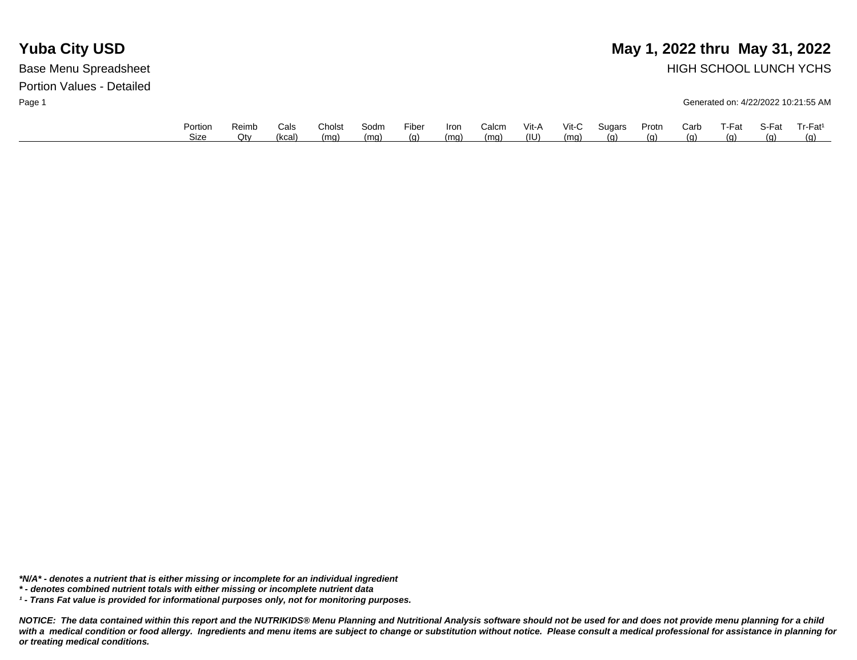## **Yuba City USD** May 1, 2022 thru May 31, 2022 Base Menu Spreadsheet **HIGH SCHOOL LUNCH YCHS**

Page 1 Generated on: 4/22/2022 10:21:55 AM

| Portion | Reimb | Cals   | Cholst | Sodm | Fiber | <b>Iron</b> | Calcm | Vit-A | $V$ it-C | Sugars | Protn | Carb | T-Fat      | S-Fat | Tr-Fat <sup>1</sup> |
|---------|-------|--------|--------|------|-------|-------------|-------|-------|----------|--------|-------|------|------------|-------|---------------------|
| Size    | Otv   | (kcal) | (mg)   | (ma) | (g)   | (ma)        | (mq)  | (IU)  | (ma)     | (n)    | (q)   | (α)  | <u>(g)</u> | (a)   | (a)                 |

*\*N/A\* - denotes a nutrient that is either missing or incomplete for an individual ingredient*

*\* - denotes combined nutrient totals with either missing or incomplete nutrient data*

*¹ - Trans Fat value is provided for informational purposes only, not for monitoring purposes.*

*NOTICE: The data contained within this report and the NUTRIKIDS® Menu Planning and Nutritional Analysis software should not be used for and does not provide menu planning for a child*  with a medical condition or food allergy. Ingredients and menu items are subject to change or substitution without notice. Please consult a medical professional for assistance in planning for *or treating medical conditions.*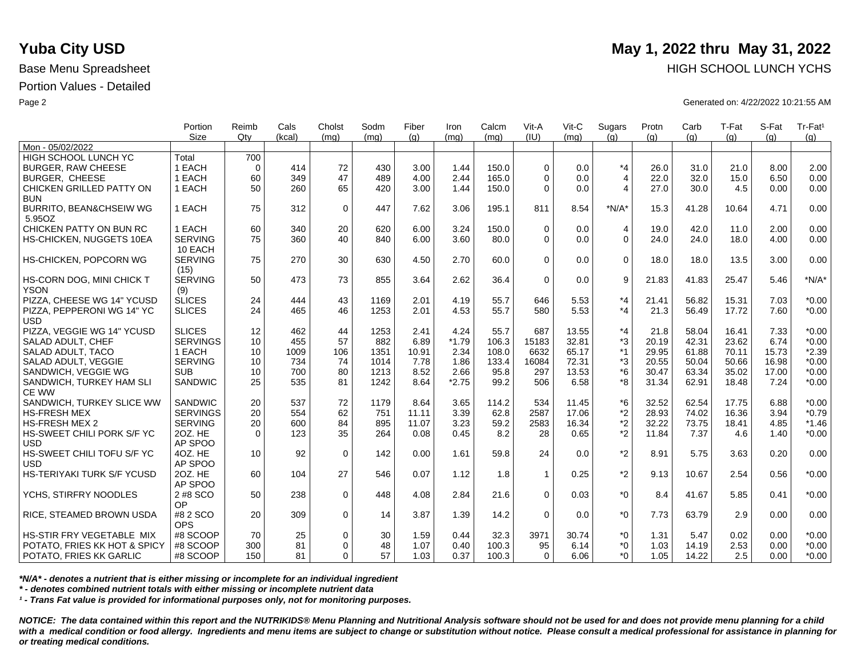|                                   | Portion<br><b>Size</b> | Reimb<br>Qtv | Cals<br>(kcal) | Cholst<br>(mq) | Sodm<br>(mq) | Fiber<br>(q) | Iron<br>(mq) | Calcm<br>(mq) | Vit-A<br>(IU)  | Vit-C<br>(ma) | Sugars<br>(q)  | Protn<br>(q) | Carb<br>(q) | T-Fat<br>(q) | S-Fat<br>(a) | Tr-Fat <sup>1</sup><br>(g) |
|-----------------------------------|------------------------|--------------|----------------|----------------|--------------|--------------|--------------|---------------|----------------|---------------|----------------|--------------|-------------|--------------|--------------|----------------------------|
| Mon - 05/02/2022                  |                        |              |                |                |              |              |              |               |                |               |                |              |             |              |              |                            |
| HIGH SCHOOL LUNCH YC              | Total                  | 700          |                |                |              |              |              |               |                |               |                |              |             |              |              |                            |
| <b>BURGER, RAW CHEESE</b>         | 1 EACH                 | $\mathbf 0$  | 414            | 72             | 430          | 3.00         | 1.44         | 150.0         | $\Omega$       | 0.0           | $*_{4}$        | 26.0         | 31.0        | 21.0         | 8.00         | 2.00                       |
| <b>BURGER, CHEESE</b>             | 1 EACH                 | 60           | 349            | 47             | 489          | 4.00         | 2.44         | 165.0         | $\Omega$       | 0.0           | $\overline{4}$ | 22.0         | 32.0        | 15.0         | 6.50         | 0.00                       |
| CHICKEN GRILLED PATTY ON          | 1 EACH                 | 50           | 260            | 65             | 420          | 3.00         | 1.44         | 150.0         | $\Omega$       | 0.0           | $\overline{4}$ | 27.0         | 30.0        | 4.5          | 0.00         | 0.00                       |
| <b>BUN</b>                        |                        |              |                |                |              |              |              |               |                |               |                |              |             |              |              |                            |
| BURRITO, BEAN&CHSEIW WG           | 1 EACH                 | 75           | 312            | $\mathbf 0$    | 447          | 7.62         | 3.06         | 195.1         | 811            | 8.54          | $*N/A*$        | 15.3         | 41.28       | 10.64        | 4.71         | 0.00                       |
| 5.95OZ                            |                        |              |                |                |              |              |              |               |                |               |                |              |             |              |              |                            |
| CHICKEN PATTY ON BUN RC           | 1 EACH                 | 60           | 340            | 20             | 620          | 6.00         | 3.24         | 150.0         | $\Omega$       | 0.0           | 4              | 19.0         | 42.0        | 11.0         | 2.00         | 0.00                       |
| HS-CHICKEN, NUGGETS 10EA          | <b>SERVING</b>         | 75           | 360            | 40             | 840          | 6.00         | 3.60         | 80.0          | $\Omega$       | 0.0           | $\mathbf 0$    | 24.0         | 24.0        | 18.0         | 4.00         | 0.00                       |
|                                   | 10 EACH                |              |                |                |              |              |              |               |                |               |                |              |             |              |              |                            |
| HS-CHICKEN, POPCORN WG            | <b>SERVING</b>         | 75           | 270            | 30             | 630          | 4.50         | 2.70         | 60.0          | $\Omega$       | 0.0           | $\mathbf 0$    | 18.0         | 18.0        | 13.5         | 3.00         | 0.00                       |
|                                   | (15)                   |              |                |                |              |              |              |               |                |               |                |              |             |              |              |                            |
| HS-CORN DOG, MINI CHICK T         | <b>SERVING</b>         | 50           | 473            | 73             | 855          | 3.64         | 2.62         | 36.4          | $\mathbf 0$    | 0.0           | 9              | 21.83        | 41.83       | 25.47        | 5.46         | $*N/A*$                    |
| <b>YSON</b>                       | (9)                    |              |                |                |              |              |              |               |                |               |                |              |             |              |              |                            |
| PIZZA, CHEESE WG 14" YCUSD        | <b>SLICES</b>          | 24           | 444            | 43             | 1169         | 2.01         | 4.19         | 55.7          | 646            | 5.53          | $*_{4}$        | 21.41        | 56.82       | 15.31        | 7.03         | $*0.00$                    |
| PIZZA, PEPPERONI WG 14" YC        | <b>SLICES</b>          | 24           | 465            | 46             | 1253         | 2.01         | 4.53         | 55.7          | 580            | 5.53          | $*_{4}$        | 21.3         | 56.49       | 17.72        | 7.60         | $*0.00$                    |
| <b>USD</b>                        |                        |              |                |                |              |              |              |               |                |               |                |              |             |              |              |                            |
| PIZZA, VEGGIE WG 14" YCUSD        | <b>SLICES</b>          | 12           | 462            | 44             | 1253         | 2.41         | 4.24         | 55.7          | 687            | 13.55         | $*_{4}$        | 21.8         | 58.04       | 16.41        | 7.33         | $*0.00$                    |
| SALAD ADULT, CHEF                 | <b>SERVINGS</b>        | 10           | 455            | 57             | 882          | 6.89         | $*1.79$      | 106.3         | 15183          | 32.81         | *3             | 20.19        | 42.31       | 23.62        | 6.74         | $*0.00$                    |
| SALAD ADULT, TACO                 | 1 EACH                 | 10           | 1009           | 106            | 1351         | 10.91        | 2.34         | 108.0         | 6632           | 65.17         | $*1$           | 29.95        | 61.88       | 70.11        | 15.73        | $*2.39$                    |
| SALAD ADULT, VEGGIE               | <b>SERVING</b>         | 10           | 734            | 74             | 1014         | 7.78         | 1.86         | 133.4         | 16084          | 72.31         | *3             | 20.55        | 50.04       | 50.66        | 16.98        | $*0.00$                    |
| SANDWICH, VEGGIE WG               | <b>SUB</b>             | 10           | 700            | 80             | 1213         | 8.52         | 2.66         | 95.8          | 297            | 13.53         | $*6$           | 30.47        | 63.34       | 35.02        | 17.00        | $*0.00$                    |
| SANDWICH, TURKEY HAM SLI          | <b>SANDWIC</b>         | 25           | 535            | 81             | 1242         | 8.64         | $*2.75$      | 99.2          | 506            | 6.58          | *8             | 31.34        | 62.91       | 18.48        | 7.24         | $*0.00$                    |
| CE WW                             |                        |              |                |                |              |              |              |               |                |               |                |              |             |              |              |                            |
| SANDWICH, TURKEY SLICE WW         | <b>SANDWIC</b>         | 20           | 537            | 72             | 1179         | 8.64         | 3.65         | 114.2         | 534            | 11.45         | *6             | 32.52        | 62.54       | 17.75        | 6.88         | $*0.00$                    |
| HS-FRESH MEX                      | <b>SERVINGS</b>        | 20           | 554            | 62             | 751          | 11.11        | 3.39         | 62.8          | 2587           | 17.06         | $*2$           | 28.93        | 74.02       | 16.36        | 3.94         | $*0.79$                    |
| HS-FRESH MEX 2                    | <b>SERVING</b>         | 20           | 600            | 84             | 895          | 11.07        | 3.23         | 59.2          | 2583           | 16.34         | $*2$           | 32.22        | 73.75       | 18.41        | 4.85         | $*1.46$                    |
| HS-SWEET CHILI PORK S/F YC        | 20Z. HE                | $\Omega$     | 123            | 35             | 264          | 0.08         | 0.45         | 8.2           | 28             | 0.65          | $*2$           | 11.84        | 7.37        | 4.6          | 1.40         | $*0.00$                    |
| <b>USD</b>                        | AP SPOO                |              |                |                |              |              |              |               |                |               |                |              |             |              |              |                            |
| HS-SWEET CHILI TOFU S/F YC        | 4OZ, HE                | 10           | 92             | $\mathbf 0$    | 142          | 0.00         | 1.61         | 59.8          | 24             | 0.0           | $*2$           | 8.91         | 5.75        | 3.63         | 0.20         | 0.00                       |
| <b>USD</b>                        | AP SPOO                |              |                |                |              |              |              |               |                |               |                |              |             |              |              |                            |
| <b>HS-TERIYAKI TURK S/F YCUSD</b> | 20Z. HE                | 60           | 104            | 27             | 546          | 0.07         | 1.12         | 1.8           | $\overline{1}$ | 0.25          | $*2$           | 9.13         | 10.67       | 2.54         | 0.56         | $*0.00$                    |
|                                   | AP SPOO                |              |                |                |              |              |              |               |                |               |                |              |             |              |              |                            |
| YCHS, STIRFRY NOODLES             | 2 #8 SCO               | 50           | 238            | $\mathbf 0$    | 448          | 4.08         | 2.84         | 21.6          | $\Omega$       | 0.03          | $^*$ 0         | 8.4          | 41.67       | 5.85         | 0.41         | $*0.00$                    |
|                                   | <b>OP</b>              |              |                |                |              |              |              |               |                |               |                |              |             |              |              |                            |
| RICE. STEAMED BROWN USDA          | #8 2 SCO               | 20           | 309            | $\mathbf 0$    | 14           | 3.87         | 1.39         | 14.2          | $\Omega$       | 0.0           | $*_{0}$        | 7.73         | 63.79       | 2.9          | 0.00         | 0.00                       |
|                                   | <b>OPS</b>             |              |                |                |              |              |              |               |                |               |                |              |             |              |              |                            |
| HS-STIR FRY VEGETABLE MIX         | #8 SCOOP               | 70           | 25             | $\mathbf 0$    | 30           | 1.59         | 0.44         | 32.3          | 3971           | 30.74         | $^*0$          | 1.31         | 5.47        | 0.02         | 0.00         | $*0.00$                    |
| POTATO, FRIES KK HOT & SPICY      | #8 SCOOP               | 300          | 81             | $\mathbf 0$    | 48           | 1.07         | 0.40         | 100.3         | 95             | 6.14          | $^*0$          | 1.03         | 14.19       | 2.53         | 0.00         | $*0.00$                    |
| POTATO, FRIES KK GARLIC           | #8 SCOOP               | 150          | 81             | $\Omega$       | 57           | 1.03         | 0.37         | 100.3         | 0              | 6.06          | $*$ $\Omega$   | 1.05         | 14.22       | 2.5          | 0.00         | $*0.00$                    |

*\*N/A\* - denotes a nutrient that is either missing or incomplete for an individual ingredient*

*\* - denotes combined nutrient totals with either missing or incomplete nutrient data*

*¹ - Trans Fat value is provided for informational purposes only, not for monitoring purposes.*

*NOTICE: The data contained within this report and the NUTRIKIDS® Menu Planning and Nutritional Analysis software should not be used for and does not provide menu planning for a child*  with a medical condition or food allergy. Ingredients and menu items are subject to change or substitution without notice. Please consult a medical professional for assistance in planning for *or treating medical conditions.*

# **Yuba City USD** May 1, 2022 thru May 31, 2022 Base Menu Spreadsheet **HIGH SCHOOL LUNCH YCHS HIGH SCHOOL LUNCH YCHS**

Page 2 Generated on: 4/22/2022 10:21:55 AM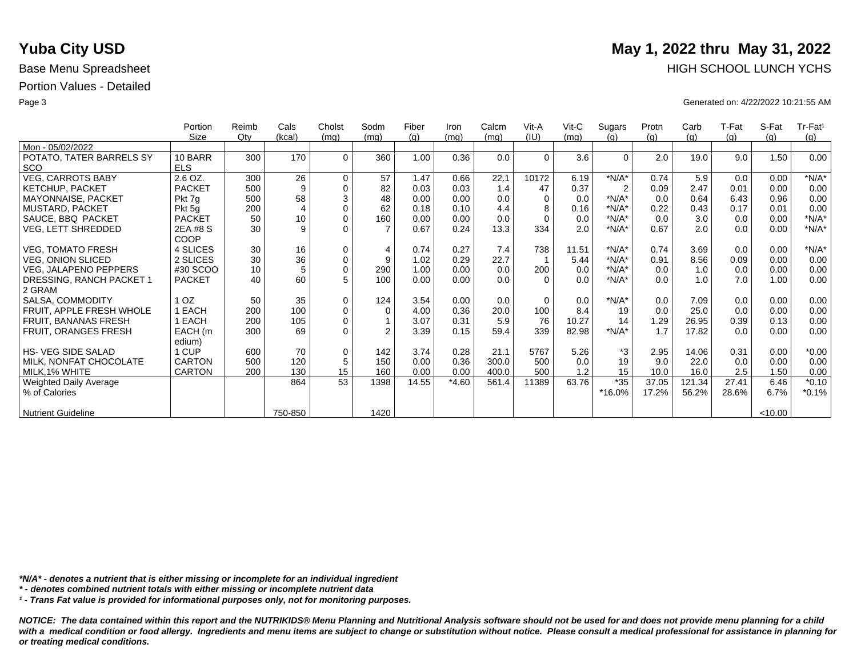|                              | Portion         | Reimb  | Cals           | Cholst      | Sodm           | Fiber | Iron    | Calcm | Vit-A    | Vit-C | Sugars         | Protn | Carb   | T-Fat | S-Fat   | Tr-Fat <sup>1</sup> |
|------------------------------|-----------------|--------|----------------|-------------|----------------|-------|---------|-------|----------|-------|----------------|-------|--------|-------|---------|---------------------|
|                              | Size            | $Q$ ty | (kcal)         | (mg)        | (mq)           | (g)   | (mq)    | (mq)  | (IU)     | (mq)  | (q)            | (g)   | (g)    | (g)   | (q)     | (g)                 |
| Mon - 05/02/2022             |                 |        |                |             |                |       |         |       |          |       |                |       |        |       |         |                     |
| POTATO, TATER BARRELS SY     | 10 BARR         | 300    | 170            | $\Omega$    | 360            | 1.00  | 0.36    | 0.0   | $\Omega$ | 3.6   | $\Omega$       | 2.0   | 19.0   | 9.0   | 1.50    | 0.00                |
| <b>SCO</b>                   | <b>ELS</b>      |        |                |             |                |       |         |       |          |       |                |       |        |       |         |                     |
| <b>VEG, CARROTS BABY</b>     | 2.6 OZ.         | 300    | 26             | $\mathbf 0$ | 57             | 1.47  | 0.66    | 22.1  | 10172    | 6.19  | $*N/A*$        | 0.74  | 5.9    | 0.0   | 0.00    | $*N/A*$             |
| <b>KETCHUP, PACKET</b>       | <b>PACKET</b>   | 500    | 9              | $\mathbf 0$ | 82             | 0.03  | 0.03    | 1.4   | 47       | 0.37  | $\overline{2}$ | 0.09  | 2.47   | 0.01  | 0.00    | 0.00                |
| MAYONNAISE, PACKET           | Pkt 7g          | 500    | 58             | 3           | 48             | 0.00  | 0.00    | 0.0   | $\Omega$ | 0.0   | $*N/A*$        | 0.0   | 0.64   | 6.43  | 0.96    | 0.00                |
| <b>MUSTARD, PACKET</b>       | Pkt 5g          | 200    | $\overline{4}$ | $\mathbf 0$ | 62             | 0.18  | 0.10    | 4.4   | 8        | 0.16  | $*N/A*$        | 0.22  | 0.43   | 0.17  | 0.01    | 0.00                |
| SAUCE, BBQ PACKET            | <b>PACKET</b>   | 50     | 10             | $\mathbf 0$ | 160            | 0.00  | 0.00    | 0.0   | $\Omega$ | 0.0   | $*N/A*$        | 0.0   | 3.0    | 0.0   | 0.00    | $*N/A*$             |
| VEG, LETT SHREDDED           | 2EA #8 S        | 30     | 9              | $\Omega$    | $\overline{7}$ | 0.67  | 0.24    | 13.3  | 334      | 2.0   | $*N/A*$        | 0.67  | 2.0    | 0.0   | 0.00    | $*N/A*$             |
|                              | COOP            |        |                |             |                |       |         |       |          |       |                |       |        |       |         |                     |
| <b>VEG, TOMATO FRESH</b>     | 4 SLICES        | 30     | 16             | $\mathbf 0$ | 4              | 0.74  | 0.27    | 7.4   | 738      | 11.51 | $*N/A*$        | 0.74  | 3.69   | 0.0   | 0.00    | $*N/A*$             |
| <b>VEG, ONION SLICED</b>     | 2 SLICES        | 30     | 36             | $\mathsf 0$ | 9              | 1.02  | 0.29    | 22.7  |          | 5.44  | $*N/A*$        | 0.91  | 8.56   | 0.09  | 0.00    | 0.00                |
| <b>VEG, JALAPENO PEPPERS</b> | #30 SCOO        | 10     | 5              | $\mathbf 0$ | 290            | 1.00  | 0.00    | 0.0   | 200      | 0.0   | $*N/A*$        | 0.0   | 1.0    | 0.0   | 0.00    | 0.00                |
| DRESSING, RANCH PACKET 1     | <b>PACKET</b>   | 40     | 60             | 5           | 100            | 0.00  | 0.00    | 0.0   | $\Omega$ | 0.0   | $*N/A*$        | 0.0   | 1.0    | 7.0   | 1.00    | 0.00                |
| 2 GRAM                       |                 |        |                |             |                |       |         |       |          |       |                |       |        |       |         |                     |
| SALSA, COMMODITY             | 1 <sub>OZ</sub> | 50     | 35             | $\mathbf 0$ | 124            | 3.54  | 0.00    | 0.0   | $\Omega$ | 0.0   | $*N/A*$        | 0.0   | 7.09   | 0.0   | 0.00    | 0.00                |
| FRUIT, APPLE FRESH WHOLE     | EACH            | 200    | 100            | $\mathbf 0$ | $\mathbf 0$    | 4.00  | 0.36    | 20.0  | 100      | 8.4   | 19             | 0.0   | 25.0   | 0.0   | 0.00    | 0.00                |
| FRUIT, BANANAS FRESH         | EACH            | 200    | 105            | $\mathbf 0$ |                | 3.07  | 0.31    | 5.9   | 76       | 10.27 | 14             | 1.29  | 26.95  | 0.39  | 0.13    | 0.00                |
| FRUIT, ORANGES FRESH         | EACH (m         | 300    | 69             | $\Omega$    | $\mathfrak{p}$ | 3.39  | 0.15    | 59.4  | 339      | 82.98 | $*N/A*$        | 1.7   | 17.82  | 0.0   | 0.00    | 0.00                |
|                              | edium)          |        |                |             |                |       |         |       |          |       |                |       |        |       |         |                     |
| HS- VEG SIDE SALAD           | 1 CUP           | 600    | 70             | $\mathbf 0$ | 142            | 3.74  | 0.28    | 21.1  | 5767     | 5.26  | *3             | 2.95  | 14.06  | 0.31  | 0.00    | $*0.00$             |
| MILK, NONFAT CHOCOLATE       | <b>CARTON</b>   | 500    | 120            | 5           | 150            | 0.00  | 0.36    | 300.0 | 500      | 0.0   | 19             | 9.0   | 22.0   | 0.0   | 0.00    | 0.00                |
| MILK, 1% WHITE               | <b>CARTON</b>   | 200    | 130            | 15          | 160            | 0.00  | 0.00    | 400.0 | 500      | 1.2   | 15             | 10.0  | 16.0   | 2.5   | 1.50    | 0.00                |
| Weighted Daily Average       |                 |        | 864            | 53          | 1398           | 14.55 | $*4.60$ | 561.4 | 11389    | 63.76 | $*35$          | 37.05 | 121.34 | 27.41 | 6.46    | $*0.10$             |
| % of Calories                |                 |        |                |             |                |       |         |       |          |       | *16.0%         | 17.2% | 56.2%  | 28.6% | 6.7%    | $*0.1%$             |
|                              |                 |        |                |             |                |       |         |       |          |       |                |       |        |       |         |                     |
| <b>Nutrient Guideline</b>    |                 |        | 750-850        |             | 1420           |       |         |       |          |       |                |       |        |       | < 10.00 |                     |

*\*N/A\* - denotes a nutrient that is either missing or incomplete for an individual ingredient*

*\* - denotes combined nutrient totals with either missing or incomplete nutrient data*

*¹ - Trans Fat value is provided for informational purposes only, not for monitoring purposes.*

*NOTICE: The data contained within this report and the NUTRIKIDS® Menu Planning and Nutritional Analysis software should not be used for and does not provide menu planning for a child*  with a medical condition or food allergy. Ingredients and menu items are subject to change or substitution without notice. Please consult a medical professional for assistance in planning for *or treating medical conditions.*

# **Yuba City USD** May 1, 2022 thru May 31, 2022 Base Menu Spreadsheet **HIGH SCHOOL LUNCH YCHS**

Page 3 Generated on: 4/22/2022 10:21:55 AM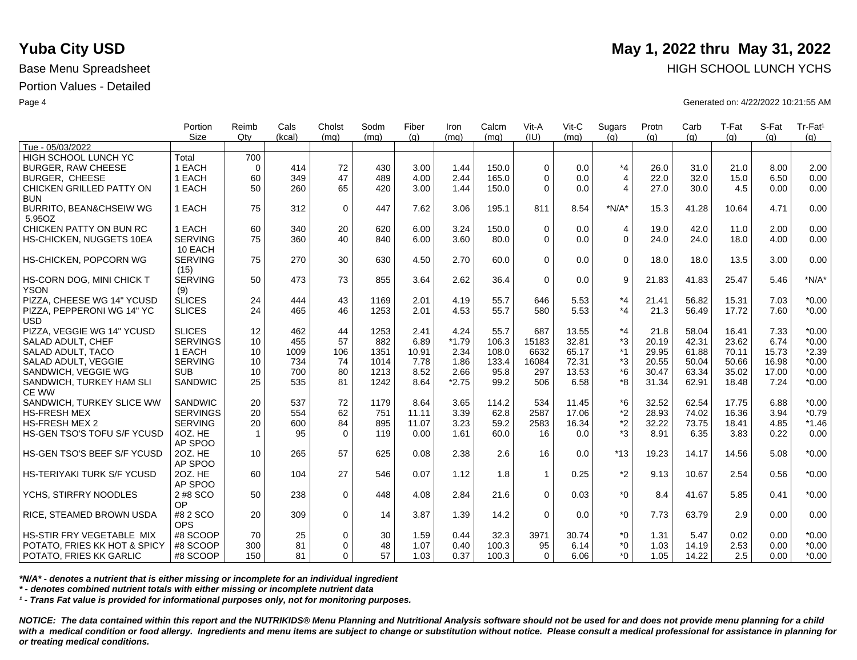|                                    | Portion<br><b>Size</b> | Reimb<br>Qtv | Cals<br>(kcal) | Cholst<br>(ma) | Sodm<br>(ma) | Fiber<br>(q) | Iron<br>(mq) | Calcm<br>(mq) | Vit-A<br>(IU) | Vit-C<br>(ma) | Sugars<br>(q)  | Protn<br>(q) | Carb<br>(q) | T-Fat<br>(q) | S-Fat<br>(a) | Tr-Fat <sup>1</sup><br>(g) |
|------------------------------------|------------------------|--------------|----------------|----------------|--------------|--------------|--------------|---------------|---------------|---------------|----------------|--------------|-------------|--------------|--------------|----------------------------|
| Tue - 05/03/2022                   |                        |              |                |                |              |              |              |               |               |               |                |              |             |              |              |                            |
| HIGH SCHOOL LUNCH YC               | Total                  | 700          |                |                |              |              |              |               |               |               |                |              |             |              |              |                            |
| <b>BURGER, RAW CHEESE</b>          | 1 EACH                 | $\Omega$     | 414            | 72             | 430          | 3.00         | 1.44         | 150.0         | $\Omega$      | 0.0           | $*_{4}$        | 26.0         | 31.0        | 21.0         | 8.00         | 2.00                       |
| <b>BURGER, CHEESE</b>              | 1 EACH                 | 60           | 349            | 47             | 489          | 4.00         | 2.44         | 165.0         | $\Omega$      | 0.0           | $\overline{4}$ | 22.0         | 32.0        | 15.0         | 6.50         | 0.00                       |
| CHICKEN GRILLED PATTY ON           | 1 EACH                 | 50           | 260            | 65             | 420          | 3.00         | 1.44         | 150.0         | $\Omega$      | 0.0           | $\overline{4}$ | 27.0         | 30.0        | 4.5          | 0.00         | 0.00                       |
| <b>BUN</b>                         |                        |              |                |                |              |              |              |               |               |               |                |              |             |              |              |                            |
| <b>BURRITO, BEAN&amp;CHSEIW WG</b> | 1 EACH                 | 75           | 312            | $\mathbf 0$    | 447          | 7.62         | 3.06         | 195.1         | 811           | 8.54          | $*N/A*$        | 15.3         | 41.28       | 10.64        | 4.71         | 0.00                       |
| 5.95OZ                             |                        |              |                |                |              |              |              |               |               |               |                |              |             |              |              |                            |
| CHICKEN PATTY ON BUN RC            | 1 EACH                 | 60           | 340            | 20             | 620          | 6.00         | 3.24         | 150.0         | $\Omega$      | 0.0           | $\overline{4}$ | 19.0         | 42.0        | 11.0         | 2.00         | 0.00                       |
| HS-CHICKEN, NUGGETS 10EA           | <b>SERVING</b>         | 75           | 360            | 40             | 840          | 6.00         | 3.60         | 80.0          | $\Omega$      | 0.0           | $\mathbf 0$    | 24.0         | 24.0        | 18.0         | 4.00         | 0.00                       |
|                                    | 10 EACH                |              |                |                |              |              |              |               |               |               |                |              |             |              |              |                            |
| HS-CHICKEN, POPCORN WG             | <b>SERVING</b>         | 75           | 270            | 30             | 630          | 4.50         | 2.70         | 60.0          | $\Omega$      | 0.0           | $\mathbf 0$    | 18.0         | 18.0        | 13.5         | 3.00         | 0.00                       |
|                                    | (15)                   |              |                |                |              |              |              |               |               |               |                |              |             |              |              |                            |
| HS-CORN DOG, MINI CHICK T          | <b>SERVING</b>         | 50           | 473            | 73             | 855          | 3.64         | 2.62         | 36.4          | $\Omega$      | 0.0           | 9              | 21.83        | 41.83       | 25.47        | 5.46         | $*N/A*$                    |
| <b>YSON</b>                        | (9)                    |              |                |                |              |              |              |               |               |               |                |              |             |              |              |                            |
| PIZZA, CHEESE WG 14" YCUSD         | <b>SLICES</b>          | 24           | 444            | 43             | 1169         | 2.01         | 4.19         | 55.7          | 646           | 5.53          | $*_{4}$        | 21.41        | 56.82       | 15.31        | 7.03         | $*0.00$                    |
| PIZZA, PEPPERONI WG 14" YC         | <b>SLICES</b>          | 24           | 465            | 46             | 1253         | 2.01         | 4.53         | 55.7          | 580           | 5.53          | $*_{4}$        | 21.3         | 56.49       | 17.72        | 7.60         | $*0.00$                    |
| <b>USD</b>                         |                        |              |                |                |              |              |              |               |               |               |                |              |             |              |              |                            |
| PIZZA, VEGGIE WG 14" YCUSD         | <b>SLICES</b>          | 12           | 462            | 44             | 1253         | 2.41         | 4.24         | 55.7          | 687           | 13.55         | $*_{4}$        | 21.8         | 58.04       | 16.41        | 7.33         | $*0.00$                    |
| SALAD ADULT, CHEF                  | <b>SERVINGS</b>        | 10           | 455            | 57             | 882          | 6.89         | $*1.79$      | 106.3         | 15183         | 32.81         | *3             | 20.19        | 42.31       | 23.62        | 6.74         | $*0.00$                    |
| SALAD ADULT, TACO                  | 1 EACH                 | 10           | 1009           | 106            | 1351         | 10.91        | 2.34         | 108.0         | 6632          | 65.17         | $*1$           | 29.95        | 61.88       | 70.11        | 15.73        | $*2.39$                    |
| SALAD ADULT, VEGGIE                | <b>SERVING</b>         | 10           | 734            | 74             | 1014         | 7.78         | 1.86         | 133.4         | 16084         | 72.31         | *3             | 20.55        | 50.04       | 50.66        | 16.98        | $*0.00$                    |
| SANDWICH, VEGGIE WG                | <b>SUB</b>             | 10           | 700            | 80             | 1213         | 8.52         | 2.66         | 95.8          | 297           | 13.53         | $*6$           | 30.47        | 63.34       | 35.02        | 17.00        | $*0.00$                    |
| SANDWICH, TURKEY HAM SLI           | <b>SANDWIC</b>         | 25           | 535            | 81             | 1242         | 8.64         | $*2.75$      | 99.2          | 506           | 6.58          | *8             | 31.34        | 62.91       | 18.48        | 7.24         | $*0.00$                    |
| <b>CE WW</b>                       |                        |              |                |                |              |              |              |               |               |               |                |              |             |              |              |                            |
| SANDWICH, TURKEY SLICE WW          | SANDWIC                | 20           | 537            | 72             | 1179         | 8.64         | 3.65         | 114.2         | 534           | 11.45         | *6             | 32.52        | 62.54       | 17.75        | 6.88         | $*0.00$                    |
| <b>HS-FRESH MEX</b>                | <b>SERVINGS</b>        | 20           | 554            | 62             | 751          | 11.11        | 3.39         | 62.8          | 2587          | 17.06         | *2             | 28.93        | 74.02       | 16.36        | 3.94         | $*0.79$                    |
| <b>HS-FRESH MEX 2</b>              | <b>SERVING</b>         | 20           | 600            | 84             | 895          | 11.07        | 3.23         | 59.2          | 2583          | 16.34         | $*2$           | 32.22        | 73.75       | 18.41        | 4.85         | $*1.46$                    |
| HS-GEN TSO'S TOFU S/F YCUSD        | 4OZ. HE                | $\mathbf{1}$ | 95             | $\Omega$       | 119          | 0.00         | 1.61         | 60.0          | 16            | 0.0           | *3             | 8.91         | 6.35        | 3.83         | 0.22         | 0.00                       |
|                                    | AP SPOO                |              |                |                |              |              |              |               |               |               |                |              |             |              |              |                            |
| HS-GEN TSO'S BEEF S/F YCUSD        | 20Z. HE                | 10           | 265            | 57             | 625          | 0.08         | 2.38         | 2.6           | 16            | 0.0           | $*13$          | 19.23        | 14.17       | 14.56        | 5.08         | $*0.00$                    |
|                                    | AP SPOO                |              |                |                |              |              |              |               |               |               |                |              |             |              |              |                            |
| HS-TERIYAKI TURK S/F YCUSD         | 20Z. HE                | 60           | 104            | 27             | 546          | 0.07         | 1.12         | 1.8           | $\mathbf{1}$  | 0.25          | $*2$           | 9.13         | 10.67       | 2.54         | 0.56         | $*0.00$                    |
|                                    | AP SPOO                |              |                |                |              |              |              |               |               |               |                |              |             |              |              |                            |
| YCHS, STIRFRY NOODLES              | 2 #8 SCO               | 50           | 238            | $\mathbf 0$    | 448          | 4.08         | 2.84         | 21.6          | $\Omega$      | 0.03          | $*_{0}$        | 8.4          | 41.67       | 5.85         | 0.41         | $*0.00$                    |
|                                    | OP                     |              |                |                |              |              |              |               |               |               |                |              |             |              |              |                            |
| RICE, STEAMED BROWN USDA           | #8 2 SCO               | 20           | 309            | $\mathbf 0$    | 14           | 3.87         | 1.39         | 14.2          | $\Omega$      | 0.0           | $*_{0}$        | 7.73         | 63.79       | 2.9          | 0.00         | 0.00                       |
|                                    | <b>OPS</b>             |              |                |                |              |              |              |               |               |               |                |              |             |              |              |                            |
| HS-STIR FRY VEGETABLE MIX          | #8 SCOOP               | 70           | 25             | 0              | 30           | 1.59         | 0.44         | 32.3          | 3971          | 30.74         | *0             | 1.31         | 5.47        | 0.02         | 0.00         | $*0.00$                    |
| POTATO, FRIES KK HOT & SPICY       | #8 SCOOP               | 300          | 81             | $\Omega$       | 48           | 1.07         | 0.40         | 100.3         | 95            | 6.14          | $*0$           | 1.03         | 14.19       | 2.53         | 0.00         | $*0.00$                    |
| POTATO, FRIES KK GARLIC            | #8 SCOOP               | 150          | 81             | $\Omega$       | 57           | 1.03         | 0.37         | 100.3         | $\Omega$      | 6.06          | $*$ $\Omega$   | 1.05         | 14.22       | 2.5          | 0.00         | $*0.00$                    |

*\*N/A\* - denotes a nutrient that is either missing or incomplete for an individual ingredient*

*\* - denotes combined nutrient totals with either missing or incomplete nutrient data*

*¹ - Trans Fat value is provided for informational purposes only, not for monitoring purposes.*

*NOTICE: The data contained within this report and the NUTRIKIDS® Menu Planning and Nutritional Analysis software should not be used for and does not provide menu planning for a child*  with a medical condition or food allergy. Ingredients and menu items are subject to change or substitution without notice. Please consult a medical professional for assistance in planning for *or treating medical conditions.*

# **Yuba City USD** May 1, 2022 thru May 31, 2022 Base Menu Spreadsheet **HIGH SCHOOL LUNCH YCHS HIGH SCHOOL LUNCH YCHS**

Page 4 Generated on: 4/22/2022 10:21:55 AM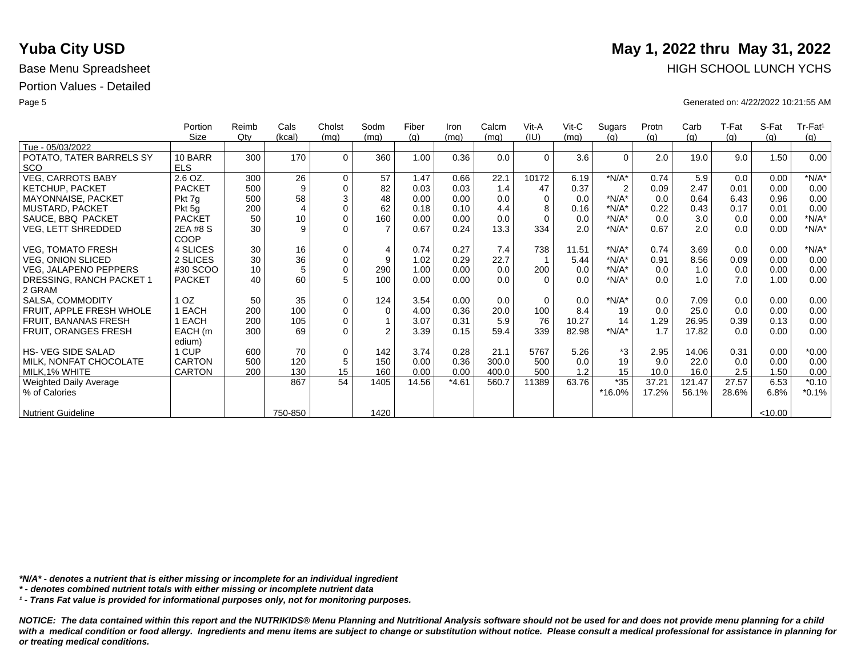|                             | Portion       | Reimb | Cals           | Cholst      | Sodm           | Fiber | Iron    | Calcm | Vit-A    | Vit-C | Sugars         | Protn | Carb   | T-Fat | S-Fat   | Tr-Fat <sup>1</sup> |
|-----------------------------|---------------|-------|----------------|-------------|----------------|-------|---------|-------|----------|-------|----------------|-------|--------|-------|---------|---------------------|
|                             | Size          | Qtv   | (kcal)         | (mq)        | (mq)           | (g)   | (mq)    | (mq)  | (IU)     | (mq)  | (q)            | (q)   | (g)    | (g)   | (q)     | (g)                 |
| Tue - 05/03/2022            |               |       |                |             |                |       |         |       |          |       |                |       |        |       |         |                     |
| POTATO, TATER BARRELS SY    | 10 BARR       | 300   | 170            | $\Omega$    | 360            | 1.00  | 0.36    | 0.0   | $\Omega$ | 3.6   | $\Omega$       | 2.0   | 19.0   | 9.0   | 1.50    | 0.00                |
| <b>SCO</b>                  | <b>ELS</b>    |       |                |             |                |       |         |       |          |       |                |       |        |       |         |                     |
| <b>VEG, CARROTS BABY</b>    | 2.6 OZ.       | 300   | 26             | $\mathbf 0$ | 57             | 1.47  | 0.66    | 22.1  | 10172    | 6.19  | $*N/A*$        | 0.74  | 5.9    | 0.0   | 0.00    | $*N/A*$             |
| <b>KETCHUP, PACKET</b>      | <b>PACKET</b> | 500   | 9              | $\mathbf 0$ | 82             | 0.03  | 0.03    | 1.4   | 47       | 0.37  | $\overline{2}$ | 0.09  | 2.47   | 0.01  | 0.00    | 0.00                |
| MAYONNAISE, PACKET          | Pkt 7g        | 500   | 58             | 3           | 48             | 0.00  | 0.00    | 0.0   | $\Omega$ | 0.0   | $*N/A*$        | 0.0   | 0.64   | 6.43  | 0.96    | 0.00                |
| <b>MUSTARD, PACKET</b>      | Pkt 5g        | 200   | $\overline{4}$ | $\mathbf 0$ | 62             | 0.18  | 0.10    | 4.4   | 8        | 0.16  | $*N/A*$        | 0.22  | 0.43   | 0.17  | 0.01    | 0.00                |
| SAUCE, BBQ PACKET           | <b>PACKET</b> | 50    | 10             | $\mathbf 0$ | 160            | 0.00  | 0.00    | 0.0   | $\Omega$ | 0.0   | $*N/A*$        | 0.0   | 3.0    | 0.0   | 0.00    | $*N/A*$             |
| VEG, LETT SHREDDED          | 2EA #8 S      | 30    | 9              | $\Omega$    |                | 0.67  | 0.24    | 13.3  | 334      | 2.0   | $*N/A*$        | 0.67  | 2.0    | 0.0   | 0.00    | $*N/A*$             |
|                             | COOP          |       |                |             |                |       |         |       |          |       |                |       |        |       |         |                     |
| <b>VEG, TOMATO FRESH</b>    | 4 SLICES      | 30    | 16             | $\mathbf 0$ | $\overline{4}$ | 0.74  | 0.27    | 7.4   | 738      | 11.51 | $*N/A*$        | 0.74  | 3.69   | 0.0   | 0.00    | $*N/A*$             |
| <b>VEG. ONION SLICED</b>    | 2 SLICES      | 30    | 36             | $\pmb{0}$   | 9              | 1.02  | 0.29    | 22.7  |          | 5.44  | $*N/A*$        | 0.91  | 8.56   | 0.09  | 0.00    | 0.00                |
| VEG, JALAPENO PEPPERS       | #30 SCOO      | 10    | 5              | $\mathbf 0$ | 290            | 1.00  | 0.00    | 0.0   | 200      | 0.0   | $*N/A*$        | 0.0   | 1.0    | 0.0   | 0.00    | 0.00                |
| DRESSING, RANCH PACKET 1    | <b>PACKET</b> | 40    | 60             | 5           | 100            | 0.00  | 0.00    | 0.0   | $\Omega$ | 0.0   | $*N/A*$        | 0.0   | 1.0    | 7.0   | 1.00    | 0.00                |
| 2 GRAM                      |               |       |                |             |                |       |         |       |          |       |                |       |        |       |         |                     |
| SALSA, COMMODITY            | OZ.           | 50    | 35             | $\mathbf 0$ | 124            | 3.54  | 0.00    | 0.0   | $\Omega$ | 0.0   | $*N/A*$        | 0.0   | 7.09   | 0.0   | 0.00    | 0.00                |
| FRUIT, APPLE FRESH WHOLE    | EACH          | 200   | 100            | $\pmb{0}$   | $\mathbf 0$    | 4.00  | 0.36    | 20.0  | 100      | 8.4   | 19             | 0.0   | 25.0   | 0.0   | 0.00    | 0.00                |
| FRUIT, BANANAS FRESH        | EACH          | 200   | 105            | $\mathbf 0$ |                | 3.07  | 0.31    | 5.9   | 76       | 10.27 | 14             | 1.29  | 26.95  | 0.39  | 0.13    | 0.00                |
| <b>FRUIT, ORANGES FRESH</b> | EACH (m       | 300   | 69             | $\Omega$    | $\mathfrak{p}$ | 3.39  | 0.15    | 59.4  | 339      | 82.98 | $*N/A*$        | 1.7   | 17.82  | 0.0   | 0.00    | 0.00                |
|                             | edium)        |       |                |             |                |       |         |       |          |       |                |       |        |       |         |                     |
| <b>HS- VEG SIDE SALAD</b>   | 1 CUP         | 600   | 70             | $\mathbf 0$ | 142            | 3.74  | 0.28    | 21.1  | 5767     | 5.26  | *3             | 2.95  | 14.06  | 0.31  | 0.00    | $*0.00$             |
| MILK, NONFAT CHOCOLATE      | <b>CARTON</b> | 500   | 120            | $\sqrt{5}$  | 150            | 0.00  | 0.36    | 300.0 | 500      | 0.0   | 19             | 9.0   | 22.0   | 0.0   | 0.00    | 0.00                |
| MILK, 1% WHITE              | CARTON        | 200   | 130            | 15          | 160            | 0.00  | 0.00    | 400.0 | 500      | 1.2   | 15             | 10.0  | 16.0   | 2.5   | 1.50    | 0.00                |
| Weighted Daily Average      |               |       | 867            | 54          | 1405           | 14.56 | $*4.61$ | 560.7 | 11389    | 63.76 | $*35$          | 37.21 | 121.47 | 27.57 | 6.53    | $*0.10$             |
| % of Calories               |               |       |                |             |                |       |         |       |          |       | *16.0%         | 17.2% | 56.1%  | 28.6% | 6.8%    | $*0.1%$             |
|                             |               |       |                |             |                |       |         |       |          |       |                |       |        |       |         |                     |
| <b>Nutrient Guideline</b>   |               |       | 750-850        |             | 1420           |       |         |       |          |       |                |       |        |       | < 10.00 |                     |

*\*N/A\* - denotes a nutrient that is either missing or incomplete for an individual ingredient*

*\* - denotes combined nutrient totals with either missing or incomplete nutrient data*

*¹ - Trans Fat value is provided for informational purposes only, not for monitoring purposes.*

*NOTICE: The data contained within this report and the NUTRIKIDS® Menu Planning and Nutritional Analysis software should not be used for and does not provide menu planning for a child*  with a medical condition or food allergy. Ingredients and menu items are subject to change or substitution without notice. Please consult a medical professional for assistance in planning for *or treating medical conditions.*

# **Yuba City USD** May 1, 2022 thru May 31, 2022 Base Menu Spreadsheet **HIGH SCHOOL LUNCH YCHS**

Page 5 Generated on: 4/22/2022 10:21:55 AM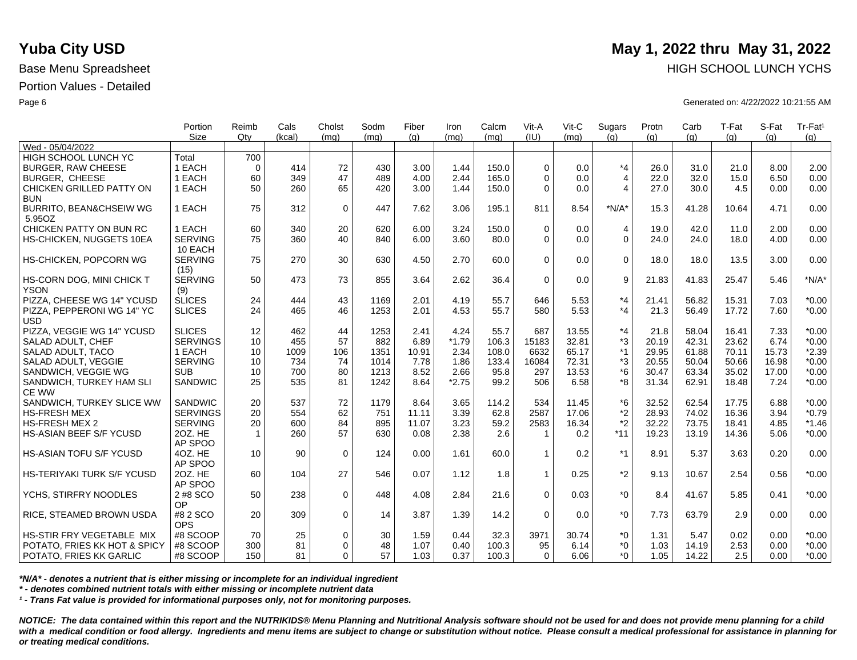|                                    | Portion<br><b>Size</b> | Reimb<br>Qtv    | Cals<br>(kcal) | Cholst<br>(ma) | Sodm<br>(mq) | Fiber<br>(q) | Iron<br>(mq) | Calcm<br>(ma) | Vit-A<br>(IU) | Vit-C<br>(ma) | Sugars<br>(q)  | Protn<br>(q) | Carb<br>(q) | T-Fat<br>(q) | S-Fat<br>(a) | Tr-Fat <sup>1</sup><br>(g) |
|------------------------------------|------------------------|-----------------|----------------|----------------|--------------|--------------|--------------|---------------|---------------|---------------|----------------|--------------|-------------|--------------|--------------|----------------------------|
| Wed - 05/04/2022                   |                        |                 |                |                |              |              |              |               |               |               |                |              |             |              |              |                            |
| HIGH SCHOOL LUNCH YC               | Total                  | 700             |                |                |              |              |              |               |               |               |                |              |             |              |              |                            |
| <b>BURGER, RAW CHEESE</b>          | 1 EACH                 | $\Omega$        | 414            | 72             | 430          | 3.00         | 1.44         | 150.0         | $\Omega$      | 0.0           | $*_{4}$        | 26.0         | 31.0        | 21.0         | 8.00         | 2.00                       |
| <b>BURGER, CHEESE</b>              | 1 EACH                 | 60              | 349            | 47             | 489          | 4.00         | 2.44         | 165.0         | $\Omega$      | 0.0           | $\overline{4}$ | 22.0         | 32.0        | 15.0         | 6.50         | 0.00                       |
| CHICKEN GRILLED PATTY ON           | 1 EACH                 | 50              | 260            | 65             | 420          | 3.00         | 1.44         | 150.0         | $\Omega$      | 0.0           | $\overline{4}$ | 27.0         | 30.0        | 4.5          | 0.00         | 0.00                       |
| <b>BUN</b>                         |                        |                 |                |                |              |              |              |               |               |               |                |              |             |              |              |                            |
| <b>BURRITO, BEAN&amp;CHSEIW WG</b> | 1 EACH                 | 75              | 312            | $\mathbf 0$    | 447          | 7.62         | 3.06         | 195.1         | 811           | 8.54          | $*N/A*$        | 15.3         | 41.28       | 10.64        | 4.71         | 0.00                       |
| 5.95OZ                             |                        |                 |                |                |              |              |              |               |               |               |                |              |             |              |              |                            |
| CHICKEN PATTY ON BUN RC            | 1 EACH                 | 60              | 340            | 20             | 620          | 6.00         | 3.24         | 150.0         | $\Omega$      | 0.0           | $\overline{4}$ | 19.0         | 42.0        | 11.0         | 2.00         | 0.00                       |
| HS-CHICKEN, NUGGETS 10EA           | <b>SERVING</b>         | 75              | 360            | 40             | 840          | 6.00         | 3.60         | 80.0          | $\Omega$      | 0.0           | $\mathbf 0$    | 24.0         | 24.0        | 18.0         | 4.00         | 0.00                       |
|                                    | 10 EACH                |                 |                |                |              |              |              |               |               |               |                |              |             |              |              |                            |
| HS-CHICKEN, POPCORN WG             | <b>SERVING</b>         | 75              | 270            | 30             | 630          | 4.50         | 2.70         | 60.0          | $\Omega$      | 0.0           | $\mathbf 0$    | 18.0         | 18.0        | 13.5         | 3.00         | 0.00                       |
|                                    | (15)                   |                 |                |                |              |              |              |               |               |               |                |              |             |              |              |                            |
| HS-CORN DOG, MINI CHICK T          | <b>SERVING</b>         | 50              | 473            | 73             | 855          | 3.64         | 2.62         | 36.4          | $\Omega$      | 0.0           | 9              | 21.83        | 41.83       | 25.47        | 5.46         | $*N/A*$                    |
| <b>YSON</b>                        | (9)                    |                 |                |                |              |              |              |               |               |               |                |              |             |              |              |                            |
| PIZZA, CHEESE WG 14" YCUSD         | <b>SLICES</b>          | 24              | 444            | 43             | 1169         | 2.01         | 4.19         | 55.7          | 646           | 5.53          | $*_{4}$        | 21.41        | 56.82       | 15.31        | 7.03         | $*0.00$                    |
| PIZZA, PEPPERONI WG 14" YC         | <b>SLICES</b>          | 24              | 465            | 46             | 1253         | 2.01         | 4.53         | 55.7          | 580           | 5.53          | $*_{4}$        | 21.3         | 56.49       | 17.72        | 7.60         | $*0.00$                    |
| <b>USD</b>                         |                        |                 |                |                |              |              |              |               |               |               |                |              |             |              |              |                            |
| PIZZA, VEGGIE WG 14" YCUSD         | <b>SLICES</b>          | 12              | 462            | 44             | 1253         | 2.41         | 4.24         | 55.7          | 687           | 13.55         | $*_{4}$        | 21.8         | 58.04       | 16.41        | 7.33         | $*0.00$                    |
| SALAD ADULT, CHEF                  | <b>SERVINGS</b>        | 10              | 455            | 57             | 882          | 6.89         | $*1.79$      | 106.3         | 15183         | 32.81         | *3             | 20.19        | 42.31       | 23.62        | 6.74         | $*0.00$                    |
| SALAD ADULT, TACO                  | 1 EACH                 | 10              | 1009           | 106            | 1351         | 10.91        | 2.34         | 108.0         | 6632          | 65.17         | $*1$           | 29.95        | 61.88       | 70.11        | 15.73        | $*2.39$                    |
| SALAD ADULT, VEGGIE                | <b>SERVING</b>         | 10              | 734            | 74             | 1014         | 7.78         | 1.86         | 133.4         | 16084         | 72.31         | *3             | 20.55        | 50.04       | 50.66        | 16.98        | $*0.00$                    |
| SANDWICH, VEGGIE WG                | <b>SUB</b>             | 10              | 700            | 80             | 1213         | 8.52         | 2.66         | 95.8          | 297           | 13.53         | $*6$           | 30.47        | 63.34       | 35.02        | 17.00        | $*0.00$                    |
| SANDWICH, TURKEY HAM SLI           | <b>SANDWIC</b>         | 25              | 535            | 81             | 1242         | 8.64         | $*2.75$      | 99.2          | 506           | 6.58          | *8             | 31.34        | 62.91       | 18.48        | 7.24         | $*0.00$                    |
| <b>CE WW</b>                       |                        |                 |                |                |              |              |              |               |               |               |                |              |             |              |              |                            |
| SANDWICH, TURKEY SLICE WW          | SANDWIC                | 20              | 537            | 72             | 1179         | 8.64         | 3.65         | 114.2         | 534           | 11.45         | *6             | 32.52        | 62.54       | 17.75        | 6.88         | $*0.00$                    |
| <b>HS-FRESH MEX</b>                | <b>SERVINGS</b>        | 20              | 554            | 62             | 751          | 11.11        | 3.39         | 62.8          | 2587          | 17.06         | *2             | 28.93        | 74.02       | 16.36        | 3.94         | $*0.79$                    |
| <b>HS-FRESH MEX 2</b>              | <b>SERVING</b>         | 20              | 600            | 84             | 895          | 11.07        | 3.23         | 59.2          | 2583          | 16.34         | *2             | 32.22        | 73.75       | 18.41        | 4.85         | $*1.46$                    |
| HS-ASIAN BEEF S/F YCUSD            | 20Z. HE                | $\mathbf{1}$    | 260            | 57             | 630          | 0.08         | 2.38         | 2.6           | -1            | 0.2           | $*11$          | 19.23        | 13.19       | 14.36        | 5.06         | $*0.00$                    |
|                                    | AP SPOO                |                 |                |                |              |              |              |               |               |               |                |              |             |              |              |                            |
| <b>HS-ASIAN TOFU S/F YCUSD</b>     | 4OZ. HE                | 10 <sup>°</sup> | 90             | $\mathbf 0$    | 124          | 0.00         | 1.61         | 60.0          | 1             | 0.2           | $*1$           | 8.91         | 5.37        | 3.63         | 0.20         | 0.00                       |
|                                    | AP SPOO                |                 |                |                |              |              |              |               |               |               |                |              |             |              |              |                            |
| HS-TERIYAKI TURK S/F YCUSD         | 20Z. HE                | 60              | 104            | 27             | 546          | 0.07         | 1.12         | 1.8           | $\mathbf{1}$  | 0.25          | $*2$           | 9.13         | 10.67       | 2.54         | 0.56         | $*0.00$                    |
|                                    | AP SPOO                |                 |                |                |              |              |              |               |               |               |                |              |             |              |              |                            |
| YCHS, STIRFRY NOODLES              | 2 #8 SCO               | 50              | 238            | $\mathbf 0$    | 448          | 4.08         | 2.84         | 21.6          | $\Omega$      | 0.03          | $*_{0}$        | 8.4          | 41.67       | 5.85         | 0.41         | $*0.00$                    |
|                                    | OP                     |                 |                |                |              |              |              |               |               |               |                |              |             |              |              |                            |
| RICE, STEAMED BROWN USDA           | #8 2 SCO               | 20              | 309            | $\mathbf 0$    | 14           | 3.87         | 1.39         | 14.2          | $\Omega$      | 0.0           | $*_{0}$        | 7.73         | 63.79       | 2.9          | 0.00         | 0.00                       |
|                                    | <b>OPS</b>             |                 |                |                |              |              |              |               |               |               |                |              |             |              |              |                            |
| HS-STIR FRY VEGETABLE MIX          | #8 SCOOP               | 70              | 25             | 0              | 30           | 1.59         | 0.44         | 32.3          | 3971          | 30.74         | *0             | 1.31         | 5.47        | 0.02         | 0.00         | $*0.00$                    |
| POTATO, FRIES KK HOT & SPICY       | #8 SCOOP               | 300             | 81             | $\Omega$       | 48           | 1.07         | 0.40         | 100.3         | 95            | 6.14          | $*0$           | 1.03         | 14.19       | 2.53         | 0.00         | $*0.00$                    |
| POTATO, FRIES KK GARLIC            | #8 SCOOP               | 150             | 81             | $\Omega$       | 57           | 1.03         | 0.37         | 100.3         | $\Omega$      | 6.06          | $*$ $\Omega$   | 1.05         | 14.22       | 2.5          | 0.00         | $*0.00$                    |
|                                    |                        |                 |                |                |              |              |              |               |               |               |                |              |             |              |              |                            |

*\*N/A\* - denotes a nutrient that is either missing or incomplete for an individual ingredient*

*\* - denotes combined nutrient totals with either missing or incomplete nutrient data*

*¹ - Trans Fat value is provided for informational purposes only, not for monitoring purposes.*

*NOTICE: The data contained within this report and the NUTRIKIDS® Menu Planning and Nutritional Analysis software should not be used for and does not provide menu planning for a child*  with a medical condition or food allergy. Ingredients and menu items are subject to change or substitution without notice. Please consult a medical professional for assistance in planning for *or treating medical conditions.*

# **Yuba City USD** May 1, 2022 thru May 31, 2022 Base Menu Spreadsheet **HIGH SCHOOL LUNCH YCHS HIGH SCHOOL LUNCH YCHS**

Page 6 Generated on: 4/22/2022 10:21:55 AM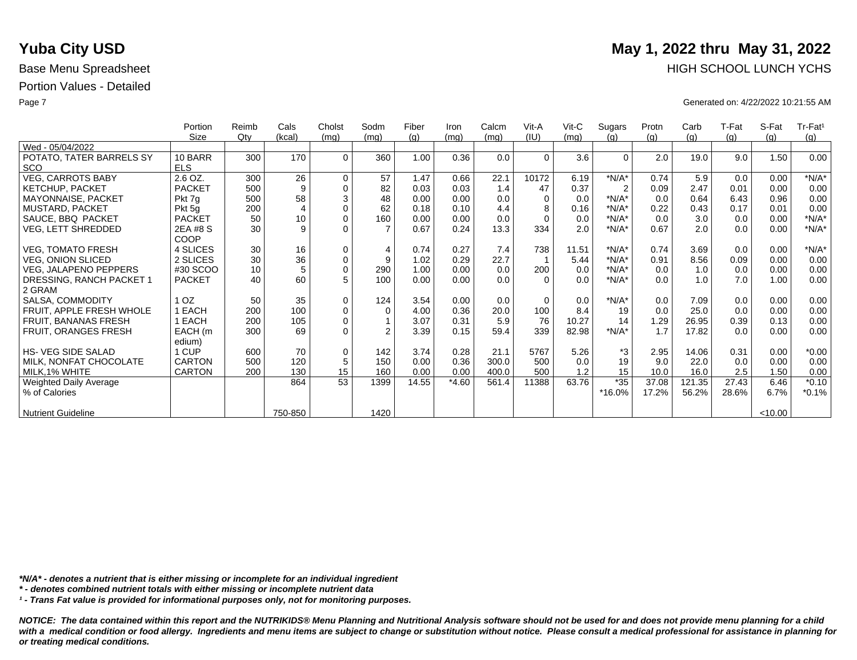|                               | Portion         | Reimb  | Cals           | Cholst      | Sodm           | Fiber | Iron    | Calcm | Vit-A    | $V$ it-C | Sugars         | Protn | Carb   | T-Fat | S-Fat   | Tr-Fat <sup>1</sup> |
|-------------------------------|-----------------|--------|----------------|-------------|----------------|-------|---------|-------|----------|----------|----------------|-------|--------|-------|---------|---------------------|
|                               | Size            | $Q$ ty | (kcal)         | (mq)        | (mq)           | (g)   | (mq)    | (mq)  | (IU)     | (mq)     | (q)            | (g)   | (g)    | (g)   | (q)     | (g)                 |
| Wed - 05/04/2022              |                 |        |                |             |                |       |         |       |          |          |                |       |        |       |         |                     |
| POTATO, TATER BARRELS SY      | 10 BARR         | 300    | 170            | $\Omega$    | 360            | 1.00  | 0.36    | 0.0   | $\Omega$ | 3.6      | $\Omega$       | 2.0   | 19.0   | 9.0   | 1.50    | 0.00                |
| <b>SCO</b>                    | <b>ELS</b>      |        |                |             |                |       |         |       |          |          |                |       |        |       |         |                     |
| <b>VEG, CARROTS BABY</b>      | 2.6 OZ.         | 300    | 26             | $\mathbf 0$ | 57             | 1.47  | 0.66    | 22.1  | 10172    | 6.19     | $*N/A*$        | 0.74  | 5.9    | 0.0   | 0.00    | $*N/A*$             |
| <b>KETCHUP, PACKET</b>        | <b>PACKET</b>   | 500    | 9              | $\mathbf 0$ | 82             | 0.03  | 0.03    | 1.4   | 47       | 0.37     | $\overline{2}$ | 0.09  | 2.47   | 0.01  | 0.00    | 0.00                |
| MAYONNAISE, PACKET            | Pkt 7g          | 500    | 58             | 3           | 48             | 0.00  | 0.00    | 0.0   | $\Omega$ | 0.0      | $*N/A*$        | 0.0   | 0.64   | 6.43  | 0.96    | 0.00                |
| <b>MUSTARD, PACKET</b>        | Pkt 5g          | 200    | $\overline{4}$ | $\Omega$    | 62             | 0.18  | 0.10    | 4.4   | 8        | 0.16     | $*N/A*$        | 0.22  | 0.43   | 0.17  | 0.01    | 0.00                |
| SAUCE, BBQ PACKET             | <b>PACKET</b>   | 50     | 10             | $\mathbf 0$ | 160            | 0.00  | 0.00    | 0.0   | $\Omega$ | 0.0      | $*N/A*$        | 0.0   | 3.0    | 0.0   | 0.00    | $*N/A*$             |
| <b>VEG, LETT SHREDDED</b>     | 2EA #8 S        | 30     | 9              | $\Omega$    | $\overline{7}$ | 0.67  | 0.24    | 13.3  | 334      | 2.0      | $*N/A*$        | 0.67  | 2.0    | 0.0   | 0.00    | $*N/A*$             |
|                               | <b>COOP</b>     |        |                |             |                |       |         |       |          |          |                |       |        |       |         |                     |
| <b>VEG, TOMATO FRESH</b>      | 4 SLICES        | 30     | 16             | $\mathbf 0$ | $\overline{4}$ | 0.74  | 0.27    | 7.4   | 738      | 11.51    | $*N/A*$        | 0.74  | 3.69   | 0.0   | 0.00    | $*N/A*$             |
| <b>VEG, ONION SLICED</b>      | 2 SLICES        | 30     | 36             | $\pmb{0}$   | 9              | 1.02  | 0.29    | 22.7  |          | 5.44     | $*N/A*$        | 0.91  | 8.56   | 0.09  | 0.00    | 0.00                |
| <b>VEG, JALAPENO PEPPERS</b>  | #30 SCOO        | 10     | 5              | $\mathbf 0$ | 290            | 1.00  | 0.00    | 0.0   | 200      | 0.0      | $*N/A*$        | 0.0   | 1.0    | 0.0   | 0.00    | 0.00                |
| DRESSING, RANCH PACKET 1      | <b>PACKET</b>   | 40     | 60             | 5           | 100            | 0.00  | 0.00    | 0.0   | $\Omega$ | 0.0      | $*N/A*$        | 0.0   | 1.0    | 7.0   | 1.00    | 0.00                |
| 2 GRAM                        |                 |        |                |             |                |       |         |       |          |          |                |       |        |       |         |                     |
|                               |                 |        |                |             |                |       |         |       |          |          |                |       |        |       |         |                     |
| SALSA, COMMODITY              | 1 <sub>OZ</sub> | 50     | 35             | $\mathbf 0$ | 124            | 3.54  | 0.00    | 0.0   | $\Omega$ | 0.0      | $*N/A*$        | 0.0   | 7.09   | 0.0   | 0.00    | 0.00                |
| FRUIT, APPLE FRESH WHOLE      | EACH            | 200    | 100            | $\mathbf 0$ | $\Omega$       | 4.00  | 0.36    | 20.0  | 100      | 8.4      | 19             | 0.0   | 25.0   | 0.0   | 0.00    | 0.00                |
| FRUIT, BANANAS FRESH          | EACH            | 200    | 105            | $\mathbf 0$ |                | 3.07  | 0.31    | 5.9   | 76       | 10.27    | 14             | 1.29  | 26.95  | 0.39  | 0.13    | 0.00                |
| FRUIT, ORANGES FRESH          | EACH (m         | 300    | 69             | $\Omega$    | $\mathfrak{D}$ | 3.39  | 0.15    | 59.4  | 339      | 82.98    | $*N/A*$        | 1.7   | 17.82  | 0.0   | 0.00    | 0.00                |
|                               | edium)          |        |                |             |                |       |         |       |          |          |                |       |        |       |         |                     |
| <b>HS- VEG SIDE SALAD</b>     | 1 CUP           | 600    | 70             | $\mathbf 0$ | 142            | 3.74  | 0.28    | 21.1  | 5767     | 5.26     | *3             | 2.95  | 14.06  | 0.31  | 0.00    | $*0.00$             |
| MILK, NONFAT CHOCOLATE        | <b>CARTON</b>   | 500    | 120            | 5           | 150            | 0.00  | 0.36    | 300.0 | 500      | 0.0      | 19             | 9.0   | 22.0   | 0.0   | 0.00    | 0.00                |
| MILK, 1% WHITE                | <b>CARTON</b>   | 200    | 130            | 15          | 160            | 0.00  | 0.00    | 400.0 | 500      | 1.2      | 15             | 10.0  | 16.0   | 2.5   | 1.50    | 0.00                |
| <b>Weighted Daily Average</b> |                 |        | 864            | 53          | 1399           | 14.55 | $*4.60$ | 561.4 | 11388    | 63.76    | $*35$          | 37.08 | 121.35 | 27.43 | 6.46    | $*0.10$             |
| % of Calories                 |                 |        |                |             |                |       |         |       |          |          | *16.0%         | 17.2% | 56.2%  | 28.6% | 6.7%    | $*0.1%$             |
|                               |                 |        |                |             |                |       |         |       |          |          |                |       |        |       |         |                     |
| <b>Nutrient Guideline</b>     |                 |        | 750-850        |             | 1420           |       |         |       |          |          |                |       |        |       | < 10.00 |                     |

*\*N/A\* - denotes a nutrient that is either missing or incomplete for an individual ingredient*

*\* - denotes combined nutrient totals with either missing or incomplete nutrient data*

*¹ - Trans Fat value is provided for informational purposes only, not for monitoring purposes.*

*NOTICE: The data contained within this report and the NUTRIKIDS® Menu Planning and Nutritional Analysis software should not be used for and does not provide menu planning for a child*  with a medical condition or food allergy. Ingredients and menu items are subject to change or substitution without notice. Please consult a medical professional for assistance in planning for *or treating medical conditions.*

# **Yuba City USD** May 1, 2022 thru May 31, 2022 Base Menu Spreadsheet **HIGH SCHOOL LUNCH YCHS**

Page 7 Generated on: 4/22/2022 10:21:55 AM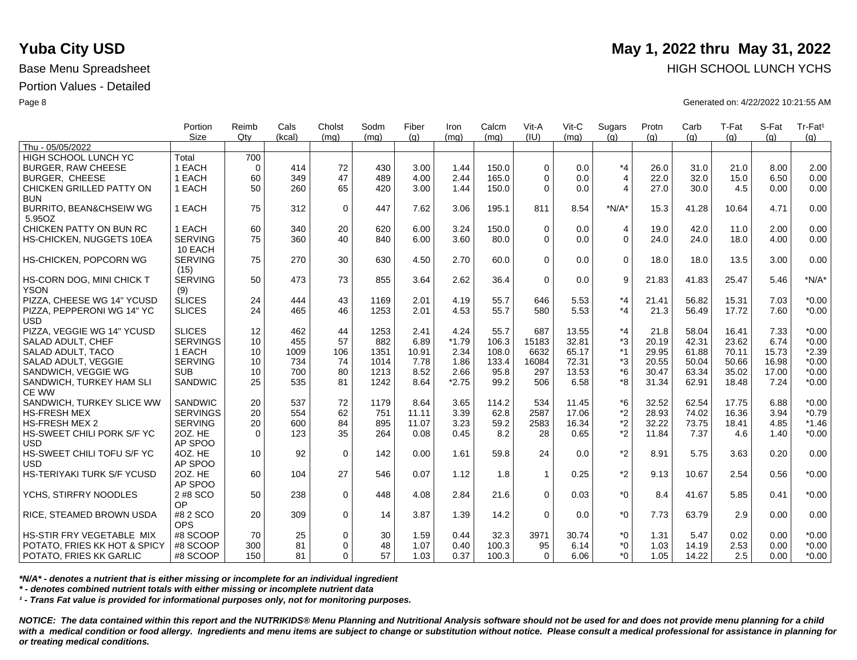|                                    | Portion<br><b>Size</b> | Reimb<br>Qtv    | Cals<br>(kcal) | Cholst<br>(ma) | Sodm<br>(mq) | Fiber<br>(q) | Iron<br>(mq) | Calcm<br>(mq) | Vit-A<br>(IU) | Vit-C<br>(ma) | Sugars<br>(q)  | Protn<br>(q) | Carb<br>(q) | T-Fat<br>(q) | S-Fat<br>(a) | Tr-Fat <sup>1</sup><br>(g) |
|------------------------------------|------------------------|-----------------|----------------|----------------|--------------|--------------|--------------|---------------|---------------|---------------|----------------|--------------|-------------|--------------|--------------|----------------------------|
| Thu - 05/05/2022                   |                        |                 |                |                |              |              |              |               |               |               |                |              |             |              |              |                            |
| HIGH SCHOOL LUNCH YC               | Total                  | 700             |                |                |              |              |              |               |               |               |                |              |             |              |              |                            |
| <b>BURGER, RAW CHEESE</b>          | 1 EACH                 | $\Omega$        | 414            | 72             | 430          | 3.00         | 1.44         | 150.0         | $\Omega$      | 0.0           | $*_{4}$        | 26.0         | 31.0        | 21.0         | 8.00         | 2.00                       |
| <b>BURGER, CHEESE</b>              | 1 EACH                 | 60              | 349            | 47             | 489          | 4.00         | 2.44         | 165.0         | $\Omega$      | 0.0           | $\overline{4}$ | 22.0         | 32.0        | 15.0         | 6.50         | 0.00                       |
| CHICKEN GRILLED PATTY ON           | 1 EACH                 | 50              | 260            | 65             | 420          | 3.00         | 1.44         | 150.0         | $\Omega$      | 0.0           | $\overline{4}$ | 27.0         | 30.0        | 4.5          | 0.00         | 0.00                       |
| <b>BUN</b>                         |                        |                 |                |                |              |              |              |               |               |               |                |              |             |              |              |                            |
| <b>BURRITO, BEAN&amp;CHSEIW WG</b> | 1 EACH                 | 75              | 312            | $\mathbf 0$    | 447          | 7.62         | 3.06         | 195.1         | 811           | 8.54          | $*N/A*$        | 15.3         | 41.28       | 10.64        | 4.71         | 0.00                       |
| 5.95OZ                             |                        |                 |                |                |              |              |              |               |               |               |                |              |             |              |              |                            |
| CHICKEN PATTY ON BUN RC            | 1 EACH                 | 60              | 340            | 20             | 620          | 6.00         | 3.24         | 150.0         | $\Omega$      | 0.0           | $\overline{4}$ | 19.0         | 42.0        | 11.0         | 2.00         | 0.00                       |
| HS-CHICKEN, NUGGETS 10EA           | <b>SERVING</b>         | 75              | 360            | 40             | 840          | 6.00         | 3.60         | 80.0          | $\Omega$      | 0.0           | $\mathbf 0$    | 24.0         | 24.0        | 18.0         | 4.00         | 0.00                       |
|                                    | 10 EACH                |                 |                |                |              |              |              |               |               |               |                |              |             |              |              |                            |
| HS-CHICKEN, POPCORN WG             | <b>SERVING</b>         | 75              | 270            | 30             | 630          | 4.50         | 2.70         | 60.0          | $\Omega$      | 0.0           | $\mathbf 0$    | 18.0         | 18.0        | 13.5         | 3.00         | 0.00                       |
|                                    | (15)                   |                 |                |                |              |              |              |               |               |               |                |              |             |              |              |                            |
| HS-CORN DOG, MINI CHICK T          | <b>SERVING</b>         | 50              | 473            | 73             | 855          | 3.64         | 2.62         | 36.4          | $\Omega$      | 0.0           | 9              | 21.83        | 41.83       | 25.47        | 5.46         | $*N/A*$                    |
| <b>YSON</b>                        | (9)                    |                 |                |                |              |              |              |               |               |               |                |              |             |              |              |                            |
| PIZZA, CHEESE WG 14" YCUSD         | <b>SLICES</b>          | 24              | 444            | 43             | 1169         | 2.01         | 4.19         | 55.7          | 646           | 5.53          | $*_{4}$        | 21.41        | 56.82       | 15.31        | 7.03         | $*0.00$                    |
| PIZZA, PEPPERONI WG 14" YC         | <b>SLICES</b>          | 24              | 465            | 46             | 1253         | 2.01         | 4.53         | 55.7          | 580           | 5.53          | $*_{4}$        | 21.3         | 56.49       | 17.72        | 7.60         | $*0.00$                    |
| <b>USD</b>                         |                        |                 |                |                |              |              |              |               |               |               |                |              |             |              |              |                            |
| PIZZA, VEGGIE WG 14" YCUSD         | <b>SLICES</b>          | 12              | 462            | 44             | 1253         | 2.41         | 4.24         | 55.7          | 687           | 13.55         | $*_{4}$        | 21.8         | 58.04       | 16.41        | 7.33         | $*0.00$                    |
| SALAD ADULT, CHEF                  | <b>SERVINGS</b>        | 10              | 455            | 57             | 882          | 6.89         | $*1.79$      | 106.3         | 15183         | 32.81         | *3             | 20.19        | 42.31       | 23.62        | 6.74         | $*0.00$                    |
| SALAD ADULT, TACO                  | 1 EACH                 | 10              | 1009           | 106            | 1351         | 10.91        | 2.34         | 108.0         | 6632          | 65.17         | $*1$           | 29.95        | 61.88       | 70.11        | 15.73        | $*2.39$                    |
| SALAD ADULT, VEGGIE                | <b>SERVING</b>         | 10              | 734            | 74             | 1014         | 7.78         | 1.86         | 133.4         | 16084         | 72.31         | *3             | 20.55        | 50.04       | 50.66        | 16.98        | $*0.00$                    |
| SANDWICH, VEGGIE WG                | <b>SUB</b>             | 10              | 700            | 80             | 1213         | 8.52         | 2.66         | 95.8          | 297           | 13.53         | $*6$           | 30.47        | 63.34       | 35.02        | 17.00        | $*0.00$                    |
| SANDWICH, TURKEY HAM SLI           | <b>SANDWIC</b>         | 25              | 535            | 81             | 1242         | 8.64         | $*2.75$      | 99.2          | 506           | 6.58          | *8             | 31.34        | 62.91       | 18.48        | 7.24         | $*0.00$                    |
| <b>CE WW</b>                       |                        |                 |                |                |              |              |              |               |               |               |                |              |             |              |              |                            |
| SANDWICH, TURKEY SLICE WW          | SANDWIC                | 20              | 537            | 72             | 1179         | 8.64         | 3.65         | 114.2         | 534           | 11.45         | *6             | 32.52        | 62.54       | 17.75        | 6.88         | $*0.00$                    |
| <b>HS-FRESH MEX</b>                | <b>SERVINGS</b>        | 20              | 554            | 62             | 751          | 11.11        | 3.39         | 62.8          | 2587          | 17.06         | *2             | 28.93        | 74.02       | 16.36        | 3.94         | $*0.79$                    |
| <b>HS-FRESH MEX 2</b>              | <b>SERVING</b>         | 20              | 600            | 84             | 895          | 11.07        | 3.23         | 59.2          | 2583          | 16.34         | $*2$           | 32.22        | 73.75       | 18.41        | 4.85         | $*1.46$                    |
| HS-SWEET CHILI PORK S/F YC         | 20Z. HE                | $\Omega$        | 123            | 35             | 264          | 0.08         | 0.45         | 8.2           | 28            | 0.65          | $*2$           | 11.84        | 7.37        | 4.6          | 1.40         | $*0.00$                    |
| <b>USD</b>                         | AP SPOO                |                 |                |                |              |              |              |               |               |               |                |              |             |              |              |                            |
| HS-SWEET CHILI TOFU S/F YC         | 4OZ. HE                | 10 <sup>°</sup> | 92             | $\mathbf 0$    | 142          | 0.00         | 1.61         | 59.8          | 24            | 0.0           | $*2$           | 8.91         | 5.75        | 3.63         | 0.20         | 0.00                       |
| <b>USD</b>                         | AP SPOO                |                 |                |                |              |              |              |               |               |               |                |              |             |              |              |                            |
| <b>HS-TERIYAKI TURK S/F YCUSD</b>  | 20Z. HE                | 60              | 104            | 27             | 546          | 0.07         | 1.12         | 1.8           | $\mathbf{1}$  | 0.25          | $*2$           | 9.13         | 10.67       | 2.54         | 0.56         | $*0.00$                    |
|                                    | AP SPOO                |                 |                |                |              |              |              |               |               |               |                |              |             |              |              |                            |
| YCHS, STIRFRY NOODLES              | 2 #8 SCO               | 50              | 238            | $\mathbf 0$    | 448          | 4.08         | 2.84         | 21.6          | $\Omega$      | 0.03          | $*_{0}$        | 8.4          | 41.67       | 5.85         | 0.41         | $*0.00$                    |
|                                    | OP                     |                 |                |                |              |              |              |               |               |               |                |              |             |              |              |                            |
| RICE, STEAMED BROWN USDA           | #8 2 SCO               | 20              | 309            | $\mathbf 0$    | 14           | 3.87         | 1.39         | 14.2          | $\Omega$      | 0.0           | $*_{0}$        | 7.73         | 63.79       | 2.9          | 0.00         | 0.00                       |
|                                    | <b>OPS</b>             |                 |                |                |              |              |              |               |               |               |                |              |             |              |              |                            |
| HS-STIR FRY VEGETABLE MIX          | #8 SCOOP               | 70              | 25             | 0              | 30           | 1.59         | 0.44         | 32.3          | 3971          | 30.74         | *0             | 1.31         | 5.47        | 0.02         | 0.00         | $*0.00$                    |
| POTATO, FRIES KK HOT & SPICY       | #8 SCOOP               | 300             | 81             | $\Omega$       | 48           | 1.07         | 0.40         | 100.3         | 95            | 6.14          | $*0$           | 1.03         | 14.19       | 2.53         | 0.00         | $*0.00$                    |
| POTATO, FRIES KK GARLIC            | #8 SCOOP               | 150             | 81             | $\Omega$       | 57           | 1.03         | 0.37         | 100.3         | $\Omega$      | 6.06          | $*_{0}$        | 1.05         | 14.22       | 2.5          | 0.00         | $*0.00$                    |

*\*N/A\* - denotes a nutrient that is either missing or incomplete for an individual ingredient*

*\* - denotes combined nutrient totals with either missing or incomplete nutrient data*

*¹ - Trans Fat value is provided for informational purposes only, not for monitoring purposes.*

*NOTICE: The data contained within this report and the NUTRIKIDS® Menu Planning and Nutritional Analysis software should not be used for and does not provide menu planning for a child*  with a medical condition or food allergy. Ingredients and menu items are subject to change or substitution without notice. Please consult a medical professional for assistance in planning for *or treating medical conditions.*

# **Yuba City USD** May 1, 2022 thru May 31, 2022 Base Menu Spreadsheet **HIGH SCHOOL LUNCH YCHS HIGH SCHOOL LUNCH YCHS**

Page 8 Generated on: 4/22/2022 10:21:55 AM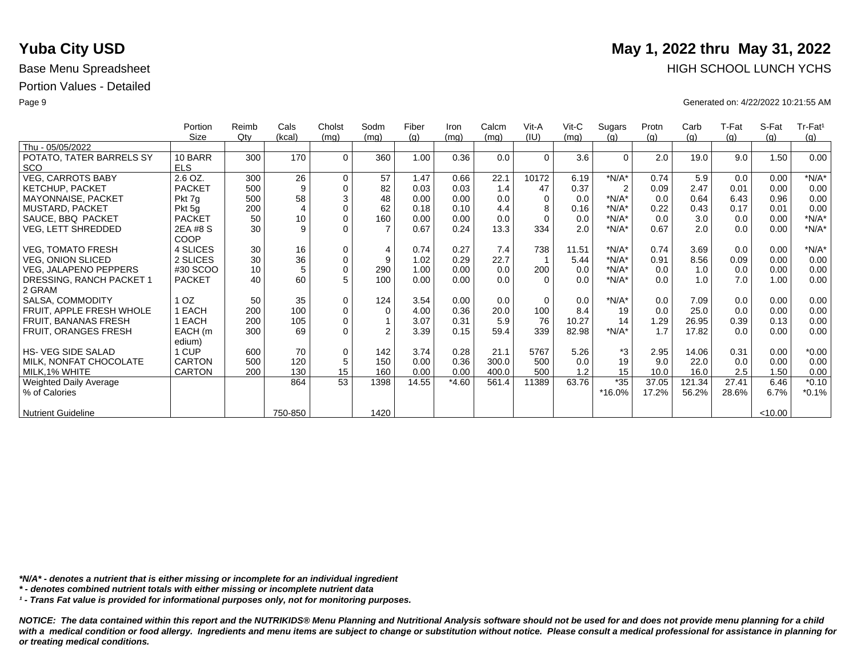|                           | Portion       | Reimb | Cals           | Cholst      | Sodm           | Fiber | Iron    | Calcm | Vit-A    | $V$ it-C | Sugars         | Protn | Carb   | T-Fat | S-Fat   | $Tr-Fat1$ |
|---------------------------|---------------|-------|----------------|-------------|----------------|-------|---------|-------|----------|----------|----------------|-------|--------|-------|---------|-----------|
|                           | Size          | Qty   | (kcal)         | (mq)        | (mq)           | (q)   | (mq)    | (mq)  | (IU)     | (mq)     | (q)            | (q)   | (g)    | (g)   | (q)     | (g)       |
| Thu - 05/05/2022          |               |       |                |             |                |       |         |       |          |          |                |       |        |       |         |           |
| POTATO, TATER BARRELS SY  | 10 BARR       | 300   | 170            | $\Omega$    | 360            | 1.00  | 0.36    | 0.0   | $\Omega$ | 3.6      | $\Omega$       | 2.0   | 19.0   | 9.0   | 1.50    | 0.00      |
| <b>SCO</b>                | <b>ELS</b>    |       |                |             |                |       |         |       |          |          |                |       |        |       |         |           |
| <b>VEG, CARROTS BABY</b>  | 2.6 OZ.       | 300   | 26             | $\mathbf 0$ | 57             | 1.47  | 0.66    | 22.1  | 10172    | 6.19     | $*N/A*$        | 0.74  | 5.9    | 0.0   | 0.00    | $*N/A*$   |
| <b>KETCHUP, PACKET</b>    | <b>PACKET</b> | 500   | 9              | $\mathbf 0$ | 82             | 0.03  | 0.03    | 1.4   | 47       | 0.37     | $\overline{2}$ | 0.09  | 2.47   | 0.01  | 0.00    | 0.00      |
| MAYONNAISE, PACKET        | Pkt 7g        | 500   | 58             | $\sqrt{3}$  | 48             | 0.00  | 0.00    | 0.0   | $\Omega$ | 0.0      | $*N/A*$        | 0.0   | 0.64   | 6.43  | 0.96    | 0.00      |
| MUSTARD, PACKET           | Pkt 5g        | 200   | $\overline{4}$ | $\mathbf 0$ | 62             | 0.18  | 0.10    | 4.4   | 8        | 0.16     | $*N/A*$        | 0.22  | 0.43   | 0.17  | 0.01    | 0.00      |
| SAUCE, BBQ PACKET         | <b>PACKET</b> | 50    | 10             | $\mathbf 0$ | 160            | 0.00  | 0.00    | 0.0   | $\Omega$ | 0.0      | $*N/A*$        | 0.0   | 3.0    | 0.0   | 0.00    | $*N/A*$   |
| VEG, LETT SHREDDED        | 2EA #8 S      | 30    | 9              | $\Omega$    |                | 0.67  | 0.24    | 13.3  | 334      | 2.0      | $*N/A*$        | 0.67  | 2.0    | 0.0   | 0.00    | $*N/A*$   |
|                           | COOP          |       |                |             |                |       |         |       |          |          |                |       |        |       |         |           |
| <b>VEG, TOMATO FRESH</b>  | 4 SLICES      | 30    | 16             | $\mathbf 0$ | $\overline{4}$ | 0.74  | 0.27    | 7.4   | 738      | 11.51    | $*N/A*$        | 0.74  | 3.69   | 0.0   | 0.00    | $*N/A*$   |
| <b>VEG, ONION SLICED</b>  | 2 SLICES      | 30    | 36             | $\pmb{0}$   | 9              | 1.02  | 0.29    | 22.7  |          | 5.44     | $*N/A*$        | 0.91  | 8.56   | 0.09  | 0.00    | 0.00      |
| VEG, JALAPENO PEPPERS     | #30 SCOO      | 10    | 5              | $\pmb{0}$   | 290            | 1.00  | 0.00    | 0.0   | 200      | 0.0      | $*N/A*$        | 0.0   | 1.0    | 0.0   | 0.00    | 0.00      |
| DRESSING, RANCH PACKET 1  | <b>PACKET</b> | 40    | 60             | 5           | 100            | 0.00  | 0.00    | 0.0   | $\Omega$ | 0.0      | $*N/A*$        | 0.0   | 1.0    | 7.0   | 1.00    | 0.00      |
| 2 GRAM                    |               |       |                |             |                |       |         |       |          |          |                |       |        |       |         |           |
| SALSA, COMMODITY          | OZ.           | 50    | 35             | $\mathbf 0$ | 124            | 3.54  | 0.00    | 0.0   | $\Omega$ | 0.0      | $*N/A*$        | 0.0   | 7.09   | 0.0   | 0.00    | 0.00      |
| FRUIT, APPLE FRESH WHOLE  | EACH          | 200   | 100            | $\pmb{0}$   | $\Omega$       | 4.00  | 0.36    | 20.0  | 100      | 8.4      | 19             | 0.0   | 25.0   | 0.0   | 0.00    | 0.00      |
| FRUIT, BANANAS FRESH      | EACH          | 200   | 105            | $\mathbf 0$ |                | 3.07  | 0.31    | 5.9   | 76       | 10.27    | 14             | 1.29  | 26.95  | 0.39  | 0.13    | 0.00      |
| FRUIT, ORANGES FRESH      | EACH (m       | 300   | 69             | $\Omega$    | $\mathfrak{p}$ | 3.39  | 0.15    | 59.4  | 339      | 82.98    | $*N/A*$        | 1.7   | 17.82  | 0.0   | 0.00    | 0.00      |
|                           | edium)        |       |                |             |                |       |         |       |          |          |                |       |        |       |         |           |
| <b>HS-VEG SIDE SALAD</b>  | 1 CUP         | 600   | 70             | $\mathbf 0$ | 142            | 3.74  | 0.28    | 21.1  | 5767     | 5.26     | *3             | 2.95  | 14.06  | 0.31  | 0.00    | $*0.00$   |
| MILK, NONFAT CHOCOLATE    | <b>CARTON</b> | 500   | 120            | $\sqrt{5}$  | 150            | 0.00  | 0.36    | 300.0 | 500      | 0.0      | 19             | 9.0   | 22.0   | 0.0   | 0.00    | 0.00      |
| MILK, 1% WHITE            | <b>CARTON</b> | 200   | 130            | 15          | 160            | 0.00  | 0.00    | 400.0 | 500      | 1.2      | 15             | 10.0  | 16.0   | 2.5   | 1.50    | 0.00      |
| Weighted Daily Average    |               |       | 864            | 53          | 1398           | 14.55 | $*4.60$ | 561.4 | 11389    | 63.76    | $*35$          | 37.05 | 121.34 | 27.41 | 6.46    | $*0.10$   |
| % of Calories             |               |       |                |             |                |       |         |       |          |          | *16.0%         | 17.2% | 56.2%  | 28.6% | 6.7%    | $*0.1%$   |
|                           |               |       |                |             |                |       |         |       |          |          |                |       |        |       |         |           |
| <b>Nutrient Guideline</b> |               |       | 750-850        |             | 1420           |       |         |       |          |          |                |       |        |       | < 10.00 |           |

*\*N/A\* - denotes a nutrient that is either missing or incomplete for an individual ingredient*

*\* - denotes combined nutrient totals with either missing or incomplete nutrient data*

*¹ - Trans Fat value is provided for informational purposes only, not for monitoring purposes.*

*NOTICE: The data contained within this report and the NUTRIKIDS® Menu Planning and Nutritional Analysis software should not be used for and does not provide menu planning for a child*  with a medical condition or food allergy. Ingredients and menu items are subject to change or substitution without notice. Please consult a medical professional for assistance in planning for *or treating medical conditions.*

# **Yuba City USD** May 1, 2022 thru May 31, 2022 Base Menu Spreadsheet **HIGH SCHOOL LUNCH YCHS**

Page 9 Generated on: 4/22/2022 10:21:55 AM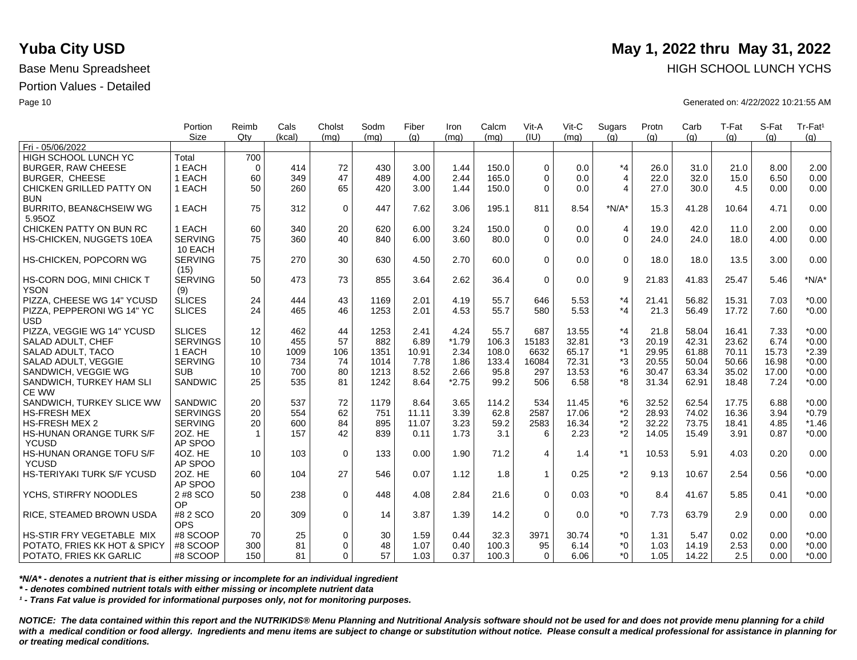|                                    | Portion<br><b>Size</b> | Reimb<br>Qtv | Cals   | Cholst<br>(ma) | Sodm | Fiber | Iron    | Calcm<br>(ma) | Vit-A<br>(IU) | Vit-C<br>(mq) | Sugars<br>(q)  | Protn | Carb  | T-Fat | S-Fat | Tr-Fat <sup>1</sup> |
|------------------------------------|------------------------|--------------|--------|----------------|------|-------|---------|---------------|---------------|---------------|----------------|-------|-------|-------|-------|---------------------|
| Fri - 05/06/2022                   |                        |              | (kcal) |                | (mq) | (q)   | (ma)    |               |               |               |                | (q)   | (q)   | (q)   | (q)   | (q)                 |
| HIGH SCHOOL LUNCH YC               | Total                  | 700          |        |                |      |       |         |               |               |               |                |       |       |       |       |                     |
| <b>BURGER, RAW CHEESE</b>          | 1 EACH                 | $\Omega$     | 414    | 72             | 430  | 3.00  | 1.44    | 150.0         | $\Omega$      | 0.0           | $*_{4}$        | 26.0  | 31.0  | 21.0  | 8.00  | 2.00                |
| <b>BURGER, CHEESE</b>              | 1 EACH                 | 60           | 349    | 47             | 489  | 4.00  | 2.44    | 165.0         | $\Omega$      | 0.0           | $\overline{4}$ | 22.0  | 32.0  | 15.0  | 6.50  | 0.00                |
| CHICKEN GRILLED PATTY ON           | 1 EACH                 | 50           | 260    | 65             | 420  | 3.00  | 1.44    | 150.0         | $\Omega$      | 0.0           | $\overline{4}$ | 27.0  | 30.0  | 4.5   | 0.00  | 0.00                |
| <b>BUN</b>                         |                        |              |        |                |      |       |         |               |               |               |                |       |       |       |       |                     |
| <b>BURRITO, BEAN&amp;CHSEIW WG</b> | 1 EACH                 | 75           | 312    | $\mathbf 0$    | 447  | 7.62  | 3.06    | 195.1         | 811           | 8.54          | $*N/A*$        | 15.3  | 41.28 | 10.64 | 4.71  | 0.00                |
| 5.95OZ                             |                        |              |        |                |      |       |         |               |               |               |                |       |       |       |       |                     |
| CHICKEN PATTY ON BUN RC            | 1 EACH                 | 60           | 340    | 20             | 620  | 6.00  | 3.24    | 150.0         | $\Omega$      | 0.0           | $\overline{4}$ | 19.0  | 42.0  | 11.0  | 2.00  | 0.00                |
| HS-CHICKEN, NUGGETS 10EA           | <b>SERVING</b>         | 75           | 360    | 40             | 840  | 6.00  | 3.60    | 80.0          | $\Omega$      | 0.0           | $\overline{0}$ | 24.0  | 24.0  | 18.0  | 4.00  | 0.00                |
|                                    | 10 EACH                |              |        |                |      |       |         |               |               |               |                |       |       |       |       |                     |
| HS-CHICKEN, POPCORN WG             | <b>SERVING</b>         | 75           | 270    | 30             | 630  | 4.50  | 2.70    | 60.0          | $\Omega$      | 0.0           | $\mathbf 0$    | 18.0  | 18.0  | 13.5  | 3.00  | 0.00                |
|                                    | (15)                   |              |        |                |      |       |         |               |               |               |                |       |       |       |       |                     |
| HS-CORN DOG, MINI CHICK T          | <b>SERVING</b>         | 50           | 473    | 73             | 855  | 3.64  | 2.62    | 36.4          | $\mathbf 0$   | 0.0           | 9              | 21.83 | 41.83 | 25.47 | 5.46  | $*N/A*$             |
| <b>YSON</b>                        | (9)                    |              |        |                |      |       |         |               |               |               |                |       |       |       |       |                     |
| PIZZA, CHEESE WG 14" YCUSD         | <b>SLICES</b>          | 24           | 444    | 43             | 1169 | 2.01  | 4.19    | 55.7          | 646           | 5.53          | $*_{4}$        | 21.41 | 56.82 | 15.31 | 7.03  | $*0.00$             |
| PIZZA, PEPPERONI WG 14" YC         | <b>SLICES</b>          | 24           | 465    | 46             | 1253 | 2.01  | 4.53    | 55.7          | 580           | 5.53          | $*_{4}$        | 21.3  | 56.49 | 17.72 | 7.60  | $*0.00$             |
| <b>USD</b>                         |                        |              |        |                |      |       |         |               |               |               |                |       |       |       |       |                     |
| PIZZA, VEGGIE WG 14" YCUSD         | <b>SLICES</b>          | 12           | 462    | 44             | 1253 | 2.41  | 4.24    | 55.7          | 687           | 13.55         | $*_{4}$        | 21.8  | 58.04 | 16.41 | 7.33  | $*0.00$             |
| SALAD ADULT, CHEF                  | <b>SERVINGS</b>        | 10           | 455    | 57             | 882  | 6.89  | $*1.79$ | 106.3         | 15183         | 32.81         | *3             | 20.19 | 42.31 | 23.62 | 6.74  | $*0.00$             |
| SALAD ADULT, TACO                  | 1 EACH                 | 10           | 1009   | 106            | 1351 | 10.91 | 2.34    | 108.0         | 6632          | 65.17         | $*1$           | 29.95 | 61.88 | 70.11 | 15.73 | $*2.39$             |
| SALAD ADULT, VEGGIE                | <b>SERVING</b>         | 10           | 734    | 74             | 1014 | 7.78  | 1.86    | 133.4         | 16084         | 72.31         | *3             | 20.55 | 50.04 | 50.66 | 16.98 | $*0.00$             |
| SANDWICH, VEGGIE WG                | <b>SUB</b>             | 10           | 700    | 80             | 1213 | 8.52  | 2.66    | 95.8          | 297           | 13.53         | $*6$           | 30.47 | 63.34 | 35.02 | 17.00 | $*0.00$             |
| SANDWICH, TURKEY HAM SLI           | <b>SANDWIC</b>         | 25           | 535    | 81             | 1242 | 8.64  | $*2.75$ | 99.2          | 506           | 6.58          | *8             | 31.34 | 62.91 | 18.48 | 7.24  | $*0.00$             |
| <b>CE WW</b>                       |                        |              |        |                |      |       |         |               |               |               |                |       |       |       |       |                     |
| SANDWICH, TURKEY SLICE WW          | SANDWIC                | 20           | 537    | 72             | 1179 | 8.64  | 3.65    | 114.2         | 534           | 11.45         | *6             | 32.52 | 62.54 | 17.75 | 6.88  | $*0.00$             |
| <b>HS-FRESH MEX</b>                | <b>SERVINGS</b>        | 20           | 554    | 62             | 751  | 11.11 | 3.39    | 62.8          | 2587          | 17.06         | *2             | 28.93 | 74.02 | 16.36 | 3.94  | $*0.79$             |
| <b>HS-FRESH MEX 2</b>              | <b>SERVING</b>         | 20           | 600    | 84             | 895  | 11.07 | 3.23    | 59.2          | 2583          | 16.34         | $*2$           | 32.22 | 73.75 | 18.41 | 4.85  | $*1.46$             |
| <b>HS-HUNAN ORANGE TURK S/F</b>    | 20Z. HE                | $\mathbf{1}$ | 157    | 42             | 839  | 0.11  | 1.73    | 3.1           | 6             | 2.23          | $*2$           | 14.05 | 15.49 | 3.91  | 0.87  | $*0.00$             |
| <b>YCUSD</b>                       | AP SPOO                |              |        |                |      |       |         |               |               |               |                |       |       |       |       |                     |
| HS-HUNAN ORANGE TOFU S/F           | 4OZ. HE                | 10           | 103    | $\mathbf 0$    | 133  | 0.00  | 1.90    | 71.2          | 4             | 1.4           | $*1$           | 10.53 | 5.91  | 4.03  | 0.20  | 0.00                |
| <b>YCUSD</b>                       | AP SPOO                |              |        |                |      |       |         |               |               |               |                |       |       |       |       |                     |
| HS-TERIYAKI TURK S/F YCUSD         | 20Z. HE                | 60           | 104    | 27             | 546  | 0.07  | 1.12    | 1.8           | $\mathbf{1}$  | 0.25          | $*2$           | 9.13  | 10.67 | 2.54  | 0.56  | $*0.00$             |
|                                    | AP SPOO                |              |        |                |      |       |         |               |               |               |                |       |       |       |       |                     |
| YCHS, STIRFRY NOODLES              | 2 #8 SCO               | 50           | 238    | $\mathbf 0$    | 448  | 4.08  | 2.84    | 21.6          | $\Omega$      | 0.03          | $*_{0}$        | 8.4   | 41.67 | 5.85  | 0.41  | $*0.00$             |
|                                    | OP                     |              |        |                |      |       |         |               |               |               |                |       |       |       |       |                     |
| RICE, STEAMED BROWN USDA           | #8 2 SCO               | 20           | 309    | $\mathbf 0$    | 14   | 3.87  | 1.39    | 14.2          | $\Omega$      | 0.0           | $*_{0}$        | 7.73  | 63.79 | 2.9   | 0.00  | 0.00                |
|                                    | <b>OPS</b>             |              |        |                |      |       |         |               |               |               |                |       |       |       |       |                     |
| HS-STIR FRY VEGETABLE MIX          | #8 SCOOP               | 70           | 25     | 0              | 30   | 1.59  | 0.44    | 32.3          | 3971          | 30.74         | $^*0$          | 1.31  | 5.47  | 0.02  | 0.00  | $*0.00$             |
| POTATO, FRIES KK HOT & SPICY       | #8 SCOOP               | 300          | 81     | $\Omega$       | 48   | 1.07  | 0.40    | 100.3         | 95            | 6.14          | $^*0$          | 1.03  | 14.19 | 2.53  | 0.00  | $*0.00$             |
| POTATO, FRIES KK GARLIC            | #8 SCOOP               | 150          | 81     | $\Omega$       | 57   | 1.03  | 0.37    | 100.3         | $\Omega$      | 6.06          | $^*0$          | 1.05  | 14.22 | 2.5   | 0.00  | $*0.00$             |

*\*N/A\* - denotes a nutrient that is either missing or incomplete for an individual ingredient*

*\* - denotes combined nutrient totals with either missing or incomplete nutrient data*

*¹ - Trans Fat value is provided for informational purposes only, not for monitoring purposes.*

*NOTICE: The data contained within this report and the NUTRIKIDS® Menu Planning and Nutritional Analysis software should not be used for and does not provide menu planning for a child*  with a medical condition or food allergy. Ingredients and menu items are subject to change or substitution without notice. Please consult a medical professional for assistance in planning for *or treating medical conditions.*

## **Yuba City USD** May 1, 2022 thru May 31, 2022 Base Menu Spreadsheet **HIGH SCHOOL LUNCH YCHS HIGH SCHOOL LUNCH YCHS**

Page 10 Generated on: 4/22/2022 10:21:55 AM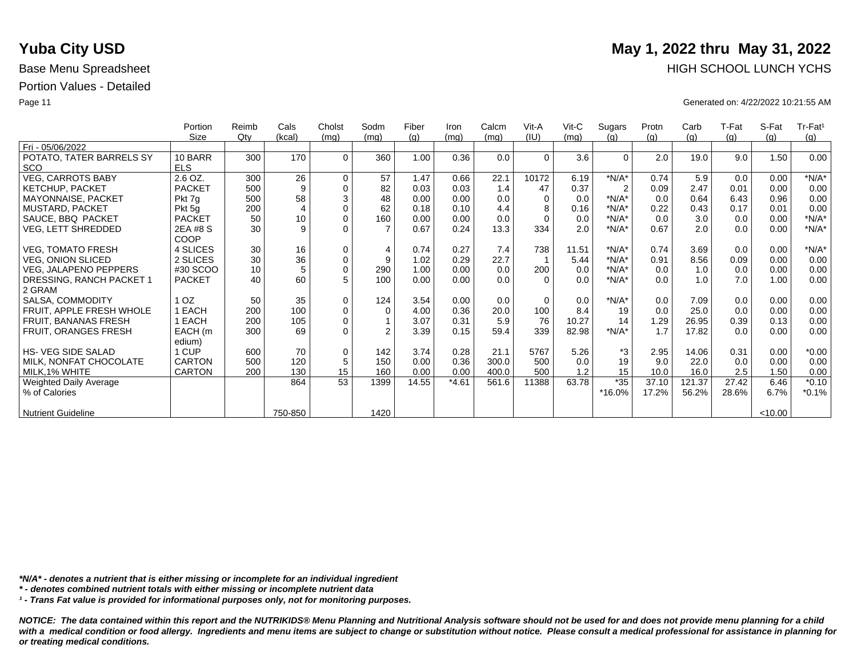|                              | Portion       | Reimb | Cals           | Cholst      | Sodm           | Fiber | Iron    | Calcm | Vit-A    | Vit-C | Sugars         | Protn | Carb   | T-Fat | S-Fat   | $Tr-Fat1$ |
|------------------------------|---------------|-------|----------------|-------------|----------------|-------|---------|-------|----------|-------|----------------|-------|--------|-------|---------|-----------|
|                              | Size          | Qty   | (kcal)         | (mq)        | (mq)           | (g)   | (mq)    | (mq)  | (IU)     | (mq)  | (q)            | (g)   | (g)    | (g)   | (q)     | (g)       |
| Fri - 05/06/2022             |               |       |                |             |                |       |         |       |          |       |                |       |        |       |         |           |
| POTATO, TATER BARRELS SY     | 10 BARR       | 300   | 170            | $\Omega$    | 360            | 1.00  | 0.36    | 0.0   | $\Omega$ | 3.6   | $\Omega$       | 2.0   | 19.0   | 9.0   | 1.50    | 0.00      |
| <b>SCO</b>                   | <b>ELS</b>    |       |                |             |                |       |         |       |          |       |                |       |        |       |         |           |
| <b>VEG, CARROTS BABY</b>     | 2.6 OZ.       | 300   | 26             | 0           | 57             | 1.47  | 0.66    | 22.1  | 10172    | 6.19  | $*N/A*$        | 0.74  | 5.9    | 0.0   | 0.00    | $*N/A*$   |
| <b>KETCHUP, PACKET</b>       | <b>PACKET</b> | 500   | 9              | $\mathbf 0$ | 82             | 0.03  | 0.03    | 1.4   | 47       | 0.37  | $\overline{2}$ | 0.09  | 2.47   | 0.01  | 0.00    | 0.00      |
| MAYONNAISE, PACKET           | Pkt 7g        | 500   | 58             | $\sqrt{3}$  | 48             | 0.00  | 0.00    | 0.0   | $\Omega$ | 0.0   | $*N/A*$        | 0.0   | 0.64   | 6.43  | 0.96    | 0.00      |
| <b>MUSTARD, PACKET</b>       | Pkt 5g        | 200   | $\overline{4}$ | $\mathbf 0$ | 62             | 0.18  | 0.10    | 4.4   | 8        | 0.16  | $*N/A*$        | 0.22  | 0.43   | 0.17  | 0.01    | 0.00      |
| SAUCE, BBQ PACKET            | <b>PACKET</b> | 50    | 10             | $\mathbf 0$ | 160            | 0.00  | 0.00    | 0.0   | $\Omega$ | 0.0   | $*N/A*$        | 0.0   | 3.0    | 0.0   | 0.00    | $*N/A*$   |
| VEG, LETT SHREDDED           | 2EA #8 S      | 30    | 9              | $\Omega$    |                | 0.67  | 0.24    | 13.3  | 334      | 2.0   | $*N/A*$        | 0.67  | 2.0    | 0.0   | 0.00    | $*N/A*$   |
|                              | COOP          |       |                |             |                |       |         |       |          |       |                |       |        |       |         |           |
| <b>VEG, TOMATO FRESH</b>     | 4 SLICES      | 30    | 16             | $\mathbf 0$ | $\overline{4}$ | 0.74  | 0.27    | 7.4   | 738      | 11.51 | $*N/A*$        | 0.74  | 3.69   | 0.0   | 0.00    | $*N/A*$   |
| <b>VEG, ONION SLICED</b>     | 2 SLICES      | 30    | 36             | $\pmb{0}$   | 9              | 1.02  | 0.29    | 22.7  |          | 5.44  | $*N/A*$        | 0.91  | 8.56   | 0.09  | 0.00    | 0.00      |
| <b>VEG, JALAPENO PEPPERS</b> | #30 SCOO      | 10    | 5              | $\pmb{0}$   | 290            | 1.00  | 0.00    | 0.0   | 200      | 0.0   | $*N/A*$        | 0.0   | 1.0    | 0.0   | 0.00    | 0.00      |
| DRESSING, RANCH PACKET 1     | <b>PACKET</b> | 40    | 60             | 5           | 100            | 0.00  | 0.00    | 0.0   | $\Omega$ | 0.0   | $*N/A*$        | 0.0   | 1.0    | 7.0   | 1.00    | 0.00      |
| 2 GRAM                       |               |       |                |             |                |       |         |       |          |       |                |       |        |       |         |           |
| SALSA, COMMODITY             | OZ.           | 50    | 35             | $\mathbf 0$ | 124            | 3.54  | 0.00    | 0.0   | $\Omega$ | 0.0   | $*N/A*$        | 0.0   | 7.09   | 0.0   | 0.00    | 0.00      |
| FRUIT, APPLE FRESH WHOLE     | EACH          | 200   | 100            | $\mathbf 0$ | $\mathbf 0$    | 4.00  | 0.36    | 20.0  | 100      | 8.4   | 19             | 0.0   | 25.0   | 0.0   | 0.00    | 0.00      |
| FRUIT, BANANAS FRESH         | EACH          | 200   | 105            | $\mathbf 0$ |                | 3.07  | 0.31    | 5.9   | 76       | 10.27 | 14             | 1.29  | 26.95  | 0.39  | 0.13    | 0.00      |
| <b>FRUIT, ORANGES FRESH</b>  | EACH (m       | 300   | 69             | $\Omega$    | $\mathfrak{p}$ | 3.39  | 0.15    | 59.4  | 339      | 82.98 | $*N/A*$        | 1.7   | 17.82  | 0.0   | 0.00    | 0.00      |
|                              | edium)        |       |                |             |                |       |         |       |          |       |                |       |        |       |         |           |
| <b>HS- VEG SIDE SALAD</b>    | 1 CUP         | 600   | 70             | $\mathbf 0$ | 142            | 3.74  | 0.28    | 21.1  | 5767     | 5.26  | *3             | 2.95  | 14.06  | 0.31  | 0.00    | $*0.00$   |
| MILK, NONFAT CHOCOLATE       | <b>CARTON</b> | 500   | 120            | 5           | 150            | 0.00  | 0.36    | 300.0 | 500      | 0.0   | 19             | 9.0   | 22.0   | 0.0   | 0.00    | 0.00      |
| MILK, 1% WHITE               | CARTON        | 200   | 130            | 15          | 160            | 0.00  | 0.00    | 400.0 | 500      | 1.2   | 15             | 10.0  | 16.0   | 2.5   | 1.50    | 0.00      |
| Weighted Daily Average       |               |       | 864            | 53          | 1399           | 14.55 | $*4.61$ | 561.6 | 11388    | 63.78 | $*35$          | 37.10 | 121.37 | 27.42 | 6.46    | $*0.10$   |
| % of Calories                |               |       |                |             |                |       |         |       |          |       | *16.0%         | 17.2% | 56.2%  | 28.6% | 6.7%    | $*0.1%$   |
|                              |               |       |                |             |                |       |         |       |          |       |                |       |        |       |         |           |
| <b>Nutrient Guideline</b>    |               |       | 750-850        |             | 1420           |       |         |       |          |       |                |       |        |       | < 10.00 |           |

*\*N/A\* - denotes a nutrient that is either missing or incomplete for an individual ingredient*

*\* - denotes combined nutrient totals with either missing or incomplete nutrient data*

*¹ - Trans Fat value is provided for informational purposes only, not for monitoring purposes.*

*NOTICE: The data contained within this report and the NUTRIKIDS® Menu Planning and Nutritional Analysis software should not be used for and does not provide menu planning for a child*  with a medical condition or food allergy. Ingredients and menu items are subject to change or substitution without notice. Please consult a medical professional for assistance in planning for *or treating medical conditions.*

# **Yuba City USD** May 1, 2022 thru May 31, 2022 Base Menu Spreadsheet **HIGH SCHOOL LUNCH YCHS**

Page 11 Generated on: 4/22/2022 10:21:55 AM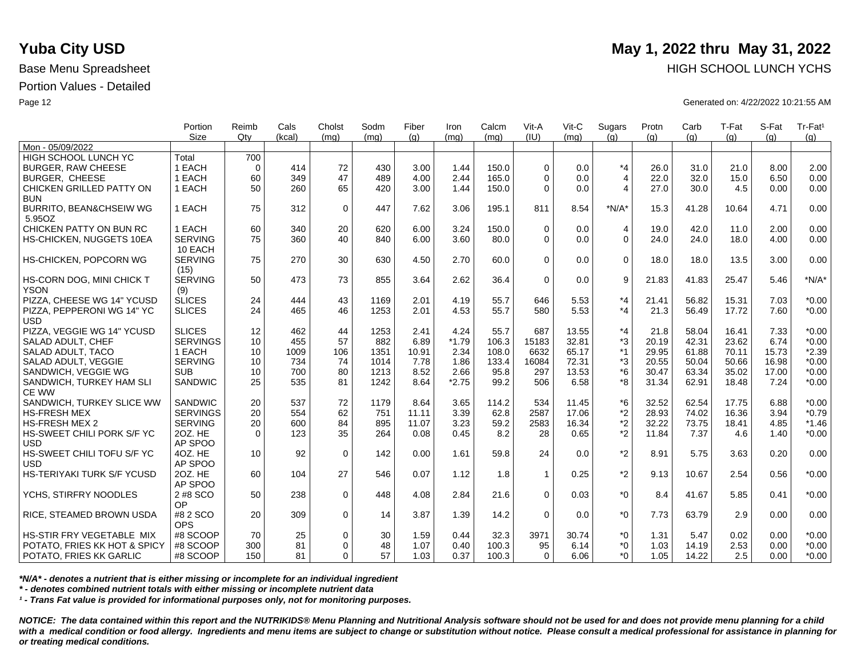|                                    | Portion         | Reimb       | Cals   | Cholst      | Sodm | Fiber | Iron    | Calcm | Vit-A          | $V$ it-C | Sugars         | Protn | Carb  | T-Fat | S-Fat | Tr-Fat <sup>1</sup> |
|------------------------------------|-----------------|-------------|--------|-------------|------|-------|---------|-------|----------------|----------|----------------|-------|-------|-------|-------|---------------------|
| Mon - 05/09/2022                   | <b>Size</b>     | Qtv         | (kcal) | (mq)        | (mq) | (q)   | (mq)    | (mq)  | (IU)           | (mq)     | (q)            | (q)   | (q)   | (q)   | (q)   | (g)                 |
| HIGH SCHOOL LUNCH YC               | Total           | 700         |        |             |      |       |         |       |                |          |                |       |       |       |       |                     |
| <b>BURGER, RAW CHEESE</b>          | 1 EACH          | $\mathbf 0$ | 414    | 72          | 430  | 3.00  | 1.44    | 150.0 | $\Omega$       | 0.0      | $*_{4}$        | 26.0  | 31.0  | 21.0  | 8.00  | 2.00                |
| <b>BURGER, CHEESE</b>              | 1 EACH          | 60          | 349    | 47          | 489  | 4.00  | 2.44    | 165.0 | $\Omega$       | 0.0      | $\overline{4}$ | 22.0  | 32.0  | 15.0  | 6.50  | 0.00                |
| CHICKEN GRILLED PATTY ON           | 1 EACH          | 50          | 260    | 65          | 420  | 3.00  | 1.44    | 150.0 | $\Omega$       | 0.0      | 4              | 27.0  | 30.0  | 4.5   | 0.00  | 0.00                |
| <b>BUN</b>                         |                 |             |        |             |      |       |         |       |                |          |                |       |       |       |       |                     |
| <b>BURRITO, BEAN&amp;CHSEIW WG</b> | 1 EACH          | 75          | 312    | $\mathbf 0$ | 447  | 7.62  | 3.06    | 195.1 | 811            | 8.54     | $*N/A*$        | 15.3  | 41.28 | 10.64 | 4.71  | 0.00                |
| 5.95OZ                             |                 |             |        |             |      |       |         |       |                |          |                |       |       |       |       |                     |
| CHICKEN PATTY ON BUN RC            | 1 EACH          | 60          | 340    | 20          | 620  | 6.00  | 3.24    | 150.0 | $\Omega$       | 0.0      | $\overline{4}$ | 19.0  | 42.0  | 11.0  | 2.00  | 0.00                |
| HS-CHICKEN, NUGGETS 10EA           | <b>SERVING</b>  | 75          | 360    | 40          | 840  | 6.00  | 3.60    | 80.0  | $\mathbf 0$    | 0.0      | $\Omega$       | 24.0  | 24.0  | 18.0  | 4.00  | 0.00                |
|                                    | 10 EACH         |             |        |             |      |       |         |       |                |          |                |       |       |       |       |                     |
| HS-CHICKEN, POPCORN WG             | <b>SERVING</b>  | 75          | 270    | 30          | 630  | 4.50  | 2.70    | 60.0  | $\Omega$       | 0.0      | $\Omega$       | 18.0  | 18.0  | 13.5  | 3.00  | 0.00                |
|                                    | (15)            |             |        |             |      |       |         |       |                |          |                |       |       |       |       |                     |
| HS-CORN DOG, MINI CHICK T          | <b>SERVING</b>  | 50          | 473    | 73          | 855  | 3.64  | 2.62    | 36.4  | $\mathbf 0$    | 0.0      | 9              | 21.83 | 41.83 | 25.47 | 5.46  | $*N/A*$             |
| <b>YSON</b>                        | (9)             |             |        |             |      |       |         |       |                |          |                |       |       |       |       |                     |
| PIZZA, CHEESE WG 14" YCUSD         | <b>SLICES</b>   | 24          | 444    | 43          | 1169 | 2.01  | 4.19    | 55.7  | 646            | 5.53     | $*_{4}$        | 21.41 | 56.82 | 15.31 | 7.03  | $*0.00$             |
| PIZZA, PEPPERONI WG 14" YC         | <b>SLICES</b>   | 24          | 465    | 46          | 1253 | 2.01  | 4.53    | 55.7  | 580            | 5.53     | *4             | 21.3  | 56.49 | 17.72 | 7.60  | $*0.00$             |
| <b>USD</b>                         |                 |             |        |             |      |       |         |       |                |          |                |       |       |       |       |                     |
| PIZZA, VEGGIE WG 14" YCUSD         | <b>SLICES</b>   | 12          | 462    | 44          | 1253 | 2.41  | 4.24    | 55.7  | 687            | 13.55    | $*_{4}$        | 21.8  | 58.04 | 16.41 | 7.33  | $*0.00$             |
| SALAD ADULT, CHEF                  | <b>SERVINGS</b> | 10          | 455    | 57          | 882  | 6.89  | $*1.79$ | 106.3 | 15183          | 32.81    | *3             | 20.19 | 42.31 | 23.62 | 6.74  | $*0.00$             |
| SALAD ADULT, TACO                  | 1 EACH          | 10          | 1009   | 106         | 1351 | 10.91 | 2.34    | 108.0 | 6632           | 65.17    | $*1$           | 29.95 | 61.88 | 70.11 | 15.73 | $*2.39$             |
| SALAD ADULT, VEGGIE                | <b>SERVING</b>  | 10          | 734    | 74          | 1014 | 7.78  | 1.86    | 133.4 | 16084          | 72.31    | *3             | 20.55 | 50.04 | 50.66 | 16.98 | $*0.00$             |
| SANDWICH, VEGGIE WG                | <b>SUB</b>      | 10          | 700    | 80          | 1213 | 8.52  | 2.66    | 95.8  | 297            | 13.53    | $*6$           | 30.47 | 63.34 | 35.02 | 17.00 | $*0.00$             |
| SANDWICH, TURKEY HAM SLI           | SANDWIC         | 25          | 535    | 81          | 1242 | 8.64  | $*2.75$ | 99.2  | 506            | 6.58     | *8             | 31.34 | 62.91 | 18.48 | 7.24  | $*0.00$             |
| <b>CE WW</b>                       |                 |             |        |             |      |       |         |       |                |          |                |       |       |       |       |                     |
| SANDWICH, TURKEY SLICE WW          | SANDWIC         | 20          | 537    | 72          | 1179 | 8.64  | 3.65    | 114.2 | 534            | 11.45    | $*6$           | 32.52 | 62.54 | 17.75 | 6.88  | $*0.00$             |
| <b>HS-FRESH MEX</b>                | <b>SERVINGS</b> | 20          | 554    | 62          | 751  | 11.11 | 3.39    | 62.8  | 2587           | 17.06    | $*_{2}$        | 28.93 | 74.02 | 16.36 | 3.94  | $*0.79$             |
| <b>HS-FRESH MEX 2</b>              | <b>SERVING</b>  | 20          | 600    | 84          | 895  | 11.07 | 3.23    | 59.2  | 2583           | 16.34    | *2             | 32.22 | 73.75 | 18.41 | 4.85  | $*1.46$             |
| HS-SWEET CHILI PORK S/F YC         | 20Z. HE         | $\Omega$    | 123    | 35          | 264  | 0.08  | 0.45    | 8.2   | 28             | 0.65     | *2             | 11.84 | 7.37  | 4.6   | 1.40  | $*0.00$             |
| <b>USD</b>                         | AP SPOO         |             |        |             |      |       |         |       |                |          |                |       |       |       |       |                     |
| HS-SWEET CHILI TOFU S/F YC         | 4OZ. HE         | 10          | 92     | $\mathbf 0$ | 142  | 0.00  | 1.61    | 59.8  | 24             | 0.0      | $*_{2}$        | 8.91  | 5.75  | 3.63  | 0.20  | 0.00                |
| <b>USD</b>                         | AP SPOO         |             |        |             |      |       |         |       |                |          |                |       |       |       |       |                     |
| HS-TERIYAKI TURK S/F YCUSD         | 20Z. HE         | 60          | 104    | 27          | 546  | 0.07  | 1.12    | 1.8   | $\overline{1}$ | 0.25     | $*_{2}$        | 9.13  | 10.67 | 2.54  | 0.56  | $*0.00$             |
|                                    | AP SPOO         |             |        |             |      |       |         |       |                |          |                |       |       |       |       |                     |
| YCHS, STIRFRY NOODLES              | 2 #8 SCO        | 50          | 238    | $\mathbf 0$ | 448  | 4.08  | 2.84    | 21.6  | $\Omega$       | 0.03     | $*0$           | 8.4   | 41.67 | 5.85  | 0.41  | $*0.00$             |
|                                    | OP              |             |        |             |      |       |         |       |                |          |                |       |       |       |       |                     |
| RICE, STEAMED BROWN USDA           | #8 2 SCO        | 20          | 309    | $\mathbf 0$ | 14   | 3.87  | 1.39    | 14.2  | $\Omega$       | 0.0      | $*0$           | 7.73  | 63.79 | 2.9   | 0.00  | 0.00                |
|                                    | <b>OPS</b>      |             |        |             |      |       |         |       |                |          |                |       |       |       |       |                     |
| HS-STIR FRY VEGETABLE MIX          | #8 SCOOP        | 70          | 25     | $\mathbf 0$ | 30   | 1.59  | 0.44    | 32.3  | 3971           | 30.74    | $*_{0}$        | 1.31  | 5.47  | 0.02  | 0.00  | $*0.00$             |
| POTATO, FRIES KK HOT & SPICY       | #8 SCOOP        | 300         | 81     | $\Omega$    | 48   | 1.07  | 0.40    | 100.3 | 95             | 6.14     | $^*0$          | 1.03  | 14.19 | 2.53  | 0.00  | $*0.00$             |
| POTATO, FRIES KK GARLIC            | #8 SCOOP        | 150         | 81     | $\Omega$    | 57   | 1.03  | 0.37    | 100.3 | $\Omega$       | 6.06     | $^*0$          | 1.05  | 14.22 | 2.5   | 0.00  | $*0.00$             |

*\*N/A\* - denotes a nutrient that is either missing or incomplete for an individual ingredient*

*\* - denotes combined nutrient totals with either missing or incomplete nutrient data*

*¹ - Trans Fat value is provided for informational purposes only, not for monitoring purposes.*

*NOTICE: The data contained within this report and the NUTRIKIDS® Menu Planning and Nutritional Analysis software should not be used for and does not provide menu planning for a child*  with a medical condition or food allergy. Ingredients and menu items are subject to change or substitution without notice. Please consult a medical professional for assistance in planning for *or treating medical conditions.*

## **Yuba City USD** May 1, 2022 thru May 31, 2022 Base Menu Spreadsheet **HIGH SCHOOL LUNCH YCHS HIGH SCHOOL LUNCH YCHS**

Page 12 Generated on: 4/22/2022 10:21:55 AM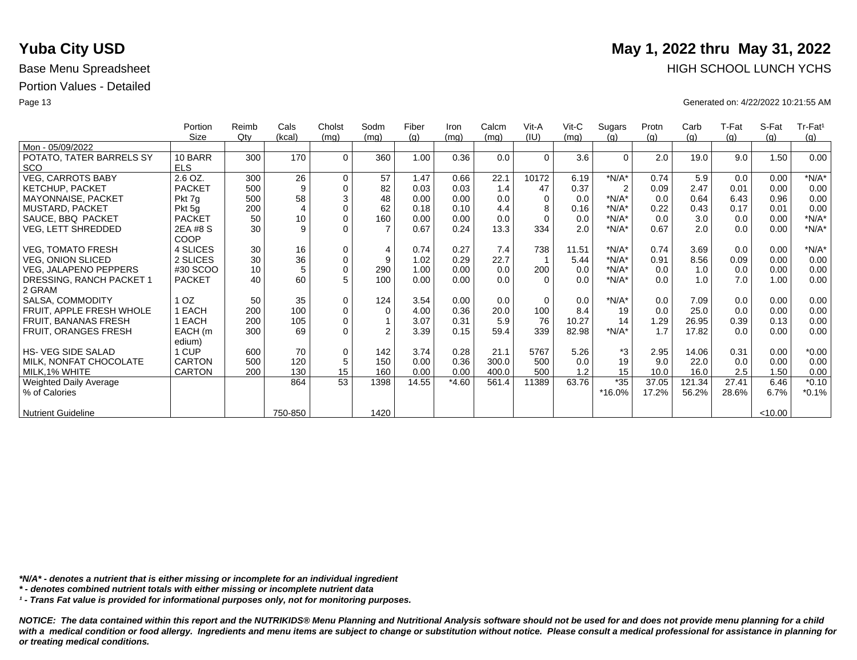|                               | Portion         | Reimb  | Cals           | Cholst      | Sodm           | Fiber | Iron    | Calcm | Vit-A    | $V$ it-C | Sugars         | Protn | Carb   | T-Fat | S-Fat   | Tr-Fat <sup>1</sup> |
|-------------------------------|-----------------|--------|----------------|-------------|----------------|-------|---------|-------|----------|----------|----------------|-------|--------|-------|---------|---------------------|
|                               | Size            | $Q$ ty | (kcal)         | (mq)        | (mq)           | (g)   | (mq)    | (mq)  | (IU)     | (mq)     | (q)            | (g)   | (g)    | (g)   | (q)     | (g)                 |
| Mon - 05/09/2022              |                 |        |                |             |                |       |         |       |          |          |                |       |        |       |         |                     |
| POTATO, TATER BARRELS SY      | 10 BARR         | 300    | 170            | $\Omega$    | 360            | 1.00  | 0.36    | 0.0   | $\Omega$ | 3.6      | $\Omega$       | 2.0   | 19.0   | 9.0   | 1.50    | 0.00                |
| <b>SCO</b>                    | <b>ELS</b>      |        |                |             |                |       |         |       |          |          |                |       |        |       |         |                     |
| <b>VEG, CARROTS BABY</b>      | 2.6 OZ.         | 300    | 26             | $\mathbf 0$ | 57             | 1.47  | 0.66    | 22.1  | 10172    | 6.19     | $*N/A*$        | 0.74  | 5.9    | 0.0   | 0.00    | $*N/A*$             |
| <b>KETCHUP, PACKET</b>        | <b>PACKET</b>   | 500    | 9              | $\mathbf 0$ | 82             | 0.03  | 0.03    | 1.4   | 47       | 0.37     | $\overline{2}$ | 0.09  | 2.47   | 0.01  | 0.00    | 0.00                |
| MAYONNAISE, PACKET            | Pkt 7g          | 500    | 58             | 3           | 48             | 0.00  | 0.00    | 0.0   | $\Omega$ | 0.0      | $*N/A*$        | 0.0   | 0.64   | 6.43  | 0.96    | 0.00                |
| <b>MUSTARD, PACKET</b>        | Pkt 5g          | 200    | $\overline{4}$ | $\Omega$    | 62             | 0.18  | 0.10    | 4.4   | 8        | 0.16     | $*N/A*$        | 0.22  | 0.43   | 0.17  | 0.01    | 0.00                |
| SAUCE, BBQ PACKET             | <b>PACKET</b>   | 50     | 10             | $\mathbf 0$ | 160            | 0.00  | 0.00    | 0.0   | $\Omega$ | 0.0      | $*N/A*$        | 0.0   | 3.0    | 0.0   | 0.00    | $*N/A*$             |
| <b>VEG, LETT SHREDDED</b>     | 2EA #8 S        | 30     | 9              | $\Omega$    | $\overline{7}$ | 0.67  | 0.24    | 13.3  | 334      | 2.0      | $*N/A*$        | 0.67  | 2.0    | 0.0   | 0.00    | $*N/A*$             |
|                               | <b>COOP</b>     |        |                |             |                |       |         |       |          |          |                |       |        |       |         |                     |
| <b>VEG, TOMATO FRESH</b>      | 4 SLICES        | 30     | 16             | $\mathbf 0$ | $\overline{4}$ | 0.74  | 0.27    | 7.4   | 738      | 11.51    | $*N/A*$        | 0.74  | 3.69   | 0.0   | 0.00    | $*N/A*$             |
| <b>VEG, ONION SLICED</b>      | 2 SLICES        | 30     | 36             | $\pmb{0}$   | 9              | 1.02  | 0.29    | 22.7  |          | 5.44     | $*N/A*$        | 0.91  | 8.56   | 0.09  | 0.00    | 0.00                |
| <b>VEG, JALAPENO PEPPERS</b>  | #30 SCOO        | 10     | 5              | $\mathbf 0$ | 290            | 1.00  | 0.00    | 0.0   | 200      | 0.0      | $*N/A*$        | 0.0   | 1.0    | 0.0   | 0.00    | 0.00                |
| DRESSING, RANCH PACKET 1      | <b>PACKET</b>   | 40     | 60             | 5           | 100            | 0.00  | 0.00    | 0.0   | $\Omega$ | 0.0      | $*N/A*$        | 0.0   | 1.0    | 7.0   | 1.00    | 0.00                |
| 2 GRAM                        |                 |        |                |             |                |       |         |       |          |          |                |       |        |       |         |                     |
|                               | 1 <sub>OZ</sub> | 50     |                | $\mathbf 0$ |                |       | 0.00    | 0.0   | $\Omega$ |          | $*N/A*$        |       |        |       |         |                     |
| SALSA, COMMODITY              |                 |        | 35             |             | 124            | 3.54  |         |       |          | 0.0      |                | 0.0   | 7.09   | 0.0   | 0.00    | 0.00                |
| FRUIT, APPLE FRESH WHOLE      | EACH            | 200    | 100            | $\mathbf 0$ | $\Omega$       | 4.00  | 0.36    | 20.0  | 100      | 8.4      | 19             | 0.0   | 25.0   | 0.0   | 0.00    | 0.00                |
| FRUIT, BANANAS FRESH          | EACH            | 200    | 105            | $\mathbf 0$ |                | 3.07  | 0.31    | 5.9   | 76       | 10.27    | 14             | 1.29  | 26.95  | 0.39  | 0.13    | 0.00                |
| FRUIT, ORANGES FRESH          | EACH (m         | 300    | 69             | $\Omega$    | $\mathfrak{D}$ | 3.39  | 0.15    | 59.4  | 339      | 82.98    | $*N/A*$        | 1.7   | 17.82  | 0.0   | 0.00    | 0.00                |
|                               | edium)          |        |                |             |                |       |         |       |          |          |                |       |        |       |         |                     |
| <b>HS- VEG SIDE SALAD</b>     | 1 CUP           | 600    | 70             | $\mathbf 0$ | 142            | 3.74  | 0.28    | 21.1  | 5767     | 5.26     | *3             | 2.95  | 14.06  | 0.31  | 0.00    | $*0.00$             |
| MILK, NONFAT CHOCOLATE        | <b>CARTON</b>   | 500    | 120            | 5           | 150            | 0.00  | 0.36    | 300.0 | 500      | 0.0      | 19             | 9.0   | 22.0   | 0.0   | 0.00    | 0.00                |
| MILK, 1% WHITE                | <b>CARTON</b>   | 200    | 130            | 15          | 160            | 0.00  | 0.00    | 400.0 | 500      | 1.2      | 15             | 10.0  | 16.0   | 2.5   | 1.50    | 0.00                |
| <b>Weighted Daily Average</b> |                 |        | 864            | 53          | 1398           | 14.55 | $*4.60$ | 561.4 | 11389    | 63.76    | $*35$          | 37.05 | 121.34 | 27.41 | 6.46    | $*0.10$             |
| % of Calories                 |                 |        |                |             |                |       |         |       |          |          | *16.0%         | 17.2% | 56.2%  | 28.6% | 6.7%    | $*0.1%$             |
|                               |                 |        |                |             |                |       |         |       |          |          |                |       |        |       |         |                     |
| <b>Nutrient Guideline</b>     |                 |        | 750-850        |             | 1420           |       |         |       |          |          |                |       |        |       | < 10.00 |                     |

*\*N/A\* - denotes a nutrient that is either missing or incomplete for an individual ingredient*

*\* - denotes combined nutrient totals with either missing or incomplete nutrient data*

*¹ - Trans Fat value is provided for informational purposes only, not for monitoring purposes.*

*NOTICE: The data contained within this report and the NUTRIKIDS® Menu Planning and Nutritional Analysis software should not be used for and does not provide menu planning for a child*  with a medical condition or food allergy. Ingredients and menu items are subject to change or substitution without notice. Please consult a medical professional for assistance in planning for *or treating medical conditions.*

# **Yuba City USD** May 1, 2022 thru May 31, 2022 Base Menu Spreadsheet **HIGH SCHOOL LUNCH YCHS**

Page 13 Generated on: 4/22/2022 10:21:55 AM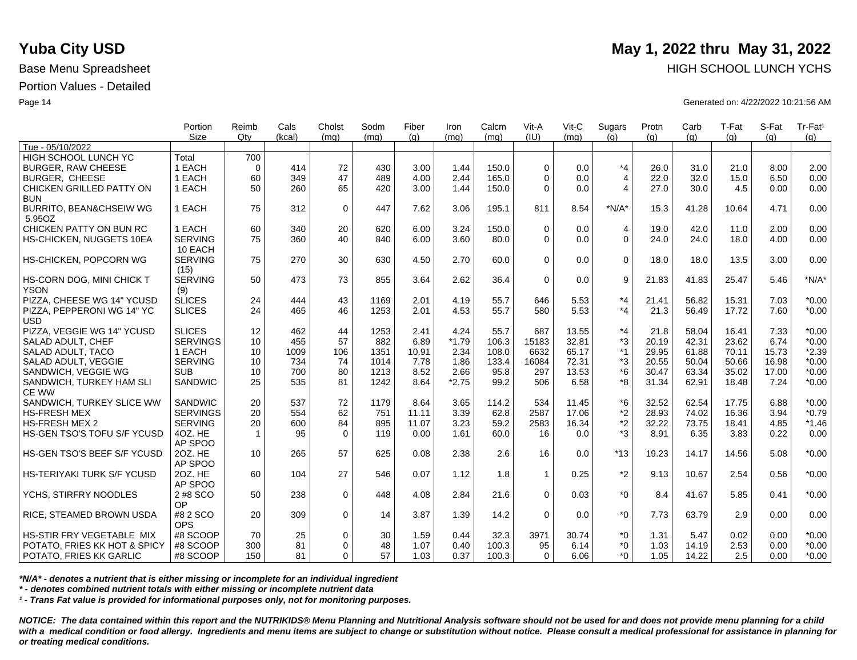|                                   | Portion<br><b>Size</b> | Reimb<br>Qtv | Cals<br>(kcal) | Cholst<br>(mq) | Sodm<br>(mq) | Fiber<br>(q) | Iron<br>(mq) | Calcm<br>(mq) | Vit-A<br>(III) | Vit-C<br>(mq) | Sugars<br>(q)  | Protn<br>(q) | Carb<br>(q) | T-Fat<br>(q) | S-Fat<br>(q) | Tr-Fat <sup>1</sup><br>(g) |
|-----------------------------------|------------------------|--------------|----------------|----------------|--------------|--------------|--------------|---------------|----------------|---------------|----------------|--------------|-------------|--------------|--------------|----------------------------|
| Tue - 05/10/2022                  |                        |              |                |                |              |              |              |               |                |               |                |              |             |              |              |                            |
| HIGH SCHOOL LUNCH YC              | Total                  | 700          |                |                |              |              |              |               |                |               |                |              |             |              |              |                            |
| <b>BURGER, RAW CHEESE</b>         | 1 EACH                 | $\mathbf 0$  | 414            | 72             | 430          | 3.00         | 1.44         | 150.0         | $\Omega$       | 0.0           | $*_{4}$        | 26.0         | 31.0        | 21.0         | 8.00         | 2.00                       |
| <b>BURGER, CHEESE</b>             | 1 EACH                 | 60           | 349            | 47             | 489          | 4.00         | 2.44         | 165.0         | $\Omega$       | 0.0           | $\overline{4}$ | 22.0         | 32.0        | 15.0         | 6.50         | 0.00                       |
| CHICKEN GRILLED PATTY ON          | 1 EACH                 | 50           | 260            | 65             | 420          | 3.00         | 1.44         | 150.0         | $\Omega$       | 0.0           | $\overline{4}$ | 27.0         | 30.0        | 4.5          | 0.00         | 0.00                       |
| <b>BUN</b>                        |                        |              |                |                |              |              |              |               |                |               |                |              |             |              |              |                            |
| BURRITO, BEAN&CHSEIW WG           | 1 EACH                 | 75           | 312            | $\mathbf 0$    | 447          | 7.62         | 3.06         | 195.1         | 811            | 8.54          | $*N/A*$        | 15.3         | 41.28       | 10.64        | 4.71         | 0.00                       |
| 5.95OZ                            |                        |              |                |                |              |              |              |               |                |               |                |              |             |              |              |                            |
| CHICKEN PATTY ON BUN RC           | 1 EACH                 | 60           | 340            | 20             | 620          | 6.00         | 3.24         | 150.0         | $\Omega$       | 0.0           | 4              | 19.0         | 42.0        | 11.0         | 2.00         | 0.00                       |
| HS-CHICKEN, NUGGETS 10EA          | <b>SERVING</b>         | 75           | 360            | 40             | 840          | 6.00         | 3.60         | 80.0          | $\Omega$       | 0.0           | $\Omega$       | 24.0         | 24.0        | 18.0         | 4.00         | 0.00                       |
|                                   | 10 EACH                |              |                |                |              |              |              |               |                |               |                |              |             |              |              |                            |
| HS-CHICKEN, POPCORN WG            | <b>SERVING</b>         | 75           | 270            | 30             | 630          | 4.50         | 2.70         | 60.0          | $\Omega$       | 0.0           | $\mathbf 0$    | 18.0         | 18.0        | 13.5         | 3.00         | 0.00                       |
|                                   | (15)                   |              |                |                |              |              |              |               |                |               |                |              |             |              |              |                            |
| HS-CORN DOG, MINI CHICK T         | <b>SERVING</b>         | 50           | 473            | 73             | 855          | 3.64         | 2.62         | 36.4          | $\Omega$       | 0.0           | 9              | 21.83        | 41.83       | 25.47        | 5.46         | $*N/A*$                    |
| <b>YSON</b>                       | (9)                    |              |                |                |              |              |              |               |                |               |                |              |             |              |              |                            |
| PIZZA, CHEESE WG 14" YCUSD        | <b>SLICES</b>          | 24           | 444            | 43             | 1169         | 2.01         | 4.19         | 55.7          | 646            | 5.53          | $*_{4}$        | 21.41        | 56.82       | 15.31        | 7.03         | $*0.00$                    |
| PIZZA. PEPPERONI WG 14" YC        | <b>SLICES</b>          | 24           | 465            | 46             | 1253         | 2.01         | 4.53         | 55.7          | 580            | 5.53          | $*_{4}$        | 21.3         | 56.49       | 17.72        | 7.60         | $*0.00$                    |
| <b>USD</b>                        |                        |              |                |                |              |              |              |               |                |               |                |              |             |              |              |                            |
| PIZZA, VEGGIE WG 14" YCUSD        | <b>SLICES</b>          | 12           | 462            | 44             | 1253         | 2.41         | 4.24         | 55.7          | 687            | 13.55         | $*_{4}$        | 21.8         | 58.04       | 16.41        | 7.33         | $*0.00$                    |
| SALAD ADULT, CHEF                 | <b>SERVINGS</b>        | 10           | 455            | 57             | 882          | 6.89         | $*1.79$      | 106.3         | 15183          | 32.81         | *3             | 20.19        | 42.31       | 23.62        | 6.74         | $*0.00$                    |
| SALAD ADULT, TACO                 | 1 EACH                 | 10           | 1009           | 106            | 1351         | 10.91        | 2.34         | 108.0         | 6632           | 65.17         | $*1$           | 29.95        | 61.88       | 70.11        | 15.73        | $*2.39$                    |
| SALAD ADULT, VEGGIE               | <b>SERVING</b>         | 10           | 734            | 74             | 1014         | 7.78         | 1.86         | 133.4         | 16084          | 72.31         | *3             | 20.55        | 50.04       | 50.66        | 16.98        | $*0.00$                    |
| SANDWICH, VEGGIE WG               | <b>SUB</b>             | 10           | 700            | 80             | 1213         | 8.52         | 2.66         | 95.8          | 297            | 13.53         | *6             | 30.47        | 63.34       | 35.02        | 17.00        | $*0.00$                    |
| SANDWICH, TURKEY HAM SLI          | SANDWIC                | 25           | 535            | 81             | 1242         | 8.64         | $*2.75$      | 99.2          | 506            | 6.58          | *8             | 31.34        | 62.91       | 18.48        | 7.24         | $*0.00$                    |
| <b>CE WW</b>                      |                        |              |                |                |              |              |              |               |                |               |                |              |             |              |              |                            |
| SANDWICH, TURKEY SLICE WW         | <b>SANDWIC</b>         | 20           | 537            | 72             | 1179         | 8.64         | 3.65         | 114.2         | 534            | 11.45         | *6             | 32.52        | 62.54       | 17.75        | 6.88         | $*0.00$                    |
| <b>HS-FRESH MEX</b>               | <b>SERVINGS</b>        | 20           | 554            | 62             | 751          | 11.11        | 3.39         | 62.8          | 2587           | 17.06         | *2             | 28.93        | 74.02       | 16.36        | 3.94         | $*0.79$                    |
| <b>HS-FRESH MEX 2</b>             | <b>SERVING</b>         | 20           | 600            | 84             | 895          | 11.07        | 3.23         | 59.2          | 2583           | 16.34         | $*2$           | 32.22        | 73.75       | 18.41        | 4.85         | $*1.46$                    |
| HS-GEN TSO'S TOFU S/F YCUSD       | 4OZ. HE                | $\mathbf{1}$ | 95             | $\Omega$       | 119          | 0.00         | 1.61         | 60.0          | 16             | 0.0           | $*3$           | 8.91         | 6.35        | 3.83         | 0.22         | 0.00                       |
|                                   | AP SPOO                |              |                |                |              |              |              |               |                |               |                |              |             |              |              |                            |
| HS-GEN TSO'S BEEF S/F YCUSD       | 20Z. HE                | 10           | 265            | 57             | 625          | 0.08         | 2.38         | 2.6           | 16             | 0.0           | $*13$          | 19.23        | 14.17       | 14.56        | 5.08         | $*0.00$                    |
|                                   | AP SPOO                |              |                |                |              |              |              |               |                |               |                |              |             |              |              |                            |
| <b>HS-TERIYAKI TURK S/F YCUSD</b> | 20Z. HE                | 60           | 104            | 27             | 546          | 0.07         | 1.12         | 1.8           | $\mathbf{1}$   | 0.25          | $*2$           | 9.13         | 10.67       | 2.54         | 0.56         | $*0.00$                    |
|                                   | AP SPOO                |              |                |                |              |              |              |               | $\Omega$       |               | $*_{0}$        |              |             |              | 0.41         |                            |
| YCHS, STIRFRY NOODLES             | 2 #8 SCO               | 50           | 238            | $\mathbf{0}$   | 448          | 4.08         | 2.84         | 21.6          |                | 0.03          |                | 8.4          | 41.67       | 5.85         |              | $*0.00$                    |
|                                   | OP.<br>#8 2 SCO        | 20           | 309            | $\Omega$       | 14           | 3.87         | 1.39         | 14.2          | $\Omega$       | 0.0           | $*_{0}$        | 7.73         | 63.79       | 2.9          |              | 0.00                       |
| RICE, STEAMED BROWN USDA          | <b>OPS</b>             |              |                |                |              |              |              |               |                |               |                |              |             |              | 0.00         |                            |
| HS-STIR FRY VEGETABLE MIX         | #8 SCOOP               | 70           | 25             | $\mathbf 0$    | 30           | 1.59         | 0.44         | 32.3          | 3971           | 30.74         | $^*0$          | 1.31         | 5.47        | 0.02         | 0.00         | $*0.00$                    |
| POTATO, FRIES KK HOT & SPICY      | #8 SCOOP               | 300          | 81             | $\Omega$       | 48           | 1.07         | 0.40         | 100.3         | 95             | 6.14          | $^*0$          | 1.03         | 14.19       | 2.53         | 0.00         | $*0.00$                    |
| POTATO, FRIES KK GARLIC           | #8 SCOOP               | 150          | 81             | $\Omega$       | 57           | 1.03         | 0.37         | 100.3         | $\Omega$       | 6.06          | $*$ $\Omega$   | 1.05         | 14.22       | 2.5          | 0.00         | $*0.00$                    |
|                                   |                        |              |                |                |              |              |              |               |                |               |                |              |             |              |              |                            |

*\*N/A\* - denotes a nutrient that is either missing or incomplete for an individual ingredient*

*\* - denotes combined nutrient totals with either missing or incomplete nutrient data*

*¹ - Trans Fat value is provided for informational purposes only, not for monitoring purposes.*

*NOTICE: The data contained within this report and the NUTRIKIDS® Menu Planning and Nutritional Analysis software should not be used for and does not provide menu planning for a child*  with a medical condition or food allergy. Ingredients and menu items are subject to change or substitution without notice. Please consult a medical professional for assistance in planning for *or treating medical conditions.*

# **Yuba City USD** May 1, 2022 thru May 31, 2022 Base Menu Spreadsheet **HIGH SCHOOL LUNCH YCHS HIGH SCHOOL LUNCH YCHS**

Page 14 Generated on: 4/22/2022 10:21:56 AM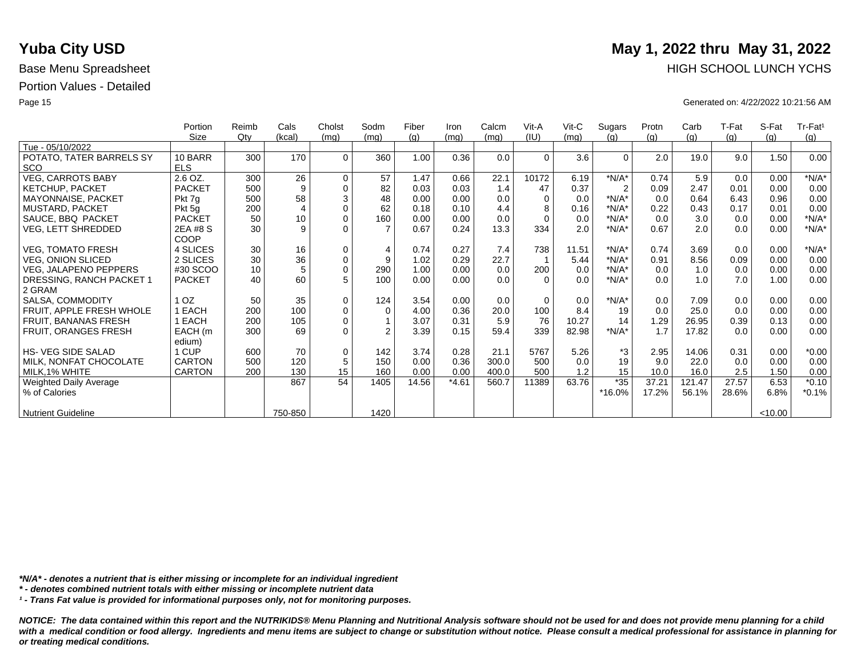|                               | Portion         | Reimb  | Cals           | Cholst      | Sodm           | Fiber | Iron    | Calcm | Vit-A    | $V$ it-C | Sugars         | Protn | Carb   | T-Fat | S-Fat   | Tr-Fat <sup>1</sup> |
|-------------------------------|-----------------|--------|----------------|-------------|----------------|-------|---------|-------|----------|----------|----------------|-------|--------|-------|---------|---------------------|
|                               | Size            | $Q$ ty | (kcal)         | (mq)        | (mq)           | (g)   | (mq)    | (mq)  | (IU)     | (mq)     | (q)            | (g)   | (g)    | (g)   | (q)     | (g)                 |
| Tue - 05/10/2022              |                 |        |                |             |                |       |         |       |          |          |                |       |        |       |         |                     |
| POTATO, TATER BARRELS SY      | 10 BARR         | 300    | 170            | $\Omega$    | 360            | 1.00  | 0.36    | 0.0   | $\Omega$ | 3.6      | $\Omega$       | 2.0   | 19.0   | 9.0   | 1.50    | 0.00                |
| <b>SCO</b>                    | <b>ELS</b>      |        |                |             |                |       |         |       |          |          |                |       |        |       |         |                     |
| <b>VEG, CARROTS BABY</b>      | 2.6 OZ.         | 300    | 26             | $\mathbf 0$ | 57             | 1.47  | 0.66    | 22.1  | 10172    | 6.19     | $*N/A*$        | 0.74  | 5.9    | 0.0   | 0.00    | $*N/A*$             |
| <b>KETCHUP, PACKET</b>        | <b>PACKET</b>   | 500    | 9              | $\mathbf 0$ | 82             | 0.03  | 0.03    | 1.4   | 47       | 0.37     | $\overline{2}$ | 0.09  | 2.47   | 0.01  | 0.00    | 0.00                |
| MAYONNAISE, PACKET            | Pkt 7g          | 500    | 58             | 3           | 48             | 0.00  | 0.00    | 0.0   | $\Omega$ | 0.0      | $*N/A*$        | 0.0   | 0.64   | 6.43  | 0.96    | 0.00                |
| <b>MUSTARD, PACKET</b>        | Pkt 5g          | 200    | $\overline{4}$ | $\Omega$    | 62             | 0.18  | 0.10    | 4.4   | 8        | 0.16     | $*N/A*$        | 0.22  | 0.43   | 0.17  | 0.01    | 0.00                |
| SAUCE, BBQ PACKET             | <b>PACKET</b>   | 50     | 10             | $\mathbf 0$ | 160            | 0.00  | 0.00    | 0.0   | $\Omega$ | 0.0      | $*N/A*$        | 0.0   | 3.0    | 0.0   | 0.00    | $*N/A*$             |
| <b>VEG, LETT SHREDDED</b>     | 2EA #8 S        | 30     | 9              | $\Omega$    | $\overline{7}$ | 0.67  | 0.24    | 13.3  | 334      | 2.0      | $*N/A*$        | 0.67  | 2.0    | 0.0   | 0.00    | $*N/A*$             |
|                               | <b>COOP</b>     |        |                |             |                |       |         |       |          |          |                |       |        |       |         |                     |
| <b>VEG, TOMATO FRESH</b>      | 4 SLICES        | 30     | 16             | $\mathbf 0$ | $\overline{4}$ | 0.74  | 0.27    | 7.4   | 738      | 11.51    | $*N/A*$        | 0.74  | 3.69   | 0.0   | 0.00    | $*N/A*$             |
| <b>VEG, ONION SLICED</b>      | 2 SLICES        | 30     | 36             | $\pmb{0}$   | 9              | 1.02  | 0.29    | 22.7  |          | 5.44     | $*N/A*$        | 0.91  | 8.56   | 0.09  | 0.00    | 0.00                |
| <b>VEG, JALAPENO PEPPERS</b>  | #30 SCOO        | 10     | 5              | $\mathbf 0$ | 290            | 1.00  | 0.00    | 0.0   | 200      | 0.0      | $*N/A*$        | 0.0   | 1.0    | 0.0   | 0.00    | 0.00                |
| DRESSING, RANCH PACKET 1      | <b>PACKET</b>   | 40     | 60             | 5           | 100            | 0.00  | 0.00    | 0.0   | $\Omega$ | 0.0      | $*N/A*$        | 0.0   | 1.0    | 7.0   | 1.00    | 0.00                |
| 2 GRAM                        |                 |        |                |             |                |       |         |       |          |          |                |       |        |       |         |                     |
|                               | 1 <sub>OZ</sub> | 50     |                | $\mathbf 0$ |                |       | 0.00    | 0.0   | $\Omega$ |          | $*N/A*$        |       |        |       |         |                     |
| SALSA, COMMODITY              |                 |        | 35             |             | 124            | 3.54  |         |       |          | 0.0      |                | 0.0   | 7.09   | 0.0   | 0.00    | 0.00                |
| FRUIT, APPLE FRESH WHOLE      | EACH            | 200    | 100            | $\mathbf 0$ | $\Omega$       | 4.00  | 0.36    | 20.0  | 100      | 8.4      | 19             | 0.0   | 25.0   | 0.0   | 0.00    | 0.00                |
| FRUIT, BANANAS FRESH          | EACH            | 200    | 105            | $\mathbf 0$ |                | 3.07  | 0.31    | 5.9   | 76       | 10.27    | 14             | 1.29  | 26.95  | 0.39  | 0.13    | 0.00                |
| FRUIT, ORANGES FRESH          | EACH (m         | 300    | 69             | $\Omega$    | $\mathfrak{D}$ | 3.39  | 0.15    | 59.4  | 339      | 82.98    | $*N/A*$        | 1.7   | 17.82  | 0.0   | 0.00    | 0.00                |
|                               | edium)          |        |                |             |                |       |         |       |          |          |                |       |        |       |         |                     |
| <b>HS- VEG SIDE SALAD</b>     | 1 CUP           | 600    | 70             | $\mathbf 0$ | 142            | 3.74  | 0.28    | 21.1  | 5767     | 5.26     | *3             | 2.95  | 14.06  | 0.31  | 0.00    | $*0.00$             |
| MILK, NONFAT CHOCOLATE        | <b>CARTON</b>   | 500    | 120            | 5           | 150            | 0.00  | 0.36    | 300.0 | 500      | 0.0      | 19             | 9.0   | 22.0   | 0.0   | 0.00    | 0.00                |
| MILK, 1% WHITE                | <b>CARTON</b>   | 200    | 130            | 15          | 160            | 0.00  | 0.00    | 400.0 | 500      | 1.2      | 15             | 10.0  | 16.0   | 2.5   | 1.50    | 0.00                |
| <b>Weighted Daily Average</b> |                 |        | 867            | 54          | 1405           | 14.56 | $*4.61$ | 560.7 | 11389    | 63.76    | $*35$          | 37.21 | 121.47 | 27.57 | 6.53    | $*0.10$             |
| % of Calories                 |                 |        |                |             |                |       |         |       |          |          | *16.0%         | 17.2% | 56.1%  | 28.6% | 6.8%    | $*0.1%$             |
|                               |                 |        |                |             |                |       |         |       |          |          |                |       |        |       |         |                     |
| <b>Nutrient Guideline</b>     |                 |        | 750-850        |             | 1420           |       |         |       |          |          |                |       |        |       | < 10.00 |                     |

*\*N/A\* - denotes a nutrient that is either missing or incomplete for an individual ingredient*

*\* - denotes combined nutrient totals with either missing or incomplete nutrient data*

*¹ - Trans Fat value is provided for informational purposes only, not for monitoring purposes.*

*NOTICE: The data contained within this report and the NUTRIKIDS® Menu Planning and Nutritional Analysis software should not be used for and does not provide menu planning for a child*  with a medical condition or food allergy. Ingredients and menu items are subject to change or substitution without notice. Please consult a medical professional for assistance in planning for *or treating medical conditions.*

# **Yuba City USD** May 1, 2022 thru May 31, 2022 Base Menu Spreadsheet **HIGH SCHOOL LUNCH YCHS**

Page 15 Generated on: 4/22/2022 10:21:56 AM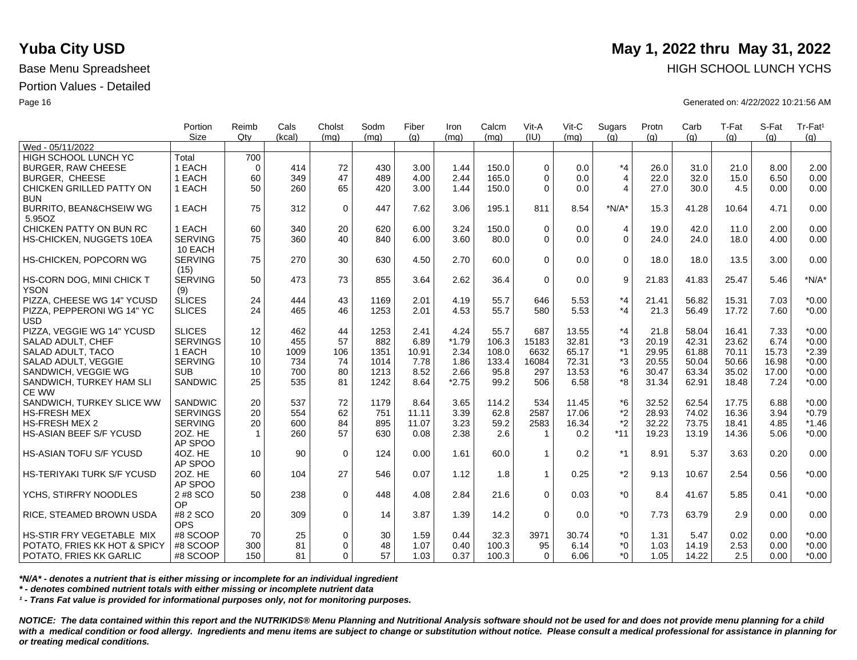|                                | Portion         | Reimb        | Cals   | Cholst      | Sodm | Fiber | Iron    | Calcm | Vit-A          | Vit-C | Sugars         | Protn | Carb  | T-Fat | S-Fat | Tr-Fat <sup>1</sup> |
|--------------------------------|-----------------|--------------|--------|-------------|------|-------|---------|-------|----------------|-------|----------------|-------|-------|-------|-------|---------------------|
|                                | Size            | Qtv          | (kcal) | (mq)        | (mq) | (q)   | (mq)    | (mq)  | (IU)           | (mq)  | (q)            | (q)   | (q)   | (q)   | (q)   | (g)                 |
| Wed - 05/11/2022               |                 |              |        |             |      |       |         |       |                |       |                |       |       |       |       |                     |
| HIGH SCHOOL LUNCH YC           | Total           | 700          |        |             |      |       |         |       |                |       |                |       |       |       |       |                     |
| <b>BURGER, RAW CHEESE</b>      | 1 EACH          | $\Omega$     | 414    | 72          | 430  | 3.00  | 1.44    | 150.0 | $\Omega$       | 0.0   | $*_{4}$        | 26.0  | 31.0  | 21.0  | 8.00  | 2.00                |
| <b>BURGER, CHEESE</b>          | 1 EACH          | 60           | 349    | 47          | 489  | 4.00  | 2.44    | 165.0 | $\Omega$       | 0.0   | $\overline{4}$ | 22.0  | 32.0  | 15.0  | 6.50  | 0.00                |
| CHICKEN GRILLED PATTY ON       | 1 EACH          | 50           | 260    | 65          | 420  | 3.00  | 1.44    | 150.0 | $\Omega$       | 0.0   | $\overline{4}$ | 27.0  | 30.0  | 4.5   | 0.00  | 0.00                |
| <b>BUN</b>                     |                 |              |        |             |      |       |         |       |                |       |                |       |       |       |       |                     |
| BURRITO, BEAN&CHSEIW WG        | 1 EACH          | 75           | 312    | $\mathbf 0$ | 447  | 7.62  | 3.06    | 195.1 | 811            | 8.54  | $*N/A*$        | 15.3  | 41.28 | 10.64 | 4.71  | 0.00                |
| 5.95OZ                         |                 |              |        |             |      |       |         |       |                |       |                |       |       |       |       |                     |
| CHICKEN PATTY ON BUN RC        | 1 EACH          | 60           | 340    | 20          | 620  | 6.00  | 3.24    | 150.0 | $\mathbf 0$    | 0.0   | $\overline{4}$ | 19.0  | 42.0  | 11.0  | 2.00  | 0.00                |
| HS-CHICKEN, NUGGETS 10EA       | <b>SERVING</b>  | 75           | 360    | 40          | 840  | 6.00  | 3.60    | 80.0  | $\Omega$       | 0.0   | $\Omega$       | 24.0  | 24.0  | 18.0  | 4.00  | 0.00                |
|                                | 10 EACH         |              |        |             |      |       |         |       |                |       |                |       |       |       |       |                     |
| HS-CHICKEN, POPCORN WG         | <b>SERVING</b>  | 75           | 270    | 30          | 630  | 4.50  | 2.70    | 60.0  | $\Omega$       | 0.0   | $\Omega$       | 18.0  | 18.0  | 13.5  | 3.00  | 0.00                |
|                                | (15)            |              |        |             |      |       |         |       |                |       |                |       |       |       |       |                     |
| HS-CORN DOG, MINI CHICK T      | <b>SERVING</b>  | 50           | 473    | 73          | 855  | 3.64  | 2.62    | 36.4  | $\mathbf 0$    | 0.0   | 9              | 21.83 | 41.83 | 25.47 | 5.46  | $*N/A*$             |
| <b>YSON</b>                    | (9)             |              |        |             |      |       |         |       |                |       |                |       |       |       |       |                     |
| PIZZA, CHEESE WG 14" YCUSD     | <b>SLICES</b>   | 24           | 444    | 43          | 1169 | 2.01  | 4.19    | 55.7  | 646            | 5.53  | $*_{4}$        | 21.41 | 56.82 | 15.31 | 7.03  | $*0.00$             |
| PIZZA, PEPPERONI WG 14" YC     | <b>SLICES</b>   | 24           | 465    | 46          | 1253 | 2.01  | 4.53    | 55.7  | 580            | 5.53  | $*_{4}$        | 21.3  | 56.49 | 17.72 | 7.60  | $*0.00$             |
| <b>USD</b>                     |                 |              |        |             |      |       |         |       |                |       |                |       |       |       |       |                     |
| PIZZA, VEGGIE WG 14" YCUSD     | <b>SLICES</b>   | 12           | 462    | 44          | 1253 | 2.41  | 4.24    | 55.7  | 687            | 13.55 | $*_{4}$        | 21.8  | 58.04 | 16.41 | 7.33  | $*0.00$             |
| SALAD ADULT, CHEF              | <b>SERVINGS</b> | 10           | 455    | 57          | 882  | 6.89  | $*1.79$ | 106.3 | 15183          | 32.81 | *3             | 20.19 | 42.31 | 23.62 | 6.74  | $*0.00$             |
| SALAD ADULT, TACO              | 1 EACH          | 10           | 1009   | 106         | 1351 | 10.91 | 2.34    | 108.0 | 6632           | 65.17 | $*1$           | 29.95 | 61.88 | 70.11 | 15.73 | $*2.39$             |
| SALAD ADULT, VEGGIE            | <b>SERVING</b>  | 10           | 734    | 74          | 1014 | 7.78  | 1.86    | 133.4 | 16084          | 72.31 | *3             | 20.55 | 50.04 | 50.66 | 16.98 | $*0.00$             |
| SANDWICH, VEGGIE WG            | <b>SUB</b>      | 10           | 700    | 80          | 1213 | 8.52  | 2.66    | 95.8  | 297            | 13.53 | *6             | 30.47 | 63.34 | 35.02 | 17.00 | $*0.00$             |
| SANDWICH, TURKEY HAM SLI       | <b>SANDWIC</b>  | 25           | 535    | 81          | 1242 | 8.64  | $*2.75$ | 99.2  | 506            | 6.58  | *8             | 31.34 | 62.91 | 18.48 | 7.24  | $*0.00$             |
| <b>CE WW</b>                   |                 |              |        |             |      |       |         |       |                |       |                |       |       |       |       |                     |
| SANDWICH, TURKEY SLICE WW      | SANDWIC         | 20           | 537    | 72          | 1179 | 8.64  | 3.65    | 114.2 | 534            | 11.45 | *6             | 32.52 | 62.54 | 17.75 | 6.88  | $*0.00$             |
| <b>HS-FRESH MEX</b>            | <b>SERVINGS</b> | 20           | 554    | 62          | 751  | 11.11 | 3.39    | 62.8  | 2587           | 17.06 | *2             | 28.93 | 74.02 | 16.36 | 3.94  | $*0.79$             |
| <b>HS-FRESH MEX 2</b>          | <b>SERVING</b>  | 20           | 600    | 84          | 895  | 11.07 | 3.23    | 59.2  | 2583           | 16.34 | $*2$           | 32.22 | 73.75 | 18.41 | 4.85  | $*1.46$             |
| HS-ASIAN BEEF S/F YCUSD        | 20Z. HE         | $\mathbf{1}$ | 260    | 57          | 630  | 0.08  | 2.38    | 2.6   | $\overline{1}$ | 0.2   | $*11$          | 19.23 | 13.19 | 14.36 | 5.06  | $*0.00$             |
|                                | AP SPOO         |              |        |             |      |       |         |       |                |       |                |       |       |       |       |                     |
| <b>HS-ASIAN TOFU S/F YCUSD</b> | 4OZ. HE         | 10           | 90     | $\mathbf 0$ | 124  | 0.00  | 1.61    | 60.0  | $\mathbf{1}$   | 0.2   | $*1$           | 8.91  | 5.37  | 3.63  | 0.20  | 0.00                |
|                                | AP SPOO         |              |        |             |      |       |         |       |                |       |                |       |       |       |       |                     |
| HS-TERIYAKI TURK S/F YCUSD     | 20Z. HE         | 60           | 104    | 27          | 546  | 0.07  | 1.12    | 1.8   | $\mathbf{1}$   | 0.25  | $*2$           | 9.13  | 10.67 | 2.54  | 0.56  | $*0.00$             |
|                                | AP SPOO         |              |        |             |      |       |         |       |                |       |                |       |       |       |       |                     |
| YCHS, STIRFRY NOODLES          | 2 #8 SCO        | 50           | 238    | $\mathbf 0$ | 448  | 4.08  | 2.84    | 21.6  | $\Omega$       | 0.03  | $*_{0}$        | 8.4   | 41.67 | 5.85  | 0.41  | $*0.00$             |
|                                | OP              |              |        |             |      |       |         |       |                |       |                |       |       |       |       |                     |
| RICE, STEAMED BROWN USDA       | #8 2 SCO        | 20           | 309    | $\mathbf 0$ | 14   | 3.87  | 1.39    | 14.2  | $\Omega$       | 0.0   | $*_{0}$        | 7.73  | 63.79 | 2.9   | 0.00  | 0.00                |
|                                | <b>OPS</b>      |              |        |             |      |       |         |       |                |       |                |       |       |       |       |                     |
| HS-STIR FRY VEGETABLE MIX      | #8 SCOOP        | 70           | 25     | $\mathbf 0$ | 30   | 1.59  | 0.44    | 32.3  | 3971           | 30.74 | $^*0$          | 1.31  | 5.47  | 0.02  | 0.00  | $*0.00$             |
| POTATO, FRIES KK HOT & SPICY   | #8 SCOOP        | 300          | 81     | $\Omega$    | 48   | 1.07  | 0.40    | 100.3 | 95             | 6.14  | $^*0$          | 1.03  | 14.19 | 2.53  | 0.00  | $*0.00$             |
| POTATO, FRIES KK GARLIC        | #8 SCOOP        | 150          | 81     | $\Omega$    | 57   | 1.03  | 0.37    | 100.3 | $\Omega$       | 6.06  | $^*0$          | 1.05  | 14.22 | 2.5   | 0.00  | $*0.00$             |

*\*N/A\* - denotes a nutrient that is either missing or incomplete for an individual ingredient*

*\* - denotes combined nutrient totals with either missing or incomplete nutrient data*

*¹ - Trans Fat value is provided for informational purposes only, not for monitoring purposes.*

*NOTICE: The data contained within this report and the NUTRIKIDS® Menu Planning and Nutritional Analysis software should not be used for and does not provide menu planning for a child*  with a medical condition or food allergy. Ingredients and menu items are subject to change or substitution without notice. Please consult a medical professional for assistance in planning for *or treating medical conditions.*

## **Yuba City USD** May 1, 2022 thru May 31, 2022 Base Menu Spreadsheet **HIGH SCHOOL LUNCH YCHS HIGH SCHOOL LUNCH YCHS**

Page 16 Generated on: 4/22/2022 10:21:56 AM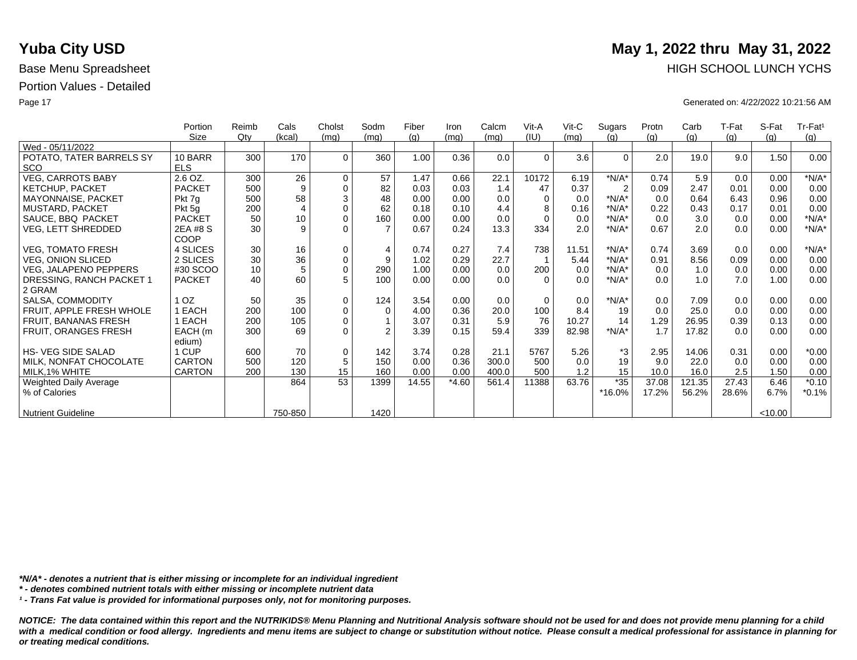|                               | Portion         | Reimb  | Cals                    | Cholst              | Sodm           | Fiber | Iron    | Calcm | Vit-A    | $V$ it-C | Sugars         | Protn | Carb   | T-Fat | S-Fat   | Tr-Fat <sup>1</sup> |
|-------------------------------|-----------------|--------|-------------------------|---------------------|----------------|-------|---------|-------|----------|----------|----------------|-------|--------|-------|---------|---------------------|
|                               | Size            | $Q$ ty | (kcal)                  | (mg)                | (mq)           | (g)   | (mq)    | (mq)  | (IU)     | (mq)     | (q)            | (g)   | (g)    | (g)   | (q)     | (g)                 |
| Wed - 05/11/2022              |                 |        |                         |                     |                |       |         |       |          |          |                |       |        |       |         |                     |
| POTATO, TATER BARRELS SY      | 10 BARR         | 300    | 170                     | $\Omega$            | 360            | 1.00  | 0.36    | 0.0   | $\Omega$ | 3.6      | $\Omega$       | 2.0   | 19.0   | 9.0   | 1.50    | 0.00                |
| <b>SCO</b>                    | <b>ELS</b>      |        |                         |                     |                |       |         |       |          |          |                |       |        |       |         |                     |
| <b>VEG, CARROTS BABY</b>      | 2.6 OZ.         | 300    | 26                      | $\mathbf 0$         | 57             | 1.47  | 0.66    | 22.1  | 10172    | 6.19     | $*N/A*$        | 0.74  | 5.9    | 0.0   | 0.00    | $*N/A*$             |
| <b>KETCHUP, PACKET</b>        | <b>PACKET</b>   | 500    | 9                       | $\mathbf 0$         | 82             | 0.03  | 0.03    | 1.4   | 47       | 0.37     | $\overline{2}$ | 0.09  | 2.47   | 0.01  | 0.00    | 0.00                |
| MAYONNAISE, PACKET            | Pkt 7q          | 500    | 58                      | $\sqrt{3}$          | 48             | 0.00  | 0.00    | 0.0   | $\Omega$ | 0.0      | $*N/A*$        | 0.0   | 0.64   | 6.43  | 0.96    | 0.00                |
| <b>MUSTARD, PACKET</b>        | Pkt 5g          | 200    | $\overline{\mathbf{4}}$ | $\mathbf 0$         | 62             | 0.18  | 0.10    | 4.4   | 8        | 0.16     | $*N/A*$        | 0.22  | 0.43   | 0.17  | 0.01    | 0.00                |
| SAUCE, BBQ PACKET             | <b>PACKET</b>   | 50     | 10                      | $\mathbf 0$         | 160            | 0.00  | 0.00    | 0.0   | $\Omega$ | 0.0      | $*N/A*$        | 0.0   | 3.0    | 0.0   | 0.00    | $*N/A*$             |
| <b>VEG, LETT SHREDDED</b>     | 2EA #8 S        | 30     | 9                       | $\Omega$            |                | 0.67  | 0.24    | 13.3  | 334      | 2.0      | $*N/A*$        | 0.67  | 2.0    | 0.0   | 0.00    | $*N/A*$             |
|                               | COOP            |        |                         |                     |                |       |         |       |          |          |                |       |        |       |         |                     |
| <b>VEG, TOMATO FRESH</b>      | 4 SLICES        | 30     | 16                      | 0                   | 4              | 0.74  | 0.27    | 7.4   | 738      | 11.51    | $*N/A*$        | 0.74  | 3.69   | 0.0   | 0.00    | $*N/A*$             |
| <b>VEG, ONION SLICED</b>      | 2 SLICES        | 30     | 36                      | $\mathsf{O}\xspace$ | 9              | 1.02  | 0.29    | 22.7  |          | 5.44     | $*N/A*$        | 0.91  | 8.56   | 0.09  | 0.00    | 0.00                |
| <b>VEG, JALAPENO PEPPERS</b>  | #30 SCOO        | 10     | 5                       | $\mathsf{O}\xspace$ | 290            | 1.00  | 0.00    | 0.0   | 200      | 0.0      | $*N/A*$        | 0.0   | 1.0    | 0.0   | 0.00    | 0.00                |
| DRESSING, RANCH PACKET 1      | <b>PACKET</b>   | 40     | 60                      | 5                   | 100            | 0.00  | 0.00    | 0.0   | $\Omega$ | 0.0      | $*N/A*$        | 0.0   | 1.0    | 7.0   | 1.00    | 0.00                |
| 2 GRAM                        |                 |        |                         |                     |                |       |         |       |          |          |                |       |        |       |         |                     |
| SALSA, COMMODITY              | 1 <sub>OZ</sub> | 50     | 35                      | $\mathbf 0$         | 124            | 3.54  | 0.00    | 0.0   | $\Omega$ | 0.0      | $*N/A*$        | 0.0   | 7.09   | 0.0   | 0.00    | 0.00                |
| FRUIT, APPLE FRESH WHOLE      | 1 EACH          | 200    | 100                     | $\mathbf 0$         | $\mathbf 0$    | 4.00  | 0.36    | 20.0  | 100      | 8.4      | 19             | 0.0   | 25.0   | 0.0   | 0.00    | 0.00                |
| FRUIT, BANANAS FRESH          | EACH            | 200    | 105                     | $\mathbf 0$         |                | 3.07  | 0.31    | 5.9   | 76       | 10.27    | 14             | 1.29  | 26.95  | 0.39  | 0.13    | 0.00                |
| FRUIT, ORANGES FRESH          | EACH (m         | 300    | 69                      | $\Omega$            | $\mathfrak{p}$ | 3.39  | 0.15    | 59.4  | 339      | 82.98    | $*N/A*$        | 1.7   | 17.82  | 0.0   | 0.00    | 0.00                |
|                               | edium)          |        |                         |                     |                |       |         |       |          |          |                |       |        |       |         |                     |
| <b>HS-VEG SIDE SALAD</b>      | 1 CUP           | 600    | 70                      | $\mathbf 0$         | 142            | 3.74  | 0.28    | 21.1  | 5767     | 5.26     | *3             | 2.95  | 14.06  | 0.31  | 0.00    | $*0.00$             |
| MILK, NONFAT CHOCOLATE        | <b>CARTON</b>   | 500    | 120                     | 5                   | 150            | 0.00  | 0.36    | 300.0 | 500      | 0.0      | 19             | 9.0   | 22.0   | 0.0   | 0.00    | 0.00                |
| MILK, 1% WHITE                | CARTON          | 200    | 130                     | 15                  | 160            | 0.00  | 0.00    | 400.0 | 500      | 1.2      | 15             | 10.0  | 16.0   | 2.5   | 1.50    | 0.00                |
| <b>Weighted Daily Average</b> |                 |        | 864                     | 53                  | 1399           | 14.55 | $*4.60$ | 561.4 | 11388    | 63.76    | $*35$          | 37.08 | 121.35 | 27.43 | 6.46    | $*0.10$             |
| % of Calories                 |                 |        |                         |                     |                |       |         |       |          |          | *16.0%         | 17.2% | 56.2%  | 28.6% | 6.7%    | $*0.1%$             |
|                               |                 |        |                         |                     |                |       |         |       |          |          |                |       |        |       |         |                     |
| <b>Nutrient Guideline</b>     |                 |        | 750-850                 |                     | 1420           |       |         |       |          |          |                |       |        |       | < 10.00 |                     |

*\*N/A\* - denotes a nutrient that is either missing or incomplete for an individual ingredient*

*\* - denotes combined nutrient totals with either missing or incomplete nutrient data*

*¹ - Trans Fat value is provided for informational purposes only, not for monitoring purposes.*

*NOTICE: The data contained within this report and the NUTRIKIDS® Menu Planning and Nutritional Analysis software should not be used for and does not provide menu planning for a child*  with a medical condition or food allergy. Ingredients and menu items are subject to change or substitution without notice. Please consult a medical professional for assistance in planning for *or treating medical conditions.*

# **Yuba City USD** May 1, 2022 thru May 31, 2022 Base Menu Spreadsheet **HIGH SCHOOL LUNCH YCHS**

Page 17 Generated on: 4/22/2022 10:21:56 AM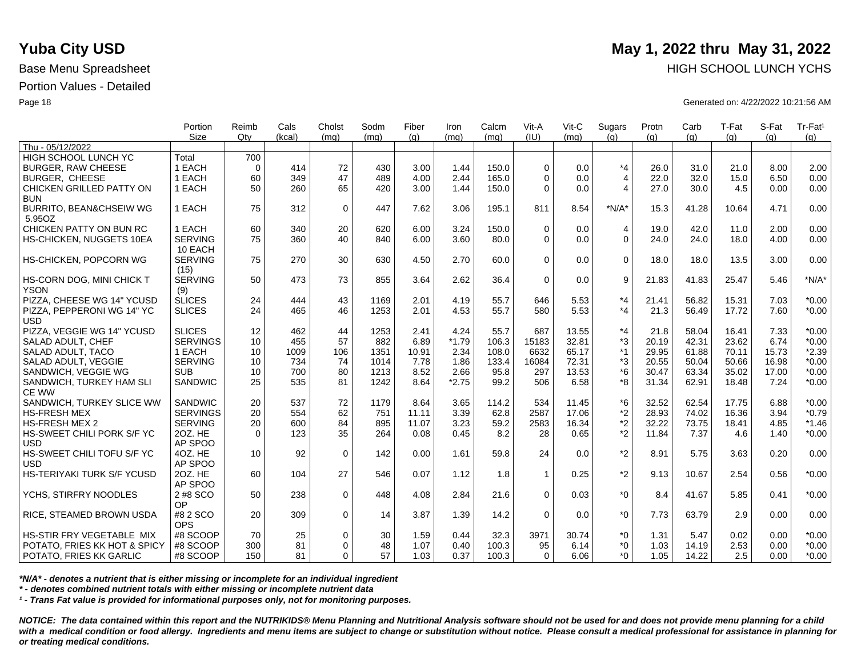|                                    | Portion         | Reimb    | Cals   | Cholst      | Sodm | Fiber | Iron    | Calcm | Vit-A        | Vit-C | Sugars         | Protn | Carb  | T-Fat | S-Fat | Tr-Fat <sup>1</sup> |
|------------------------------------|-----------------|----------|--------|-------------|------|-------|---------|-------|--------------|-------|----------------|-------|-------|-------|-------|---------------------|
| Thu - 05/12/2022                   | <b>Size</b>     | Qtv      | (kcal) | (ma)        | (mq) | (q)   | (ma)    | (ma)  | (IU)         | (mq)  | (q)            | (q)   | (q)   | (q)   | (q)   | (q)                 |
| HIGH SCHOOL LUNCH YC               | Total           | 700      |        |             |      |       |         |       |              |       |                |       |       |       |       |                     |
| <b>BURGER, RAW CHEESE</b>          | 1 EACH          | $\Omega$ | 414    | 72          | 430  | 3.00  | 1.44    | 150.0 | $\Omega$     | 0.0   | $*_{4}$        | 26.0  | 31.0  | 21.0  | 8.00  | 2.00                |
| <b>BURGER, CHEESE</b>              | 1 EACH          | 60       | 349    | 47          | 489  | 4.00  | 2.44    | 165.0 | $\Omega$     | 0.0   | $\overline{4}$ | 22.0  | 32.0  | 15.0  | 6.50  | 0.00                |
| CHICKEN GRILLED PATTY ON           | 1 EACH          | 50       | 260    | 65          | 420  | 3.00  | 1.44    | 150.0 | $\Omega$     | 0.0   | $\overline{4}$ | 27.0  | 30.0  | 4.5   | 0.00  | 0.00                |
| <b>BUN</b>                         |                 |          |        |             |      |       |         |       |              |       |                |       |       |       |       |                     |
| <b>BURRITO, BEAN&amp;CHSEIW WG</b> | 1 EACH          | 75       | 312    | $\mathbf 0$ | 447  | 7.62  | 3.06    | 195.1 | 811          | 8.54  | $*N/A*$        | 15.3  | 41.28 | 10.64 | 4.71  | 0.00                |
| 5.95OZ                             |                 |          |        |             |      |       |         |       |              |       |                |       |       |       |       |                     |
| CHICKEN PATTY ON BUN RC            | 1 EACH          | 60       | 340    | 20          | 620  | 6.00  | 3.24    | 150.0 | $\Omega$     | 0.0   | $\overline{4}$ | 19.0  | 42.0  | 11.0  | 2.00  | 0.00                |
| HS-CHICKEN, NUGGETS 10EA           | <b>SERVING</b>  | 75       | 360    | 40          | 840  | 6.00  | 3.60    | 80.0  | $\Omega$     | 0.0   | $\overline{0}$ | 24.0  | 24.0  | 18.0  | 4.00  | 0.00                |
|                                    | 10 EACH         |          |        |             |      |       |         |       |              |       |                |       |       |       |       |                     |
| HS-CHICKEN, POPCORN WG             | <b>SERVING</b>  | 75       | 270    | 30          | 630  | 4.50  | 2.70    | 60.0  | $\Omega$     | 0.0   | $\Omega$       | 18.0  | 18.0  | 13.5  | 3.00  | 0.00                |
|                                    | (15)            |          |        |             |      |       |         |       |              |       |                |       |       |       |       |                     |
| HS-CORN DOG, MINI CHICK T          | <b>SERVING</b>  | 50       | 473    | 73          | 855  | 3.64  | 2.62    | 36.4  | $\mathbf 0$  | 0.0   | 9              | 21.83 | 41.83 | 25.47 | 5.46  | $*N/A*$             |
| <b>YSON</b>                        | (9)             |          |        |             |      |       |         |       |              |       |                |       |       |       |       |                     |
| PIZZA, CHEESE WG 14" YCUSD         | <b>SLICES</b>   | 24       | 444    | 43          | 1169 | 2.01  | 4.19    | 55.7  | 646          | 5.53  | $*_{4}$        | 21.41 | 56.82 | 15.31 | 7.03  | $*0.00$             |
| PIZZA, PEPPERONI WG 14" YC         | <b>SLICES</b>   | 24       | 465    | 46          | 1253 | 2.01  | 4.53    | 55.7  | 580          | 5.53  | $*_{4}$        | 21.3  | 56.49 | 17.72 | 7.60  | $*0.00$             |
| <b>USD</b>                         |                 |          |        |             |      |       |         |       |              |       |                |       |       |       |       |                     |
| PIZZA, VEGGIE WG 14" YCUSD         | <b>SLICES</b>   | 12       | 462    | 44          | 1253 | 2.41  | 4.24    | 55.7  | 687          | 13.55 | $*_{4}$        | 21.8  | 58.04 | 16.41 | 7.33  | $*0.00$             |
| SALAD ADULT, CHEF                  | <b>SERVINGS</b> | 10       | 455    | 57          | 882  | 6.89  | $*1.79$ | 106.3 | 15183        | 32.81 | *3             | 20.19 | 42.31 | 23.62 | 6.74  | $*0.00$             |
| SALAD ADULT, TACO                  | 1 EACH          | 10       | 1009   | 106         | 1351 | 10.91 | 2.34    | 108.0 | 6632         | 65.17 | $*1$           | 29.95 | 61.88 | 70.11 | 15.73 | $*2.39$             |
| SALAD ADULT, VEGGIE                | <b>SERVING</b>  | 10       | 734    | 74          | 1014 | 7.78  | 1.86    | 133.4 | 16084        | 72.31 | *3             | 20.55 | 50.04 | 50.66 | 16.98 | $*0.00$             |
| SANDWICH, VEGGIE WG                | <b>SUB</b>      | 10       | 700    | 80          | 1213 | 8.52  | 2.66    | 95.8  | 297          | 13.53 | $*6$           | 30.47 | 63.34 | 35.02 | 17.00 | $*0.00$             |
| SANDWICH, TURKEY HAM SLI           | <b>SANDWIC</b>  | 25       | 535    | 81          | 1242 | 8.64  | $*2.75$ | 99.2  | 506          | 6.58  | *8             | 31.34 | 62.91 | 18.48 | 7.24  | $*0.00$             |
| <b>CE WW</b>                       |                 |          |        |             |      |       |         |       |              |       |                |       |       |       |       |                     |
| SANDWICH, TURKEY SLICE WW          | SANDWIC         | 20       | 537    | 72          | 1179 | 8.64  | 3.65    | 114.2 | 534          | 11.45 | *6             | 32.52 | 62.54 | 17.75 | 6.88  | $*0.00$             |
| <b>HS-FRESH MEX</b>                | <b>SERVINGS</b> | 20       | 554    | 62          | 751  | 11.11 | 3.39    | 62.8  | 2587         | 17.06 | $*2$           | 28.93 | 74.02 | 16.36 | 3.94  | $*0.79$             |
| <b>HS-FRESH MEX 2</b>              | <b>SERVING</b>  | 20       | 600    | 84          | 895  | 11.07 | 3.23    | 59.2  | 2583         | 16.34 | $*2$           | 32.22 | 73.75 | 18.41 | 4.85  | $*1.46$             |
| HS-SWEET CHILI PORK S/F YC         | 20Z. HE         | $\Omega$ | 123    | 35          | 264  | 0.08  | 0.45    | 8.2   | 28           | 0.65  | $*2$           | 11.84 | 7.37  | 4.6   | 1.40  | $*0.00$             |
| <b>USD</b>                         | AP SPOO         |          |        |             |      |       |         |       |              |       |                |       |       |       |       |                     |
| HS-SWEET CHILI TOFU S/F YC         | 4OZ. HE         | 10       | 92     | $\mathbf 0$ | 142  | 0.00  | 1.61    | 59.8  | 24           | 0.0   | $*2$           | 8.91  | 5.75  | 3.63  | 0.20  | 0.00                |
| <b>USD</b>                         | AP SPOO         |          |        |             |      |       |         |       |              |       |                |       |       |       |       |                     |
| HS-TERIYAKI TURK S/F YCUSD         | 20Z. HE         | 60       | 104    | 27          | 546  | 0.07  | 1.12    | 1.8   | $\mathbf{1}$ | 0.25  | $*2$           | 9.13  | 10.67 | 2.54  | 0.56  | $*0.00$             |
|                                    | AP SPOO         |          |        |             |      |       |         |       |              |       |                |       |       |       |       |                     |
| YCHS, STIRFRY NOODLES              | 2 #8 SCO        | 50       | 238    | $\mathbf 0$ | 448  | 4.08  | 2.84    | 21.6  | $\Omega$     | 0.03  | $*_{0}$        | 8.4   | 41.67 | 5.85  | 0.41  | $*0.00$             |
|                                    | OP              |          |        |             |      |       |         |       |              |       |                |       |       |       |       |                     |
| RICE, STEAMED BROWN USDA           | #8 2 SCO        | 20       | 309    | $\mathbf 0$ | 14   | 3.87  | 1.39    | 14.2  | $\Omega$     | 0.0   | $*_{0}$        | 7.73  | 63.79 | 2.9   | 0.00  | 0.00                |
|                                    | <b>OPS</b>      |          |        |             |      |       |         |       |              |       |                |       |       |       |       |                     |
| HS-STIR FRY VEGETABLE MIX          | #8 SCOOP        | 70       | 25     | 0           | 30   | 1.59  | 0.44    | 32.3  | 3971         | 30.74 | $^*0$          | 1.31  | 5.47  | 0.02  | 0.00  | $*0.00$             |
| POTATO, FRIES KK HOT & SPICY       | #8 SCOOP        | 300      | 81     | $\Omega$    | 48   | 1.07  | 0.40    | 100.3 | 95           | 6.14  | $^*0$          | 1.03  | 14.19 | 2.53  | 0.00  | $*0.00$             |
| POTATO, FRIES KK GARLIC            | #8 SCOOP        | 150      | 81     | $\Omega$    | 57   | 1.03  | 0.37    | 100.3 | $\Omega$     | 6.06  | $*0$           | 1.05  | 14.22 | 2.5   | 0.00  | $*0.00$             |

*\*N/A\* - denotes a nutrient that is either missing or incomplete for an individual ingredient*

*\* - denotes combined nutrient totals with either missing or incomplete nutrient data*

*¹ - Trans Fat value is provided for informational purposes only, not for monitoring purposes.*

*NOTICE: The data contained within this report and the NUTRIKIDS® Menu Planning and Nutritional Analysis software should not be used for and does not provide menu planning for a child*  with a medical condition or food allergy. Ingredients and menu items are subject to change or substitution without notice. Please consult a medical professional for assistance in planning for *or treating medical conditions.*

## **Yuba City USD** May 1, 2022 thru May 31, 2022 Base Menu Spreadsheet **HIGH SCHOOL LUNCH YCHS HIGH SCHOOL LUNCH YCHS**

Page 18 Generated on: 4/22/2022 10:21:56 AM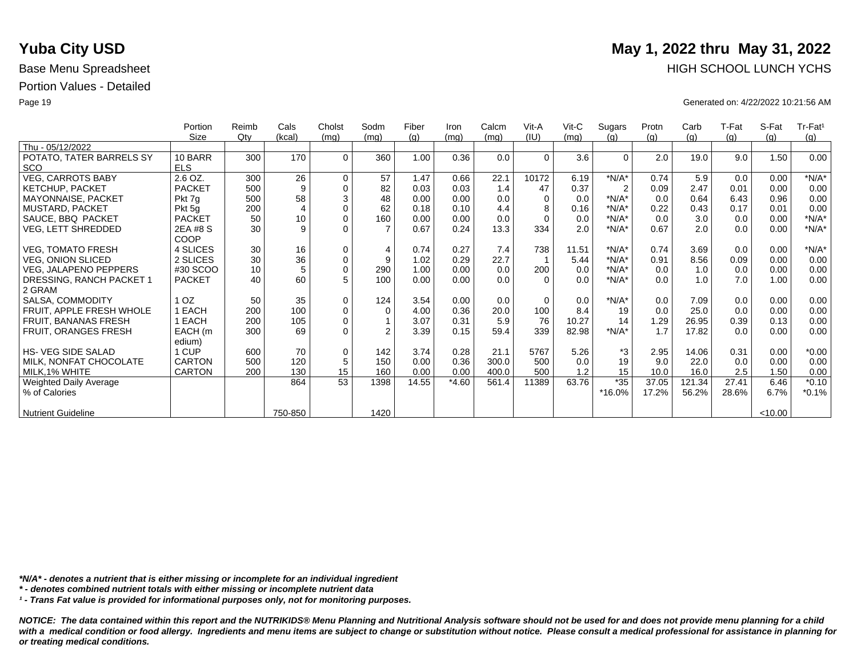|                              | Portion       | Reimb  | Cals           | Cholst      | Sodm           | Fiber | Iron    | Calcm | Vit-A    | $V$ it-C | Sugars         | Protn | Carb   | T-Fat | S-Fat   | $Tr-Fat1$ |
|------------------------------|---------------|--------|----------------|-------------|----------------|-------|---------|-------|----------|----------|----------------|-------|--------|-------|---------|-----------|
|                              | Size          | $Q$ ty | (kcal)         | (mq)        | (mq)           | (g)   | (mq)    | (mq)  | (IU)     | (mq)     | (q)            | (g)   | (g)    | (g)   | (q)     | (g)       |
| Thu - 05/12/2022             |               |        |                |             |                |       |         |       |          |          |                |       |        |       |         |           |
| POTATO, TATER BARRELS SY     | 10 BARR       | 300    | 170            | $\Omega$    | 360            | 1.00  | 0.36    | 0.0   | $\Omega$ | 3.6      | $\Omega$       | 2.0   | 19.0   | 9.0   | 1.50    | 0.00      |
| <b>SCO</b>                   | <b>ELS</b>    |        |                |             |                |       |         |       |          |          |                |       |        |       |         |           |
| <b>VEG, CARROTS BABY</b>     | 2.6 OZ.       | 300    | 26             | $\mathbf 0$ | 57             | 1.47  | 0.66    | 22.1  | 10172    | 6.19     | $*N/A*$        | 0.74  | 5.9    | 0.0   | 0.00    | $*N/A*$   |
| KETCHUP, PACKET              | <b>PACKET</b> | 500    | 9              | $\mathbf 0$ | 82             | 0.03  | 0.03    | 1.4   | 47       | 0.37     | $\overline{2}$ | 0.09  | 2.47   | 0.01  | 0.00    | 0.00      |
| <b>MAYONNAISE, PACKET</b>    | Pkt 7g        | 500    | 58             | 3           | 48             | 0.00  | 0.00    | 0.0   |          | 0.0      | $*N/A*$        | 0.0   | 0.64   | 6.43  | 0.96    | 0.00      |
| <b>MUSTARD, PACKET</b>       | Pkt 5g        | 200    | $\overline{4}$ | $\Omega$    | 62             | 0.18  | 0.10    | 4.4   | 8        | 0.16     | $*N/A*$        | 0.22  | 0.43   | 0.17  | 0.01    | 0.00      |
| SAUCE, BBQ PACKET            | <b>PACKET</b> | 50     | 10             | $\mathbf 0$ | 160            | 0.00  | 0.00    | 0.0   | $\Omega$ | 0.0      | $*N/A*$        | 0.0   | 3.0    | 0.0   | 0.00    | $*N/A*$   |
| VEG, LETT SHREDDED           | 2EA #8 S      | 30     | 9              | $\Omega$    | $\overline{7}$ | 0.67  | 0.24    | 13.3  | 334      | 2.0      | $*N/A*$        | 0.67  | 2.0    | 0.0   | 0.00    | $*N/A*$   |
|                              | <b>COOP</b>   |        |                |             |                |       |         |       |          |          |                |       |        |       |         |           |
| <b>VEG, TOMATO FRESH</b>     | 4 SLICES      | 30     | 16             | $\mathbf 0$ | $\overline{4}$ | 0.74  | 0.27    | 7.4   | 738      | 11.51    | $*N/A*$        | 0.74  | 3.69   | 0.0   | 0.00    | $*N/A*$   |
| VEG, ONION SLICED            | 2 SLICES      | 30     | 36             | $\mathbf 0$ | 9              | 1.02  | 0.29    | 22.7  |          | 5.44     | $*N/A*$        | 0.91  | 8.56   | 0.09  | 0.00    | 0.00      |
| <b>VEG, JALAPENO PEPPERS</b> | #30 SCOO      | 10     | 5              | $\Omega$    | 290            | 1.00  | 0.00    | 0.0   | 200      | 0.0      | $*N/A*$        | 0.0   | 1.0    | 0.0   | 0.00    | 0.00      |
| DRESSING, RANCH PACKET 1     | <b>PACKET</b> | 40     | 60             | 5           | 100            | 0.00  | 0.00    | 0.0   | $\Omega$ | 0.0      | $*N/A*$        | 0.0   | 1.0    | 7.0   | 1.00    | 0.00      |
| 2 GRAM                       |               |        |                |             |                |       |         |       |          |          |                |       |        |       |         |           |
| SALSA, COMMODITY             | OZ.           | 50     | 35             | $\Omega$    | 124            | 3.54  | 0.00    | 0.0   | $\Omega$ | 0.0      | $*N/A*$        | 0.0   | 7.09   | 0.0   | 0.00    | 0.00      |
| FRUIT, APPLE FRESH WHOLE     | EACH          | 200    | 100            | $\mathbf 0$ | $\Omega$       | 4.00  | 0.36    | 20.0  | 100      | 8.4      | 19             | 0.0   | 25.0   | 0.0   | 0.00    | 0.00      |
| <b>FRUIT, BANANAS FRESH</b>  | EACH          | 200    | 105            | $\Omega$    |                | 3.07  | 0.31    | 5.9   | 76       | 10.27    | 14             | 1.29  | 26.95  | 0.39  | 0.13    | 0.00      |
| FRUIT, ORANGES FRESH         | EACH (m       | 300    | 69             | $\Omega$    | $\overline{2}$ | 3.39  | 0.15    | 59.4  | 339      | 82.98    | $*N/A*$        | 1.7   | 17.82  | 0.0   | 0.00    | 0.00      |
|                              | edium)        |        |                |             |                |       |         |       |          |          |                |       |        |       |         |           |
| HS-VEG SIDE SALAD            | 1 CUP         | 600    | 70             | $\Omega$    | 142            | 3.74  | 0.28    | 21.1  | 5767     | 5.26     | *3             | 2.95  | 14.06  | 0.31  | 0.00    | $*0.00$   |
| MILK, NONFAT CHOCOLATE       | <b>CARTON</b> | 500    | 120            | 5           | 150            | 0.00  | 0.36    | 300.0 | 500      | 0.0      | 19             | 9.0   | 22.0   | 0.0   | 0.00    | 0.00      |
| MILK,1% WHITE                | <b>CARTON</b> | 200    | 130            | 15          | 160            | 0.00  | 0.00    | 400.0 | 500      | 1.2      | 15             | 10.0  | 16.0   | 2.5   | 1.50    | 0.00      |
| Weighted Daily Average       |               |        | 864            | 53          | 1398           | 14.55 | $*4.60$ | 561.4 | 11389    | 63.76    | $*35$          | 37.05 | 121.34 | 27.41 | 6.46    | $*0.10$   |
| % of Calories                |               |        |                |             |                |       |         |       |          |          | *16.0%         | 17.2% | 56.2%  | 28.6% | 6.7%    | $*0.1%$   |
|                              |               |        |                |             |                |       |         |       |          |          |                |       |        |       |         |           |
| <b>Nutrient Guideline</b>    |               |        | 750-850        |             | 1420           |       |         |       |          |          |                |       |        |       | < 10.00 |           |

*\*N/A\* - denotes a nutrient that is either missing or incomplete for an individual ingredient*

*\* - denotes combined nutrient totals with either missing or incomplete nutrient data*

*¹ - Trans Fat value is provided for informational purposes only, not for monitoring purposes.*

*NOTICE: The data contained within this report and the NUTRIKIDS® Menu Planning and Nutritional Analysis software should not be used for and does not provide menu planning for a child*  with a medical condition or food allergy. Ingredients and menu items are subject to change or substitution without notice. Please consult a medical professional for assistance in planning for *or treating medical conditions.*

# **Yuba City USD** May 1, 2022 thru May 31, 2022 Base Menu Spreadsheet **HIGH SCHOOL LUNCH YCHS**

Page 19 Generated on: 4/22/2022 10:21:56 AM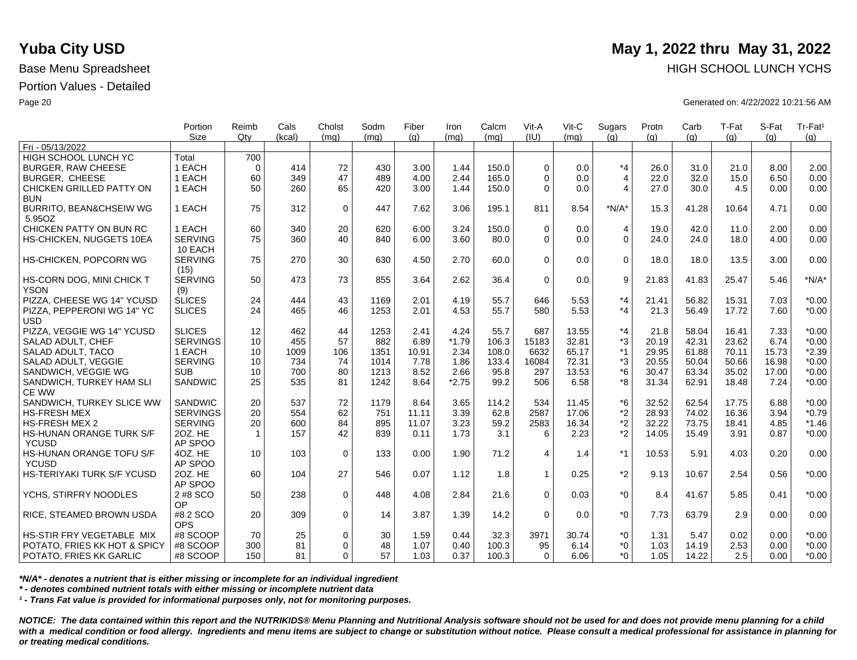|                                                         | Portion<br><b>Size</b> | Reimb<br>Qtv | Cals     | Cholst<br>(ma) | Sodm     | Fiber        | Iron         | Calcm<br>(mq) | Vit-A<br>(IU) | Vit-C<br>(mq) | Sugars<br>(q)  | Protn        | Carb          | T-Fat        | S-Fat        | Tr-Fat <sup>1</sup> |
|---------------------------------------------------------|------------------------|--------------|----------|----------------|----------|--------------|--------------|---------------|---------------|---------------|----------------|--------------|---------------|--------------|--------------|---------------------|
| Fri - 05/13/2022                                        |                        |              | (kcal)   |                | (mq)     | (q)          | (ma)         |               |               |               |                | (q)          | (q)           | (q)          | (q)          | (q)                 |
| <b>HIGH SCHOOL LUNCH YC</b>                             | Total                  | 700          |          |                |          |              |              |               |               |               |                |              |               |              |              |                     |
| <b>BURGER, RAW CHEESE</b>                               | 1 EACH                 | $\Omega$     | 414      | 72             | 430      | 3.00         | 1.44         | 150.0         | $\Omega$      | 0.0           | $*_{4}$        | 26.0         | 31.0          | 21.0         | 8.00         | 2.00                |
| <b>BURGER, CHEESE</b>                                   | 1 EACH                 | 60           | 349      | 47             | 489      | 4.00         | 2.44         | 165.0         | $\Omega$      | 0.0           | $\overline{4}$ | 22.0         | 32.0          | 15.0         | 6.50         | 0.00                |
| CHICKEN GRILLED PATTY ON                                | 1 EACH                 | 50           | 260      | 65             | 420      | 3.00         | 1.44         | 150.0         | $\Omega$      | 0.0           | $\overline{4}$ | 27.0         | 30.0          | 4.5          | 0.00         | 0.00                |
| <b>BUN</b>                                              |                        |              |          |                |          |              |              |               |               |               |                |              |               |              |              |                     |
| <b>BURRITO, BEAN&amp;CHSEIW WG</b>                      | 1 EACH                 | 75           | 312      | $\mathbf 0$    | 447      | 7.62         | 3.06         | 195.1         | 811           | 8.54          | $*N/A*$        | 15.3         | 41.28         | 10.64        | 4.71         | 0.00                |
| 5.95OZ                                                  |                        |              |          |                |          |              |              |               |               |               |                |              |               |              |              |                     |
| CHICKEN PATTY ON BUN RC                                 | 1 EACH                 | 60           | 340      | 20             | 620      | 6.00         | 3.24         | 150.0         | $\Omega$      | 0.0           | $\overline{4}$ | 19.0         | 42.0          | 11.0         | 2.00         | 0.00                |
| HS-CHICKEN, NUGGETS 10EA                                | <b>SERVING</b>         | 75           | 360      | 40             | 840      | 6.00         | 3.60         | 80.0          | $\Omega$      | 0.0           | $\overline{0}$ | 24.0         | 24.0          | 18.0         | 4.00         | 0.00                |
|                                                         | 10 EACH                |              |          |                |          |              |              |               |               |               |                |              |               |              |              |                     |
| HS-CHICKEN, POPCORN WG                                  | <b>SERVING</b>         | 75           | 270      | 30             | 630      | 4.50         | 2.70         | 60.0          | $\Omega$      | 0.0           | $\Omega$       | 18.0         | 18.0          | 13.5         | 3.00         | 0.00                |
|                                                         | (15)                   |              |          |                |          |              |              |               |               |               |                |              |               |              |              |                     |
| HS-CORN DOG, MINI CHICK T                               | <b>SERVING</b>         | 50           | 473      | 73             | 855      | 3.64         | 2.62         | 36.4          | $\mathbf 0$   | 0.0           | 9              | 21.83        | 41.83         | 25.47        | 5.46         | $*N/A*$             |
| <b>YSON</b>                                             | (9)                    |              |          |                |          |              |              |               |               |               |                |              |               |              |              |                     |
| PIZZA, CHEESE WG 14" YCUSD                              | <b>SLICES</b>          | 24           | 444      | 43             | 1169     | 2.01         | 4.19         | 55.7          | 646           | 5.53          | $*_{4}$        | 21.41        | 56.82         | 15.31        | 7.03         | $*0.00$             |
| PIZZA, PEPPERONI WG 14" YC                              | <b>SLICES</b>          | 24           | 465      | 46             | 1253     | 2.01         | 4.53         | 55.7          | 580           | 5.53          | $*_{4}$        | 21.3         | 56.49         | 17.72        | 7.60         | $*0.00$             |
| <b>USD</b>                                              |                        |              |          |                |          |              |              |               |               |               |                |              |               |              |              |                     |
| PIZZA, VEGGIE WG 14" YCUSD                              | <b>SLICES</b>          | 12           | 462      | 44             | 1253     | 2.41         | 4.24         | 55.7          | 687           | 13.55         | $*_{4}$        | 21.8         | 58.04         | 16.41        | 7.33         | $*0.00$             |
| SALAD ADULT, CHEF                                       | <b>SERVINGS</b>        | 10           | 455      | 57             | 882      | 6.89         | $*1.79$      | 106.3         | 15183         | 32.81         | *3             | 20.19        | 42.31         | 23.62        | 6.74         | $*0.00$             |
| SALAD ADULT, TACO                                       | 1 EACH                 | 10           | 1009     | 106            | 1351     | 10.91        | 2.34         | 108.0         | 6632          | 65.17         | $*1$           | 29.95        | 61.88         | 70.11        | 15.73        | $*2.39$             |
| SALAD ADULT, VEGGIE                                     | <b>SERVING</b>         | 10           | 734      | 74             | 1014     | 7.78         | 1.86         | 133.4         | 16084         | 72.31         | *3             | 20.55        | 50.04         | 50.66        | 16.98        | $*0.00$             |
| SANDWICH, VEGGIE WG                                     | <b>SUB</b>             | 10           | 700      | 80             | 1213     | 8.52         | 2.66         | 95.8          | 297           | 13.53         | $*6$           | 30.47        | 63.34         | 35.02        | 17.00        | $*0.00$             |
| SANDWICH, TURKEY HAM SLI                                | <b>SANDWIC</b>         | 25           | 535      | 81             | 1242     | 8.64         | $*2.75$      | 99.2          | 506           | 6.58          | *8             | 31.34        | 62.91         | 18.48        | 7.24         | $*0.00$             |
| <b>CE WW</b>                                            |                        |              |          |                |          |              |              |               |               |               |                |              |               |              |              |                     |
| SANDWICH, TURKEY SLICE WW                               | SANDWIC                | 20           | 537      | 72             | 1179     | 8.64         | 3.65         | 114.2         | 534           | 11.45         | *6             | 32.52        | 62.54         | 17.75        | 6.88         | $*0.00$             |
| <b>HS-FRESH MEX</b>                                     | <b>SERVINGS</b>        | 20           | 554      | 62             | 751      | 11.11        | 3.39         | 62.8          | 2587          | 17.06         | $*2$           | 28.93        | 74.02         | 16.36        | 3.94         | $*0.79$             |
| <b>HS-FRESH MEX 2</b>                                   | <b>SERVING</b>         | 20           | 600      | 84             | 895      | 11.07        | 3.23         | 59.2          | 2583          | 16.34         | $*2$           | 32.22        | 73.75         | 18.41        | 4.85         | $*1.46$             |
| <b>HS-HUNAN ORANGE TURK S/F</b>                         | 20Z. HE                | $\mathbf{1}$ | 157      | 42             | 839      | 0.11         | 1.73         | 3.1           | 6             | 2.23          | $*2$           | 14.05        | 15.49         | 3.91         | 0.87         | $*0.00$             |
| <b>YCUSD</b>                                            | AP SPOO                |              |          |                |          |              |              |               |               |               |                |              |               |              |              |                     |
| HS-HUNAN ORANGE TOFU S/F                                | 4OZ. HE                | 10           | 103      | $\mathbf 0$    | 133      | 0.00         | 1.90         | 71.2          | 4             | 1.4           | $*1$           | 10.53        | 5.91          | 4.03         | 0.20         | 0.00                |
| <b>YCUSD</b>                                            | AP SPOO                |              |          |                |          |              |              |               |               |               |                |              |               |              |              |                     |
| HS-TERIYAKI TURK S/F YCUSD                              | 20Z. HE                | 60           | 104      | 27             | 546      | 0.07         | 1.12         | 1.8           | $\mathbf{1}$  | 0.25          | $*2$           | 9.13         | 10.67         | 2.54         | 0.56         | $*0.00$             |
|                                                         | AP SPOO                |              |          |                |          |              |              |               |               |               |                |              |               |              |              |                     |
| YCHS, STIRFRY NOODLES                                   | 2 #8 SCO               | 50           | 238      | $\mathbf 0$    | 448      | 4.08         | 2.84         | 21.6          | $\Omega$      | 0.03          | $*_{0}$        | 8.4          | 41.67         | 5.85         | 0.41         | $*0.00$             |
|                                                         | OP                     |              |          |                |          |              |              |               |               |               |                |              |               |              |              |                     |
| RICE, STEAMED BROWN USDA                                | #8 2 SCO<br><b>OPS</b> | 20           | 309      | $\mathbf 0$    | 14       | 3.87         | 1.39         | 14.2          | $\Omega$      | 0.0           | $*_{0}$        | 7.73         | 63.79         | 2.9          | 0.00         | 0.00                |
| HS-STIR FRY VEGETABLE MIX                               |                        |              |          |                |          |              |              |               |               |               |                |              |               |              |              |                     |
|                                                         | #8 SCOOP<br>#8 SCOOP   | 70<br>300    | 25<br>81 | 0<br>$\Omega$  | 30<br>48 | 1.59<br>1.07 | 0.44<br>0.40 | 32.3<br>100.3 | 3971<br>95    | 30.74<br>6.14 | $^*0$<br>$^*0$ | 1.31<br>1.03 | 5.47<br>14.19 | 0.02<br>2.53 | 0.00<br>0.00 | $*0.00$<br>$*0.00$  |
| POTATO, FRIES KK HOT & SPICY<br>POTATO, FRIES KK GARLIC | #8 SCOOP               | 150          | 81       | $\Omega$       | 57       | 1.03         | 0.37         | 100.3         | $\Omega$      | 6.06          | $^*0$          | 1.05         | 14.22         | 2.5          | 0.00         | $*0.00$             |
|                                                         |                        |              |          |                |          |              |              |               |               |               |                |              |               |              |              |                     |

*\*N/A\* - denotes a nutrient that is either missing or incomplete for an individual ingredient*

*\* - denotes combined nutrient totals with either missing or incomplete nutrient data*

*¹ - Trans Fat value is provided for informational purposes only, not for monitoring purposes.*

*NOTICE: The data contained within this report and the NUTRIKIDS® Menu Planning and Nutritional Analysis software should not be used for and does not provide menu planning for a child*  with a medical condition or food allergy. Ingredients and menu items are subject to change or substitution without notice. Please consult a medical professional for assistance in planning for *or treating medical conditions.*

## **Yuba City USD** May 1, 2022 thru May 31, 2022 Base Menu Spreadsheet **HIGH SCHOOL LUNCH YCHS HIGH SCHOOL LUNCH YCHS**

Page 20 Generated on: 4/22/2022 10:21:56 AM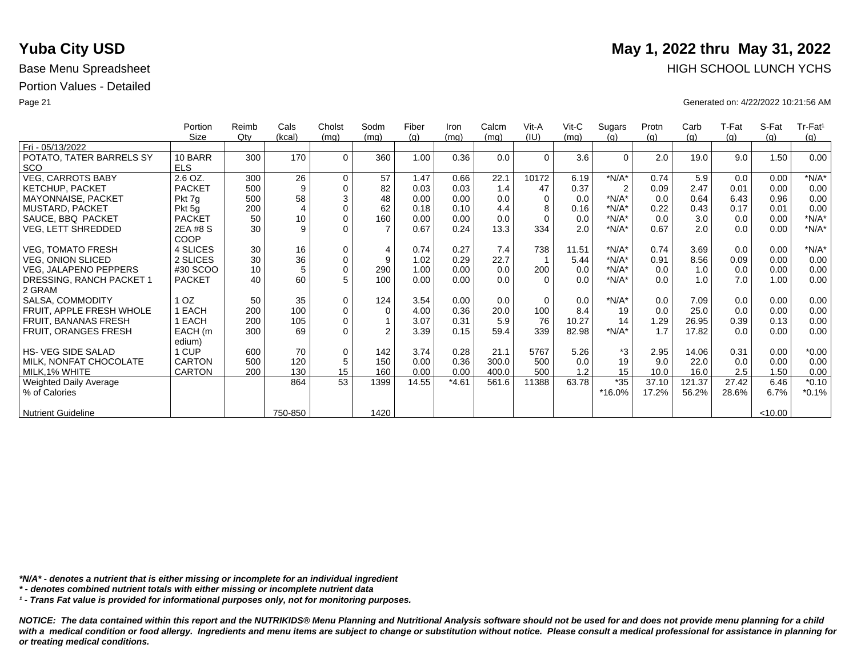|                           | Portion       | Reimb | Cals           | Cholst      | Sodm           | Fiber | Iron    | Calcm | Vit-A    | $V$ it-C | Sugars         | Protn | Carb   | T-Fat | S-Fat   | Tr-Fat <sup>1</sup> |
|---------------------------|---------------|-------|----------------|-------------|----------------|-------|---------|-------|----------|----------|----------------|-------|--------|-------|---------|---------------------|
|                           | Size          | Qty   | (kcal)         | (mq)        | (mq)           | (q)   | (mq)    | (mq)  | (IU)     | (mq)     | (q)            | (q)   | (g)    | (g)   | (q)     | (g)                 |
| Fri - 05/13/2022          |               |       |                |             |                |       |         |       |          |          |                |       |        |       |         |                     |
| POTATO, TATER BARRELS SY  | 10 BARR       | 300   | 170            | $\Omega$    | 360            | 1.00  | 0.36    | 0.0   | $\Omega$ | 3.6      | $\Omega$       | 2.0   | 19.0   | 9.0   | 1.50    | 0.00                |
| <b>SCO</b>                | <b>ELS</b>    |       |                |             |                |       |         |       |          |          |                |       |        |       |         |                     |
| <b>VEG, CARROTS BABY</b>  | 2.6 OZ.       | 300   | 26             | $\mathbf 0$ | 57             | 1.47  | 0.66    | 22.1  | 10172    | 6.19     | $*N/A*$        | 0.74  | 5.9    | 0.0   | 0.00    | $*N/A*$             |
| <b>KETCHUP, PACKET</b>    | <b>PACKET</b> | 500   | 9              | $\mathbf 0$ | 82             | 0.03  | 0.03    | 1.4   | 47       | 0.37     | $\overline{2}$ | 0.09  | 2.47   | 0.01  | 0.00    | 0.00                |
| MAYONNAISE, PACKET        | Pkt 7g        | 500   | 58             | $\sqrt{3}$  | 48             | 0.00  | 0.00    | 0.0   | $\Omega$ | 0.0      | $*N/A*$        | 0.0   | 0.64   | 6.43  | 0.96    | 0.00                |
| MUSTARD, PACKET           | Pkt 5g        | 200   | $\overline{4}$ | $\mathbf 0$ | 62             | 0.18  | 0.10    | 4.4   | 8        | 0.16     | $*N/A*$        | 0.22  | 0.43   | 0.17  | 0.01    | 0.00                |
| SAUCE, BBQ PACKET         | <b>PACKET</b> | 50    | 10             | $\mathbf 0$ | 160            | 0.00  | 0.00    | 0.0   | $\Omega$ | 0.0      | $*N/A*$        | 0.0   | 3.0    | 0.0   | 0.00    | $*N/A*$             |
| VEG, LETT SHREDDED        | 2EA #8 S      | 30    | 9              | $\Omega$    |                | 0.67  | 0.24    | 13.3  | 334      | 2.0      | $*N/A*$        | 0.67  | 2.0    | 0.0   | 0.00    | $*N/A*$             |
|                           | COOP          |       |                |             |                |       |         |       |          |          |                |       |        |       |         |                     |
| <b>VEG, TOMATO FRESH</b>  | 4 SLICES      | 30    | 16             | $\mathbf 0$ | $\overline{4}$ | 0.74  | 0.27    | 7.4   | 738      | 11.51    | $*N/A*$        | 0.74  | 3.69   | 0.0   | 0.00    | $*N/A*$             |
| <b>VEG, ONION SLICED</b>  | 2 SLICES      | 30    | 36             | $\pmb{0}$   | 9              | 1.02  | 0.29    | 22.7  |          | 5.44     | $*N/A*$        | 0.91  | 8.56   | 0.09  | 0.00    | 0.00                |
| VEG, JALAPENO PEPPERS     | #30 SCOO      | 10    | 5              | $\pmb{0}$   | 290            | 1.00  | 0.00    | 0.0   | 200      | 0.0      | $*N/A*$        | 0.0   | 1.0    | 0.0   | 0.00    | 0.00                |
| DRESSING, RANCH PACKET 1  | <b>PACKET</b> | 40    | 60             | 5           | 100            | 0.00  | 0.00    | 0.0   | $\Omega$ | 0.0      | $*N/A*$        | 0.0   | 1.0    | 7.0   | 1.00    | 0.00                |
| 2 GRAM                    |               |       |                |             |                |       |         |       |          |          |                |       |        |       |         |                     |
| SALSA, COMMODITY          | OZ.           | 50    | 35             | $\mathbf 0$ | 124            | 3.54  | 0.00    | 0.0   | $\Omega$ | 0.0      | $*N/A*$        | 0.0   | 7.09   | 0.0   | 0.00    | 0.00                |
| FRUIT, APPLE FRESH WHOLE  | EACH          | 200   | 100            | $\pmb{0}$   | $\Omega$       | 4.00  | 0.36    | 20.0  | 100      | 8.4      | 19             | 0.0   | 25.0   | 0.0   | 0.00    | 0.00                |
| FRUIT, BANANAS FRESH      | EACH          | 200   | 105            | $\mathbf 0$ |                | 3.07  | 0.31    | 5.9   | 76       | 10.27    | 14             | 1.29  | 26.95  | 0.39  | 0.13    | 0.00                |
| FRUIT, ORANGES FRESH      | EACH (m       | 300   | 69             | $\Omega$    | $\mathfrak{p}$ | 3.39  | 0.15    | 59.4  | 339      | 82.98    | $*N/A*$        | 1.7   | 17.82  | 0.0   | 0.00    | 0.00                |
|                           | edium)        |       |                |             |                |       |         |       |          |          |                |       |        |       |         |                     |
| <b>HS-VEG SIDE SALAD</b>  | 1 CUP         | 600   | 70             | $\mathbf 0$ | 142            | 3.74  | 0.28    | 21.1  | 5767     | 5.26     | *3             | 2.95  | 14.06  | 0.31  | 0.00    | $*0.00$             |
| MILK, NONFAT CHOCOLATE    | <b>CARTON</b> | 500   | 120            | $\sqrt{5}$  | 150            | 0.00  | 0.36    | 300.0 | 500      | 0.0      | 19             | 9.0   | 22.0   | 0.0   | 0.00    | 0.00                |
| MILK, 1% WHITE            | CARTON        | 200   | 130            | 15          | 160            | 0.00  | 0.00    | 400.0 | 500      | 1.2      | 15             | 10.0  | 16.0   | 2.5   | 1.50    | 0.00                |
| Weighted Daily Average    |               |       | 864            | 53          | 1399           | 14.55 | $*4.61$ | 561.6 | 11388    | 63.78    | $*35$          | 37.10 | 121.37 | 27.42 | 6.46    | $*0.10$             |
| % of Calories             |               |       |                |             |                |       |         |       |          |          | *16.0%         | 17.2% | 56.2%  | 28.6% | 6.7%    | $*0.1%$             |
|                           |               |       |                |             |                |       |         |       |          |          |                |       |        |       |         |                     |
| <b>Nutrient Guideline</b> |               |       | 750-850        |             | 1420           |       |         |       |          |          |                |       |        |       | < 10.00 |                     |

*\*N/A\* - denotes a nutrient that is either missing or incomplete for an individual ingredient*

*\* - denotes combined nutrient totals with either missing or incomplete nutrient data*

*¹ - Trans Fat value is provided for informational purposes only, not for monitoring purposes.*

*NOTICE: The data contained within this report and the NUTRIKIDS® Menu Planning and Nutritional Analysis software should not be used for and does not provide menu planning for a child*  with a medical condition or food allergy. Ingredients and menu items are subject to change or substitution without notice. Please consult a medical professional for assistance in planning for *or treating medical conditions.*

# **Yuba City USD** May 1, 2022 thru May 31, 2022 Base Menu Spreadsheet **HIGH SCHOOL LUNCH YCHS HIGH SCHOOL LUNCH YCHS**

Page 21 Generated on: 4/22/2022 10:21:56 AM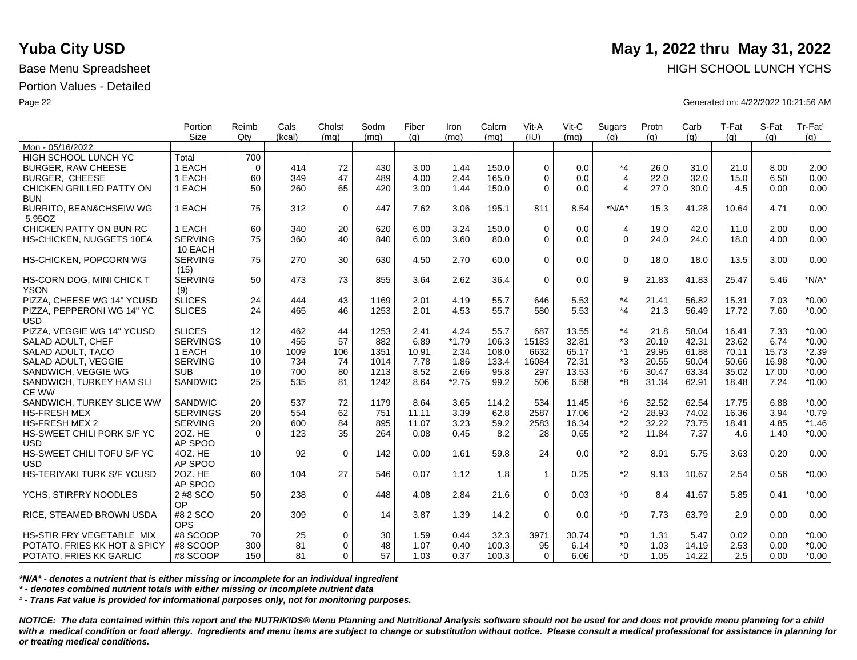|                                    | Portion         | Reimb       | Cals   | Cholst      | Sodm | Fiber | Iron    | Calcm | Vit-A          | $V$ it-C | Sugars         | Protn | Carb  | T-Fat | S-Fat | Tr-Fat <sup>1</sup> |
|------------------------------------|-----------------|-------------|--------|-------------|------|-------|---------|-------|----------------|----------|----------------|-------|-------|-------|-------|---------------------|
| Mon - 05/16/2022                   | <b>Size</b>     | Qtv         | (kcal) | (mq)        | (mq) | (q)   | (mq)    | (mq)  | (IU)           | (mq)     | (q)            | (q)   | (q)   | (q)   | (q)   | (g)                 |
| HIGH SCHOOL LUNCH YC               | Total           | 700         |        |             |      |       |         |       |                |          |                |       |       |       |       |                     |
| <b>BURGER, RAW CHEESE</b>          | 1 EACH          | $\mathbf 0$ | 414    | 72          | 430  | 3.00  | 1.44    | 150.0 | $\Omega$       | 0.0      | $*_{4}$        | 26.0  | 31.0  | 21.0  | 8.00  | 2.00                |
| <b>BURGER, CHEESE</b>              | 1 EACH          | 60          | 349    | 47          | 489  | 4.00  | 2.44    | 165.0 | $\Omega$       | 0.0      | $\overline{4}$ | 22.0  | 32.0  | 15.0  | 6.50  | 0.00                |
| CHICKEN GRILLED PATTY ON           | 1 EACH          | 50          | 260    | 65          | 420  | 3.00  | 1.44    | 150.0 | $\Omega$       | 0.0      | 4              | 27.0  | 30.0  | 4.5   | 0.00  | 0.00                |
| <b>BUN</b>                         |                 |             |        |             |      |       |         |       |                |          |                |       |       |       |       |                     |
| <b>BURRITO, BEAN&amp;CHSEIW WG</b> | 1 EACH          | 75          | 312    | $\mathbf 0$ | 447  | 7.62  | 3.06    | 195.1 | 811            | 8.54     | $*N/A*$        | 15.3  | 41.28 | 10.64 | 4.71  | 0.00                |
| 5.95OZ                             |                 |             |        |             |      |       |         |       |                |          |                |       |       |       |       |                     |
| CHICKEN PATTY ON BUN RC            | 1 EACH          | 60          | 340    | 20          | 620  | 6.00  | 3.24    | 150.0 | $\Omega$       | 0.0      | $\overline{4}$ | 19.0  | 42.0  | 11.0  | 2.00  | 0.00                |
| HS-CHICKEN, NUGGETS 10EA           | <b>SERVING</b>  | 75          | 360    | 40          | 840  | 6.00  | 3.60    | 80.0  | $\mathbf 0$    | 0.0      | $\Omega$       | 24.0  | 24.0  | 18.0  | 4.00  | 0.00                |
|                                    | 10 EACH         |             |        |             |      |       |         |       |                |          |                |       |       |       |       |                     |
| HS-CHICKEN, POPCORN WG             | <b>SERVING</b>  | 75          | 270    | 30          | 630  | 4.50  | 2.70    | 60.0  | $\Omega$       | 0.0      | $\Omega$       | 18.0  | 18.0  | 13.5  | 3.00  | 0.00                |
|                                    | (15)            |             |        |             |      |       |         |       |                |          |                |       |       |       |       |                     |
| HS-CORN DOG, MINI CHICK T          | <b>SERVING</b>  | 50          | 473    | 73          | 855  | 3.64  | 2.62    | 36.4  | $\mathbf 0$    | 0.0      | 9              | 21.83 | 41.83 | 25.47 | 5.46  | $*N/A*$             |
| <b>YSON</b>                        | (9)             |             |        |             |      |       |         |       |                |          |                |       |       |       |       |                     |
| PIZZA, CHEESE WG 14" YCUSD         | <b>SLICES</b>   | 24          | 444    | 43          | 1169 | 2.01  | 4.19    | 55.7  | 646            | 5.53     | $*_{4}$        | 21.41 | 56.82 | 15.31 | 7.03  | $*0.00$             |
| PIZZA, PEPPERONI WG 14" YC         | <b>SLICES</b>   | 24          | 465    | 46          | 1253 | 2.01  | 4.53    | 55.7  | 580            | 5.53     | *4             | 21.3  | 56.49 | 17.72 | 7.60  | $*0.00$             |
| <b>USD</b>                         |                 |             |        |             |      |       |         |       |                |          |                |       |       |       |       |                     |
| PIZZA, VEGGIE WG 14" YCUSD         | <b>SLICES</b>   | 12          | 462    | 44          | 1253 | 2.41  | 4.24    | 55.7  | 687            | 13.55    | $*_{4}$        | 21.8  | 58.04 | 16.41 | 7.33  | $*0.00$             |
| SALAD ADULT, CHEF                  | <b>SERVINGS</b> | 10          | 455    | 57          | 882  | 6.89  | $*1.79$ | 106.3 | 15183          | 32.81    | *3             | 20.19 | 42.31 | 23.62 | 6.74  | $*0.00$             |
| SALAD ADULT, TACO                  | 1 EACH          | 10          | 1009   | 106         | 1351 | 10.91 | 2.34    | 108.0 | 6632           | 65.17    | $*1$           | 29.95 | 61.88 | 70.11 | 15.73 | $*2.39$             |
| SALAD ADULT, VEGGIE                | <b>SERVING</b>  | 10          | 734    | 74          | 1014 | 7.78  | 1.86    | 133.4 | 16084          | 72.31    | *3             | 20.55 | 50.04 | 50.66 | 16.98 | $*0.00$             |
| SANDWICH, VEGGIE WG                | <b>SUB</b>      | 10          | 700    | 80          | 1213 | 8.52  | 2.66    | 95.8  | 297            | 13.53    | $*6$           | 30.47 | 63.34 | 35.02 | 17.00 | $*0.00$             |
| SANDWICH, TURKEY HAM SLI           | SANDWIC         | 25          | 535    | 81          | 1242 | 8.64  | $*2.75$ | 99.2  | 506            | 6.58     | *8             | 31.34 | 62.91 | 18.48 | 7.24  | $*0.00$             |
| <b>CE WW</b>                       |                 |             |        |             |      |       |         |       |                |          |                |       |       |       |       |                     |
| SANDWICH, TURKEY SLICE WW          | SANDWIC         | 20          | 537    | 72          | 1179 | 8.64  | 3.65    | 114.2 | 534            | 11.45    | $*6$           | 32.52 | 62.54 | 17.75 | 6.88  | $*0.00$             |
| <b>HS-FRESH MEX</b>                | <b>SERVINGS</b> | 20          | 554    | 62          | 751  | 11.11 | 3.39    | 62.8  | 2587           | 17.06    | $*_{2}$        | 28.93 | 74.02 | 16.36 | 3.94  | $*0.79$             |
| <b>HS-FRESH MEX 2</b>              | <b>SERVING</b>  | 20          | 600    | 84          | 895  | 11.07 | 3.23    | 59.2  | 2583           | 16.34    | *2             | 32.22 | 73.75 | 18.41 | 4.85  | $*1.46$             |
| HS-SWEET CHILI PORK S/F YC         | 20Z. HE         | $\Omega$    | 123    | 35          | 264  | 0.08  | 0.45    | 8.2   | 28             | 0.65     | *2             | 11.84 | 7.37  | 4.6   | 1.40  | $*0.00$             |
| <b>USD</b>                         | AP SPOO         |             |        |             |      |       |         |       |                |          |                |       |       |       |       |                     |
| HS-SWEET CHILI TOFU S/F YC         | 4OZ. HE         | 10          | 92     | $\mathbf 0$ | 142  | 0.00  | 1.61    | 59.8  | 24             | 0.0      | $*_{2}$        | 8.91  | 5.75  | 3.63  | 0.20  | 0.00                |
| <b>USD</b>                         | AP SPOO         |             |        |             |      |       |         |       |                |          |                |       |       |       |       |                     |
| HS-TERIYAKI TURK S/F YCUSD         | 20Z. HE         | 60          | 104    | 27          | 546  | 0.07  | 1.12    | 1.8   | $\overline{1}$ | 0.25     | $*_{2}$        | 9.13  | 10.67 | 2.54  | 0.56  | $*0.00$             |
|                                    | AP SPOO         |             |        |             |      |       |         |       |                |          |                |       |       |       |       |                     |
| YCHS, STIRFRY NOODLES              | 2 #8 SCO        | 50          | 238    | $\mathbf 0$ | 448  | 4.08  | 2.84    | 21.6  | $\Omega$       | 0.03     | $*0$           | 8.4   | 41.67 | 5.85  | 0.41  | $*0.00$             |
|                                    | OP              |             |        |             |      |       |         |       |                |          |                |       |       |       |       |                     |
| RICE, STEAMED BROWN USDA           | #8 2 SCO        | 20          | 309    | $\mathbf 0$ | 14   | 3.87  | 1.39    | 14.2  | $\Omega$       | 0.0      | $*0$           | 7.73  | 63.79 | 2.9   | 0.00  | 0.00                |
|                                    | <b>OPS</b>      |             |        |             |      |       |         |       |                |          |                |       |       |       |       |                     |
| HS-STIR FRY VEGETABLE MIX          | #8 SCOOP        | 70          | 25     | $\mathbf 0$ | 30   | 1.59  | 0.44    | 32.3  | 3971           | 30.74    | *0             | 1.31  | 5.47  | 0.02  | 0.00  | $*0.00$             |
| POTATO, FRIES KK HOT & SPICY       | #8 SCOOP        | 300         | 81     | $\Omega$    | 48   | 1.07  | 0.40    | 100.3 | 95             | 6.14     | $^*0$          | 1.03  | 14.19 | 2.53  | 0.00  | $*0.00$             |
| POTATO, FRIES KK GARLIC            | #8 SCOOP        | 150         | 81     | $\Omega$    | 57   | 1.03  | 0.37    | 100.3 | $\Omega$       | 6.06     | $^*0$          | 1.05  | 14.22 | 2.5   | 0.00  | $*0.00$             |

*\*N/A\* - denotes a nutrient that is either missing or incomplete for an individual ingredient*

*\* - denotes combined nutrient totals with either missing or incomplete nutrient data*

*¹ - Trans Fat value is provided for informational purposes only, not for monitoring purposes.*

*NOTICE: The data contained within this report and the NUTRIKIDS® Menu Planning and Nutritional Analysis software should not be used for and does not provide menu planning for a child*  with a medical condition or food allergy. Ingredients and menu items are subject to change or substitution without notice. Please consult a medical professional for assistance in planning for *or treating medical conditions.*

## **Yuba City USD** May 1, 2022 thru May 31, 2022 Base Menu Spreadsheet **HIGH SCHOOL LUNCH YCHS HIGH SCHOOL LUNCH YCHS**

Page 22 Generated on: 4/22/2022 10:21:56 AM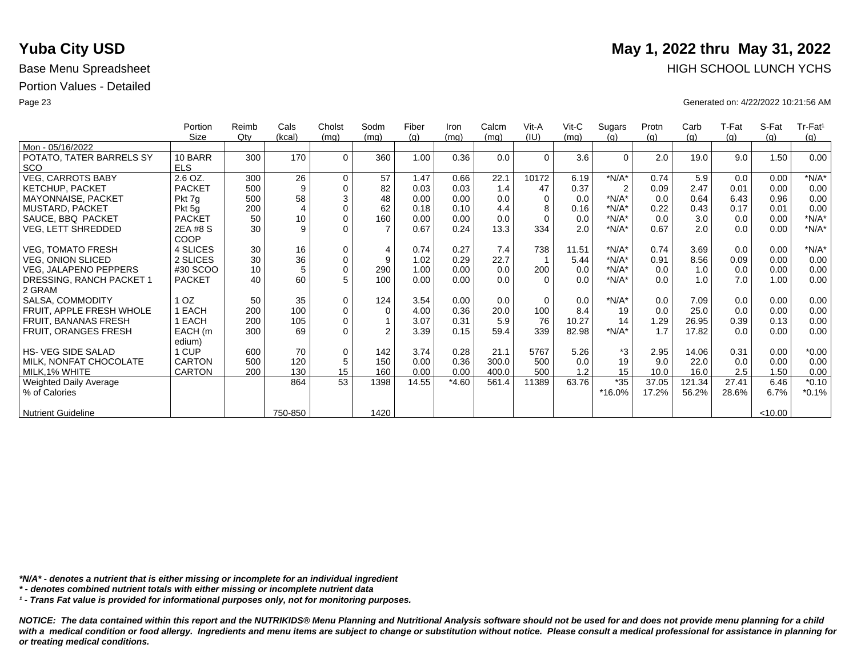|                                        | Portion<br>Size       | Reimb<br>$Q$ ty | Cals<br>(kcal) | Cholst<br>(mq) | Sodm<br>(mq) | Fiber<br>(g) | Iron<br>(mq) | Calcm<br>(mq) | Vit-A<br>(IU) | $V$ it-C<br>(mq) | Sugars<br>(q)  | Protn<br>(g) | Carb<br>(g) | T-Fat<br>(q) | S-Fat<br>(q) | Tr-Fat <sup>1</sup><br>(g) |
|----------------------------------------|-----------------------|-----------------|----------------|----------------|--------------|--------------|--------------|---------------|---------------|------------------|----------------|--------------|-------------|--------------|--------------|----------------------------|
| Mon - 05/16/2022                       |                       |                 |                |                |              |              |              |               |               |                  |                |              |             |              |              |                            |
| POTATO, TATER BARRELS SY<br><b>SCO</b> | 10 BARR<br><b>ELS</b> | 300             | 170            | $\Omega$       | 360          | 1.00         | 0.36         | 0.0           | $\Omega$      | 3.6              | $\Omega$       | 2.0          | 19.0        | 9.0          | 1.50         | 0.00                       |
| <b>VEG, CARROTS BABY</b>               | 2.6 OZ.               | 300             | 26             | $\mathbf 0$    | 57           | 1.47         | 0.66         | 22.1          | 10172         | 6.19             | $*N/A*$        | 0.74         | 5.9         | 0.0          | 0.00         | $*N/A*$                    |
| <b>KETCHUP, PACKET</b>                 | <b>PACKET</b>         | 500             | 9              | $\Omega$       | 82           | 0.03         | 0.03         | 1.4           | 47            | 0.37             | $\overline{2}$ | 0.09         | 2.47        | 0.01         | 0.00         | 0.00                       |
| MAYONNAISE, PACKET                     | Pkt 7g                | 500             | 58             | 3              | 48           | 0.00         | 0.00         | 0.0           | 0             | 0.0              | $*N/A*$        | 0.0          | 0.64        | 6.43         | 0.96         | 0.00                       |
| <b>MUSTARD, PACKET</b>                 | Pkt 5g                | 200             | 4              | $\Omega$       | 62           | 0.18         | 0.10         | 4.4           |               | 0.16             | $*N/A*$        | 0.22         | 0.43        | 0.17         | 0.01         | 0.00                       |
| SAUCE, BBQ PACKET                      | <b>PACKET</b>         | 50              | 10             | $\mathbf 0$    | 160          | 0.00         | 0.00         | 0.0           | $\Omega$      | 0.0              | $*N/A*$        | 0.0          | 3.0         | 0.0          | 0.00         | $*N/A*$                    |
| <b>VEG, LETT SHREDDED</b>              | 2EA #8 S<br>COOP      | 30              | 9              | $\Omega$       |              | 0.67         | 0.24         | 13.3          | 334           | 2.0              | $*N/A*$        | 0.67         | 2.0         | 0.0          | 0.00         | $*N/A*$                    |
| <b>VEG, TOMATO FRESH</b>               | 4 SLICES              | 30              | 16             | $\mathbf 0$    | 4            | 0.74         | 0.27         | 7.4           | 738           | 11.51            | $*N/A*$        | 0.74         | 3.69        | 0.0          | 0.00         | $*N/A*$                    |
| <b>VEG, ONION SLICED</b>               | 2 SLICES              | 30              | 36             | $\mathbf 0$    | 9            | 1.02         | 0.29         | 22.7          |               | 5.44             | $*N/A*$        | 0.91         | 8.56        | 0.09         | 0.00         | 0.00                       |
| <b>VEG, JALAPENO PEPPERS</b>           | #30 SCOO              | 10              | 5              | $\mathbf 0$    | 290          | 1.00         | 0.00         | 0.0           | 200           | 0.0              | $*N/A*$        | 0.0          | 1.0         | 0.0          | 0.00         | 0.00                       |
| DRESSING, RANCH PACKET 1               | <b>PACKET</b>         | 40              | 60             | 5              | 100          | 0.00         | 0.00         | 0.0           | $\Omega$      | 0.0              | $*N/A*$        | 0.0          | 1.0         | 7.0          | 1.00         | 0.00                       |
| 2 GRAM                                 |                       |                 |                |                |              |              |              |               |               |                  |                |              |             |              |              |                            |
| SALSA, COMMODITY                       | 1 <sub>OZ</sub>       | 50              | 35             | $\mathbf 0$    | 124          | 3.54         | 0.00         | 0.0           | $\Omega$      | 0.0              | $*N/A*$        | 0.0          | 7.09        | 0.0          | 0.00         | 0.00                       |
| FRUIT, APPLE FRESH WHOLE               | <b>EACH</b>           | 200             | 100            | $\mathbf 0$    | $\Omega$     | 4.00         | 0.36         | 20.0          | 100           | 8.4              | 19             | 0.0          | 25.0        | 0.0          | 0.00         | 0.00                       |
| FRUIT, BANANAS FRESH                   | EACH                  | 200             | 105            | $\mathbf 0$    |              | 3.07         | 0.31         | 5.9           | 76            | 10.27            | 14             | 1.29         | 26.95       | 0.39         | 0.13         | 0.00                       |
| FRUIT, ORANGES FRESH                   | EACH (m               | 300             | 69             | $\Omega$       | 2            | 3.39         | 0.15         | 59.4          | 339           | 82.98            | $*N/A*$        | 1.7          | 17.82       | 0.0          | 0.00         | 0.00                       |
|                                        | edium)                |                 |                |                |              |              |              |               |               |                  |                |              |             |              |              |                            |
| <b>HS- VEG SIDE SALAD</b>              | 1 CUP                 | 600             | 70             | $\mathbf 0$    | 142          | 3.74         | 0.28         | 21.1          | 5767          | 5.26             | *3             | 2.95         | 14.06       | 0.31         | 0.00         | $*0.00$                    |
| MILK, NONFAT CHOCOLATE                 | <b>CARTON</b>         | 500             | 120            | 5              | 150          | 0.00         | 0.36         | 300.0         | 500           | 0.0              | 19             | 9.0          | 22.0        | 0.0          | 0.00         | 0.00                       |
| MILK, 1% WHITE                         | <b>CARTON</b>         | 200             | 130            | 15             | 160          | 0.00         | 0.00         | 400.0         | 500           | 1.2              | 15             | 10.0         | 16.0        | 2.5          | 1.50         | 0.00                       |
| Weighted Daily Average                 |                       |                 | 864            | 53             | 1398         | 14.55        | $*4.60$      | 561.4         | 11389         | 63.76            | $*35$          | 37.05        | 121.34      | 27.41        | 6.46         | $*0.10$                    |
| % of Calories                          |                       |                 |                |                |              |              |              |               |               |                  | *16.0%         | 17.2%        | 56.2%       | 28.6%        | 6.7%         | $*0.1%$                    |
| <b>Nutrient Guideline</b>              |                       |                 | 750-850        |                | 1420         |              |              |               |               |                  |                |              |             |              | < 10.00      |                            |

*\*N/A\* - denotes a nutrient that is either missing or incomplete for an individual ingredient*

*\* - denotes combined nutrient totals with either missing or incomplete nutrient data*

*¹ - Trans Fat value is provided for informational purposes only, not for monitoring purposes.*

*NOTICE: The data contained within this report and the NUTRIKIDS® Menu Planning and Nutritional Analysis software should not be used for and does not provide menu planning for a child*  with a medical condition or food allergy. Ingredients and menu items are subject to change or substitution without notice. Please consult a medical professional for assistance in planning for *or treating medical conditions.*

# **Yuba City USD** May 1, 2022 thru May 31, 2022 Base Menu Spreadsheet **HIGH SCHOOL LUNCH YCHS**

Page 23 Generated on: 4/22/2022 10:21:56 AM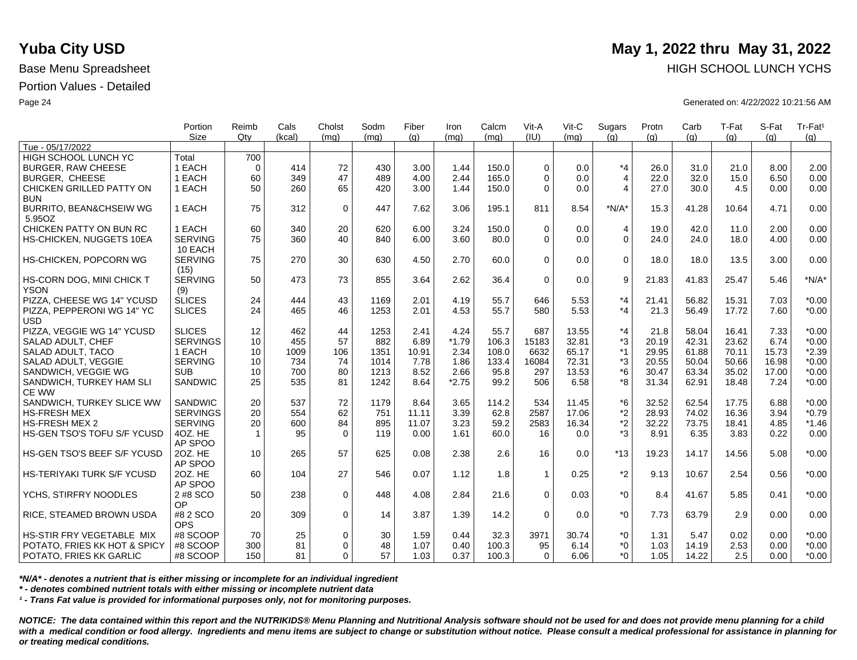|                                   | Portion<br><b>Size</b> | Reimb<br>Qtv | Cals<br>(kcal) | Cholst<br>(mq) | Sodm<br>(mq) | Fiber<br>(q) | Iron<br>(mq) | Calcm<br>(mq) | Vit-A<br>(III) | Vit-C<br>(mq) | Sugars<br>(q)  | Protn<br>(q) | Carb<br>(q) | T-Fat<br>(q) | S-Fat<br>(q) | Tr-Fat <sup>1</sup><br>(g) |
|-----------------------------------|------------------------|--------------|----------------|----------------|--------------|--------------|--------------|---------------|----------------|---------------|----------------|--------------|-------------|--------------|--------------|----------------------------|
| Tue - 05/17/2022                  |                        |              |                |                |              |              |              |               |                |               |                |              |             |              |              |                            |
| HIGH SCHOOL LUNCH YC              | Total                  | 700          |                |                |              |              |              |               |                |               |                |              |             |              |              |                            |
| <b>BURGER, RAW CHEESE</b>         | 1 EACH                 | $\mathbf 0$  | 414            | 72             | 430          | 3.00         | 1.44         | 150.0         | $\Omega$       | 0.0           | $*_{4}$        | 26.0         | 31.0        | 21.0         | 8.00         | 2.00                       |
| <b>BURGER, CHEESE</b>             | 1 EACH                 | 60           | 349            | 47             | 489          | 4.00         | 2.44         | 165.0         | $\Omega$       | 0.0           | $\overline{4}$ | 22.0         | 32.0        | 15.0         | 6.50         | 0.00                       |
| CHICKEN GRILLED PATTY ON          | 1 EACH                 | 50           | 260            | 65             | 420          | 3.00         | 1.44         | 150.0         | $\Omega$       | 0.0           | $\overline{4}$ | 27.0         | 30.0        | 4.5          | 0.00         | 0.00                       |
| <b>BUN</b>                        |                        |              |                |                |              |              |              |               |                |               |                |              |             |              |              |                            |
| BURRITO, BEAN&CHSEIW WG           | 1 EACH                 | 75           | 312            | $\mathbf 0$    | 447          | 7.62         | 3.06         | 195.1         | 811            | 8.54          | $*N/A*$        | 15.3         | 41.28       | 10.64        | 4.71         | 0.00                       |
| 5.95OZ                            |                        |              |                |                |              |              |              |               |                |               |                |              |             |              |              |                            |
| CHICKEN PATTY ON BUN RC           | 1 EACH                 | 60           | 340            | 20             | 620          | 6.00         | 3.24         | 150.0         | $\Omega$       | 0.0           | 4              | 19.0         | 42.0        | 11.0         | 2.00         | 0.00                       |
| HS-CHICKEN, NUGGETS 10EA          | <b>SERVING</b>         | 75           | 360            | 40             | 840          | 6.00         | 3.60         | 80.0          | $\Omega$       | 0.0           | $\Omega$       | 24.0         | 24.0        | 18.0         | 4.00         | 0.00                       |
|                                   | 10 EACH                |              |                |                |              |              |              |               |                |               |                |              |             |              |              |                            |
| HS-CHICKEN, POPCORN WG            | <b>SERVING</b>         | 75           | 270            | 30             | 630          | 4.50         | 2.70         | 60.0          | $\Omega$       | 0.0           | $\mathbf 0$    | 18.0         | 18.0        | 13.5         | 3.00         | 0.00                       |
|                                   | (15)                   |              |                |                |              |              |              |               |                |               |                |              |             |              |              |                            |
| HS-CORN DOG, MINI CHICK T         | <b>SERVING</b>         | 50           | 473            | 73             | 855          | 3.64         | 2.62         | 36.4          | $\Omega$       | 0.0           | 9              | 21.83        | 41.83       | 25.47        | 5.46         | $*N/A*$                    |
| <b>YSON</b>                       | (9)                    |              |                |                |              |              |              |               |                |               |                |              |             |              |              |                            |
| PIZZA, CHEESE WG 14" YCUSD        | <b>SLICES</b>          | 24           | 444            | 43             | 1169         | 2.01         | 4.19         | 55.7          | 646            | 5.53          | $*_{4}$        | 21.41        | 56.82       | 15.31        | 7.03         | $*0.00$                    |
| PIZZA. PEPPERONI WG 14" YC        | <b>SLICES</b>          | 24           | 465            | 46             | 1253         | 2.01         | 4.53         | 55.7          | 580            | 5.53          | $*_{4}$        | 21.3         | 56.49       | 17.72        | 7.60         | $*0.00$                    |
| <b>USD</b>                        |                        |              |                |                |              |              |              |               |                |               |                |              |             |              |              |                            |
| PIZZA, VEGGIE WG 14" YCUSD        | <b>SLICES</b>          | 12           | 462            | 44             | 1253         | 2.41         | 4.24         | 55.7          | 687            | 13.55         | $*_{4}$        | 21.8         | 58.04       | 16.41        | 7.33         | $*0.00$                    |
| SALAD ADULT, CHEF                 | <b>SERVINGS</b>        | 10           | 455            | 57             | 882          | 6.89         | $*1.79$      | 106.3         | 15183          | 32.81         | *3             | 20.19        | 42.31       | 23.62        | 6.74         | $*0.00$                    |
| SALAD ADULT, TACO                 | 1 EACH                 | 10           | 1009           | 106            | 1351         | 10.91        | 2.34         | 108.0         | 6632           | 65.17         | $*1$           | 29.95        | 61.88       | 70.11        | 15.73        | $*2.39$                    |
| SALAD ADULT, VEGGIE               | <b>SERVING</b>         | 10           | 734            | 74             | 1014         | 7.78         | 1.86         | 133.4         | 16084          | 72.31         | *3             | 20.55        | 50.04       | 50.66        | 16.98        | $*0.00$                    |
| SANDWICH, VEGGIE WG               | <b>SUB</b>             | 10           | 700            | 80             | 1213         | 8.52         | 2.66         | 95.8          | 297            | 13.53         | *6             | 30.47        | 63.34       | 35.02        | 17.00        | $*0.00$                    |
| SANDWICH, TURKEY HAM SLI          | SANDWIC                | 25           | 535            | 81             | 1242         | 8.64         | $*2.75$      | 99.2          | 506            | 6.58          | *8             | 31.34        | 62.91       | 18.48        | 7.24         | $*0.00$                    |
| <b>CE WW</b>                      |                        |              |                |                |              |              |              |               |                |               |                |              |             |              |              |                            |
| SANDWICH, TURKEY SLICE WW         | <b>SANDWIC</b>         | 20           | 537            | 72             | 1179         | 8.64         | 3.65         | 114.2         | 534            | 11.45         | *6             | 32.52        | 62.54       | 17.75        | 6.88         | $*0.00$                    |
| <b>HS-FRESH MEX</b>               | <b>SERVINGS</b>        | 20           | 554            | 62             | 751          | 11.11        | 3.39         | 62.8          | 2587           | 17.06         | *2             | 28.93        | 74.02       | 16.36        | 3.94         | $*0.79$                    |
| <b>HS-FRESH MEX 2</b>             | <b>SERVING</b>         | 20           | 600            | 84             | 895          | 11.07        | 3.23         | 59.2          | 2583           | 16.34         | $*2$           | 32.22        | 73.75       | 18.41        | 4.85         | $*1.46$                    |
| HS-GEN TSO'S TOFU S/F YCUSD       | 4OZ. HE                | $\mathbf{1}$ | 95             | $\Omega$       | 119          | 0.00         | 1.61         | 60.0          | 16             | 0.0           | $*3$           | 8.91         | 6.35        | 3.83         | 0.22         | 0.00                       |
|                                   | AP SPOO                |              |                |                |              |              |              |               |                |               |                |              |             |              |              |                            |
| HS-GEN TSO'S BEEF S/F YCUSD       | 20Z. HE                | 10           | 265            | 57             | 625          | 0.08         | 2.38         | 2.6           | 16             | 0.0           | $*13$          | 19.23        | 14.17       | 14.56        | 5.08         | $*0.00$                    |
|                                   | AP SPOO                |              |                |                |              |              |              |               |                |               |                |              |             |              |              |                            |
| <b>HS-TERIYAKI TURK S/F YCUSD</b> | 20Z. HE                | 60           | 104            | 27             | 546          | 0.07         | 1.12         | 1.8           | $\mathbf{1}$   | 0.25          | $*2$           | 9.13         | 10.67       | 2.54         | 0.56         | $*0.00$                    |
|                                   | AP SPOO                |              |                |                |              |              |              |               | $\Omega$       |               | $*_{0}$        |              |             |              | 0.41         |                            |
| YCHS, STIRFRY NOODLES             | 2 #8 SCO               | 50           | 238            | $\mathbf{0}$   | 448          | 4.08         | 2.84         | 21.6          |                | 0.03          |                | 8.4          | 41.67       | 5.85         |              | $*0.00$                    |
|                                   | OP.<br>#8 2 SCO        | 20           | 309            | $\Omega$       | 14           | 3.87         | 1.39         | 14.2          | $\Omega$       | 0.0           | $*_{0}$        | 7.73         | 63.79       | 2.9          |              | 0.00                       |
| RICE, STEAMED BROWN USDA          | <b>OPS</b>             |              |                |                |              |              |              |               |                |               |                |              |             |              | 0.00         |                            |
| HS-STIR FRY VEGETABLE MIX         | #8 SCOOP               | 70           | 25             | $\mathbf 0$    | 30           | 1.59         | 0.44         | 32.3          | 3971           | 30.74         | $^*0$          | 1.31         | 5.47        | 0.02         | 0.00         | $*0.00$                    |
| POTATO, FRIES KK HOT & SPICY      | #8 SCOOP               | 300          | 81             | $\Omega$       | 48           | 1.07         | 0.40         | 100.3         | 95             | 6.14          | $^*0$          | 1.03         | 14.19       | 2.53         | 0.00         | $*0.00$                    |
| POTATO, FRIES KK GARLIC           | #8 SCOOP               | 150          | 81             | $\Omega$       | 57           | 1.03         | 0.37         | 100.3         | $\Omega$       | 6.06          | $*$ $\Omega$   | 1.05         | 14.22       | 2.5          | 0.00         | $*0.00$                    |
|                                   |                        |              |                |                |              |              |              |               |                |               |                |              |             |              |              |                            |

*\*N/A\* - denotes a nutrient that is either missing or incomplete for an individual ingredient*

*\* - denotes combined nutrient totals with either missing or incomplete nutrient data*

*¹ - Trans Fat value is provided for informational purposes only, not for monitoring purposes.*

*NOTICE: The data contained within this report and the NUTRIKIDS® Menu Planning and Nutritional Analysis software should not be used for and does not provide menu planning for a child*  with a medical condition or food allergy. Ingredients and menu items are subject to change or substitution without notice. Please consult a medical professional for assistance in planning for *or treating medical conditions.*

## **Yuba City USD** May 1, 2022 thru May 31, 2022 Base Menu Spreadsheet **HIGH SCHOOL LUNCH YCHS HIGH SCHOOL LUNCH YCHS**

Page 24 Generated on: 4/22/2022 10:21:56 AM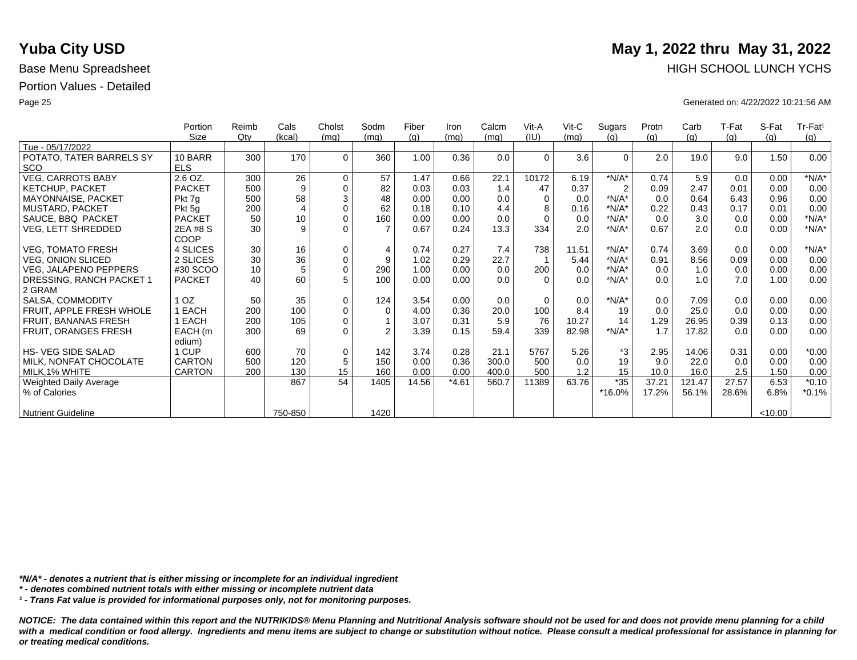|                           | Portion       | Reimb | Cals           | Cholst      | Sodm           | Fiber | Iron    | Calcm | Vit-A    | $V$ it-C | Sugars         | Protn | Carb   | T-Fat | S-Fat   | Tr-Fat <sup>1</sup> |
|---------------------------|---------------|-------|----------------|-------------|----------------|-------|---------|-------|----------|----------|----------------|-------|--------|-------|---------|---------------------|
|                           | Size          | Qty   | (kcal)         | (mq)        | (mq)           | (q)   | (mq)    | (mq)  | (IU)     | (mq)     | (q)            | (q)   | (g)    | (g)   | (q)     | (g)                 |
| Tue - 05/17/2022          |               |       |                |             |                |       |         |       |          |          |                |       |        |       |         |                     |
| POTATO, TATER BARRELS SY  | 10 BARR       | 300   | 170            | $\Omega$    | 360            | 1.00  | 0.36    | 0.0   | $\Omega$ | 3.6      | $\Omega$       | 2.0   | 19.0   | 9.0   | 1.50    | 0.00                |
| <b>SCO</b>                | <b>ELS</b>    |       |                |             |                |       |         |       |          |          |                |       |        |       |         |                     |
| <b>VEG, CARROTS BABY</b>  | 2.6 OZ.       | 300   | 26             | $\mathbf 0$ | 57             | 1.47  | 0.66    | 22.1  | 10172    | 6.19     | $*N/A*$        | 0.74  | 5.9    | 0.0   | 0.00    | $*N/A*$             |
| <b>KETCHUP, PACKET</b>    | <b>PACKET</b> | 500   | 9              | $\mathbf 0$ | 82             | 0.03  | 0.03    | 1.4   | 47       | 0.37     | $\overline{2}$ | 0.09  | 2.47   | 0.01  | 0.00    | 0.00                |
| MAYONNAISE, PACKET        | Pkt 7g        | 500   | 58             | $\sqrt{3}$  | 48             | 0.00  | 0.00    | 0.0   | $\Omega$ | 0.0      | $*N/A*$        | 0.0   | 0.64   | 6.43  | 0.96    | 0.00                |
| MUSTARD, PACKET           | Pkt 5g        | 200   | $\overline{4}$ | $\mathbf 0$ | 62             | 0.18  | 0.10    | 4.4   | 8        | 0.16     | $*N/A*$        | 0.22  | 0.43   | 0.17  | 0.01    | 0.00                |
| SAUCE, BBQ PACKET         | <b>PACKET</b> | 50    | 10             | $\mathbf 0$ | 160            | 0.00  | 0.00    | 0.0   | $\Omega$ | 0.0      | $*N/A*$        | 0.0   | 3.0    | 0.0   | 0.00    | $*N/A*$             |
| VEG, LETT SHREDDED        | 2EA #8 S      | 30    | 9              | $\Omega$    |                | 0.67  | 0.24    | 13.3  | 334      | 2.0      | $*N/A*$        | 0.67  | 2.0    | 0.0   | 0.00    | $*N/A*$             |
|                           | COOP          |       |                |             |                |       |         |       |          |          |                |       |        |       |         |                     |
| <b>VEG, TOMATO FRESH</b>  | 4 SLICES      | 30    | 16             | $\mathbf 0$ | $\overline{4}$ | 0.74  | 0.27    | 7.4   | 738      | 11.51    | $*N/A*$        | 0.74  | 3.69   | 0.0   | 0.00    | $*N/A*$             |
| <b>VEG, ONION SLICED</b>  | 2 SLICES      | 30    | 36             | $\pmb{0}$   | 9              | 1.02  | 0.29    | 22.7  |          | 5.44     | $*N/A*$        | 0.91  | 8.56   | 0.09  | 0.00    | 0.00                |
| VEG, JALAPENO PEPPERS     | #30 SCOO      | 10    | 5              | $\mathbf 0$ | 290            | 1.00  | 0.00    | 0.0   | 200      | 0.0      | $*N/A*$        | 0.0   | 1.0    | 0.0   | 0.00    | 0.00                |
| DRESSING, RANCH PACKET 1  | <b>PACKET</b> | 40    | 60             | 5           | 100            | 0.00  | 0.00    | 0.0   | $\Omega$ | 0.0      | $*N/A*$        | 0.0   | 1.0    | 7.0   | 1.00    | 0.00                |
| 2 GRAM                    |               |       |                |             |                |       |         |       |          |          |                |       |        |       |         |                     |
| SALSA, COMMODITY          | OZ.           | 50    | 35             | $\mathbf 0$ | 124            | 3.54  | 0.00    | 0.0   | $\Omega$ | 0.0      | $*N/A*$        | 0.0   | 7.09   | 0.0   | 0.00    | 0.00                |
| FRUIT, APPLE FRESH WHOLE  | EACH          | 200   | 100            | $\pmb{0}$   | $\Omega$       | 4.00  | 0.36    | 20.0  | 100      | 8.4      | 19             | 0.0   | 25.0   | 0.0   | 0.00    | 0.00                |
| FRUIT, BANANAS FRESH      | EACH          | 200   | 105            | $\mathbf 0$ |                | 3.07  | 0.31    | 5.9   | 76       | 10.27    | 14             | 1.29  | 26.95  | 0.39  | 0.13    | 0.00                |
| FRUIT, ORANGES FRESH      | EACH (m       | 300   | 69             | $\Omega$    | $\mathfrak{p}$ | 3.39  | 0.15    | 59.4  | 339      | 82.98    | $*N/A*$        | 1.7   | 17.82  | 0.0   | 0.00    | 0.00                |
|                           | edium)        |       |                |             |                |       |         |       |          |          |                |       |        |       |         |                     |
| <b>HS-VEG SIDE SALAD</b>  | 1 CUP         | 600   | 70             | $\mathbf 0$ | 142            | 3.74  | 0.28    | 21.1  | 5767     | 5.26     | *3             | 2.95  | 14.06  | 0.31  | 0.00    | $*0.00$             |
| MILK, NONFAT CHOCOLATE    | <b>CARTON</b> | 500   | 120            | $\sqrt{5}$  | 150            | 0.00  | 0.36    | 300.0 | 500      | 0.0      | 19             | 9.0   | 22.0   | 0.0   | 0.00    | 0.00                |
| MILK, 1% WHITE            | <b>CARTON</b> | 200   | 130            | 15          | 160            | 0.00  | 0.00    | 400.0 | 500      | 1.2      | 15             | 10.0  | 16.0   | 2.5   | 1.50    | 0.00                |
| Weighted Daily Average    |               |       | 867            | 54          | 1405           | 14.56 | $*4.61$ | 560.7 | 11389    | 63.76    | $*35$          | 37.21 | 121.47 | 27.57 | 6.53    | $*0.10$             |
| % of Calories             |               |       |                |             |                |       |         |       |          |          | *16.0%         | 17.2% | 56.1%  | 28.6% | 6.8%    | $*0.1%$             |
|                           |               |       |                |             |                |       |         |       |          |          |                |       |        |       |         |                     |
| <b>Nutrient Guideline</b> |               |       | 750-850        |             | 1420           |       |         |       |          |          |                |       |        |       | < 10.00 |                     |

*\*N/A\* - denotes a nutrient that is either missing or incomplete for an individual ingredient*

*\* - denotes combined nutrient totals with either missing or incomplete nutrient data*

*¹ - Trans Fat value is provided for informational purposes only, not for monitoring purposes.*

*NOTICE: The data contained within this report and the NUTRIKIDS® Menu Planning and Nutritional Analysis software should not be used for and does not provide menu planning for a child*  with a medical condition or food allergy. Ingredients and menu items are subject to change or substitution without notice. Please consult a medical professional for assistance in planning for *or treating medical conditions.*

# **Yuba City USD** May 1, 2022 thru May 31, 2022 Base Menu Spreadsheet **HIGH SCHOOL LUNCH YCHS**

Page 25 Generated on: 4/22/2022 10:21:56 AM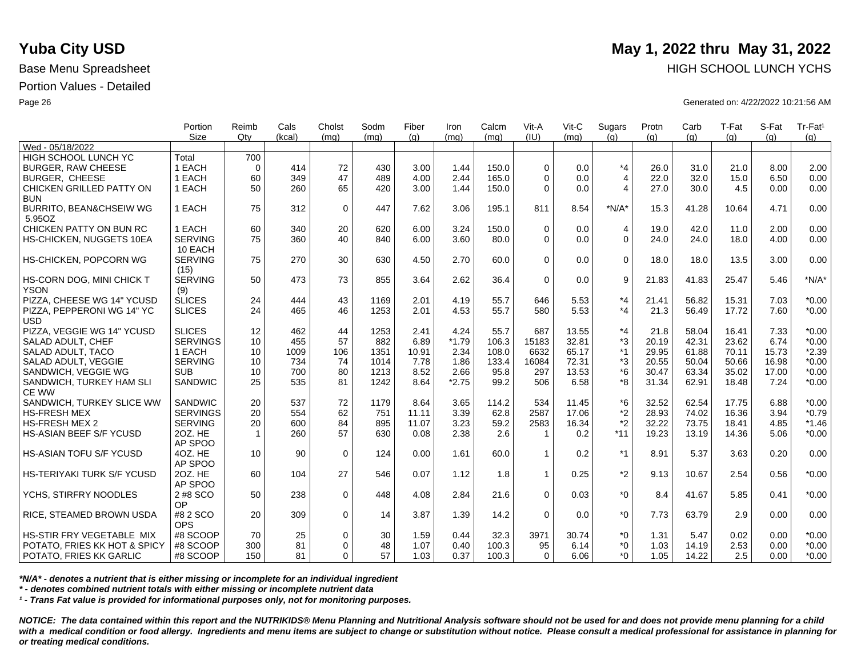|                                          | Portion<br><b>Size</b> | Reimb<br>Qtv | Cals<br>(kcal) | Cholst<br>(mq) | Sodm<br>(mq) | Fiber<br>(q) | Iron<br>(mq)    | Calcm<br>(mq) | Vit-A<br>(III) | Vit-C<br>(ma) | Sugars<br>(q)  | Protn<br>(q) | Carb<br>(q) | T-Fat<br>(q) | S-Fat<br>(q) | Tr-Fat <sup>1</sup><br>(g) |
|------------------------------------------|------------------------|--------------|----------------|----------------|--------------|--------------|-----------------|---------------|----------------|---------------|----------------|--------------|-------------|--------------|--------------|----------------------------|
| Wed - 05/18/2022                         |                        |              |                |                |              |              |                 |               |                |               |                |              |             |              |              |                            |
| HIGH SCHOOL LUNCH YC                     | Total                  | 700          |                |                |              |              |                 |               |                |               |                |              |             |              |              |                            |
| <b>BURGER, RAW CHEESE</b>                | 1 EACH                 | $\mathbf 0$  | 414            | 72             | 430          | 3.00         | 1.44            | 150.0         | $\Omega$       | 0.0           | $*_{4}$        | 26.0         | 31.0        | 21.0         | 8.00         | 2.00                       |
| <b>BURGER, CHEESE</b>                    | 1 EACH                 | 60           | 349            | 47             | 489          | 4.00         | 2.44            | 165.0         | $\Omega$       | 0.0           | $\overline{4}$ | 22.0         | 32.0        | 15.0         | 6.50         | 0.00                       |
| CHICKEN GRILLED PATTY ON                 | 1 EACH                 | 50           | 260            | 65             | 420          | 3.00         | 1.44            | 150.0         | $\Omega$       | 0.0           | $\overline{4}$ | 27.0         | 30.0        | 4.5          | 0.00         | 0.00                       |
| <b>BUN</b>                               |                        |              |                |                |              |              |                 |               |                |               |                |              |             |              |              |                            |
| BURRITO, BEAN&CHSEIW WG                  | 1 EACH                 | 75           | 312            | $\mathbf 0$    | 447          | 7.62         | 3.06            | 195.1         | 811            | 8.54          | $*N/A*$        | 15.3         | 41.28       | 10.64        | 4.71         | 0.00                       |
| 5.95OZ                                   |                        |              |                |                |              |              |                 |               |                |               |                |              |             |              |              |                            |
| CHICKEN PATTY ON BUN RC                  | 1 EACH                 | 60           | 340            | 20             | 620          | 6.00         | 3.24            | 150.0         | $\Omega$       | 0.0           | 4              | 19.0         | 42.0        | 11.0         | 2.00         | 0.00                       |
| HS-CHICKEN, NUGGETS 10EA                 | <b>SERVING</b>         | 75           | 360            | 40             | 840          | 6.00         | 3.60            | 80.0          | $\Omega$       | 0.0           | $\Omega$       | 24.0         | 24.0        | 18.0         | 4.00         | 0.00                       |
|                                          | 10 EACH                |              |                |                |              |              |                 |               |                |               |                |              |             |              |              |                            |
| HS-CHICKEN, POPCORN WG                   | <b>SERVING</b>         | 75           | 270            | 30             | 630          | 4.50         | 2.70            | 60.0          | $\Omega$       | 0.0           | $\mathbf 0$    | 18.0         | 18.0        | 13.5         | 3.00         | 0.00                       |
|                                          | (15)                   |              |                |                |              |              |                 |               |                |               |                |              |             |              |              |                            |
| HS-CORN DOG, MINI CHICK T                | <b>SERVING</b>         | 50           | 473            | 73             | 855          | 3.64         | 2.62            | 36.4          | $\Omega$       | 0.0           | 9              | 21.83        | 41.83       | 25.47        | 5.46         | $*N/A*$                    |
| <b>YSON</b>                              | (9)                    |              |                |                |              |              |                 |               |                |               |                |              |             |              |              |                            |
| PIZZA, CHEESE WG 14" YCUSD               | <b>SLICES</b>          | 24           | 444            | 43             | 1169         | 2.01         | 4.19            | 55.7          | 646            | 5.53          | $*_{4}$        | 21.41        | 56.82       | 15.31        | 7.03         | $*0.00$                    |
| PIZZA. PEPPERONI WG 14" YC               | <b>SLICES</b>          | 24           | 465            | 46             | 1253         | 2.01         | 4.53            | 55.7          | 580            | 5.53          | $*_{4}$        | 21.3         | 56.49       | 17.72        | 7.60         | $*0.00$                    |
| <b>USD</b>                               |                        |              |                |                |              |              |                 |               |                |               |                |              |             |              |              |                            |
| PIZZA, VEGGIE WG 14" YCUSD               | <b>SLICES</b>          | 12           | 462            | 44             | 1253         | 2.41         | 4.24            | 55.7          | 687            | 13.55         | $*_{4}$        | 21.8         | 58.04       | 16.41        | 7.33         | $*0.00$                    |
| SALAD ADULT, CHEF                        | <b>SERVINGS</b>        | 10           | 455            | 57             | 882          | 6.89         | $*1.79$         | 106.3         | 15183          | 32.81         | *3             | 20.19        | 42.31       | 23.62        | 6.74         | $*0.00$                    |
| SALAD ADULT, TACO                        | 1 EACH                 | 10           | 1009           | 106            | 1351         | 10.91        | 2.34            | 108.0         | 6632           | 65.17         | $*1$           | 29.95        | 61.88       | 70.11        | 15.73        | $*2.39$<br>$*0.00$         |
| SALAD ADULT, VEGGIE                      | <b>SERVING</b>         | 10           | 734            | 74             | 1014         | 7.78         | 1.86            | 133.4         | 16084          | 72.31         | *3             | 20.55        | 50.04       | 50.66        | 16.98        |                            |
| SANDWICH, VEGGIE WG                      | <b>SUB</b>             | 10           | 700            | 80             | 1213<br>1242 | 8.52         | 2.66<br>$*2.75$ | 95.8          | 297            | 13.53         | *6<br>*8       | 30.47        | 63.34       | 35.02        | 17.00        | $*0.00$                    |
| SANDWICH, TURKEY HAM SLI<br><b>CE WW</b> | SANDWIC                | 25           | 535            | 81             |              | 8.64         |                 | 99.2          | 506            | 6.58          |                | 31.34        | 62.91       | 18.48        | 7.24         | $*0.00$                    |
| SANDWICH, TURKEY SLICE WW                | <b>SANDWIC</b>         | 20           | 537            | 72             | 1179         | 8.64         | 3.65            | 114.2         | 534            | 11.45         | *6             | 32.52        | 62.54       | 17.75        | 6.88         | $*0.00$                    |
| <b>HS-FRESH MEX</b>                      | <b>SERVINGS</b>        | 20           | 554            | 62             | 751          | 11.11        | 3.39            | 62.8          | 2587           | 17.06         | *2             | 28.93        | 74.02       | 16.36        | 3.94         | $*0.79$                    |
| <b>HS-FRESH MEX 2</b>                    | <b>SERVING</b>         | 20           | 600            | 84             | 895          | 11.07        | 3.23            | 59.2          | 2583           | 16.34         | $*2$           | 32.22        | 73.75       | 18.41        | 4.85         | $*1.46$                    |
| <b>HS-ASIAN BEEF S/F YCUSD</b>           | 20Z. HE                | $\mathbf{1}$ | 260            | 57             | 630          | 0.08         | 2.38            | 2.6           | $\overline{1}$ | 0.2           | $*11$          | 19.23        | 13.19       | 14.36        | 5.06         | $*0.00$                    |
|                                          | AP SPOO                |              |                |                |              |              |                 |               |                |               |                |              |             |              |              |                            |
| <b>HS-ASIAN TOFU S/F YCUSD</b>           | 4OZ. HE                | 10           | 90             | $\mathbf 0$    | 124          | 0.00         | 1.61            | 60.0          | 1              | 0.2           | $*1$           | 8.91         | 5.37        | 3.63         | 0.20         | 0.00                       |
|                                          | AP SPOO                |              |                |                |              |              |                 |               |                |               |                |              |             |              |              |                            |
| <b>HS-TERIYAKI TURK S/F YCUSD</b>        | 20Z. HE                | 60           | 104            | 27             | 546          | 0.07         | 1.12            | 1.8           | $\mathbf{1}$   | 0.25          | $*2$           | 9.13         | 10.67       | 2.54         | 0.56         | $*0.00$                    |
|                                          | AP SPOO                |              |                |                |              |              |                 |               |                |               |                |              |             |              |              |                            |
| YCHS, STIRFRY NOODLES                    | 2 #8 SCO               | 50           | 238            | $\mathbf{0}$   | 448          | 4.08         | 2.84            | 21.6          | $\Omega$       | 0.03          | $*_{0}$        | 8.4          | 41.67       | 5.85         | 0.41         | $*0.00$                    |
|                                          | OP.                    |              |                |                |              |              |                 |               |                |               |                |              |             |              |              |                            |
| RICE, STEAMED BROWN USDA                 | #8 2 SCO               | 20           | 309            | $\Omega$       | 14           | 3.87         | 1.39            | 14.2          | $\Omega$       | 0.0           | $*_{0}$        | 7.73         | 63.79       | 2.9          | 0.00         | 0.00                       |
|                                          | <b>OPS</b>             |              |                |                |              |              |                 |               |                |               |                |              |             |              |              |                            |
| HS-STIR FRY VEGETABLE MIX                | #8 SCOOP               | 70           | 25             | $\mathbf 0$    | 30           | 1.59         | 0.44            | 32.3          | 3971           | 30.74         | $^*0$          | 1.31         | 5.47        | 0.02         | 0.00         | $*0.00$                    |
| POTATO, FRIES KK HOT & SPICY             | #8 SCOOP               | 300          | 81             | $\Omega$       | 48           | 1.07         | 0.40            | 100.3         | 95             | 6.14          | $^*0$          | 1.03         | 14.19       | 2.53         | 0.00         | $*0.00$                    |
| POTATO, FRIES KK GARLIC                  | #8 SCOOP               | 150          | 81             | $\Omega$       | 57           | 1.03         | 0.37            | 100.3         | $\Omega$       | 6.06          | $*$ $\Omega$   | 1.05         | 14.22       | 2.5          | 0.00         | $*0.00$                    |

*\*N/A\* - denotes a nutrient that is either missing or incomplete for an individual ingredient*

*\* - denotes combined nutrient totals with either missing or incomplete nutrient data*

*¹ - Trans Fat value is provided for informational purposes only, not for monitoring purposes.*

*NOTICE: The data contained within this report and the NUTRIKIDS® Menu Planning and Nutritional Analysis software should not be used for and does not provide menu planning for a child*  with a medical condition or food allergy. Ingredients and menu items are subject to change or substitution without notice. Please consult a medical professional for assistance in planning for *or treating medical conditions.*

## **Yuba City USD** May 1, 2022 thru May 31, 2022 Base Menu Spreadsheet **HIGH SCHOOL LUNCH YCHS HIGH SCHOOL LUNCH YCHS**

Page 26 Generated on: 4/22/2022 10:21:56 AM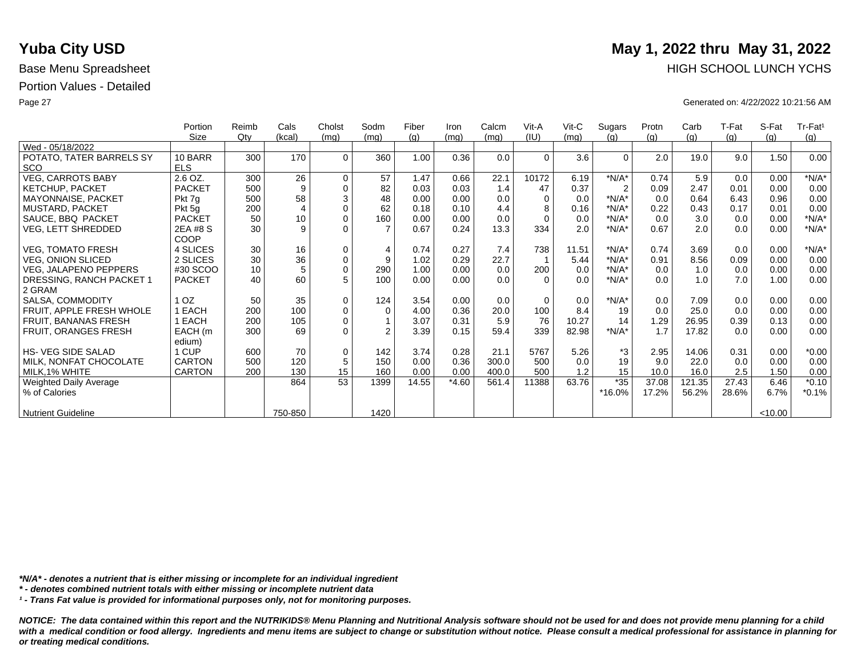|                           | Portion       | Reimb  | Cals           | Cholst              | Sodm           | Fiber | Iron    | Calcm | Vit-A    | $V$ it-C | Sugars         | Protn | Carb   | T-Fat | S-Fat   | Tr-Fat <sup>1</sup> |
|---------------------------|---------------|--------|----------------|---------------------|----------------|-------|---------|-------|----------|----------|----------------|-------|--------|-------|---------|---------------------|
|                           | Size          | $Q$ ty | (kcal)         | (mq)                | (mq)           | (q)   | (mq)    | (mq)  | (IU)     | (mq)     | (q)            | (q)   | (g)    | (g)   | (q)     | (g)                 |
| Wed - 05/18/2022          |               |        |                |                     |                |       |         |       |          |          |                |       |        |       |         |                     |
| POTATO, TATER BARRELS SY  | 10 BARR       | 300    | 170            | $\Omega$            | 360            | 1.00  | 0.36    | 0.0   | $\Omega$ | 3.6      | $\Omega$       | 2.0   | 19.0   | 9.0   | 1.50    | 0.00                |
| <b>SCO</b>                | <b>ELS</b>    |        |                |                     |                |       |         |       |          |          |                |       |        |       |         |                     |
| <b>VEG, CARROTS BABY</b>  | 2.6 OZ.       | 300    | 26             | $\mathbf 0$         | 57             | 1.47  | 0.66    | 22.1  | 10172    | 6.19     | $*N/A*$        | 0.74  | 5.9    | 0.0   | 0.00    | $*N/A*$             |
| <b>KETCHUP, PACKET</b>    | <b>PACKET</b> | 500    | 9              | $\mathbf 0$         | 82             | 0.03  | 0.03    | 1.4   | 47       | 0.37     | $\overline{2}$ | 0.09  | 2.47   | 0.01  | 0.00    | 0.00                |
| MAYONNAISE, PACKET        | Pkt 7q        | 500    | 58             | $\sqrt{3}$          | 48             | 0.00  | 0.00    | 0.0   | $\Omega$ | 0.0      | $*N/A*$        | 0.0   | 0.64   | 6.43  | 0.96    | 0.00                |
| <b>MUSTARD, PACKET</b>    | Pkt 5g        | 200    | $\overline{4}$ | $\mathbf 0$         | 62             | 0.18  | 0.10    | 4.4   | 8        | 0.16     | $*N/A*$        | 0.22  | 0.43   | 0.17  | 0.01    | 0.00                |
| SAUCE, BBQ PACKET         | <b>PACKET</b> | 50     | 10             | $\mathbf 0$         | 160            | 0.00  | 0.00    | 0.0   | $\Omega$ | 0.0      | $*N/A*$        | 0.0   | 3.0    | 0.0   | 0.00    | $*N/A*$             |
| <b>VEG, LETT SHREDDED</b> | 2EA #8 S      | 30     | 9              | $\Omega$            |                | 0.67  | 0.24    | 13.3  | 334      | 2.0      | $*N/A*$        | 0.67  | 2.0    | 0.0   | 0.00    | $*N/A*$             |
|                           | COOP          |        |                |                     |                |       |         |       |          |          |                |       |        |       |         |                     |
| VEG, TOMATO FRESH         | 4 SLICES      | 30     | 16             | $\mathbf 0$         | 4              | 0.74  | 0.27    | 7.4   | 738      | 11.51    | $*N/A*$        | 0.74  | 3.69   | 0.0   | 0.00    | $*N/A*$             |
| <b>VEG, ONION SLICED</b>  | 2 SLICES      | 30     | 36             | $\mathsf{O}\xspace$ | 9              | 1.02  | 0.29    | 22.7  |          | 5.44     | $*N/A*$        | 0.91  | 8.56   | 0.09  | 0.00    | 0.00                |
| VEG, JALAPENO PEPPERS     | #30 SCOO      | 10     | 5              | $\mathbf 0$         | 290            | 1.00  | 0.00    | 0.0   | 200      | 0.0      | $*N/A*$        | 0.0   | 1.0    | 0.0   | 0.00    | 0.00                |
| DRESSING, RANCH PACKET 1  | <b>PACKET</b> | 40     | 60             | 5                   | 100            | 0.00  | 0.00    | 0.0   | $\Omega$ | 0.0      | $*N/A*$        | 0.0   | 1.0    | 7.0   | 1.00    | 0.00                |
| 2 GRAM                    |               |        |                |                     |                |       |         |       |          |          |                |       |        |       |         |                     |
| SALSA, COMMODITY          | 1 OZ          | 50     | 35             | $\mathbf 0$         | 124            | 3.54  | 0.00    | 0.0   | $\Omega$ | 0.0      | $*N/A*$        | 0.0   | 7.09   | 0.0   | 0.00    | 0.00                |
| FRUIT, APPLE FRESH WHOLE  | 1 EACH        | 200    | 100            | $\mathsf{O}\xspace$ | $\Omega$       | 4.00  | 0.36    | 20.0  | 100      | 8.4      | 19             | 0.0   | 25.0   | 0.0   | 0.00    | 0.00                |
| FRUIT, BANANAS FRESH      | EACH          | 200    | 105            | $\mathbf 0$         |                | 3.07  | 0.31    | 5.9   | 76       | 10.27    | 14             | 1.29  | 26.95  | 0.39  | 0.13    | 0.00                |
| FRUIT, ORANGES FRESH      | EACH (m       | 300    | 69             | $\Omega$            | $\mathfrak{p}$ | 3.39  | 0.15    | 59.4  | 339      | 82.98    | $*N/A*$        | 1.7   | 17.82  | 0.0   | 0.00    | 0.00                |
|                           | edium)        |        |                |                     |                |       |         |       |          |          |                |       |        |       |         |                     |
| HS- VEG SIDE SALAD        | 1 CUP         | 600    | 70             | $\mathbf 0$         | 142            | 3.74  | 0.28    | 21.1  | 5767     | 5.26     | *3             | 2.95  | 14.06  | 0.31  | 0.00    | $*0.00$             |
| MILK, NONFAT CHOCOLATE    | <b>CARTON</b> | 500    | 120            | 5                   | 150            | 0.00  | 0.36    | 300.0 | 500      | 0.0      | 19             | 9.0   | 22.0   | 0.0   | 0.00    | 0.00                |
| MILK, 1% WHITE            | <b>CARTON</b> | 200    | 130            | 15                  | 160            | 0.00  | 0.00    | 400.0 | 500      | 1.2      | 15             | 10.0  | 16.0   | 2.5   | 1.50    | 0.00                |
| Weighted Daily Average    |               |        | 864            | 53                  | 1399           | 14.55 | $*4.60$ | 561.4 | 11388    | 63.76    | $*35$          | 37.08 | 121.35 | 27.43 | 6.46    | $*0.10$             |
| % of Calories             |               |        |                |                     |                |       |         |       |          |          | *16.0%         | 17.2% | 56.2%  | 28.6% | 6.7%    | $*0.1%$             |
|                           |               |        |                |                     |                |       |         |       |          |          |                |       |        |       |         |                     |
| <b>Nutrient Guideline</b> |               |        | 750-850        |                     | 1420           |       |         |       |          |          |                |       |        |       | < 10.00 |                     |

*\*N/A\* - denotes a nutrient that is either missing or incomplete for an individual ingredient*

*\* - denotes combined nutrient totals with either missing or incomplete nutrient data*

*¹ - Trans Fat value is provided for informational purposes only, not for monitoring purposes.*

*NOTICE: The data contained within this report and the NUTRIKIDS® Menu Planning and Nutritional Analysis software should not be used for and does not provide menu planning for a child*  with a medical condition or food allergy. Ingredients and menu items are subject to change or substitution without notice. Please consult a medical professional for assistance in planning for *or treating medical conditions.*

# **Yuba City USD** May 1, 2022 thru May 31, 2022 Base Menu Spreadsheet **HIGH SCHOOL LUNCH YCHS**

Page 27 Generated on: 4/22/2022 10:21:56 AM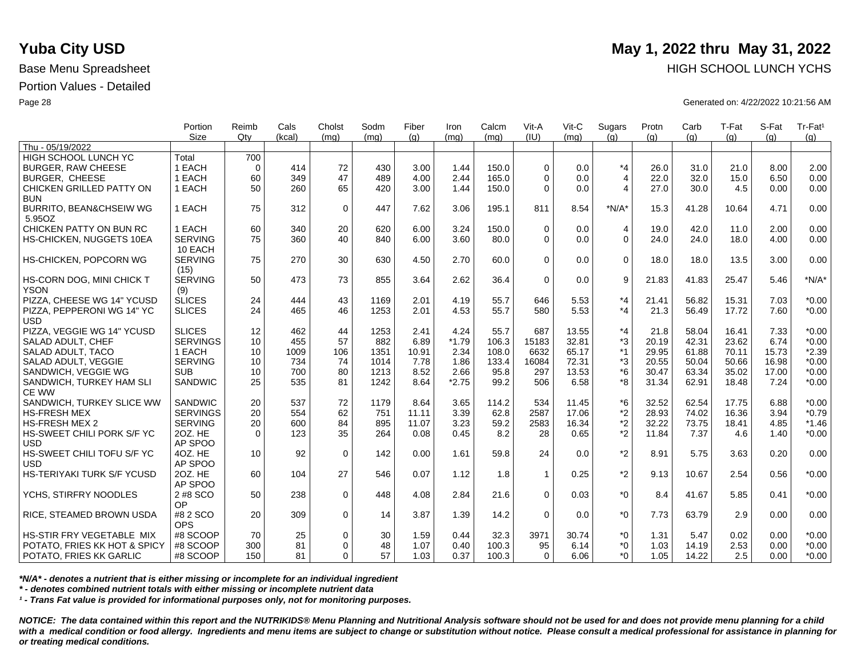| (IU)<br><b>Size</b><br>Qtv<br>(q)<br>(q)<br>(q)<br>(kcal)<br>(ma)<br>(mq)<br>(q)<br>(mq)<br>(mq)<br>(q)<br>(q)<br>(q)<br>(ma)<br>Thu - 05/19/2022<br><b>HIGH SCHOOL LUNCH YC</b><br>Total<br>700<br>$*_{4}$<br>1 EACH<br>414<br>72<br>430<br>3.00<br>150.0<br>$\Omega$<br>26.0<br>21.0<br>8.00<br>2.00<br><b>BURGER, RAW CHEESE</b><br>$\Omega$<br>1.44<br>0.0<br>31.0<br>47<br>1 EACH<br>60<br>349<br>489<br>2.44<br>0.0<br>$\overline{4}$<br>22.0<br>32.0<br>6.50<br>0.00<br><b>BURGER, CHEESE</b><br>4.00<br>165.0<br>$\Omega$<br>15.0<br>1 EACH<br>50<br>260<br>65<br>420<br>3.00<br>1.44<br>0.0<br>$\overline{4}$<br>27.0<br>30.0<br>4.5<br>0.00<br>CHICKEN GRILLED PATTY ON<br>150.0<br>$\Omega$<br>0.00<br><b>BUN</b><br>$\mathbf 0$<br>0.00<br><b>BURRITO, BEAN&amp;CHSEIW WG</b><br>1 EACH<br>75<br>312<br>447<br>7.62<br>3.06<br>195.1<br>811<br>8.54<br>$*N/A*$<br>15.3<br>41.28<br>4.71<br>10.64<br>5.95OZ<br>CHICKEN PATTY ON BUN RC<br>1 EACH<br>60<br>340<br>20<br>620<br>6.00<br>3.24<br>$\Omega$<br>$\overline{4}$<br>19.0<br>42.0<br>11.0<br>2.00<br>0.00<br>150.0<br>0.0<br>$\overline{0}$<br>75<br>0.00<br><b>SERVING</b><br>360<br>40<br>840<br>6.00<br>3.60<br>80.0<br>$\Omega$<br>0.0<br>24.0<br>24.0<br>18.0<br>4.00<br>HS-CHICKEN, NUGGETS 10EA<br>10 EACH<br>$\Omega$<br>0.00<br>HS-CHICKEN, POPCORN WG<br><b>SERVING</b><br>75<br>270<br>30<br>630<br>4.50<br>2.70<br>60.0<br>$\Omega$<br>0.0<br>18.0<br>18.0<br>13.5<br>3.00<br>(15)<br>9<br>$*N/A*$<br>HS-CORN DOG, MINI CHICK T<br><b>SERVING</b><br>50<br>473<br>73<br>3.64<br>$\mathbf 0$<br>21.83<br>5.46<br>855<br>2.62<br>36.4<br>0.0<br>41.83<br>25.47<br><b>YSON</b><br>(9)<br>$*_{4}$<br>PIZZA, CHEESE WG 14" YCUSD<br><b>SLICES</b><br>24<br>444<br>43<br>1169<br>2.01<br>4.19<br>55.7<br>646<br>5.53<br>21.41<br>56.82<br>15.31<br>7.03<br>$*0.00$<br>$*_{4}$<br>24<br>465<br>46<br>1253<br>4.53<br>5.53<br>$*0.00$<br>PIZZA, PEPPERONI WG 14" YC<br><b>SLICES</b><br>2.01<br>55.7<br>580<br>21.3<br>56.49<br>17.72<br>7.60<br><b>USD</b><br>$*_{4}$<br><b>SLICES</b><br>12<br>44<br>1253<br>55.7<br>7.33<br>$*0.00$<br>PIZZA, VEGGIE WG 14" YCUSD<br>462<br>2.41<br>4.24<br>687<br>13.55<br>21.8<br>58.04<br>16.41<br>*3<br>57<br><b>SERVINGS</b><br>10<br>455<br>882<br>6.89<br>$*1.79$<br>106.3<br>15183<br>32.81<br>20.19<br>42.31<br>23.62<br>6.74<br>$*0.00$<br>SALAD ADULT, CHEF<br>$*1$<br>1 EACH<br>106<br>2.34<br>65.17<br>29.95<br>61.88<br>15.73<br>$*2.39$<br>SALAD ADULT, TACO<br>10<br>1009<br>1351<br>10.91<br>108.0<br>6632<br>70.11<br>*3<br><b>SERVING</b><br>734<br>74<br>72.31<br>$*0.00$<br>SALAD ADULT, VEGGIE<br>10<br>1014<br>7.78<br>1.86<br>133.4<br>16084<br>20.55<br>50.04<br>50.66<br>16.98<br>$*6$<br>$*0.00$<br><b>SUB</b><br>700<br>2.66<br>13.53<br>63.34<br>SANDWICH, VEGGIE WG<br>10<br>80<br>1213<br>8.52<br>95.8<br>297<br>30.47<br>35.02<br>17.00<br>*8<br>25<br>535<br>$*2.75$<br>$*0.00$<br>SANDWICH, TURKEY HAM SLI<br><b>SANDWIC</b><br>81<br>1242<br>8.64<br>99.2<br>506<br>6.58<br>31.34<br>62.91<br>7.24<br>18.48<br><b>CE WW</b><br>20<br>537<br>72<br>*6<br>$*0.00$<br>SANDWICH, TURKEY SLICE WW<br>SANDWIC<br>1179<br>8.64<br>3.65<br>114.2<br>534<br>32.52<br>62.54<br>17.75<br>6.88<br>11.45<br>$*2$<br><b>SERVINGS</b><br>554<br>62<br>3.39<br>17.06<br>74.02<br>$*0.79$<br><b>HS-FRESH MEX</b><br>20<br>751<br>62.8<br>2587<br>28.93<br>16.36<br>3.94<br>11.11<br>$*2$<br>20<br>600<br>84<br>895<br>3.23<br>59.2<br>2583<br>32.22<br>73.75<br>$*1.46$<br><b>HS-FRESH MEX 2</b><br><b>SERVING</b><br>11.07<br>16.34<br>4.85<br>18.41<br>$*2$<br>35<br>$*0.00$<br>20Z. HE<br>123<br>264<br>0.08<br>0.45<br>8.2<br>0.65<br>11.84<br>7.37<br>HS-SWEET CHILI PORK S/F YC<br>$\Omega$<br>28<br>4.6<br>1.40<br><b>USD</b><br>AP SPOO<br>$*2$<br>HS-SWEET CHILI TOFU S/F YC<br>$\mathbf 0$<br>4OZ. HE<br>92<br>142<br>59.8<br>24<br>8.91<br>3.63<br>0.20<br>0.00<br>10<br>0.00<br>1.61<br>0.0<br>5.75<br><b>USD</b><br>AP SPOO<br>$*2$<br>HS-TERIYAKI TURK S/F YCUSD<br>27<br>20Z. HE<br>546<br>9.13<br>0.56<br>$*0.00$<br>60<br>104<br>0.07<br>1.12<br>1.8<br>$\mathbf{1}$<br>0.25<br>10.67<br>2.54<br>AP SPOO<br>$\mathbf 0$<br>$*_{0}$<br>$*0.00$<br>YCHS, STIRFRY NOODLES<br>2 #8 SCO<br>50<br>238<br>448<br>21.6<br>$\Omega$<br>0.03<br>8.4<br>41.67<br>5.85<br>0.41<br>4.08<br>2.84<br>OP<br>#8 2 SCO<br>$\mathbf 0$<br>14<br>$*_{0}$<br>2.9<br>0.00<br>RICE, STEAMED BROWN USDA<br>20<br>309<br>3.87<br>1.39<br>14.2<br>$\Omega$<br>0.0<br>7.73<br>63.79<br>0.00<br><b>OPS</b> | Portion | Reimb | Cals | Cholst | Sodm | Fiber | Iron | Calcm | Vit-A | Vit-C | Sugars | Protn | Carb | T-Fat | S-Fat | Tr-Fat <sup>1</sup> |
|----------------------------------------------------------------------------------------------------------------------------------------------------------------------------------------------------------------------------------------------------------------------------------------------------------------------------------------------------------------------------------------------------------------------------------------------------------------------------------------------------------------------------------------------------------------------------------------------------------------------------------------------------------------------------------------------------------------------------------------------------------------------------------------------------------------------------------------------------------------------------------------------------------------------------------------------------------------------------------------------------------------------------------------------------------------------------------------------------------------------------------------------------------------------------------------------------------------------------------------------------------------------------------------------------------------------------------------------------------------------------------------------------------------------------------------------------------------------------------------------------------------------------------------------------------------------------------------------------------------------------------------------------------------------------------------------------------------------------------------------------------------------------------------------------------------------------------------------------------------------------------------------------------------------------------------------------------------------------------------------------------------------------------------------------------------------------------------------------------------------------------------------------------------------------------------------------------------------------------------------------------------------------------------------------------------------------------------------------------------------------------------------------------------------------------------------------------------------------------------------------------------------------------------------------------------------------------------------------------------------------------------------------------------------------------------------------------------------------------------------------------------------------------------------------------------------------------------------------------------------------------------------------------------------------------------------------------------------------------------------------------------------------------------------------------------------------------------------------------------------------------------------------------------------------------------------------------------------------------------------------------------------------------------------------------------------------------------------------------------------------------------------------------------------------------------------------------------------------------------------------------------------------------------------------------------------------------------------------------------------------------------------------------------------------------------------------------------------------------------------------------------------------------------------------------------------------------------------------------------------------------------------------------------------------------------------------------------------------------------------------------------------------------------------------------------------------------------------------------------------------------------------------------------------------------------------------------------------------------------------------------------------------------------------------------------------------------------------------------------------------------------------------------------------------------------------------------------------------------------------------------------------------|---------|-------|------|--------|------|-------|------|-------|-------|-------|--------|-------|------|-------|-------|---------------------|
|                                                                                                                                                                                                                                                                                                                                                                                                                                                                                                                                                                                                                                                                                                                                                                                                                                                                                                                                                                                                                                                                                                                                                                                                                                                                                                                                                                                                                                                                                                                                                                                                                                                                                                                                                                                                                                                                                                                                                                                                                                                                                                                                                                                                                                                                                                                                                                                                                                                                                                                                                                                                                                                                                                                                                                                                                                                                                                                                                                                                                                                                                                                                                                                                                                                                                                                                                                                                                                                                                                                                                                                                                                                                                                                                                                                                                                                                                                                                                                                                                                                                                                                                                                                                                                                                                                                                                                                                                                                                                                                            |         |       |      |        |      |       |      |       |       |       |        |       |      |       |       |                     |
|                                                                                                                                                                                                                                                                                                                                                                                                                                                                                                                                                                                                                                                                                                                                                                                                                                                                                                                                                                                                                                                                                                                                                                                                                                                                                                                                                                                                                                                                                                                                                                                                                                                                                                                                                                                                                                                                                                                                                                                                                                                                                                                                                                                                                                                                                                                                                                                                                                                                                                                                                                                                                                                                                                                                                                                                                                                                                                                                                                                                                                                                                                                                                                                                                                                                                                                                                                                                                                                                                                                                                                                                                                                                                                                                                                                                                                                                                                                                                                                                                                                                                                                                                                                                                                                                                                                                                                                                                                                                                                                            |         |       |      |        |      |       |      |       |       |       |        |       |      |       |       |                     |
|                                                                                                                                                                                                                                                                                                                                                                                                                                                                                                                                                                                                                                                                                                                                                                                                                                                                                                                                                                                                                                                                                                                                                                                                                                                                                                                                                                                                                                                                                                                                                                                                                                                                                                                                                                                                                                                                                                                                                                                                                                                                                                                                                                                                                                                                                                                                                                                                                                                                                                                                                                                                                                                                                                                                                                                                                                                                                                                                                                                                                                                                                                                                                                                                                                                                                                                                                                                                                                                                                                                                                                                                                                                                                                                                                                                                                                                                                                                                                                                                                                                                                                                                                                                                                                                                                                                                                                                                                                                                                                                            |         |       |      |        |      |       |      |       |       |       |        |       |      |       |       |                     |
|                                                                                                                                                                                                                                                                                                                                                                                                                                                                                                                                                                                                                                                                                                                                                                                                                                                                                                                                                                                                                                                                                                                                                                                                                                                                                                                                                                                                                                                                                                                                                                                                                                                                                                                                                                                                                                                                                                                                                                                                                                                                                                                                                                                                                                                                                                                                                                                                                                                                                                                                                                                                                                                                                                                                                                                                                                                                                                                                                                                                                                                                                                                                                                                                                                                                                                                                                                                                                                                                                                                                                                                                                                                                                                                                                                                                                                                                                                                                                                                                                                                                                                                                                                                                                                                                                                                                                                                                                                                                                                                            |         |       |      |        |      |       |      |       |       |       |        |       |      |       |       |                     |
|                                                                                                                                                                                                                                                                                                                                                                                                                                                                                                                                                                                                                                                                                                                                                                                                                                                                                                                                                                                                                                                                                                                                                                                                                                                                                                                                                                                                                                                                                                                                                                                                                                                                                                                                                                                                                                                                                                                                                                                                                                                                                                                                                                                                                                                                                                                                                                                                                                                                                                                                                                                                                                                                                                                                                                                                                                                                                                                                                                                                                                                                                                                                                                                                                                                                                                                                                                                                                                                                                                                                                                                                                                                                                                                                                                                                                                                                                                                                                                                                                                                                                                                                                                                                                                                                                                                                                                                                                                                                                                                            |         |       |      |        |      |       |      |       |       |       |        |       |      |       |       |                     |
|                                                                                                                                                                                                                                                                                                                                                                                                                                                                                                                                                                                                                                                                                                                                                                                                                                                                                                                                                                                                                                                                                                                                                                                                                                                                                                                                                                                                                                                                                                                                                                                                                                                                                                                                                                                                                                                                                                                                                                                                                                                                                                                                                                                                                                                                                                                                                                                                                                                                                                                                                                                                                                                                                                                                                                                                                                                                                                                                                                                                                                                                                                                                                                                                                                                                                                                                                                                                                                                                                                                                                                                                                                                                                                                                                                                                                                                                                                                                                                                                                                                                                                                                                                                                                                                                                                                                                                                                                                                                                                                            |         |       |      |        |      |       |      |       |       |       |        |       |      |       |       |                     |
|                                                                                                                                                                                                                                                                                                                                                                                                                                                                                                                                                                                                                                                                                                                                                                                                                                                                                                                                                                                                                                                                                                                                                                                                                                                                                                                                                                                                                                                                                                                                                                                                                                                                                                                                                                                                                                                                                                                                                                                                                                                                                                                                                                                                                                                                                                                                                                                                                                                                                                                                                                                                                                                                                                                                                                                                                                                                                                                                                                                                                                                                                                                                                                                                                                                                                                                                                                                                                                                                                                                                                                                                                                                                                                                                                                                                                                                                                                                                                                                                                                                                                                                                                                                                                                                                                                                                                                                                                                                                                                                            |         |       |      |        |      |       |      |       |       |       |        |       |      |       |       |                     |
|                                                                                                                                                                                                                                                                                                                                                                                                                                                                                                                                                                                                                                                                                                                                                                                                                                                                                                                                                                                                                                                                                                                                                                                                                                                                                                                                                                                                                                                                                                                                                                                                                                                                                                                                                                                                                                                                                                                                                                                                                                                                                                                                                                                                                                                                                                                                                                                                                                                                                                                                                                                                                                                                                                                                                                                                                                                                                                                                                                                                                                                                                                                                                                                                                                                                                                                                                                                                                                                                                                                                                                                                                                                                                                                                                                                                                                                                                                                                                                                                                                                                                                                                                                                                                                                                                                                                                                                                                                                                                                                            |         |       |      |        |      |       |      |       |       |       |        |       |      |       |       |                     |
|                                                                                                                                                                                                                                                                                                                                                                                                                                                                                                                                                                                                                                                                                                                                                                                                                                                                                                                                                                                                                                                                                                                                                                                                                                                                                                                                                                                                                                                                                                                                                                                                                                                                                                                                                                                                                                                                                                                                                                                                                                                                                                                                                                                                                                                                                                                                                                                                                                                                                                                                                                                                                                                                                                                                                                                                                                                                                                                                                                                                                                                                                                                                                                                                                                                                                                                                                                                                                                                                                                                                                                                                                                                                                                                                                                                                                                                                                                                                                                                                                                                                                                                                                                                                                                                                                                                                                                                                                                                                                                                            |         |       |      |        |      |       |      |       |       |       |        |       |      |       |       |                     |
|                                                                                                                                                                                                                                                                                                                                                                                                                                                                                                                                                                                                                                                                                                                                                                                                                                                                                                                                                                                                                                                                                                                                                                                                                                                                                                                                                                                                                                                                                                                                                                                                                                                                                                                                                                                                                                                                                                                                                                                                                                                                                                                                                                                                                                                                                                                                                                                                                                                                                                                                                                                                                                                                                                                                                                                                                                                                                                                                                                                                                                                                                                                                                                                                                                                                                                                                                                                                                                                                                                                                                                                                                                                                                                                                                                                                                                                                                                                                                                                                                                                                                                                                                                                                                                                                                                                                                                                                                                                                                                                            |         |       |      |        |      |       |      |       |       |       |        |       |      |       |       |                     |
|                                                                                                                                                                                                                                                                                                                                                                                                                                                                                                                                                                                                                                                                                                                                                                                                                                                                                                                                                                                                                                                                                                                                                                                                                                                                                                                                                                                                                                                                                                                                                                                                                                                                                                                                                                                                                                                                                                                                                                                                                                                                                                                                                                                                                                                                                                                                                                                                                                                                                                                                                                                                                                                                                                                                                                                                                                                                                                                                                                                                                                                                                                                                                                                                                                                                                                                                                                                                                                                                                                                                                                                                                                                                                                                                                                                                                                                                                                                                                                                                                                                                                                                                                                                                                                                                                                                                                                                                                                                                                                                            |         |       |      |        |      |       |      |       |       |       |        |       |      |       |       |                     |
|                                                                                                                                                                                                                                                                                                                                                                                                                                                                                                                                                                                                                                                                                                                                                                                                                                                                                                                                                                                                                                                                                                                                                                                                                                                                                                                                                                                                                                                                                                                                                                                                                                                                                                                                                                                                                                                                                                                                                                                                                                                                                                                                                                                                                                                                                                                                                                                                                                                                                                                                                                                                                                                                                                                                                                                                                                                                                                                                                                                                                                                                                                                                                                                                                                                                                                                                                                                                                                                                                                                                                                                                                                                                                                                                                                                                                                                                                                                                                                                                                                                                                                                                                                                                                                                                                                                                                                                                                                                                                                                            |         |       |      |        |      |       |      |       |       |       |        |       |      |       |       |                     |
|                                                                                                                                                                                                                                                                                                                                                                                                                                                                                                                                                                                                                                                                                                                                                                                                                                                                                                                                                                                                                                                                                                                                                                                                                                                                                                                                                                                                                                                                                                                                                                                                                                                                                                                                                                                                                                                                                                                                                                                                                                                                                                                                                                                                                                                                                                                                                                                                                                                                                                                                                                                                                                                                                                                                                                                                                                                                                                                                                                                                                                                                                                                                                                                                                                                                                                                                                                                                                                                                                                                                                                                                                                                                                                                                                                                                                                                                                                                                                                                                                                                                                                                                                                                                                                                                                                                                                                                                                                                                                                                            |         |       |      |        |      |       |      |       |       |       |        |       |      |       |       |                     |
|                                                                                                                                                                                                                                                                                                                                                                                                                                                                                                                                                                                                                                                                                                                                                                                                                                                                                                                                                                                                                                                                                                                                                                                                                                                                                                                                                                                                                                                                                                                                                                                                                                                                                                                                                                                                                                                                                                                                                                                                                                                                                                                                                                                                                                                                                                                                                                                                                                                                                                                                                                                                                                                                                                                                                                                                                                                                                                                                                                                                                                                                                                                                                                                                                                                                                                                                                                                                                                                                                                                                                                                                                                                                                                                                                                                                                                                                                                                                                                                                                                                                                                                                                                                                                                                                                                                                                                                                                                                                                                                            |         |       |      |        |      |       |      |       |       |       |        |       |      |       |       |                     |
|                                                                                                                                                                                                                                                                                                                                                                                                                                                                                                                                                                                                                                                                                                                                                                                                                                                                                                                                                                                                                                                                                                                                                                                                                                                                                                                                                                                                                                                                                                                                                                                                                                                                                                                                                                                                                                                                                                                                                                                                                                                                                                                                                                                                                                                                                                                                                                                                                                                                                                                                                                                                                                                                                                                                                                                                                                                                                                                                                                                                                                                                                                                                                                                                                                                                                                                                                                                                                                                                                                                                                                                                                                                                                                                                                                                                                                                                                                                                                                                                                                                                                                                                                                                                                                                                                                                                                                                                                                                                                                                            |         |       |      |        |      |       |      |       |       |       |        |       |      |       |       |                     |
|                                                                                                                                                                                                                                                                                                                                                                                                                                                                                                                                                                                                                                                                                                                                                                                                                                                                                                                                                                                                                                                                                                                                                                                                                                                                                                                                                                                                                                                                                                                                                                                                                                                                                                                                                                                                                                                                                                                                                                                                                                                                                                                                                                                                                                                                                                                                                                                                                                                                                                                                                                                                                                                                                                                                                                                                                                                                                                                                                                                                                                                                                                                                                                                                                                                                                                                                                                                                                                                                                                                                                                                                                                                                                                                                                                                                                                                                                                                                                                                                                                                                                                                                                                                                                                                                                                                                                                                                                                                                                                                            |         |       |      |        |      |       |      |       |       |       |        |       |      |       |       |                     |
|                                                                                                                                                                                                                                                                                                                                                                                                                                                                                                                                                                                                                                                                                                                                                                                                                                                                                                                                                                                                                                                                                                                                                                                                                                                                                                                                                                                                                                                                                                                                                                                                                                                                                                                                                                                                                                                                                                                                                                                                                                                                                                                                                                                                                                                                                                                                                                                                                                                                                                                                                                                                                                                                                                                                                                                                                                                                                                                                                                                                                                                                                                                                                                                                                                                                                                                                                                                                                                                                                                                                                                                                                                                                                                                                                                                                                                                                                                                                                                                                                                                                                                                                                                                                                                                                                                                                                                                                                                                                                                                            |         |       |      |        |      |       |      |       |       |       |        |       |      |       |       |                     |
|                                                                                                                                                                                                                                                                                                                                                                                                                                                                                                                                                                                                                                                                                                                                                                                                                                                                                                                                                                                                                                                                                                                                                                                                                                                                                                                                                                                                                                                                                                                                                                                                                                                                                                                                                                                                                                                                                                                                                                                                                                                                                                                                                                                                                                                                                                                                                                                                                                                                                                                                                                                                                                                                                                                                                                                                                                                                                                                                                                                                                                                                                                                                                                                                                                                                                                                                                                                                                                                                                                                                                                                                                                                                                                                                                                                                                                                                                                                                                                                                                                                                                                                                                                                                                                                                                                                                                                                                                                                                                                                            |         |       |      |        |      |       |      |       |       |       |        |       |      |       |       |                     |
|                                                                                                                                                                                                                                                                                                                                                                                                                                                                                                                                                                                                                                                                                                                                                                                                                                                                                                                                                                                                                                                                                                                                                                                                                                                                                                                                                                                                                                                                                                                                                                                                                                                                                                                                                                                                                                                                                                                                                                                                                                                                                                                                                                                                                                                                                                                                                                                                                                                                                                                                                                                                                                                                                                                                                                                                                                                                                                                                                                                                                                                                                                                                                                                                                                                                                                                                                                                                                                                                                                                                                                                                                                                                                                                                                                                                                                                                                                                                                                                                                                                                                                                                                                                                                                                                                                                                                                                                                                                                                                                            |         |       |      |        |      |       |      |       |       |       |        |       |      |       |       |                     |
|                                                                                                                                                                                                                                                                                                                                                                                                                                                                                                                                                                                                                                                                                                                                                                                                                                                                                                                                                                                                                                                                                                                                                                                                                                                                                                                                                                                                                                                                                                                                                                                                                                                                                                                                                                                                                                                                                                                                                                                                                                                                                                                                                                                                                                                                                                                                                                                                                                                                                                                                                                                                                                                                                                                                                                                                                                                                                                                                                                                                                                                                                                                                                                                                                                                                                                                                                                                                                                                                                                                                                                                                                                                                                                                                                                                                                                                                                                                                                                                                                                                                                                                                                                                                                                                                                                                                                                                                                                                                                                                            |         |       |      |        |      |       |      |       |       |       |        |       |      |       |       |                     |
|                                                                                                                                                                                                                                                                                                                                                                                                                                                                                                                                                                                                                                                                                                                                                                                                                                                                                                                                                                                                                                                                                                                                                                                                                                                                                                                                                                                                                                                                                                                                                                                                                                                                                                                                                                                                                                                                                                                                                                                                                                                                                                                                                                                                                                                                                                                                                                                                                                                                                                                                                                                                                                                                                                                                                                                                                                                                                                                                                                                                                                                                                                                                                                                                                                                                                                                                                                                                                                                                                                                                                                                                                                                                                                                                                                                                                                                                                                                                                                                                                                                                                                                                                                                                                                                                                                                                                                                                                                                                                                                            |         |       |      |        |      |       |      |       |       |       |        |       |      |       |       |                     |
|                                                                                                                                                                                                                                                                                                                                                                                                                                                                                                                                                                                                                                                                                                                                                                                                                                                                                                                                                                                                                                                                                                                                                                                                                                                                                                                                                                                                                                                                                                                                                                                                                                                                                                                                                                                                                                                                                                                                                                                                                                                                                                                                                                                                                                                                                                                                                                                                                                                                                                                                                                                                                                                                                                                                                                                                                                                                                                                                                                                                                                                                                                                                                                                                                                                                                                                                                                                                                                                                                                                                                                                                                                                                                                                                                                                                                                                                                                                                                                                                                                                                                                                                                                                                                                                                                                                                                                                                                                                                                                                            |         |       |      |        |      |       |      |       |       |       |        |       |      |       |       |                     |
|                                                                                                                                                                                                                                                                                                                                                                                                                                                                                                                                                                                                                                                                                                                                                                                                                                                                                                                                                                                                                                                                                                                                                                                                                                                                                                                                                                                                                                                                                                                                                                                                                                                                                                                                                                                                                                                                                                                                                                                                                                                                                                                                                                                                                                                                                                                                                                                                                                                                                                                                                                                                                                                                                                                                                                                                                                                                                                                                                                                                                                                                                                                                                                                                                                                                                                                                                                                                                                                                                                                                                                                                                                                                                                                                                                                                                                                                                                                                                                                                                                                                                                                                                                                                                                                                                                                                                                                                                                                                                                                            |         |       |      |        |      |       |      |       |       |       |        |       |      |       |       |                     |
|                                                                                                                                                                                                                                                                                                                                                                                                                                                                                                                                                                                                                                                                                                                                                                                                                                                                                                                                                                                                                                                                                                                                                                                                                                                                                                                                                                                                                                                                                                                                                                                                                                                                                                                                                                                                                                                                                                                                                                                                                                                                                                                                                                                                                                                                                                                                                                                                                                                                                                                                                                                                                                                                                                                                                                                                                                                                                                                                                                                                                                                                                                                                                                                                                                                                                                                                                                                                                                                                                                                                                                                                                                                                                                                                                                                                                                                                                                                                                                                                                                                                                                                                                                                                                                                                                                                                                                                                                                                                                                                            |         |       |      |        |      |       |      |       |       |       |        |       |      |       |       |                     |
|                                                                                                                                                                                                                                                                                                                                                                                                                                                                                                                                                                                                                                                                                                                                                                                                                                                                                                                                                                                                                                                                                                                                                                                                                                                                                                                                                                                                                                                                                                                                                                                                                                                                                                                                                                                                                                                                                                                                                                                                                                                                                                                                                                                                                                                                                                                                                                                                                                                                                                                                                                                                                                                                                                                                                                                                                                                                                                                                                                                                                                                                                                                                                                                                                                                                                                                                                                                                                                                                                                                                                                                                                                                                                                                                                                                                                                                                                                                                                                                                                                                                                                                                                                                                                                                                                                                                                                                                                                                                                                                            |         |       |      |        |      |       |      |       |       |       |        |       |      |       |       |                     |
|                                                                                                                                                                                                                                                                                                                                                                                                                                                                                                                                                                                                                                                                                                                                                                                                                                                                                                                                                                                                                                                                                                                                                                                                                                                                                                                                                                                                                                                                                                                                                                                                                                                                                                                                                                                                                                                                                                                                                                                                                                                                                                                                                                                                                                                                                                                                                                                                                                                                                                                                                                                                                                                                                                                                                                                                                                                                                                                                                                                                                                                                                                                                                                                                                                                                                                                                                                                                                                                                                                                                                                                                                                                                                                                                                                                                                                                                                                                                                                                                                                                                                                                                                                                                                                                                                                                                                                                                                                                                                                                            |         |       |      |        |      |       |      |       |       |       |        |       |      |       |       |                     |
|                                                                                                                                                                                                                                                                                                                                                                                                                                                                                                                                                                                                                                                                                                                                                                                                                                                                                                                                                                                                                                                                                                                                                                                                                                                                                                                                                                                                                                                                                                                                                                                                                                                                                                                                                                                                                                                                                                                                                                                                                                                                                                                                                                                                                                                                                                                                                                                                                                                                                                                                                                                                                                                                                                                                                                                                                                                                                                                                                                                                                                                                                                                                                                                                                                                                                                                                                                                                                                                                                                                                                                                                                                                                                                                                                                                                                                                                                                                                                                                                                                                                                                                                                                                                                                                                                                                                                                                                                                                                                                                            |         |       |      |        |      |       |      |       |       |       |        |       |      |       |       |                     |
|                                                                                                                                                                                                                                                                                                                                                                                                                                                                                                                                                                                                                                                                                                                                                                                                                                                                                                                                                                                                                                                                                                                                                                                                                                                                                                                                                                                                                                                                                                                                                                                                                                                                                                                                                                                                                                                                                                                                                                                                                                                                                                                                                                                                                                                                                                                                                                                                                                                                                                                                                                                                                                                                                                                                                                                                                                                                                                                                                                                                                                                                                                                                                                                                                                                                                                                                                                                                                                                                                                                                                                                                                                                                                                                                                                                                                                                                                                                                                                                                                                                                                                                                                                                                                                                                                                                                                                                                                                                                                                                            |         |       |      |        |      |       |      |       |       |       |        |       |      |       |       |                     |
|                                                                                                                                                                                                                                                                                                                                                                                                                                                                                                                                                                                                                                                                                                                                                                                                                                                                                                                                                                                                                                                                                                                                                                                                                                                                                                                                                                                                                                                                                                                                                                                                                                                                                                                                                                                                                                                                                                                                                                                                                                                                                                                                                                                                                                                                                                                                                                                                                                                                                                                                                                                                                                                                                                                                                                                                                                                                                                                                                                                                                                                                                                                                                                                                                                                                                                                                                                                                                                                                                                                                                                                                                                                                                                                                                                                                                                                                                                                                                                                                                                                                                                                                                                                                                                                                                                                                                                                                                                                                                                                            |         |       |      |        |      |       |      |       |       |       |        |       |      |       |       |                     |
|                                                                                                                                                                                                                                                                                                                                                                                                                                                                                                                                                                                                                                                                                                                                                                                                                                                                                                                                                                                                                                                                                                                                                                                                                                                                                                                                                                                                                                                                                                                                                                                                                                                                                                                                                                                                                                                                                                                                                                                                                                                                                                                                                                                                                                                                                                                                                                                                                                                                                                                                                                                                                                                                                                                                                                                                                                                                                                                                                                                                                                                                                                                                                                                                                                                                                                                                                                                                                                                                                                                                                                                                                                                                                                                                                                                                                                                                                                                                                                                                                                                                                                                                                                                                                                                                                                                                                                                                                                                                                                                            |         |       |      |        |      |       |      |       |       |       |        |       |      |       |       |                     |
|                                                                                                                                                                                                                                                                                                                                                                                                                                                                                                                                                                                                                                                                                                                                                                                                                                                                                                                                                                                                                                                                                                                                                                                                                                                                                                                                                                                                                                                                                                                                                                                                                                                                                                                                                                                                                                                                                                                                                                                                                                                                                                                                                                                                                                                                                                                                                                                                                                                                                                                                                                                                                                                                                                                                                                                                                                                                                                                                                                                                                                                                                                                                                                                                                                                                                                                                                                                                                                                                                                                                                                                                                                                                                                                                                                                                                                                                                                                                                                                                                                                                                                                                                                                                                                                                                                                                                                                                                                                                                                                            |         |       |      |        |      |       |      |       |       |       |        |       |      |       |       |                     |
|                                                                                                                                                                                                                                                                                                                                                                                                                                                                                                                                                                                                                                                                                                                                                                                                                                                                                                                                                                                                                                                                                                                                                                                                                                                                                                                                                                                                                                                                                                                                                                                                                                                                                                                                                                                                                                                                                                                                                                                                                                                                                                                                                                                                                                                                                                                                                                                                                                                                                                                                                                                                                                                                                                                                                                                                                                                                                                                                                                                                                                                                                                                                                                                                                                                                                                                                                                                                                                                                                                                                                                                                                                                                                                                                                                                                                                                                                                                                                                                                                                                                                                                                                                                                                                                                                                                                                                                                                                                                                                                            |         |       |      |        |      |       |      |       |       |       |        |       |      |       |       |                     |
|                                                                                                                                                                                                                                                                                                                                                                                                                                                                                                                                                                                                                                                                                                                                                                                                                                                                                                                                                                                                                                                                                                                                                                                                                                                                                                                                                                                                                                                                                                                                                                                                                                                                                                                                                                                                                                                                                                                                                                                                                                                                                                                                                                                                                                                                                                                                                                                                                                                                                                                                                                                                                                                                                                                                                                                                                                                                                                                                                                                                                                                                                                                                                                                                                                                                                                                                                                                                                                                                                                                                                                                                                                                                                                                                                                                                                                                                                                                                                                                                                                                                                                                                                                                                                                                                                                                                                                                                                                                                                                                            |         |       |      |        |      |       |      |       |       |       |        |       |      |       |       |                     |
|                                                                                                                                                                                                                                                                                                                                                                                                                                                                                                                                                                                                                                                                                                                                                                                                                                                                                                                                                                                                                                                                                                                                                                                                                                                                                                                                                                                                                                                                                                                                                                                                                                                                                                                                                                                                                                                                                                                                                                                                                                                                                                                                                                                                                                                                                                                                                                                                                                                                                                                                                                                                                                                                                                                                                                                                                                                                                                                                                                                                                                                                                                                                                                                                                                                                                                                                                                                                                                                                                                                                                                                                                                                                                                                                                                                                                                                                                                                                                                                                                                                                                                                                                                                                                                                                                                                                                                                                                                                                                                                            |         |       |      |        |      |       |      |       |       |       |        |       |      |       |       |                     |
|                                                                                                                                                                                                                                                                                                                                                                                                                                                                                                                                                                                                                                                                                                                                                                                                                                                                                                                                                                                                                                                                                                                                                                                                                                                                                                                                                                                                                                                                                                                                                                                                                                                                                                                                                                                                                                                                                                                                                                                                                                                                                                                                                                                                                                                                                                                                                                                                                                                                                                                                                                                                                                                                                                                                                                                                                                                                                                                                                                                                                                                                                                                                                                                                                                                                                                                                                                                                                                                                                                                                                                                                                                                                                                                                                                                                                                                                                                                                                                                                                                                                                                                                                                                                                                                                                                                                                                                                                                                                                                                            |         |       |      |        |      |       |      |       |       |       |        |       |      |       |       |                     |
|                                                                                                                                                                                                                                                                                                                                                                                                                                                                                                                                                                                                                                                                                                                                                                                                                                                                                                                                                                                                                                                                                                                                                                                                                                                                                                                                                                                                                                                                                                                                                                                                                                                                                                                                                                                                                                                                                                                                                                                                                                                                                                                                                                                                                                                                                                                                                                                                                                                                                                                                                                                                                                                                                                                                                                                                                                                                                                                                                                                                                                                                                                                                                                                                                                                                                                                                                                                                                                                                                                                                                                                                                                                                                                                                                                                                                                                                                                                                                                                                                                                                                                                                                                                                                                                                                                                                                                                                                                                                                                                            |         |       |      |        |      |       |      |       |       |       |        |       |      |       |       |                     |
|                                                                                                                                                                                                                                                                                                                                                                                                                                                                                                                                                                                                                                                                                                                                                                                                                                                                                                                                                                                                                                                                                                                                                                                                                                                                                                                                                                                                                                                                                                                                                                                                                                                                                                                                                                                                                                                                                                                                                                                                                                                                                                                                                                                                                                                                                                                                                                                                                                                                                                                                                                                                                                                                                                                                                                                                                                                                                                                                                                                                                                                                                                                                                                                                                                                                                                                                                                                                                                                                                                                                                                                                                                                                                                                                                                                                                                                                                                                                                                                                                                                                                                                                                                                                                                                                                                                                                                                                                                                                                                                            |         |       |      |        |      |       |      |       |       |       |        |       |      |       |       |                     |
|                                                                                                                                                                                                                                                                                                                                                                                                                                                                                                                                                                                                                                                                                                                                                                                                                                                                                                                                                                                                                                                                                                                                                                                                                                                                                                                                                                                                                                                                                                                                                                                                                                                                                                                                                                                                                                                                                                                                                                                                                                                                                                                                                                                                                                                                                                                                                                                                                                                                                                                                                                                                                                                                                                                                                                                                                                                                                                                                                                                                                                                                                                                                                                                                                                                                                                                                                                                                                                                                                                                                                                                                                                                                                                                                                                                                                                                                                                                                                                                                                                                                                                                                                                                                                                                                                                                                                                                                                                                                                                                            |         |       |      |        |      |       |      |       |       |       |        |       |      |       |       |                     |
| HS-STIR FRY VEGETABLE MIX<br>$^*0$<br>#8 SCOOP<br>0<br>30<br>32.3<br>3971<br>0.00<br>$*0.00$<br>70<br>25<br>0.44<br>30.74<br>5.47<br>0.02<br>1.59<br>1.31                                                                                                                                                                                                                                                                                                                                                                                                                                                                                                                                                                                                                                                                                                                                                                                                                                                                                                                                                                                                                                                                                                                                                                                                                                                                                                                                                                                                                                                                                                                                                                                                                                                                                                                                                                                                                                                                                                                                                                                                                                                                                                                                                                                                                                                                                                                                                                                                                                                                                                                                                                                                                                                                                                                                                                                                                                                                                                                                                                                                                                                                                                                                                                                                                                                                                                                                                                                                                                                                                                                                                                                                                                                                                                                                                                                                                                                                                                                                                                                                                                                                                                                                                                                                                                                                                                                                                                  |         |       |      |        |      |       |      |       |       |       |        |       |      |       |       |                     |
| 300<br>48<br>$^*0$<br>#8 SCOOP<br>81<br>$\Omega$<br>1.07<br>0.40<br>100.3<br>95<br>6.14<br>1.03<br>14.19<br>2.53<br>0.00<br>$*0.00$<br>POTATO, FRIES KK HOT & SPICY                                                                                                                                                                                                                                                                                                                                                                                                                                                                                                                                                                                                                                                                                                                                                                                                                                                                                                                                                                                                                                                                                                                                                                                                                                                                                                                                                                                                                                                                                                                                                                                                                                                                                                                                                                                                                                                                                                                                                                                                                                                                                                                                                                                                                                                                                                                                                                                                                                                                                                                                                                                                                                                                                                                                                                                                                                                                                                                                                                                                                                                                                                                                                                                                                                                                                                                                                                                                                                                                                                                                                                                                                                                                                                                                                                                                                                                                                                                                                                                                                                                                                                                                                                                                                                                                                                                                                        |         |       |      |        |      |       |      |       |       |       |        |       |      |       |       |                     |
| #8 SCOOP<br>57<br>0.37<br>6.06<br>$^*0$<br>$*0.00$<br>POTATO, FRIES KK GARLIC<br>150<br>81<br>$\Omega$<br>1.03<br>100.3<br>$\Omega$<br>1.05<br>14.22<br>2.5<br>0.00                                                                                                                                                                                                                                                                                                                                                                                                                                                                                                                                                                                                                                                                                                                                                                                                                                                                                                                                                                                                                                                                                                                                                                                                                                                                                                                                                                                                                                                                                                                                                                                                                                                                                                                                                                                                                                                                                                                                                                                                                                                                                                                                                                                                                                                                                                                                                                                                                                                                                                                                                                                                                                                                                                                                                                                                                                                                                                                                                                                                                                                                                                                                                                                                                                                                                                                                                                                                                                                                                                                                                                                                                                                                                                                                                                                                                                                                                                                                                                                                                                                                                                                                                                                                                                                                                                                                                        |         |       |      |        |      |       |      |       |       |       |        |       |      |       |       |                     |

*\*N/A\* - denotes a nutrient that is either missing or incomplete for an individual ingredient*

*\* - denotes combined nutrient totals with either missing or incomplete nutrient data*

*¹ - Trans Fat value is provided for informational purposes only, not for monitoring purposes.*

*NOTICE: The data contained within this report and the NUTRIKIDS® Menu Planning and Nutritional Analysis software should not be used for and does not provide menu planning for a child*  with a medical condition or food allergy. Ingredients and menu items are subject to change or substitution without notice. Please consult a medical professional for assistance in planning for *or treating medical conditions.*

## **Yuba City USD** May 1, 2022 thru May 31, 2022 Base Menu Spreadsheet **HIGH SCHOOL LUNCH YCHS HIGH SCHOOL LUNCH YCHS**

Page 28 Generated on: 4/22/2022 10:21:56 AM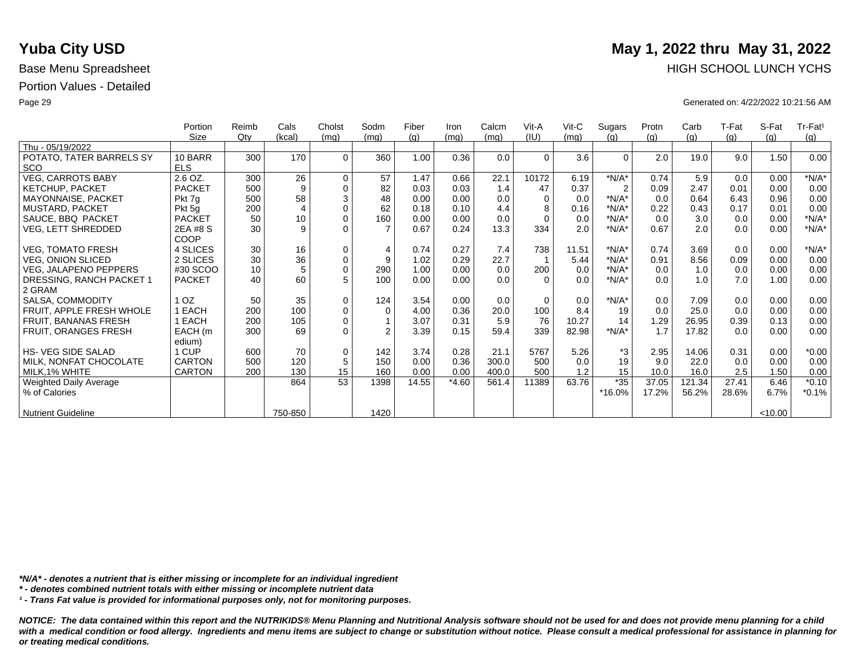|                           | Portion       | Reimb | Cals           | Cholst      | Sodm           | Fiber | Iron    | Calcm | Vit-A    | $V$ it-C | Sugars         | Protn | Carb   | T-Fat | S-Fat   | Tr-Fat <sup>1</sup> |
|---------------------------|---------------|-------|----------------|-------------|----------------|-------|---------|-------|----------|----------|----------------|-------|--------|-------|---------|---------------------|
|                           | Size          | Qty   | (kcal)         | (mq)        | (mq)           | (q)   | (mq)    | (mq)  | (IU)     | (mq)     | (q)            | (q)   | (g)    | (g)   | (q)     | (g)                 |
| Thu - 05/19/2022          |               |       |                |             |                |       |         |       |          |          |                |       |        |       |         |                     |
| POTATO, TATER BARRELS SY  | 10 BARR       | 300   | 170            | $\Omega$    | 360            | 1.00  | 0.36    | 0.0   | $\Omega$ | 3.6      | $\Omega$       | 2.0   | 19.0   | 9.0   | 1.50    | 0.00                |
| <b>SCO</b>                | <b>ELS</b>    |       |                |             |                |       |         |       |          |          |                |       |        |       |         |                     |
| <b>VEG, CARROTS BABY</b>  | 2.6 OZ.       | 300   | 26             | $\mathbf 0$ | 57             | 1.47  | 0.66    | 22.1  | 10172    | 6.19     | $*N/A*$        | 0.74  | 5.9    | 0.0   | 0.00    | $*N/A*$             |
| <b>KETCHUP, PACKET</b>    | <b>PACKET</b> | 500   | 9              | $\mathbf 0$ | 82             | 0.03  | 0.03    | 1.4   | 47       | 0.37     | $\overline{2}$ | 0.09  | 2.47   | 0.01  | 0.00    | 0.00                |
| MAYONNAISE, PACKET        | Pkt 7g        | 500   | 58             | $\sqrt{3}$  | 48             | 0.00  | 0.00    | 0.0   | $\Omega$ | 0.0      | $*N/A*$        | 0.0   | 0.64   | 6.43  | 0.96    | 0.00                |
| MUSTARD, PACKET           | Pkt 5g        | 200   | $\overline{4}$ | $\mathbf 0$ | 62             | 0.18  | 0.10    | 4.4   | 8        | 0.16     | $*N/A*$        | 0.22  | 0.43   | 0.17  | 0.01    | 0.00                |
| SAUCE, BBQ PACKET         | <b>PACKET</b> | 50    | 10             | $\mathbf 0$ | 160            | 0.00  | 0.00    | 0.0   | $\Omega$ | 0.0      | $*N/A*$        | 0.0   | 3.0    | 0.0   | 0.00    | $*N/A*$             |
| VEG, LETT SHREDDED        | 2EA #8 S      | 30    | 9              | $\Omega$    |                | 0.67  | 0.24    | 13.3  | 334      | 2.0      | $*N/A*$        | 0.67  | 2.0    | 0.0   | 0.00    | $*N/A*$             |
|                           | COOP          |       |                |             |                |       |         |       |          |          |                |       |        |       |         |                     |
| <b>VEG, TOMATO FRESH</b>  | 4 SLICES      | 30    | 16             | $\mathbf 0$ | $\overline{4}$ | 0.74  | 0.27    | 7.4   | 738      | 11.51    | $*N/A*$        | 0.74  | 3.69   | 0.0   | 0.00    | $*N/A*$             |
| <b>VEG, ONION SLICED</b>  | 2 SLICES      | 30    | 36             | $\pmb{0}$   | 9              | 1.02  | 0.29    | 22.7  |          | 5.44     | $*N/A*$        | 0.91  | 8.56   | 0.09  | 0.00    | 0.00                |
| VEG, JALAPENO PEPPERS     | #30 SCOO      | 10    | 5              | $\pmb{0}$   | 290            | 1.00  | 0.00    | 0.0   | 200      | 0.0      | $*N/A*$        | 0.0   | 1.0    | 0.0   | 0.00    | 0.00                |
| DRESSING, RANCH PACKET 1  | <b>PACKET</b> | 40    | 60             | 5           | 100            | 0.00  | 0.00    | 0.0   | $\Omega$ | 0.0      | $*N/A*$        | 0.0   | 1.0    | 7.0   | 1.00    | 0.00                |
| 2 GRAM                    |               |       |                |             |                |       |         |       |          |          |                |       |        |       |         |                     |
| SALSA, COMMODITY          | OZ.           | 50    | 35             | $\mathbf 0$ | 124            | 3.54  | 0.00    | 0.0   | $\Omega$ | 0.0      | $*N/A*$        | 0.0   | 7.09   | 0.0   | 0.00    | 0.00                |
| FRUIT, APPLE FRESH WHOLE  | EACH          | 200   | 100            | $\pmb{0}$   | $\Omega$       | 4.00  | 0.36    | 20.0  | 100      | 8.4      | 19             | 0.0   | 25.0   | 0.0   | 0.00    | 0.00                |
| FRUIT, BANANAS FRESH      | EACH          | 200   | 105            | $\mathbf 0$ |                | 3.07  | 0.31    | 5.9   | 76       | 10.27    | 14             | 1.29  | 26.95  | 0.39  | 0.13    | 0.00                |
| FRUIT, ORANGES FRESH      | EACH (m       | 300   | 69             | $\Omega$    | $\mathfrak{p}$ | 3.39  | 0.15    | 59.4  | 339      | 82.98    | $*N/A*$        | 1.7   | 17.82  | 0.0   | 0.00    | 0.00                |
|                           | edium)        |       |                |             |                |       |         |       |          |          |                |       |        |       |         |                     |
| <b>HS-VEG SIDE SALAD</b>  | 1 CUP         | 600   | 70             | $\mathbf 0$ | 142            | 3.74  | 0.28    | 21.1  | 5767     | 5.26     | *3             | 2.95  | 14.06  | 0.31  | 0.00    | $*0.00$             |
| MILK, NONFAT CHOCOLATE    | <b>CARTON</b> | 500   | 120            | $\sqrt{5}$  | 150            | 0.00  | 0.36    | 300.0 | 500      | 0.0      | 19             | 9.0   | 22.0   | 0.0   | 0.00    | 0.00                |
| MILK, 1% WHITE            | <b>CARTON</b> | 200   | 130            | 15          | 160            | 0.00  | 0.00    | 400.0 | 500      | 1.2      | 15             | 10.0  | 16.0   | 2.5   | 1.50    | 0.00                |
| Weighted Daily Average    |               |       | 864            | 53          | 1398           | 14.55 | $*4.60$ | 561.4 | 11389    | 63.76    | $*35$          | 37.05 | 121.34 | 27.41 | 6.46    | $*0.10$             |
| % of Calories             |               |       |                |             |                |       |         |       |          |          | *16.0%         | 17.2% | 56.2%  | 28.6% | 6.7%    | $*0.1%$             |
|                           |               |       |                |             |                |       |         |       |          |          |                |       |        |       |         |                     |
| <b>Nutrient Guideline</b> |               |       | 750-850        |             | 1420           |       |         |       |          |          |                |       |        |       | < 10.00 |                     |

*\*N/A\* - denotes a nutrient that is either missing or incomplete for an individual ingredient*

*\* - denotes combined nutrient totals with either missing or incomplete nutrient data*

*¹ - Trans Fat value is provided for informational purposes only, not for monitoring purposes.*

*NOTICE: The data contained within this report and the NUTRIKIDS® Menu Planning and Nutritional Analysis software should not be used for and does not provide menu planning for a child*  with a medical condition or food allergy. Ingredients and menu items are subject to change or substitution without notice. Please consult a medical professional for assistance in planning for *or treating medical conditions.*

# **Yuba City USD** May 1, 2022 thru May 31, 2022 Base Menu Spreadsheet **HIGH SCHOOL LUNCH YCHS**

Page 29 Generated on: 4/22/2022 10:21:56 AM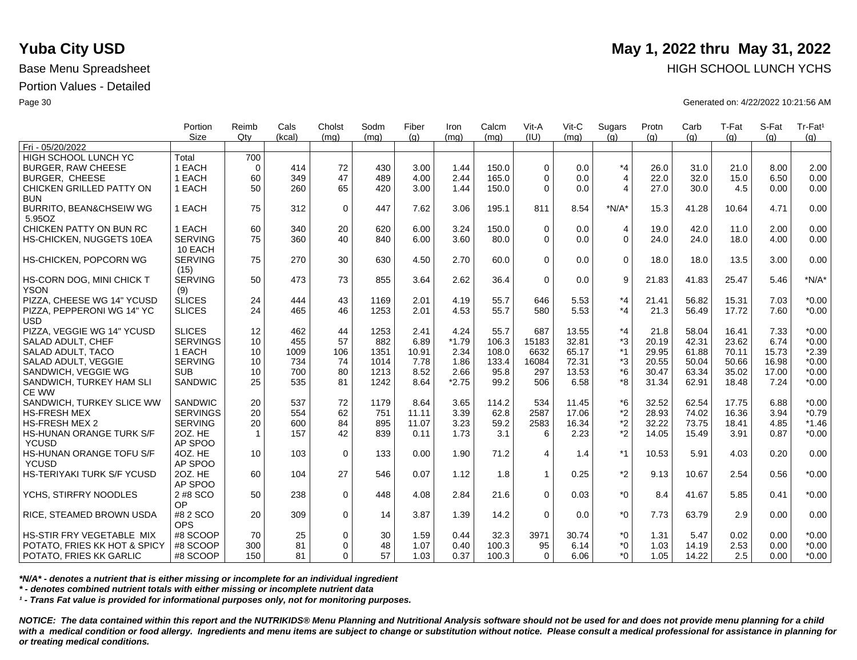|                                    | Portion<br><b>Size</b> | Reimb<br>Qtv | Cals     | Cholst<br>(ma) | Sodm     | Fiber | Iron         | Calcm<br>(ma) | Vit-A<br>(IU) | Vit-C<br>(mq) | Sugars<br>(q)  | Protn | Carb          | T-Fat | S-Fat | Tr-Fat <sup>1</sup> |
|------------------------------------|------------------------|--------------|----------|----------------|----------|-------|--------------|---------------|---------------|---------------|----------------|-------|---------------|-------|-------|---------------------|
| Fri - 05/20/2022                   |                        |              | (kcal)   |                | (mq)     | (q)   | (ma)         |               |               |               |                | (q)   | (q)           | (q)   | (q)   | (q)                 |
| <b>HIGH SCHOOL LUNCH YC</b>        | Total                  | 700          |          |                |          |       |              |               |               |               |                |       |               |       |       |                     |
| <b>BURGER, RAW CHEESE</b>          | 1 EACH                 | $\Omega$     | 414      | 72             | 430      | 3.00  | 1.44         | 150.0         | $\Omega$      | 0.0           | $*_{4}$        | 26.0  | 31.0          | 21.0  | 8.00  | 2.00                |
| <b>BURGER, CHEESE</b>              | 1 EACH                 | 60           | 349      | 47             | 489      | 4.00  | 2.44         | 165.0         | $\Omega$      | 0.0           | $\overline{4}$ | 22.0  | 32.0          | 15.0  | 6.50  | 0.00                |
| CHICKEN GRILLED PATTY ON           | 1 EACH                 | 50           | 260      | 65             | 420      | 3.00  | 1.44         | 150.0         | $\Omega$      | 0.0           | $\overline{4}$ | 27.0  | 30.0          | 4.5   | 0.00  | 0.00                |
| <b>BUN</b>                         |                        |              |          |                |          |       |              |               |               |               |                |       |               |       |       |                     |
| <b>BURRITO, BEAN&amp;CHSEIW WG</b> | 1 EACH                 | 75           | 312      | $\mathbf 0$    | 447      | 7.62  | 3.06         | 195.1         | 811           | 8.54          | $*N/A*$        | 15.3  | 41.28         | 10.64 | 4.71  | 0.00                |
| 5.95OZ                             |                        |              |          |                |          |       |              |               |               |               |                |       |               |       |       |                     |
| CHICKEN PATTY ON BUN RC            | 1 EACH                 | 60           | 340      | 20             | 620      | 6.00  | 3.24         | 150.0         | $\Omega$      | 0.0           | $\overline{4}$ | 19.0  | 42.0          | 11.0  | 2.00  | 0.00                |
| HS-CHICKEN, NUGGETS 10EA           | <b>SERVING</b>         | 75           | 360      | 40             | 840      | 6.00  | 3.60         | 80.0          | $\Omega$      | 0.0           | $\overline{0}$ | 24.0  | 24.0          | 18.0  | 4.00  | 0.00                |
|                                    | 10 EACH                |              |          |                |          |       |              |               |               |               |                |       |               |       |       |                     |
| HS-CHICKEN, POPCORN WG             | <b>SERVING</b>         | 75           | 270      | 30             | 630      | 4.50  | 2.70         | 60.0          | $\Omega$      | 0.0           | $\mathbf 0$    | 18.0  | 18.0          | 13.5  | 3.00  | 0.00                |
|                                    | (15)                   |              |          |                |          |       |              |               |               |               |                |       |               |       |       |                     |
| HS-CORN DOG, MINI CHICK T          | <b>SERVING</b>         | 50           | 473      | 73             | 855      | 3.64  | 2.62         | 36.4          | $\mathbf 0$   | 0.0           | 9              | 21.83 | 41.83         | 25.47 | 5.46  | $*N/A*$             |
| <b>YSON</b>                        | (9)                    |              |          |                |          |       |              |               |               |               |                |       |               |       |       |                     |
| PIZZA, CHEESE WG 14" YCUSD         | <b>SLICES</b>          | 24           | 444      | 43             | 1169     | 2.01  | 4.19         | 55.7          | 646           | 5.53          | $*_{4}$        | 21.41 | 56.82         | 15.31 | 7.03  | $*0.00$             |
| PIZZA, PEPPERONI WG 14" YC         | <b>SLICES</b>          | 24           | 465      | 46             | 1253     | 2.01  | 4.53         | 55.7          | 580           | 5.53          | $*_{4}$        | 21.3  | 56.49         | 17.72 | 7.60  | $*0.00$             |
| <b>USD</b>                         |                        |              |          |                |          |       |              |               |               |               |                |       |               |       |       |                     |
| PIZZA, VEGGIE WG 14" YCUSD         | <b>SLICES</b>          | 12           | 462      | 44             | 1253     | 2.41  | 4.24         | 55.7          | 687           | 13.55         | $*_{4}$        | 21.8  | 58.04         | 16.41 | 7.33  | $*0.00$             |
| SALAD ADULT, CHEF                  | <b>SERVINGS</b>        | 10           | 455      | 57             | 882      | 6.89  | $*1.79$      | 106.3         | 15183         | 32.81         | *3             | 20.19 | 42.31         | 23.62 | 6.74  | $*0.00$             |
| SALAD ADULT, TACO                  | 1 EACH                 | 10           | 1009     | 106            | 1351     | 10.91 | 2.34         | 108.0         | 6632          | 65.17         | $*1$           | 29.95 | 61.88         | 70.11 | 15.73 | $*2.39$             |
| SALAD ADULT, VEGGIE                | <b>SERVING</b>         | 10           | 734      | 74             | 1014     | 7.78  | 1.86         | 133.4         | 16084         | 72.31         | *3             | 20.55 | 50.04         | 50.66 | 16.98 | $*0.00$             |
| SANDWICH, VEGGIE WG                | <b>SUB</b>             | 10           | 700      | 80             | 1213     | 8.52  | 2.66         | 95.8          | 297           | 13.53         | $*6$           | 30.47 | 63.34         | 35.02 | 17.00 | $*0.00$             |
| SANDWICH, TURKEY HAM SLI           | <b>SANDWIC</b>         | 25           | 535      | 81             | 1242     | 8.64  | $*2.75$      | 99.2          | 506           | 6.58          | *8             | 31.34 | 62.91         | 18.48 | 7.24  | $*0.00$             |
| <b>CE WW</b>                       |                        |              |          |                |          |       |              |               |               |               |                |       |               |       |       |                     |
| SANDWICH, TURKEY SLICE WW          | SANDWIC                | 20           | 537      | 72             | 1179     | 8.64  | 3.65         | 114.2         | 534           | 11.45         | *6             | 32.52 | 62.54         | 17.75 | 6.88  | $*0.00$             |
| <b>HS-FRESH MEX</b>                | <b>SERVINGS</b>        | 20           | 554      | 62             | 751      | 11.11 | 3.39         | 62.8          | 2587          | 17.06         | *2             | 28.93 | 74.02         | 16.36 | 3.94  | $*0.79$             |
| <b>HS-FRESH MEX 2</b>              | <b>SERVING</b>         | 20           | 600      | 84             | 895      | 11.07 | 3.23         | 59.2          | 2583          | 16.34         | $*2$           | 32.22 | 73.75         | 18.41 | 4.85  | $*1.46$             |
| <b>HS-HUNAN ORANGE TURK S/F</b>    | 20Z. HE                | $\mathbf{1}$ | 157      | 42             | 839      | 0.11  | 1.73         | 3.1           | 6             | 2.23          | $*2$           | 14.05 | 15.49         | 3.91  | 0.87  | $*0.00$             |
| <b>YCUSD</b>                       | AP SPOO                |              |          |                |          |       |              |               |               |               |                |       |               |       |       |                     |
| HS-HUNAN ORANGE TOFU S/F           | 4OZ. HE                | 10           | 103      | $\mathbf 0$    | 133      | 0.00  | 1.90         | 71.2          | 4             | 1.4           | $*1$           | 10.53 | 5.91          | 4.03  | 0.20  | 0.00                |
| <b>YCUSD</b>                       | AP SPOO                |              |          |                |          |       |              |               |               |               |                |       |               |       |       |                     |
| HS-TERIYAKI TURK S/F YCUSD         | 20Z. HE                | 60           | 104      | 27             | 546      | 0.07  | 1.12         | 1.8           | $\mathbf{1}$  | 0.25          | $*2$           | 9.13  | 10.67         | 2.54  | 0.56  | $*0.00$             |
|                                    | AP SPOO                |              |          |                |          |       |              |               |               |               |                |       |               |       |       |                     |
| YCHS, STIRFRY NOODLES              | 2 #8 SCO               | 50           | 238      | $\mathbf 0$    | 448      | 4.08  | 2.84         | 21.6          | $\Omega$      | 0.03          | $*_{0}$        | 8.4   | 41.67         | 5.85  | 0.41  | $*0.00$             |
|                                    | OP                     |              |          |                |          |       |              |               |               |               |                |       |               |       |       |                     |
| RICE, STEAMED BROWN USDA           | #8 2 SCO               | 20           | 309      | $\mathbf 0$    | 14       | 3.87  | 1.39         | 14.2          | $\Omega$      | 0.0           | $*_{0}$        | 7.73  | 63.79         | 2.9   | 0.00  | 0.00                |
|                                    | <b>OPS</b>             |              |          |                |          |       |              |               |               |               |                |       |               |       |       |                     |
| HS-STIR FRY VEGETABLE MIX          | #8 SCOOP               | 70<br>300    | 25       | 0<br>$\Omega$  | 30<br>48 | 1.59  | 0.44<br>0.40 | 32.3          | 3971<br>95    | 30.74<br>6.14 | $^*0$<br>$^*0$ | 1.31  | 5.47<br>14.19 | 0.02  | 0.00  | $*0.00$<br>$*0.00$  |
| POTATO, FRIES KK HOT & SPICY       | #8 SCOOP               |              | 81<br>81 |                | 57       | 1.07  | 0.37         | 100.3         | $\Omega$      | 6.06          | $*0$           | 1.03  |               | 2.53  | 0.00  | $*0.00$             |
| POTATO, FRIES KK GARLIC            | #8 SCOOP               | 150          |          | $\Omega$       |          | 1.03  |              | 100.3         |               |               |                | 1.05  | 14.22         | 2.5   | 0.00  |                     |

*\*N/A\* - denotes a nutrient that is either missing or incomplete for an individual ingredient*

*\* - denotes combined nutrient totals with either missing or incomplete nutrient data*

*¹ - Trans Fat value is provided for informational purposes only, not for monitoring purposes.*

*NOTICE: The data contained within this report and the NUTRIKIDS® Menu Planning and Nutritional Analysis software should not be used for and does not provide menu planning for a child*  with a medical condition or food allergy. Ingredients and menu items are subject to change or substitution without notice. Please consult a medical professional for assistance in planning for *or treating medical conditions.*

## **Yuba City USD** May 1, 2022 thru May 31, 2022 Base Menu Spreadsheet **HIGH SCHOOL LUNCH YCHS HIGH SCHOOL LUNCH YCHS**

Page 30 Generated on: 4/22/2022 10:21:56 AM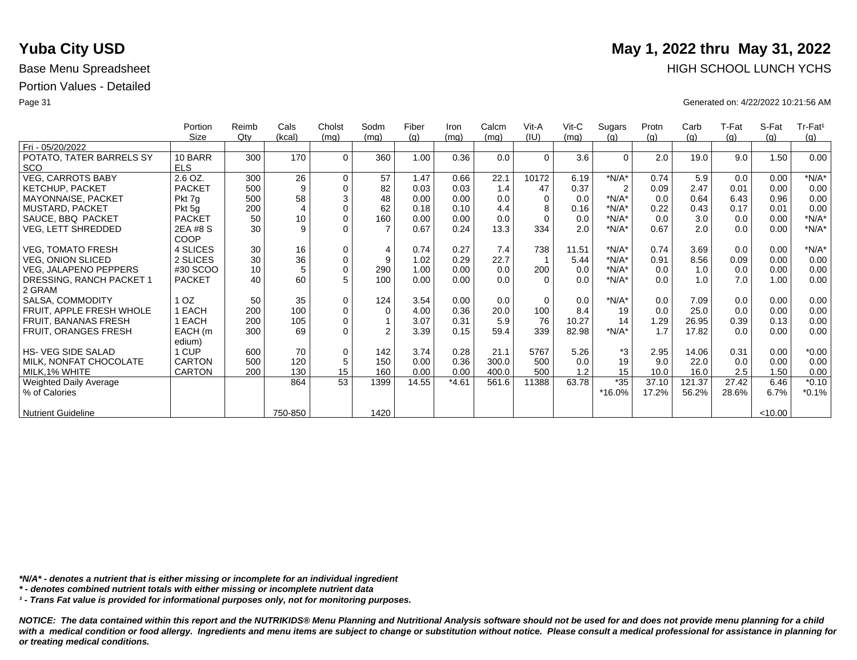|                           | Portion       | Reimb | Cals           | Cholst      | Sodm           | Fiber | Iron    | Calcm | Vit-A    | $V$ it-C | Sugars         | Protn | Carb   | T-Fat | S-Fat   | Tr-Fat <sup>1</sup> |
|---------------------------|---------------|-------|----------------|-------------|----------------|-------|---------|-------|----------|----------|----------------|-------|--------|-------|---------|---------------------|
|                           | Size          | Qty   | (kcal)         | (mq)        | (mq)           | (q)   | (mq)    | (mq)  | (IU)     | (mq)     | (q)            | (q)   | (g)    | (g)   | (q)     | (g)                 |
| Fri - 05/20/2022          |               |       |                |             |                |       |         |       |          |          |                |       |        |       |         |                     |
| POTATO, TATER BARRELS SY  | 10 BARR       | 300   | 170            | $\Omega$    | 360            | 1.00  | 0.36    | 0.0   | $\Omega$ | 3.6      | $\Omega$       | 2.0   | 19.0   | 9.0   | 1.50    | 0.00                |
| <b>SCO</b>                | <b>ELS</b>    |       |                |             |                |       |         |       |          |          |                |       |        |       |         |                     |
| <b>VEG, CARROTS BABY</b>  | 2.6 OZ.       | 300   | 26             | $\mathbf 0$ | 57             | 1.47  | 0.66    | 22.1  | 10172    | 6.19     | $*N/A*$        | 0.74  | 5.9    | 0.0   | 0.00    | $*N/A*$             |
| <b>KETCHUP, PACKET</b>    | <b>PACKET</b> | 500   | 9              | $\mathbf 0$ | 82             | 0.03  | 0.03    | 1.4   | 47       | 0.37     | $\overline{2}$ | 0.09  | 2.47   | 0.01  | 0.00    | 0.00                |
| MAYONNAISE, PACKET        | Pkt 7g        | 500   | 58             | $\sqrt{3}$  | 48             | 0.00  | 0.00    | 0.0   | $\Omega$ | 0.0      | $*N/A*$        | 0.0   | 0.64   | 6.43  | 0.96    | 0.00                |
| MUSTARD, PACKET           | Pkt 5g        | 200   | $\overline{4}$ | $\mathbf 0$ | 62             | 0.18  | 0.10    | 4.4   | 8        | 0.16     | $*N/A*$        | 0.22  | 0.43   | 0.17  | 0.01    | 0.00                |
| SAUCE, BBQ PACKET         | <b>PACKET</b> | 50    | 10             | $\mathbf 0$ | 160            | 0.00  | 0.00    | 0.0   | $\Omega$ | 0.0      | $*N/A*$        | 0.0   | 3.0    | 0.0   | 0.00    | $*N/A*$             |
| VEG, LETT SHREDDED        | 2EA #8 S      | 30    | 9              | $\Omega$    |                | 0.67  | 0.24    | 13.3  | 334      | 2.0      | $*N/A*$        | 0.67  | 2.0    | 0.0   | 0.00    | $*N/A*$             |
|                           | COOP          |       |                |             |                |       |         |       |          |          |                |       |        |       |         |                     |
| <b>VEG, TOMATO FRESH</b>  | 4 SLICES      | 30    | 16             | $\mathbf 0$ | $\overline{4}$ | 0.74  | 0.27    | 7.4   | 738      | 11.51    | $*N/A*$        | 0.74  | 3.69   | 0.0   | 0.00    | $*N/A*$             |
| <b>VEG, ONION SLICED</b>  | 2 SLICES      | 30    | 36             | $\pmb{0}$   | 9              | 1.02  | 0.29    | 22.7  |          | 5.44     | $*N/A*$        | 0.91  | 8.56   | 0.09  | 0.00    | 0.00                |
| VEG, JALAPENO PEPPERS     | #30 SCOO      | 10    | 5              | $\pmb{0}$   | 290            | 1.00  | 0.00    | 0.0   | 200      | 0.0      | $*N/A*$        | 0.0   | 1.0    | 0.0   | 0.00    | 0.00                |
| DRESSING, RANCH PACKET 1  | <b>PACKET</b> | 40    | 60             | 5           | 100            | 0.00  | 0.00    | 0.0   | $\Omega$ | 0.0      | $*N/A*$        | 0.0   | 1.0    | 7.0   | 1.00    | 0.00                |
| 2 GRAM                    |               |       |                |             |                |       |         |       |          |          |                |       |        |       |         |                     |
| SALSA, COMMODITY          | OZ.           | 50    | 35             | $\mathbf 0$ | 124            | 3.54  | 0.00    | 0.0   | $\Omega$ | 0.0      | $*N/A*$        | 0.0   | 7.09   | 0.0   | 0.00    | 0.00                |
| FRUIT, APPLE FRESH WHOLE  | EACH          | 200   | 100            | $\pmb{0}$   | $\Omega$       | 4.00  | 0.36    | 20.0  | 100      | 8.4      | 19             | 0.0   | 25.0   | 0.0   | 0.00    | 0.00                |
| FRUIT, BANANAS FRESH      | EACH          | 200   | 105            | $\mathbf 0$ |                | 3.07  | 0.31    | 5.9   | 76       | 10.27    | 14             | 1.29  | 26.95  | 0.39  | 0.13    | 0.00                |
| FRUIT, ORANGES FRESH      | EACH (m       | 300   | 69             | $\Omega$    | $\mathfrak{p}$ | 3.39  | 0.15    | 59.4  | 339      | 82.98    | $*N/A*$        | 1.7   | 17.82  | 0.0   | 0.00    | 0.00                |
|                           | edium)        |       |                |             |                |       |         |       |          |          |                |       |        |       |         |                     |
| <b>HS-VEG SIDE SALAD</b>  | 1 CUP         | 600   | 70             | $\mathbf 0$ | 142            | 3.74  | 0.28    | 21.1  | 5767     | 5.26     | *3             | 2.95  | 14.06  | 0.31  | 0.00    | $*0.00$             |
| MILK, NONFAT CHOCOLATE    | <b>CARTON</b> | 500   | 120            | $\sqrt{5}$  | 150            | 0.00  | 0.36    | 300.0 | 500      | 0.0      | 19             | 9.0   | 22.0   | 0.0   | 0.00    | 0.00                |
| MILK, 1% WHITE            | CARTON        | 200   | 130            | 15          | 160            | 0.00  | 0.00    | 400.0 | 500      | 1.2      | 15             | 10.0  | 16.0   | 2.5   | 1.50    | 0.00                |
| Weighted Daily Average    |               |       | 864            | 53          | 1399           | 14.55 | $*4.61$ | 561.6 | 11388    | 63.78    | $*35$          | 37.10 | 121.37 | 27.42 | 6.46    | $*0.10$             |
| % of Calories             |               |       |                |             |                |       |         |       |          |          | *16.0%         | 17.2% | 56.2%  | 28.6% | 6.7%    | $*0.1%$             |
|                           |               |       |                |             |                |       |         |       |          |          |                |       |        |       |         |                     |
| <b>Nutrient Guideline</b> |               |       | 750-850        |             | 1420           |       |         |       |          |          |                |       |        |       | < 10.00 |                     |

*\*N/A\* - denotes a nutrient that is either missing or incomplete for an individual ingredient*

*\* - denotes combined nutrient totals with either missing or incomplete nutrient data*

*¹ - Trans Fat value is provided for informational purposes only, not for monitoring purposes.*

*NOTICE: The data contained within this report and the NUTRIKIDS® Menu Planning and Nutritional Analysis software should not be used for and does not provide menu planning for a child*  with a medical condition or food allergy. Ingredients and menu items are subject to change or substitution without notice. Please consult a medical professional for assistance in planning for *or treating medical conditions.*

# **Yuba City USD** May 1, 2022 thru May 31, 2022 Base Menu Spreadsheet **HIGH SCHOOL LUNCH YCHS HIGH SCHOOL LUNCH YCHS**

Page 31 Generated on: 4/22/2022 10:21:56 AM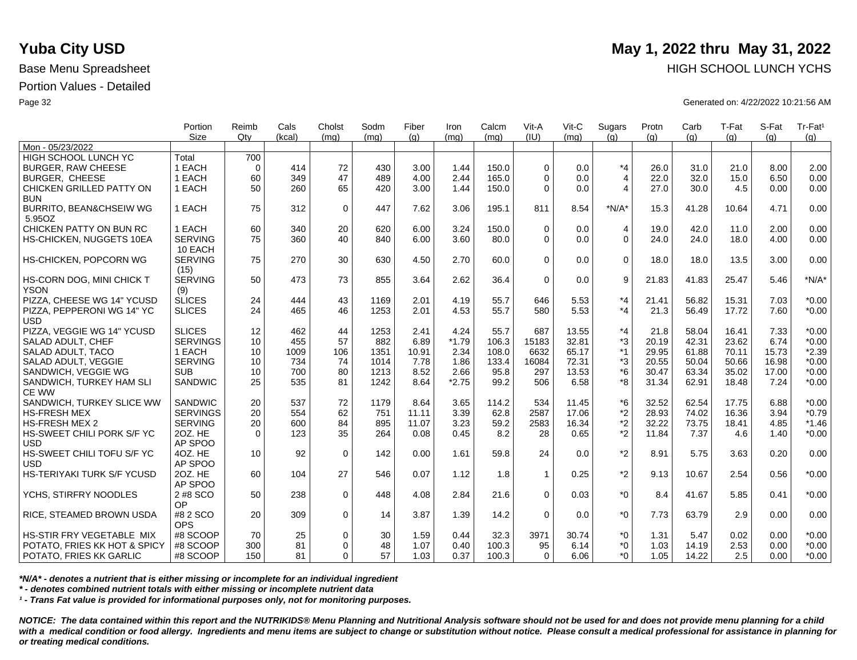|                                          | Portion         | Reimb          | Cals       | Cholst      | Sodm       | Fiber | Iron         | Calcm | Vit-A        | Vit-C        | Sugars             | Protn | Carb         | T-Fat | S-Fat | Tr-Fat <sup>1</sup> |
|------------------------------------------|-----------------|----------------|------------|-------------|------------|-------|--------------|-------|--------------|--------------|--------------------|-------|--------------|-------|-------|---------------------|
|                                          | <b>Size</b>     | Qtv            | (kcal)     | (mq)        | (ma)       | (q)   | (mq)         | (mq)  | (IU)         | (mq)         | (q)                | (q)   | (q)          | (q)   | (q)   | (g)                 |
| Mon - 05/23/2022                         |                 |                |            |             |            |       |              |       |              |              |                    |       |              |       |       |                     |
| HIGH SCHOOL LUNCH YC                     | Total<br>1 EACH | 700            | 414        |             |            |       |              | 150.0 | $\Omega$     |              | $*_{4}$            |       |              | 21.0  |       | 2.00                |
| <b>BURGER, RAW CHEESE</b>                | 1 EACH          | $\Omega$<br>60 | 349        | 72<br>47    | 430<br>489 | 3.00  | 1.44<br>2.44 |       | $\Omega$     | 0.0          |                    | 26.0  | 31.0<br>32.0 |       | 8.00  | 0.00                |
| <b>BURGER, CHEESE</b>                    |                 |                |            |             |            | 4.00  |              | 165.0 |              | 0.0          | $\overline{4}$     | 22.0  |              | 15.0  | 6.50  |                     |
| CHICKEN GRILLED PATTY ON                 | 1 EACH          | 50             | 260        | 65          | 420        | 3.00  | 1.44         | 150.0 | $\Omega$     | 0.0          | $\overline{4}$     | 27.0  | 30.0         | 4.5   | 0.00  | 0.00                |
| <b>BUN</b>                               | 1 EACH          | 75             | 312        |             | 447        |       |              |       | 811          | 8.54         | $*N/A*$            |       |              |       | 4.71  | 0.00                |
| BURRITO, BEAN&CHSEIW WG                  |                 |                |            | $\mathbf 0$ |            | 7.62  | 3.06         | 195.1 |              |              |                    | 15.3  | 41.28        | 10.64 |       |                     |
| 5.95OZ                                   |                 |                |            |             |            |       |              |       |              |              |                    |       |              |       |       |                     |
| CHICKEN PATTY ON BUN RC                  | 1 EACH          | 60             | 340        | 20          | 620        | 6.00  | 3.24         | 150.0 | $\Omega$     | 0.0          | 4                  | 19.0  | 42.0         | 11.0  | 2.00  | 0.00                |
| HS-CHICKEN, NUGGETS 10EA                 | <b>SERVING</b>  | 75             | 360        | 40          | 840        | 6.00  | 3.60         | 80.0  | $\Omega$     | 0.0          | $\Omega$           | 24.0  | 24.0         | 18.0  | 4.00  | 0.00                |
|                                          | 10 EACH         |                |            |             |            |       |              |       |              |              |                    |       |              |       |       |                     |
| HS-CHICKEN, POPCORN WG                   | <b>SERVING</b>  | 75             | 270        | 30          | 630        | 4.50  | 2.70         | 60.0  | $\Omega$     | 0.0          | $\mathbf 0$        | 18.0  | 18.0         | 13.5  | 3.00  | 0.00                |
|                                          | (15)            |                |            |             |            |       |              |       |              |              |                    |       |              |       |       |                     |
| HS-CORN DOG, MINI CHICK T                | <b>SERVING</b>  | 50             | 473        | 73          | 855        | 3.64  | 2.62         | 36.4  | $\Omega$     | 0.0          | 9                  | 21.83 | 41.83        | 25.47 | 5.46  | $*N/A*$             |
| <b>YSON</b>                              | (9)             |                |            |             |            |       |              |       |              |              |                    |       |              |       |       |                     |
| PIZZA, CHEESE WG 14" YCUSD               | <b>SLICES</b>   | 24             | 444<br>465 | 43          | 1169       | 2.01  | 4.19<br>4.53 | 55.7  | 646          | 5.53<br>5.53 | $*_{4}$<br>$*_{4}$ | 21.41 | 56.82        | 15.31 | 7.03  | $*0.00$             |
| PIZZA, PEPPERONI WG 14" YC<br><b>USD</b> | <b>SLICES</b>   | 24             |            | 46          | 1253       | 2.01  |              | 55.7  | 580          |              |                    | 21.3  | 56.49        | 17.72 | 7.60  | $*0.00$             |
| PIZZA, VEGGIE WG 14" YCUSD               | <b>SLICES</b>   | 12             | 462        | 44          | 1253       | 2.41  | 4.24         | 55.7  | 687          | 13.55        | $*_{4}$            | 21.8  | 58.04        | 16.41 | 7.33  | $*0.00$             |
| SALAD ADULT, CHEF                        | <b>SERVINGS</b> | 10             | 455        | 57          | 882        | 6.89  | $*1.79$      | 106.3 | 15183        | 32.81        | *3                 | 20.19 | 42.31        | 23.62 | 6.74  | $*0.00$             |
| SALAD ADULT, TACO                        | 1 EACH          | 10             | 1009       | 106         | 1351       | 10.91 | 2.34         | 108.0 | 6632         | 65.17        | $*1$               | 29.95 | 61.88        | 70.11 | 15.73 | $*2.39$             |
| SALAD ADULT, VEGGIE                      | <b>SERVING</b>  | 10             | 734        | 74          | 1014       | 7.78  | 1.86         | 133.4 | 16084        | 72.31        | *3                 | 20.55 | 50.04        | 50.66 | 16.98 | $*0.00$             |
| SANDWICH, VEGGIE WG                      | <b>SUB</b>      | 10             | 700        | 80          | 1213       | 8.52  | 2.66         | 95.8  | 297          | 13.53        | $*6$               | 30.47 | 63.34        | 35.02 | 17.00 | $*0.00$             |
| SANDWICH, TURKEY HAM SLI                 | <b>SANDWIC</b>  | 25             | 535        | 81          | 1242       | 8.64  | $*2.75$      | 99.2  | 506          | 6.58         | *8                 | 31.34 | 62.91        | 18.48 | 7.24  | $*0.00$             |
| <b>CE WW</b>                             |                 |                |            |             |            |       |              |       |              |              |                    |       |              |       |       |                     |
| SANDWICH, TURKEY SLICE WW                | SANDWIC         | 20             | 537        | 72          | 1179       | 8.64  | 3.65         | 114.2 | 534          | 11.45        | *6                 | 32.52 | 62.54        | 17.75 | 6.88  | $*0.00$             |
| <b>HS-FRESH MEX</b>                      | <b>SERVINGS</b> | 20             | 554        | 62          | 751        | 11.11 | 3.39         | 62.8  | 2587         | 17.06        | *2                 | 28.93 | 74.02        | 16.36 | 3.94  | $*0.79$             |
| <b>HS-FRESH MEX 2</b>                    | <b>SERVING</b>  | 20             | 600        | 84          | 895        | 11.07 | 3.23         | 59.2  | 2583         | 16.34        | $*2$               | 32.22 | 73.75        | 18.41 | 4.85  | $*1.46$             |
| HS-SWEET CHILI PORK S/F YC               | 20Z. HE         | $\Omega$       | 123        | 35          | 264        | 0.08  | 0.45         | 8.2   | 28           | 0.65         | $*2$               | 11.84 | 7.37         | 4.6   | 1.40  | $*0.00$             |
| <b>USD</b>                               | AP SPOO         |                |            |             |            |       |              |       |              |              |                    |       |              |       |       |                     |
| HS-SWEET CHILI TOFU S/F YC               | 4OZ. HE         | 10             | 92         | $\mathbf 0$ | 142        | 0.00  | 1.61         | 59.8  | 24           | 0.0          | $*2$               | 8.91  | 5.75         | 3.63  | 0.20  | 0.00                |
| <b>USD</b>                               | AP SPOO         |                |            |             |            |       |              |       |              |              |                    |       |              |       |       |                     |
| HS-TERIYAKI TURK S/F YCUSD               | 20Z. HE         | 60             | 104        | 27          | 546        | 0.07  | 1.12         | 1.8   | $\mathbf{1}$ | 0.25         | $*2$               | 9.13  | 10.67        | 2.54  | 0.56  | $*0.00$             |
|                                          | AP SPOO         |                |            |             |            |       |              |       |              |              |                    |       |              |       |       |                     |
| YCHS. STIRFRY NOODLES                    | 2 #8 SCO        | 50             | 238        | $\mathbf 0$ | 448        | 4.08  | 2.84         | 21.6  | $\Omega$     | 0.03         | $*_{0}$            | 8.4   | 41.67        | 5.85  | 0.41  | $*0.00$             |
|                                          | OP              |                |            |             |            |       |              |       |              |              |                    |       |              |       |       |                     |
| RICE, STEAMED BROWN USDA                 | #8 2 SCO        | 20             | 309        | $\mathbf 0$ | 14         | 3.87  | 1.39         | 14.2  | $\Omega$     | 0.0          | $*_{0}$            | 7.73  | 63.79        | 2.9   | 0.00  | 0.00                |
|                                          | <b>OPS</b>      |                |            |             |            |       |              |       |              |              |                    |       |              |       |       |                     |
| HS-STIR FRY VEGETABLE MIX                | #8 SCOOP        | 70             | 25         | 0           | 30         | 1.59  | 0.44         | 32.3  | 3971         | 30.74        | $*0$               | 1.31  | 5.47         | 0.02  | 0.00  | $*0.00$             |
| POTATO, FRIES KK HOT & SPICY             | #8 SCOOP        | 300            | 81         | $\Omega$    | 48         | 1.07  | 0.40         | 100.3 | 95           | 6.14         | $*0$               | 1.03  | 14.19        | 2.53  | 0.00  | $*0.00$             |
| POTATO, FRIES KK GARLIC                  | #8 SCOOP        | 150            | 81         | $\Omega$    | 57         | 1.03  | 0.37         | 100.3 | $\Omega$     | 6.06         | $*_{0}$            | 1.05  | 14.22        | 2.5   | 0.00  | $*0.00$             |

*\*N/A\* - denotes a nutrient that is either missing or incomplete for an individual ingredient*

*\* - denotes combined nutrient totals with either missing or incomplete nutrient data*

*¹ - Trans Fat value is provided for informational purposes only, not for monitoring purposes.*

*NOTICE: The data contained within this report and the NUTRIKIDS® Menu Planning and Nutritional Analysis software should not be used for and does not provide menu planning for a child*  with a medical condition or food allergy. Ingredients and menu items are subject to change or substitution without notice. Please consult a medical professional for assistance in planning for *or treating medical conditions.*

## **Yuba City USD** May 1, 2022 thru May 31, 2022 Base Menu Spreadsheet **HIGH SCHOOL LUNCH YCHS HIGH SCHOOL LUNCH YCHS**

Page 32 Generated on: 4/22/2022 10:21:56 AM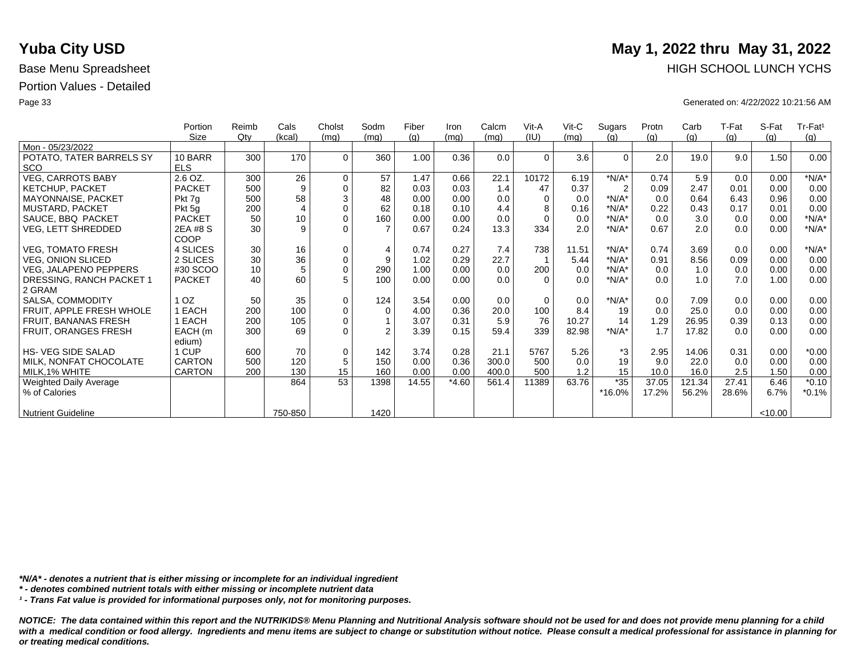|                                        | Portion<br>Size       | Reimb<br>$Q$ ty | Cals<br>(kcal) | Cholst<br>(mq) | Sodm<br>(mq) | Fiber<br>(g) | Iron<br>(mq) | Calcm<br>(mq) | Vit-A<br>(IU) | $V$ it-C<br>(mq) | Sugars<br>(q)  | Protn<br>(g) | Carb<br>(g) | T-Fat<br>(q) | S-Fat<br>(q) | Tr-Fat <sup>1</sup><br>(g) |
|----------------------------------------|-----------------------|-----------------|----------------|----------------|--------------|--------------|--------------|---------------|---------------|------------------|----------------|--------------|-------------|--------------|--------------|----------------------------|
| Mon - 05/23/2022                       |                       |                 |                |                |              |              |              |               |               |                  |                |              |             |              |              |                            |
| POTATO, TATER BARRELS SY<br><b>SCO</b> | 10 BARR<br><b>ELS</b> | 300             | 170            | $\Omega$       | 360          | 1.00         | 0.36         | 0.0           | $\Omega$      | 3.6              | $\Omega$       | 2.0          | 19.0        | 9.0          | 1.50         | 0.00                       |
| <b>VEG, CARROTS BABY</b>               | 2.6 OZ.               | 300             | 26             | $\mathbf 0$    | 57           | 1.47         | 0.66         | 22.1          | 10172         | 6.19             | $*N/A*$        | 0.74         | 5.9         | 0.0          | 0.00         | $*N/A*$                    |
| <b>KETCHUP, PACKET</b>                 | <b>PACKET</b>         | 500             | 9              | $\Omega$       | 82           | 0.03         | 0.03         | 1.4           | 47            | 0.37             | $\overline{2}$ | 0.09         | 2.47        | 0.01         | 0.00         | 0.00                       |
| MAYONNAISE, PACKET                     | Pkt 7g                | 500             | 58             | 3              | 48           | 0.00         | 0.00         | 0.0           | 0             | 0.0              | $*N/A*$        | 0.0          | 0.64        | 6.43         | 0.96         | 0.00                       |
| <b>MUSTARD, PACKET</b>                 | Pkt 5g                | 200             | 4              | $\Omega$       | 62           | 0.18         | 0.10         | 4.4           |               | 0.16             | $*N/A*$        | 0.22         | 0.43        | 0.17         | 0.01         | 0.00                       |
| SAUCE, BBQ PACKET                      | <b>PACKET</b>         | 50              | 10             | $\mathbf 0$    | 160          | 0.00         | 0.00         | 0.0           | $\Omega$      | 0.0              | $*N/A*$        | 0.0          | 3.0         | 0.0          | 0.00         | $*N/A*$                    |
| <b>VEG, LETT SHREDDED</b>              | 2EA #8 S<br>COOP      | 30              | 9              | $\Omega$       |              | 0.67         | 0.24         | 13.3          | 334           | 2.0              | $*N/A*$        | 0.67         | 2.0         | 0.0          | 0.00         | $*N/A*$                    |
| <b>VEG, TOMATO FRESH</b>               | 4 SLICES              | 30              | 16             | $\mathbf 0$    | 4            | 0.74         | 0.27         | 7.4           | 738           | 11.51            | $*N/A*$        | 0.74         | 3.69        | 0.0          | 0.00         | $*N/A*$                    |
| <b>VEG, ONION SLICED</b>               | 2 SLICES              | 30              | 36             | $\mathbf 0$    | 9            | 1.02         | 0.29         | 22.7          |               | 5.44             | $*N/A*$        | 0.91         | 8.56        | 0.09         | 0.00         | 0.00                       |
| <b>VEG, JALAPENO PEPPERS</b>           | #30 SCOO              | 10              | 5              | $\mathbf 0$    | 290          | 1.00         | 0.00         | 0.0           | 200           | 0.0              | $*N/A*$        | 0.0          | 1.0         | 0.0          | 0.00         | 0.00                       |
| DRESSING, RANCH PACKET 1               | <b>PACKET</b>         | 40              | 60             | 5              | 100          | 0.00         | 0.00         | 0.0           | $\Omega$      | 0.0              | $*N/A*$        | 0.0          | 1.0         | 7.0          | 1.00         | 0.00                       |
| 2 GRAM                                 |                       |                 |                |                |              |              |              |               |               |                  |                |              |             |              |              |                            |
| SALSA, COMMODITY                       | 1 <sub>OZ</sub>       | 50              | 35             | $\mathbf 0$    | 124          | 3.54         | 0.00         | 0.0           | $\Omega$      | 0.0              | $*N/A*$        | 0.0          | 7.09        | 0.0          | 0.00         | 0.00                       |
| FRUIT, APPLE FRESH WHOLE               | <b>EACH</b>           | 200             | 100            | $\mathbf 0$    | $\Omega$     | 4.00         | 0.36         | 20.0          | 100           | 8.4              | 19             | 0.0          | 25.0        | 0.0          | 0.00         | 0.00                       |
| FRUIT, BANANAS FRESH                   | EACH                  | 200             | 105            | $\mathbf 0$    |              | 3.07         | 0.31         | 5.9           | 76            | 10.27            | 14             | 1.29         | 26.95       | 0.39         | 0.13         | 0.00                       |
| FRUIT, ORANGES FRESH                   | EACH (m               | 300             | 69             | $\Omega$       | 2            | 3.39         | 0.15         | 59.4          | 339           | 82.98            | $*N/A*$        | 1.7          | 17.82       | 0.0          | 0.00         | 0.00                       |
|                                        | edium)                |                 |                |                |              |              |              |               |               |                  |                |              |             |              |              |                            |
| <b>HS- VEG SIDE SALAD</b>              | 1 CUP                 | 600             | 70             | $\mathbf 0$    | 142          | 3.74         | 0.28         | 21.1          | 5767          | 5.26             | *3             | 2.95         | 14.06       | 0.31         | 0.00         | $*0.00$                    |
| MILK, NONFAT CHOCOLATE                 | <b>CARTON</b>         | 500             | 120            | 5              | 150          | 0.00         | 0.36         | 300.0         | 500           | 0.0              | 19             | 9.0          | 22.0        | 0.0          | 0.00         | 0.00                       |
| MILK, 1% WHITE                         | <b>CARTON</b>         | 200             | 130            | 15             | 160          | 0.00         | 0.00         | 400.0         | 500           | 1.2              | 15             | 10.0         | 16.0        | 2.5          | 1.50         | 0.00                       |
| Weighted Daily Average                 |                       |                 | 864            | 53             | 1398         | 14.55        | $*4.60$      | 561.4         | 11389         | 63.76            | $*35$          | 37.05        | 121.34      | 27.41        | 6.46         | $*0.10$                    |
| % of Calories                          |                       |                 |                |                |              |              |              |               |               |                  | *16.0%         | 17.2%        | 56.2%       | 28.6%        | 6.7%         | $*0.1%$                    |
| <b>Nutrient Guideline</b>              |                       |                 | 750-850        |                | 1420         |              |              |               |               |                  |                |              |             |              | < 10.00      |                            |

*\*N/A\* - denotes a nutrient that is either missing or incomplete for an individual ingredient*

*\* - denotes combined nutrient totals with either missing or incomplete nutrient data*

*¹ - Trans Fat value is provided for informational purposes only, not for monitoring purposes.*

*NOTICE: The data contained within this report and the NUTRIKIDS® Menu Planning and Nutritional Analysis software should not be used for and does not provide menu planning for a child*  with a medical condition or food allergy. Ingredients and menu items are subject to change or substitution without notice. Please consult a medical professional for assistance in planning for *or treating medical conditions.*

# **Yuba City USD** May 1, 2022 thru May 31, 2022 Base Menu Spreadsheet **HIGH SCHOOL LUNCH YCHS**

Page 33 Generated on: 4/22/2022 10:21:56 AM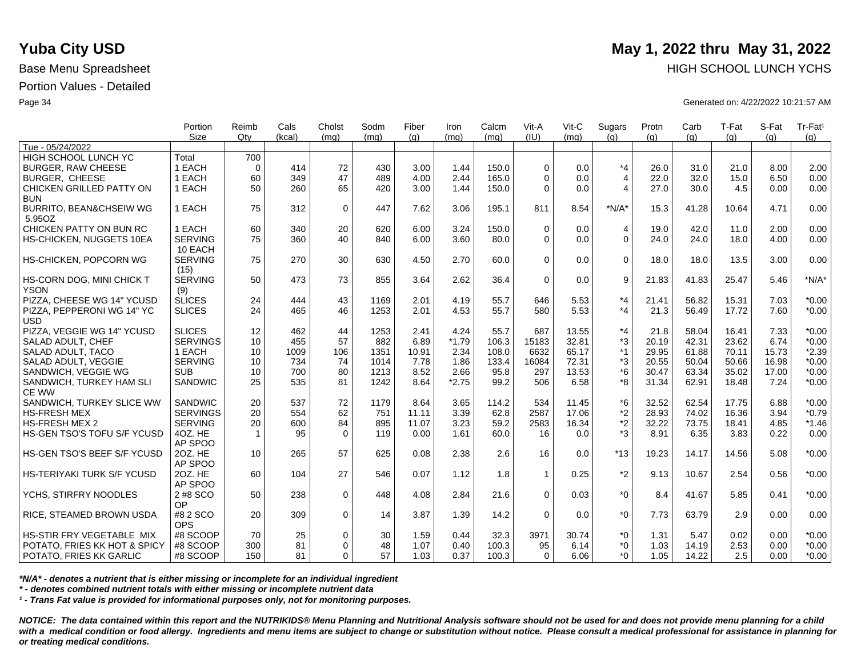|                              | Portion         | Reimb        | Cals   | Cholst      | Sodm | Fiber | Iron    | Calcm | Vit-A        | Vit-C | Sugars         | Protn | Carb  | T-Fat | S-Fat | Tr-Fat <sup>1</sup> |
|------------------------------|-----------------|--------------|--------|-------------|------|-------|---------|-------|--------------|-------|----------------|-------|-------|-------|-------|---------------------|
|                              | Size            | Qtv          | (kcal) | (mq)        | (mq) | (q)   | (mq)    | (mq)  | (IU)         | (mq)  | (q)            | (q)   | (q)   | (q)   | (q)   | (g)                 |
| Tue - 05/24/2022             |                 |              |        |             |      |       |         |       |              |       |                |       |       |       |       |                     |
| HIGH SCHOOL LUNCH YC         | Total           | 700          |        |             |      |       |         |       |              |       |                |       |       |       |       |                     |
| <b>BURGER, RAW CHEESE</b>    | 1 EACH          | $\Omega$     | 414    | 72          | 430  | 3.00  | 1.44    | 150.0 | $\Omega$     | 0.0   | $*_{4}$        | 26.0  | 31.0  | 21.0  | 8.00  | 2.00                |
| <b>BURGER, CHEESE</b>        | 1 EACH          | 60           | 349    | 47          | 489  | 4.00  | 2.44    | 165.0 | $\Omega$     | 0.0   | $\overline{4}$ | 22.0  | 32.0  | 15.0  | 6.50  | 0.00                |
| CHICKEN GRILLED PATTY ON     | 1 EACH          | 50           | 260    | 65          | 420  | 3.00  | 1.44    | 150.0 | $\Omega$     | 0.0   | $\overline{4}$ | 27.0  | 30.0  | 4.5   | 0.00  | 0.00                |
| <b>BUN</b>                   |                 |              |        |             |      |       |         |       |              |       |                |       |       |       |       |                     |
| BURRITO, BEAN&CHSEIW WG      | 1 EACH          | 75           | 312    | $\mathbf 0$ | 447  | 7.62  | 3.06    | 195.1 | 811          | 8.54  | $*N/A*$        | 15.3  | 41.28 | 10.64 | 4.71  | 0.00                |
| 5.95OZ                       |                 |              |        |             |      |       |         |       |              |       |                |       |       |       |       |                     |
| CHICKEN PATTY ON BUN RC      | 1 EACH          | 60           | 340    | 20          | 620  | 6.00  | 3.24    | 150.0 | $\mathbf 0$  | 0.0   | $\overline{4}$ | 19.0  | 42.0  | 11.0  | 2.00  | 0.00                |
| HS-CHICKEN, NUGGETS 10EA     | <b>SERVING</b>  | 75           | 360    | 40          | 840  | 6.00  | 3.60    | 80.0  | $\Omega$     | 0.0   | $\Omega$       | 24.0  | 24.0  | 18.0  | 4.00  | 0.00                |
|                              | 10 EACH         |              |        |             |      |       |         |       |              |       |                |       |       |       |       |                     |
| HS-CHICKEN, POPCORN WG       | <b>SERVING</b>  | 75           | 270    | 30          | 630  | 4.50  | 2.70    | 60.0  | $\Omega$     | 0.0   | $\Omega$       | 18.0  | 18.0  | 13.5  | 3.00  | 0.00                |
|                              | (15)            |              |        |             |      |       |         |       |              |       |                |       |       |       |       |                     |
| HS-CORN DOG, MINI CHICK T    | <b>SERVING</b>  | 50           | 473    | 73          | 855  | 3.64  | 2.62    | 36.4  | $\mathbf 0$  | 0.0   | 9              | 21.83 | 41.83 | 25.47 | 5.46  | $*N/A*$             |
| <b>YSON</b>                  | (9)             |              |        |             |      |       |         |       |              |       |                |       |       |       |       |                     |
| PIZZA, CHEESE WG 14" YCUSD   | <b>SLICES</b>   | 24           | 444    | 43          | 1169 | 2.01  | 4.19    | 55.7  | 646          | 5.53  | $*_{4}$        | 21.41 | 56.82 | 15.31 | 7.03  | $*0.00$             |
| PIZZA, PEPPERONI WG 14" YC   | <b>SLICES</b>   | 24           | 465    | 46          | 1253 | 2.01  | 4.53    | 55.7  | 580          | 5.53  | $*_{4}$        | 21.3  | 56.49 | 17.72 | 7.60  | $*0.00$             |
| <b>USD</b>                   |                 |              |        |             |      |       |         |       |              |       |                |       |       |       |       |                     |
| PIZZA, VEGGIE WG 14" YCUSD   | <b>SLICES</b>   | 12           | 462    | 44          | 1253 | 2.41  | 4.24    | 55.7  | 687          | 13.55 | $*_{4}$        | 21.8  | 58.04 | 16.41 | 7.33  | $*0.00$             |
| SALAD ADULT, CHEF            | <b>SERVINGS</b> | 10           | 455    | 57          | 882  | 6.89  | $*1.79$ | 106.3 | 15183        | 32.81 | *3             | 20.19 | 42.31 | 23.62 | 6.74  | $*0.00$             |
| SALAD ADULT, TACO            | 1 EACH          | 10           | 1009   | 106         | 1351 | 10.91 | 2.34    | 108.0 | 6632         | 65.17 | $*1$           | 29.95 | 61.88 | 70.11 | 15.73 | $*2.39$             |
| SALAD ADULT, VEGGIE          | <b>SERVING</b>  | 10           | 734    | 74          | 1014 | 7.78  | 1.86    | 133.4 | 16084        | 72.31 | *3             | 20.55 | 50.04 | 50.66 | 16.98 | $*0.00$             |
| SANDWICH, VEGGIE WG          | <b>SUB</b>      | 10           | 700    | 80          | 1213 | 8.52  | 2.66    | 95.8  | 297          | 13.53 | *6             | 30.47 | 63.34 | 35.02 | 17.00 | $*0.00$             |
| SANDWICH, TURKEY HAM SLI     | <b>SANDWIC</b>  | 25           | 535    | 81          | 1242 | 8.64  | $*2.75$ | 99.2  | 506          | 6.58  | *8             | 31.34 | 62.91 | 18.48 | 7.24  | $*0.00$             |
| <b>CE WW</b>                 |                 |              |        |             |      |       |         |       |              |       |                |       |       |       |       |                     |
| SANDWICH, TURKEY SLICE WW    | SANDWIC         | 20           | 537    | 72          | 1179 | 8.64  | 3.65    | 114.2 | 534          | 11.45 | *6             | 32.52 | 62.54 | 17.75 | 6.88  | $*0.00$             |
| <b>HS-FRESH MEX</b>          | <b>SERVINGS</b> | 20           | 554    | 62          | 751  | 11.11 | 3.39    | 62.8  | 2587         | 17.06 | $*2$           | 28.93 | 74.02 | 16.36 | 3.94  | $*0.79$             |
| <b>HS-FRESH MEX 2</b>        | <b>SERVING</b>  | 20           | 600    | 84          | 895  | 11.07 | 3.23    | 59.2  | 2583         | 16.34 | $^{\star}2$    | 32.22 | 73.75 | 18.41 | 4.85  | $*1.46$             |
| HS-GEN TSO'S TOFU S/F YCUSD  | 4OZ, HE         | $\mathbf{1}$ | 95     | $\Omega$    | 119  | 0.00  | 1.61    | 60.0  | 16           | 0.0   | $*3$           | 8.91  | 6.35  | 3.83  | 0.22  | 0.00                |
|                              | AP SPOO         |              |        |             |      |       |         |       |              |       |                |       |       |       |       |                     |
| HS-GEN TSO'S BEEF S/F YCUSD  | 20Z. HE         | 10           | 265    | 57          | 625  | 0.08  | 2.38    | 2.6   | 16           | 0.0   | $*13$          | 19.23 | 14.17 | 14.56 | 5.08  | $*0.00$             |
|                              | AP SPOO         |              |        |             |      |       |         |       |              |       |                |       |       |       |       |                     |
| HS-TERIYAKI TURK S/F YCUSD   | 20Z. HE         | 60           | 104    | 27          | 546  | 0.07  | 1.12    | 1.8   | $\mathbf{1}$ | 0.25  | $*2$           | 9.13  | 10.67 | 2.54  | 0.56  | $*0.00$             |
|                              | AP SPOO         |              |        |             |      |       |         |       |              |       |                |       |       |       |       |                     |
| YCHS, STIRFRY NOODLES        | 2 #8 SCO        | 50           | 238    | $\mathbf 0$ | 448  | 4.08  | 2.84    | 21.6  | $\Omega$     | 0.03  | $*_{0}$        | 8.4   | 41.67 | 5.85  | 0.41  | $*0.00$             |
|                              | OP              |              |        |             |      |       |         |       |              |       |                |       |       |       |       |                     |
| RICE, STEAMED BROWN USDA     | #8 2 SCO        | 20           | 309    | $\mathbf 0$ | 14   | 3.87  | 1.39    | 14.2  | $\Omega$     | 0.0   | $*_{0}$        | 7.73  | 63.79 | 2.9   | 0.00  | 0.00                |
|                              | <b>OPS</b>      |              |        |             |      |       |         |       |              |       |                |       |       |       |       |                     |
| HS-STIR FRY VEGETABLE MIX    | #8 SCOOP        | 70           | 25     | $\mathbf 0$ | 30   | 1.59  | 0.44    | 32.3  | 3971         | 30.74 | $^*0$          | 1.31  | 5.47  | 0.02  | 0.00  | $*0.00$             |
| POTATO, FRIES KK HOT & SPICY | #8 SCOOP        | 300          | 81     | $\Omega$    | 48   | 1.07  | 0.40    | 100.3 | 95           | 6.14  | $^*0$          | 1.03  | 14.19 | 2.53  | 0.00  | $*0.00$             |
| POTATO, FRIES KK GARLIC      | #8 SCOOP        | 150          | 81     | $\Omega$    | 57   | 1.03  | 0.37    | 100.3 | $\Omega$     | 6.06  | $*0$           | 1.05  | 14.22 | 2.5   | 0.00  | $*0.00$             |

*\*N/A\* - denotes a nutrient that is either missing or incomplete for an individual ingredient*

*\* - denotes combined nutrient totals with either missing or incomplete nutrient data*

*¹ - Trans Fat value is provided for informational purposes only, not for monitoring purposes.*

*NOTICE: The data contained within this report and the NUTRIKIDS® Menu Planning and Nutritional Analysis software should not be used for and does not provide menu planning for a child*  with a medical condition or food allergy. Ingredients and menu items are subject to change or substitution without notice. Please consult a medical professional for assistance in planning for *or treating medical conditions.*

## **Yuba City USD** May 1, 2022 thru May 31, 2022 Base Menu Spreadsheet **HIGH SCHOOL LUNCH YCHS HIGH SCHOOL LUNCH YCHS**

Page 34 Generated on: 4/22/2022 10:21:57 AM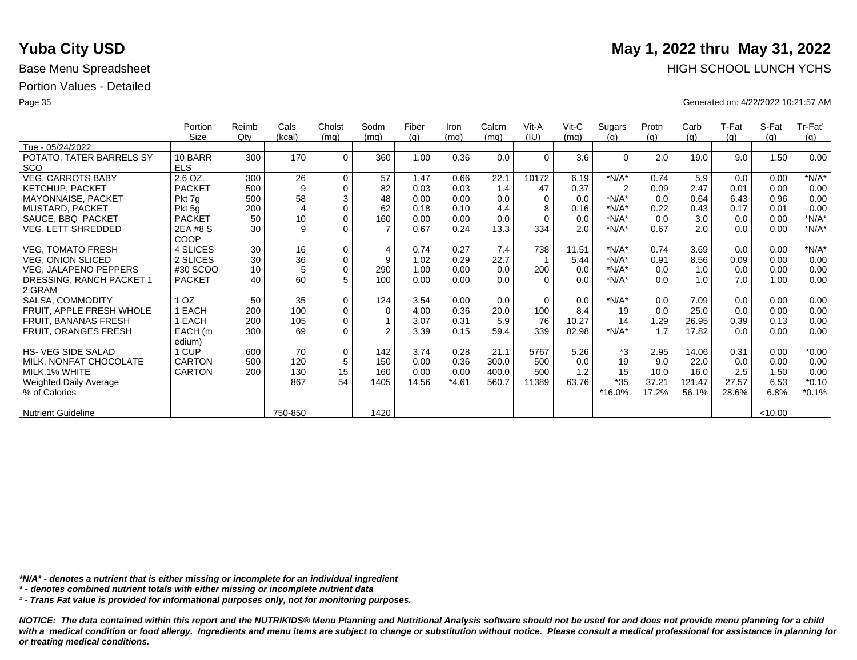|                               | Portion         | Reimb  | Cals    | Cholst      | Sodm           | Fiber | Iron    | Calcm | Vit-A    | $V$ it-C | Sugars         | Protn | Carb   | T-Fat | S-Fat   | Tr-Fat <sup>1</sup> |
|-------------------------------|-----------------|--------|---------|-------------|----------------|-------|---------|-------|----------|----------|----------------|-------|--------|-------|---------|---------------------|
|                               | Size            | $Q$ ty | (kcal)  | (mq)        | (mq)           | (g)   | (mq)    | (mq)  | (IU)     | (mq)     | (q)            | (g)   | (g)    | (g)   | (g)     | (g)                 |
| Tue - 05/24/2022              |                 |        |         |             |                |       |         |       |          |          |                |       |        |       |         |                     |
| POTATO, TATER BARRELS SY      | 10 BARR         | 300    | 170     | $\Omega$    | 360            | 1.00  | 0.36    | 0.0   | $\Omega$ | 3.6      | $\Omega$       | 2.0   | 19.0   | 9.0   | 1.50    | 0.00                |
| <b>SCO</b>                    | <b>ELS</b>      |        |         |             |                |       |         |       |          |          |                |       |        |       |         |                     |
| <b>VEG, CARROTS BABY</b>      | 2.6 OZ.         | 300    | 26      | $\mathbf 0$ | 57             | 1.47  | 0.66    | 22.1  | 10172    | 6.19     | $*N/A*$        | 0.74  | 5.9    | 0.0   | 0.00    | $*N/A*$             |
| <b>KETCHUP, PACKET</b>        | <b>PACKET</b>   | 500    | 9       | $\mathbf 0$ | 82             | 0.03  | 0.03    | 1.4   | 47       | 0.37     | $\overline{2}$ | 0.09  | 2.47   | 0.01  | 0.00    | 0.00                |
| MAYONNAISE, PACKET            | Pkt 7g          | 500    | 58      | 3           | 48             | 0.00  | 0.00    | 0.0   | $\Omega$ | 0.0      | $*N/A*$        | 0.0   | 0.64   | 6.43  | 0.96    | 0.00                |
| MUSTARD, PACKET               | Pkt 5g          | 200    | 4       | $\Omega$    | 62             | 0.18  | 0.10    | 4.4   |          | 0.16     | $*N/A*$        | 0.22  | 0.43   | 0.17  | 0.01    | 0.00                |
| SAUCE, BBQ PACKET             | <b>PACKET</b>   | 50     | 10      | $\pmb{0}$   | 160            | 0.00  | 0.00    | 0.0   | $\Omega$ | 0.0      | $*N/A*$        | 0.0   | 3.0    | 0.0   | 0.00    | $*N/A*$             |
| VEG, LETT SHREDDED            | 2EA #8 S        | 30     | 9       | $\Omega$    | $\overline{7}$ | 0.67  | 0.24    | 13.3  | 334      | 2.0      | $*N/A*$        | 0.67  | 2.0    | 0.0   | 0.00    | $*N/A*$             |
|                               | COOP            |        |         |             |                |       |         |       |          |          |                |       |        |       |         |                     |
| <b>VEG, TOMATO FRESH</b>      | 4 SLICES        | 30     | 16      | $\mathbf 0$ | 4              | 0.74  | 0.27    | 7.4   | 738      | 11.51    | $*N/A*$        | 0.74  | 3.69   | 0.0   | 0.00    | $*N/A*$             |
| <b>VEG, ONION SLICED</b>      | 2 SLICES        | 30     | 36      | $\mathbf 0$ | 9              | 1.02  | 0.29    | 22.7  |          | 5.44     | $*N/A*$        | 0.91  | 8.56   | 0.09  | 0.00    | 0.00                |
| <b>VEG, JALAPENO PEPPERS</b>  | #30 SCOO        | 10     | 5       | $\mathbf 0$ | 290            | 1.00  | 0.00    | 0.0   | 200      | 0.0      | $*N/A*$        | 0.0   | 1.0    | 0.0   | 0.00    | 0.00                |
| DRESSING, RANCH PACKET 1      | <b>PACKET</b>   | 40     | 60      | 5           | 100            | 0.00  | 0.00    | 0.0   | $\Omega$ | 0.0      | $*N/A*$        | 0.0   | 1.0    | 7.0   | 1.00    | 0.00                |
| 2 GRAM                        |                 |        |         |             |                |       |         |       |          |          |                |       |        |       |         |                     |
| SALSA, COMMODITY              | 1 <sub>OZ</sub> | 50     | 35      | $\mathbf 0$ | 124            | 3.54  | 0.00    | 0.0   | $\Omega$ | 0.0      | $*N/A*$        | 0.0   | 7.09   | 0.0   | 0.00    | 0.00                |
| FRUIT, APPLE FRESH WHOLE      | EACH            | 200    | 100     | $\mathbf 0$ | $\Omega$       | 4.00  | 0.36    | 20.0  | 100      | 8.4      | 19             | 0.0   | 25.0   | 0.0   | 0.00    | 0.00                |
| FRUIT, BANANAS FRESH          | EACH            | 200    | 105     | $\mathbf 0$ |                | 3.07  | 0.31    | 5.9   | 76       | 10.27    | 14             | 1.29  | 26.95  | 0.39  | 0.13    | 0.00                |
| FRUIT, ORANGES FRESH          | EACH (m         | 300    | 69      | $\Omega$    | 2              | 3.39  | 0.15    | 59.4  | 339      | 82.98    | $*N/A*$        | 1.7   | 17.82  | 0.0   | 0.00    | 0.00                |
|                               | edium)          |        |         |             |                |       |         |       |          |          |                |       |        |       |         |                     |
| <b>HS-VEG SIDE SALAD</b>      | 1 CUP           | 600    | 70      | $\mathbf 0$ | 142            | 3.74  | 0.28    | 21.1  | 5767     | 5.26     | *3             | 2.95  | 14.06  | 0.31  | 0.00    | $*0.00$             |
| MILK, NONFAT CHOCOLATE        | <b>CARTON</b>   | 500    | 120     | 5           | 150            | 0.00  | 0.36    | 300.0 | 500      | 0.0      | 19             | 9.0   | 22.0   | 0.0   | 0.00    | 0.00                |
| MILK, 1% WHITE                | <b>CARTON</b>   | 200    | 130     | 15          | 160            | 0.00  | 0.00    | 400.0 | 500      | 1.2      | 15             | 10.0  | 16.0   | 2.5   | 1.50    | 0.00                |
| <b>Weighted Daily Average</b> |                 |        | 867     | 54          | 1405           | 14.56 | $*4.61$ | 560.7 | 11389    | 63.76    | $*35$          | 37.21 | 121.47 | 27.57 | 6.53    | $*0.10$             |
| % of Calories                 |                 |        |         |             |                |       |         |       |          |          | *16.0%         | 17.2% | 56.1%  | 28.6% | 6.8%    | $*0.1%$             |
|                               |                 |        |         |             |                |       |         |       |          |          |                |       |        |       |         |                     |
| <b>Nutrient Guideline</b>     |                 |        | 750-850 |             | 1420           |       |         |       |          |          |                |       |        |       | < 10.00 |                     |

*\*N/A\* - denotes a nutrient that is either missing or incomplete for an individual ingredient*

*\* - denotes combined nutrient totals with either missing or incomplete nutrient data*

*¹ - Trans Fat value is provided for informational purposes only, not for monitoring purposes.*

*NOTICE: The data contained within this report and the NUTRIKIDS® Menu Planning and Nutritional Analysis software should not be used for and does not provide menu planning for a child*  with a medical condition or food allergy. Ingredients and menu items are subject to change or substitution without notice. Please consult a medical professional for assistance in planning for *or treating medical conditions.*

# **Yuba City USD** May 1, 2022 thru May 31, 2022 Base Menu Spreadsheet **HIGH SCHOOL LUNCH YCHS**

Page 35 Generated on: 4/22/2022 10:21:57 AM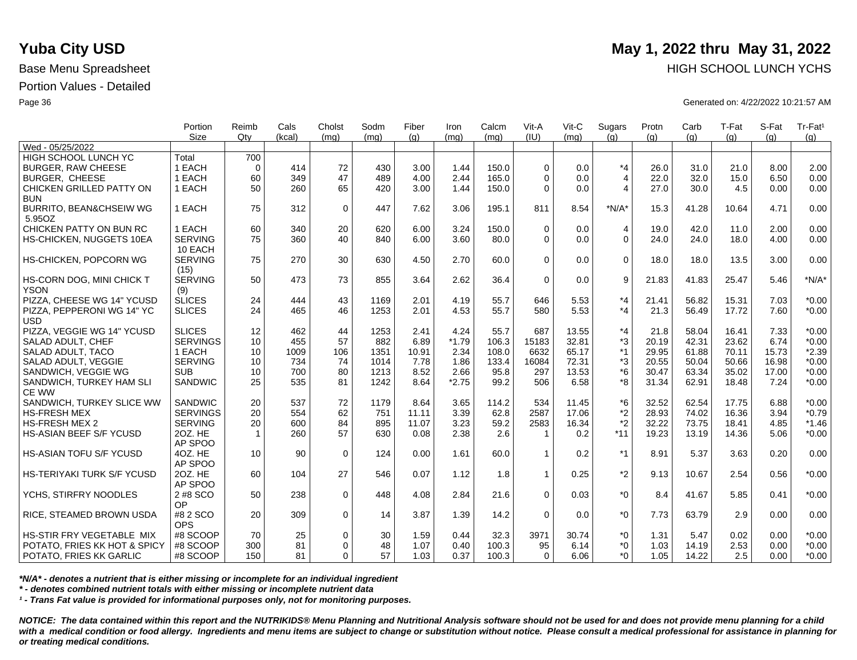|                                          | Portion<br><b>Size</b> | Reimb<br>Qtv | Cals<br>(kcal) | Cholst<br>(mq) | Sodm<br>(mq) | Fiber<br>(q) | Iron<br>(mq)    | Calcm<br>(mq) | Vit-A<br>(III) | Vit-C<br>(ma) | Sugars<br>(q)  | Protn<br>(q) | Carb<br>(q) | T-Fat<br>(q) | S-Fat<br>(q) | Tr-Fat <sup>1</sup><br>(g) |
|------------------------------------------|------------------------|--------------|----------------|----------------|--------------|--------------|-----------------|---------------|----------------|---------------|----------------|--------------|-------------|--------------|--------------|----------------------------|
| Wed - 05/25/2022                         |                        |              |                |                |              |              |                 |               |                |               |                |              |             |              |              |                            |
| HIGH SCHOOL LUNCH YC                     | Total                  | 700          |                |                |              |              |                 |               |                |               |                |              |             |              |              |                            |
| <b>BURGER, RAW CHEESE</b>                | 1 EACH                 | $\mathbf 0$  | 414            | 72             | 430          | 3.00         | 1.44            | 150.0         | $\Omega$       | 0.0           | $*_{4}$        | 26.0         | 31.0        | 21.0         | 8.00         | 2.00                       |
| <b>BURGER, CHEESE</b>                    | 1 EACH                 | 60           | 349            | 47             | 489          | 4.00         | 2.44            | 165.0         | $\Omega$       | 0.0           | $\overline{4}$ | 22.0         | 32.0        | 15.0         | 6.50         | 0.00                       |
| CHICKEN GRILLED PATTY ON                 | 1 EACH                 | 50           | 260            | 65             | 420          | 3.00         | 1.44            | 150.0         | $\Omega$       | 0.0           | $\overline{4}$ | 27.0         | 30.0        | 4.5          | 0.00         | 0.00                       |
| <b>BUN</b>                               |                        |              |                |                |              |              |                 |               |                |               |                |              |             |              |              |                            |
| BURRITO, BEAN&CHSEIW WG                  | 1 EACH                 | 75           | 312            | $\mathbf 0$    | 447          | 7.62         | 3.06            | 195.1         | 811            | 8.54          | $*N/A*$        | 15.3         | 41.28       | 10.64        | 4.71         | 0.00                       |
| 5.95OZ                                   |                        |              |                |                |              |              |                 |               |                |               |                |              |             |              |              |                            |
| CHICKEN PATTY ON BUN RC                  | 1 EACH                 | 60           | 340            | 20             | 620          | 6.00         | 3.24            | 150.0         | $\Omega$       | 0.0           | 4              | 19.0         | 42.0        | 11.0         | 2.00         | 0.00                       |
| HS-CHICKEN, NUGGETS 10EA                 | <b>SERVING</b>         | 75           | 360            | 40             | 840          | 6.00         | 3.60            | 80.0          | $\Omega$       | 0.0           | $\Omega$       | 24.0         | 24.0        | 18.0         | 4.00         | 0.00                       |
|                                          | 10 EACH                |              |                |                |              |              |                 |               |                |               |                |              |             |              |              |                            |
| HS-CHICKEN, POPCORN WG                   | <b>SERVING</b>         | 75           | 270            | 30             | 630          | 4.50         | 2.70            | 60.0          | $\Omega$       | 0.0           | $\mathbf 0$    | 18.0         | 18.0        | 13.5         | 3.00         | 0.00                       |
|                                          | (15)                   |              |                |                |              |              |                 |               |                |               |                |              |             |              |              |                            |
| HS-CORN DOG, MINI CHICK T                | <b>SERVING</b>         | 50           | 473            | 73             | 855          | 3.64         | 2.62            | 36.4          | $\Omega$       | 0.0           | 9              | 21.83        | 41.83       | 25.47        | 5.46         | $*N/A*$                    |
| <b>YSON</b>                              | (9)                    |              |                |                |              |              |                 |               |                |               |                |              |             |              |              |                            |
| PIZZA, CHEESE WG 14" YCUSD               | <b>SLICES</b>          | 24           | 444            | 43             | 1169         | 2.01         | 4.19            | 55.7          | 646            | 5.53          | $*_{4}$        | 21.41        | 56.82       | 15.31        | 7.03         | $*0.00$                    |
| PIZZA. PEPPERONI WG 14" YC               | <b>SLICES</b>          | 24           | 465            | 46             | 1253         | 2.01         | 4.53            | 55.7          | 580            | 5.53          | $*_{4}$        | 21.3         | 56.49       | 17.72        | 7.60         | $*0.00$                    |
| <b>USD</b>                               |                        |              |                |                |              |              |                 |               |                |               |                |              |             |              |              |                            |
| PIZZA, VEGGIE WG 14" YCUSD               | <b>SLICES</b>          | 12           | 462            | 44             | 1253         | 2.41         | 4.24            | 55.7          | 687            | 13.55         | $*_{4}$        | 21.8         | 58.04       | 16.41        | 7.33         | $*0.00$                    |
| SALAD ADULT, CHEF                        | <b>SERVINGS</b>        | 10           | 455            | 57             | 882          | 6.89         | $*1.79$         | 106.3         | 15183          | 32.81         | *3             | 20.19        | 42.31       | 23.62        | 6.74         | $*0.00$                    |
| SALAD ADULT, TACO                        | 1 EACH                 | 10           | 1009           | 106            | 1351         | 10.91        | 2.34            | 108.0         | 6632           | 65.17         | $*1$           | 29.95        | 61.88       | 70.11        | 15.73        | $*2.39$<br>$*0.00$         |
| SALAD ADULT, VEGGIE                      | <b>SERVING</b>         | 10           | 734            | 74             | 1014         | 7.78         | 1.86            | 133.4         | 16084          | 72.31         | *3             | 20.55        | 50.04       | 50.66        | 16.98        |                            |
| SANDWICH, VEGGIE WG                      | <b>SUB</b>             | 10           | 700            | 80             | 1213<br>1242 | 8.52         | 2.66<br>$*2.75$ | 95.8          | 297            | 13.53         | *6<br>*8       | 30.47        | 63.34       | 35.02        | 17.00        | $*0.00$                    |
| SANDWICH, TURKEY HAM SLI<br><b>CE WW</b> | SANDWIC                | 25           | 535            | 81             |              | 8.64         |                 | 99.2          | 506            | 6.58          |                | 31.34        | 62.91       | 18.48        | 7.24         | $*0.00$                    |
| SANDWICH, TURKEY SLICE WW                | <b>SANDWIC</b>         | 20           | 537            | 72             | 1179         | 8.64         | 3.65            | 114.2         | 534            | 11.45         | *6             | 32.52        | 62.54       | 17.75        | 6.88         | $*0.00$                    |
| <b>HS-FRESH MEX</b>                      | <b>SERVINGS</b>        | 20           | 554            | 62             | 751          | 11.11        | 3.39            | 62.8          | 2587           | 17.06         | *2             | 28.93        | 74.02       | 16.36        | 3.94         | $*0.79$                    |
| <b>HS-FRESH MEX 2</b>                    | <b>SERVING</b>         | 20           | 600            | 84             | 895          | 11.07        | 3.23            | 59.2          | 2583           | 16.34         | $*2$           | 32.22        | 73.75       | 18.41        | 4.85         | $*1.46$                    |
| <b>HS-ASIAN BEEF S/F YCUSD</b>           | 20Z. HE                | $\mathbf{1}$ | 260            | 57             | 630          | 0.08         | 2.38            | 2.6           | $\overline{1}$ | 0.2           | $*11$          | 19.23        | 13.19       | 14.36        | 5.06         | $*0.00$                    |
|                                          | AP SPOO                |              |                |                |              |              |                 |               |                |               |                |              |             |              |              |                            |
| <b>HS-ASIAN TOFU S/F YCUSD</b>           | 4OZ. HE                | 10           | 90             | $\mathbf{0}$   | 124          | 0.00         | 1.61            | 60.0          | 1              | 0.2           | $*1$           | 8.91         | 5.37        | 3.63         | 0.20         | 0.00                       |
|                                          | AP SPOO                |              |                |                |              |              |                 |               |                |               |                |              |             |              |              |                            |
| <b>HS-TERIYAKI TURK S/F YCUSD</b>        | 20Z. HE                | 60           | 104            | 27             | 546          | 0.07         | 1.12            | 1.8           | $\mathbf{1}$   | 0.25          | $*2$           | 9.13         | 10.67       | 2.54         | 0.56         | $*0.00$                    |
|                                          | AP SPOO                |              |                |                |              |              |                 |               |                |               |                |              |             |              |              |                            |
| YCHS, STIRFRY NOODLES                    | 2 #8 SCO               | 50           | 238            | $\mathbf 0$    | 448          | 4.08         | 2.84            | 21.6          | $\Omega$       | 0.03          | $*_{0}$        | 8.4          | 41.67       | 5.85         | 0.41         | $*0.00$                    |
|                                          | OP.                    |              |                |                |              |              |                 |               |                |               |                |              |             |              |              |                            |
| RICE, STEAMED BROWN USDA                 | #8 2 SCO               | 20           | 309            | $\Omega$       | 14           | 3.87         | 1.39            | 14.2          | $\Omega$       | 0.0           | $*_{0}$        | 7.73         | 63.79       | 2.9          | 0.00         | 0.00                       |
|                                          | <b>OPS</b>             |              |                |                |              |              |                 |               |                |               |                |              |             |              |              |                            |
| HS-STIR FRY VEGETABLE MIX                | #8 SCOOP               | 70           | 25             | $\mathbf 0$    | 30           | 1.59         | 0.44            | 32.3          | 3971           | 30.74         | $^*0$          | 1.31         | 5.47        | 0.02         | 0.00         | $*0.00$                    |
| POTATO, FRIES KK HOT & SPICY             | #8 SCOOP               | 300          | 81             | $\Omega$       | 48           | 1.07         | 0.40            | 100.3         | 95             | 6.14          | $^*0$          | 1.03         | 14.19       | 2.53         | 0.00         | $*0.00$                    |
| POTATO, FRIES KK GARLIC                  | #8 SCOOP               | 150          | 81             | $\Omega$       | 57           | 1.03         | 0.37            | 100.3         | $\Omega$       | 6.06          | $*$ $\Omega$   | 1.05         | 14.22       | 2.5          | 0.00         | $*0.00$                    |

*\*N/A\* - denotes a nutrient that is either missing or incomplete for an individual ingredient*

*\* - denotes combined nutrient totals with either missing or incomplete nutrient data*

*¹ - Trans Fat value is provided for informational purposes only, not for monitoring purposes.*

*NOTICE: The data contained within this report and the NUTRIKIDS® Menu Planning and Nutritional Analysis software should not be used for and does not provide menu planning for a child*  with a medical condition or food allergy. Ingredients and menu items are subject to change or substitution without notice. Please consult a medical professional for assistance in planning for *or treating medical conditions.*

## **Yuba City USD** May 1, 2022 thru May 31, 2022 Base Menu Spreadsheet **HIGH SCHOOL LUNCH YCHS HIGH SCHOOL LUNCH YCHS**

Page 36 Generated on: 4/22/2022 10:21:57 AM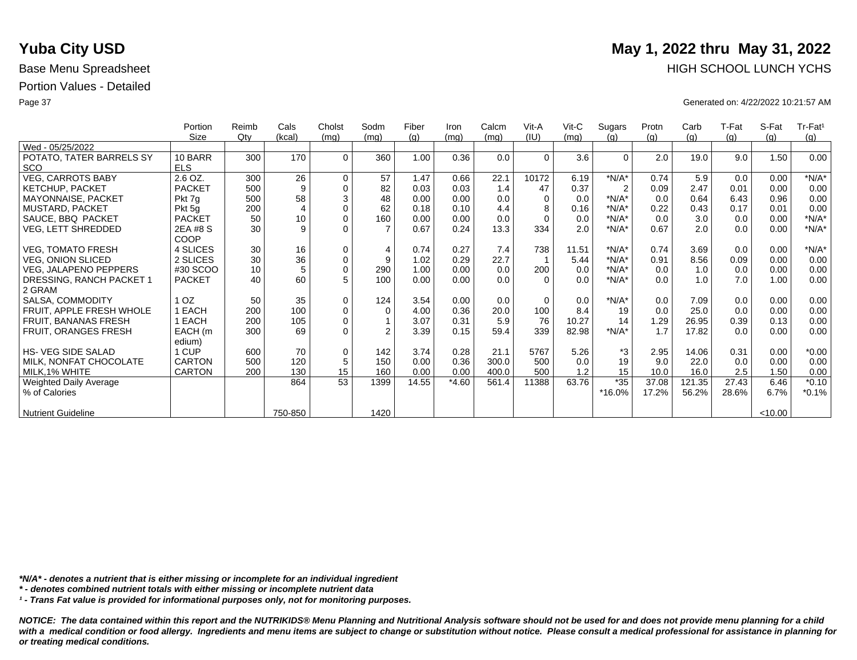|                           | Portion       | Reimb | Cals           | Cholst      | Sodm           | Fiber | Iron    | Calcm | Vit-A    | $V$ it-C | Sugars         | Protn | Carb   | T-Fat | S-Fat   | Tr-Fat <sup>1</sup> |
|---------------------------|---------------|-------|----------------|-------------|----------------|-------|---------|-------|----------|----------|----------------|-------|--------|-------|---------|---------------------|
|                           | Size          | Qty   | (kcal)         | (mq)        | (mq)           | (q)   | (mq)    | (mq)  | (IU)     | (mq)     | (q)            | (q)   | (g)    | (g)   | (q)     | (g)                 |
| Wed - 05/25/2022          |               |       |                |             |                |       |         |       |          |          |                |       |        |       |         |                     |
| POTATO, TATER BARRELS SY  | 10 BARR       | 300   | 170            | $\Omega$    | 360            | 1.00  | 0.36    | 0.0   | $\Omega$ | 3.6      | $\Omega$       | 2.0   | 19.0   | 9.0   | 1.50    | 0.00                |
| <b>SCO</b>                | <b>ELS</b>    |       |                |             |                |       |         |       |          |          |                |       |        |       |         |                     |
| <b>VEG, CARROTS BABY</b>  | 2.6 OZ.       | 300   | 26             | $\mathbf 0$ | 57             | 1.47  | 0.66    | 22.1  | 10172    | 6.19     | $*N/A*$        | 0.74  | 5.9    | 0.0   | 0.00    | $*N/A*$             |
| <b>KETCHUP, PACKET</b>    | <b>PACKET</b> | 500   | 9              | $\mathbf 0$ | 82             | 0.03  | 0.03    | 1.4   | 47       | 0.37     | $\overline{2}$ | 0.09  | 2.47   | 0.01  | 0.00    | 0.00                |
| MAYONNAISE, PACKET        | Pkt 7g        | 500   | 58             | $\sqrt{3}$  | 48             | 0.00  | 0.00    | 0.0   | $\Omega$ | 0.0      | $*N/A*$        | 0.0   | 0.64   | 6.43  | 0.96    | 0.00                |
| MUSTARD, PACKET           | Pkt 5g        | 200   | $\overline{4}$ | $\mathbf 0$ | 62             | 0.18  | 0.10    | 4.4   | 8        | 0.16     | $*N/A*$        | 0.22  | 0.43   | 0.17  | 0.01    | 0.00                |
| SAUCE, BBQ PACKET         | <b>PACKET</b> | 50    | 10             | $\mathbf 0$ | 160            | 0.00  | 0.00    | 0.0   | $\Omega$ | 0.0      | $*N/A*$        | 0.0   | 3.0    | 0.0   | 0.00    | $*N/A*$             |
| VEG, LETT SHREDDED        | 2EA #8 S      | 30    | 9              | $\Omega$    |                | 0.67  | 0.24    | 13.3  | 334      | 2.0      | $*N/A*$        | 0.67  | 2.0    | 0.0   | 0.00    | $*N/A*$             |
|                           | COOP          |       |                |             |                |       |         |       |          |          |                |       |        |       |         |                     |
| <b>VEG, TOMATO FRESH</b>  | 4 SLICES      | 30    | 16             | $\mathbf 0$ | $\overline{4}$ | 0.74  | 0.27    | 7.4   | 738      | 11.51    | $*N/A*$        | 0.74  | 3.69   | 0.0   | 0.00    | $*N/A*$             |
| <b>VEG, ONION SLICED</b>  | 2 SLICES      | 30    | 36             | $\pmb{0}$   | 9              | 1.02  | 0.29    | 22.7  |          | 5.44     | $*N/A*$        | 0.91  | 8.56   | 0.09  | 0.00    | 0.00                |
| VEG, JALAPENO PEPPERS     | #30 SCOO      | 10    | 5              | $\pmb{0}$   | 290            | 1.00  | 0.00    | 0.0   | 200      | 0.0      | $*N/A*$        | 0.0   | 1.0    | 0.0   | 0.00    | 0.00                |
| DRESSING, RANCH PACKET 1  | <b>PACKET</b> | 40    | 60             | 5           | 100            | 0.00  | 0.00    | 0.0   | $\Omega$ | 0.0      | $*N/A*$        | 0.0   | 1.0    | 7.0   | 1.00    | 0.00                |
| 2 GRAM                    |               |       |                |             |                |       |         |       |          |          |                |       |        |       |         |                     |
| SALSA, COMMODITY          | OZ.           | 50    | 35             | $\mathbf 0$ | 124            | 3.54  | 0.00    | 0.0   | $\Omega$ | 0.0      | $*N/A*$        | 0.0   | 7.09   | 0.0   | 0.00    | 0.00                |
| FRUIT, APPLE FRESH WHOLE  | EACH          | 200   | 100            | $\pmb{0}$   | $\Omega$       | 4.00  | 0.36    | 20.0  | 100      | 8.4      | 19             | 0.0   | 25.0   | 0.0   | 0.00    | 0.00                |
| FRUIT, BANANAS FRESH      | EACH          | 200   | 105            | $\mathbf 0$ |                | 3.07  | 0.31    | 5.9   | 76       | 10.27    | 14             | 1.29  | 26.95  | 0.39  | 0.13    | 0.00                |
| FRUIT, ORANGES FRESH      | EACH (m       | 300   | 69             | $\Omega$    | $\mathfrak{p}$ | 3.39  | 0.15    | 59.4  | 339      | 82.98    | $*N/A*$        | 1.7   | 17.82  | 0.0   | 0.00    | 0.00                |
|                           | edium)        |       |                |             |                |       |         |       |          |          |                |       |        |       |         |                     |
| <b>HS-VEG SIDE SALAD</b>  | 1 CUP         | 600   | 70             | $\mathbf 0$ | 142            | 3.74  | 0.28    | 21.1  | 5767     | 5.26     | *3             | 2.95  | 14.06  | 0.31  | 0.00    | $*0.00$             |
| MILK, NONFAT CHOCOLATE    | <b>CARTON</b> | 500   | 120            | $\sqrt{5}$  | 150            | 0.00  | 0.36    | 300.0 | 500      | 0.0      | 19             | 9.0   | 22.0   | 0.0   | 0.00    | 0.00                |
| MILK, 1% WHITE            | <b>CARTON</b> | 200   | 130            | 15          | 160            | 0.00  | 0.00    | 400.0 | 500      | 1.2      | 15             | 10.0  | 16.0   | 2.5   | 1.50    | 0.00                |
| Weighted Daily Average    |               |       | 864            | 53          | 1399           | 14.55 | $*4.60$ | 561.4 | 11388    | 63.76    | $*35$          | 37.08 | 121.35 | 27.43 | 6.46    | $*0.10$             |
| % of Calories             |               |       |                |             |                |       |         |       |          |          | *16.0%         | 17.2% | 56.2%  | 28.6% | 6.7%    | $*0.1%$             |
|                           |               |       |                |             |                |       |         |       |          |          |                |       |        |       |         |                     |
| <b>Nutrient Guideline</b> |               |       | 750-850        |             | 1420           |       |         |       |          |          |                |       |        |       | < 10.00 |                     |

*\*N/A\* - denotes a nutrient that is either missing or incomplete for an individual ingredient*

*\* - denotes combined nutrient totals with either missing or incomplete nutrient data*

*¹ - Trans Fat value is provided for informational purposes only, not for monitoring purposes.*

*NOTICE: The data contained within this report and the NUTRIKIDS® Menu Planning and Nutritional Analysis software should not be used for and does not provide menu planning for a child*  with a medical condition or food allergy. Ingredients and menu items are subject to change or substitution without notice. Please consult a medical professional for assistance in planning for *or treating medical conditions.*

# **Yuba City USD** May 1, 2022 thru May 31, 2022 Base Menu Spreadsheet **HIGH SCHOOL LUNCH YCHS HIGH SCHOOL LUNCH YCHS**

Page 37 Generated on: 4/22/2022 10:21:57 AM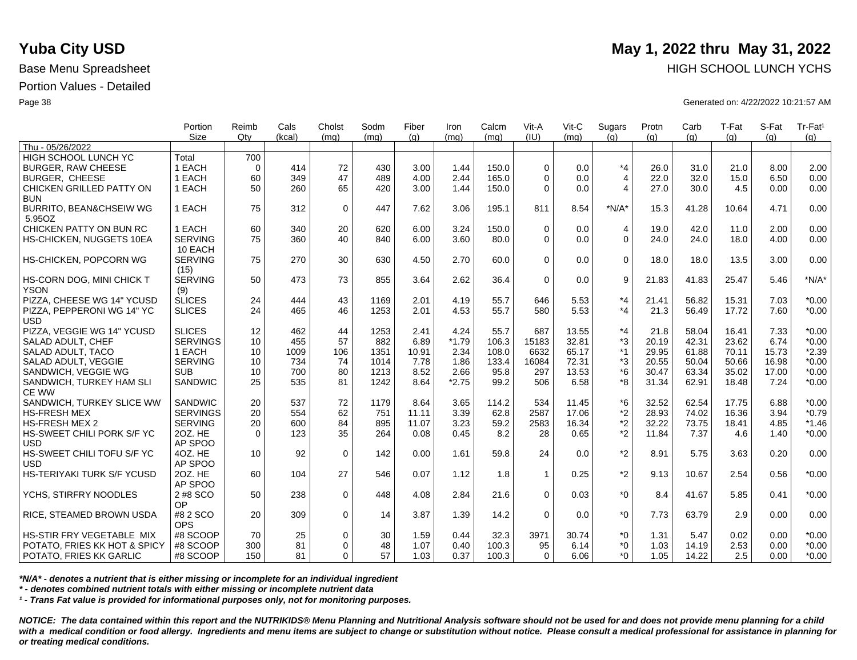|                                   | Portion         | Reimb       | Cals   | Cholst      | Sodm | Fiber | Iron    | Calcm | Vit-A          | Vit-C | Sugars         | Protn | Carb  | T-Fat | S-Fat | Tr-Fat <sup>1</sup> |
|-----------------------------------|-----------------|-------------|--------|-------------|------|-------|---------|-------|----------------|-------|----------------|-------|-------|-------|-------|---------------------|
| Thu - 05/26/2022                  | <b>Size</b>     | Qtv         | (kcal) | (mq)        | (mq) | (q)   | (mq)    | (mq)  | (IU)           | (mq)  | (q)            | (q)   | (q)   | (q)   | (q)   | (q)                 |
| <b>HIGH SCHOOL LUNCH YC</b>       | Total           | 700         |        |             |      |       |         |       |                |       |                |       |       |       |       |                     |
| <b>BURGER, RAW CHEESE</b>         | 1 EACH          | $\mathbf 0$ | 414    | 72          | 430  | 3.00  | 1.44    | 150.0 | $\mathbf 0$    | 0.0   | $*_{4}$        | 26.0  | 31.0  | 21.0  | 8.00  | 2.00                |
| <b>BURGER, CHEESE</b>             | 1 EACH          | 60          | 349    | 47          | 489  | 4.00  | 2.44    | 165.0 | $\Omega$       | 0.0   | $\overline{4}$ | 22.0  | 32.0  | 15.0  | 6.50  | 0.00                |
| CHICKEN GRILLED PATTY ON          | 1 EACH          | 50          | 260    | 65          | 420  | 3.00  | 1.44    | 150.0 | $\Omega$       | 0.0   | $\overline{4}$ | 27.0  | 30.0  | 4.5   | 0.00  | 0.00                |
| <b>BUN</b>                        |                 |             |        |             |      |       |         |       |                |       |                |       |       |       |       |                     |
| BURRITO, BEAN&CHSEIW WG           | 1 EACH          | 75          | 312    | $\mathbf 0$ | 447  | 7.62  | 3.06    | 195.1 | 811            | 8.54  | $*N/A*$        | 15.3  | 41.28 | 10.64 | 4.71  | 0.00                |
| 5.95OZ                            |                 |             |        |             |      |       |         |       |                |       |                |       |       |       |       |                     |
| CHICKEN PATTY ON BUN RC           | 1 EACH          | 60          | 340    | 20          | 620  | 6.00  | 3.24    | 150.0 | $\Omega$       | 0.0   | $\overline{4}$ | 19.0  | 42.0  | 11.0  | 2.00  | 0.00                |
| HS-CHICKEN, NUGGETS 10EA          | <b>SERVING</b>  | 75          | 360    | 40          | 840  | 6.00  | 3.60    | 80.0  | $\Omega$       | 0.0   | $\Omega$       | 24.0  | 24.0  | 18.0  | 4.00  | 0.00                |
|                                   | 10 EACH         |             |        |             |      |       |         |       |                |       |                |       |       |       |       |                     |
| HS-CHICKEN, POPCORN WG            | <b>SERVING</b>  | 75          | 270    | 30          | 630  | 4.50  | 2.70    | 60.0  | $\Omega$       | 0.0   | $\Omega$       | 18.0  | 18.0  | 13.5  | 3.00  | 0.00                |
|                                   | (15)            |             |        |             |      |       |         |       |                |       |                |       |       |       |       |                     |
| HS-CORN DOG, MINI CHICK T         | <b>SERVING</b>  | 50          | 473    | 73          | 855  | 3.64  | 2.62    | 36.4  | $\Omega$       | 0.0   | 9              | 21.83 | 41.83 | 25.47 | 5.46  | $*N/A*$             |
| <b>YSON</b>                       | (9)             |             |        |             |      |       |         |       |                |       |                |       |       |       |       |                     |
| PIZZA, CHEESE WG 14" YCUSD        | <b>SLICES</b>   | 24          | 444    | 43          | 1169 | 2.01  | 4.19    | 55.7  | 646            | 5.53  | *4             | 21.41 | 56.82 | 15.31 | 7.03  | $*0.00$             |
| PIZZA, PEPPERONI WG 14" YC        | <b>SLICES</b>   | 24          | 465    | 46          | 1253 | 2.01  | 4.53    | 55.7  | 580            | 5.53  | $*_{4}$        | 21.3  | 56.49 | 17.72 | 7.60  | $*0.00$             |
| <b>USD</b>                        |                 |             |        |             |      |       |         |       |                |       |                |       |       |       |       |                     |
| PIZZA, VEGGIE WG 14" YCUSD        | <b>SLICES</b>   | 12          | 462    | 44          | 1253 | 2.41  | 4.24    | 55.7  | 687            | 13.55 | $*_{4}$        | 21.8  | 58.04 | 16.41 | 7.33  | $*0.00$             |
| SALAD ADULT, CHEF                 | <b>SERVINGS</b> | 10          | 455    | 57          | 882  | 6.89  | $*1.79$ | 106.3 | 15183          | 32.81 | *3             | 20.19 | 42.31 | 23.62 | 6.74  | $*0.00$             |
| SALAD ADULT, TACO                 | 1 EACH          | 10          | 1009   | 106         | 1351 | 10.91 | 2.34    | 108.0 | 6632           | 65.17 | $*1$           | 29.95 | 61.88 | 70.11 | 15.73 | $*2.39$             |
| SALAD ADULT, VEGGIE               | <b>SERVING</b>  | 10          | 734    | 74          | 1014 | 7.78  | 1.86    | 133.4 | 16084          | 72.31 | *3             | 20.55 | 50.04 | 50.66 | 16.98 | $*0.00$             |
| SANDWICH, VEGGIE WG               | <b>SUB</b>      | 10          | 700    | 80          | 1213 | 8.52  | 2.66    | 95.8  | 297            | 13.53 | $*6$           | 30.47 | 63.34 | 35.02 | 17.00 | $*0.00$             |
| SANDWICH, TURKEY HAM SLI          | <b>SANDWIC</b>  | 25          | 535    | 81          | 1242 | 8.64  | $*2.75$ | 99.2  | 506            | 6.58  | *8             | 31.34 | 62.91 | 18.48 | 7.24  | $*0.00$             |
| CE WW                             |                 |             |        |             |      |       |         |       |                |       |                |       |       |       |       |                     |
| SANDWICH, TURKEY SLICE WW         | <b>SANDWIC</b>  | 20          | 537    | 72          | 1179 | 8.64  | 3.65    | 114.2 | 534            | 11.45 | $*6$           | 32.52 | 62.54 | 17.75 | 6.88  | $*0.00$             |
| <b>HS-FRESH MEX</b>               | <b>SERVINGS</b> | 20          | 554    | 62          | 751  | 11.11 | 3.39    | 62.8  | 2587           | 17.06 | *2             | 28.93 | 74.02 | 16.36 | 3.94  | $*0.79$             |
| HS-FRESH MEX 2                    | <b>SERVING</b>  | 20          | 600    | 84          | 895  | 11.07 | 3.23    | 59.2  | 2583           | 16.34 | *2             | 32.22 | 73.75 | 18.41 | 4.85  | $*1.46$             |
| HS-SWEET CHILI PORK S/F YC        | 20Z. HE         | $\Omega$    | 123    | 35          | 264  | 0.08  | 0.45    | 8.2   | 28             | 0.65  | *2             | 11.84 | 7.37  | 4.6   | 1.40  | $*0.00$             |
| <b>USD</b>                        | AP SPOO         |             |        |             |      |       |         |       |                |       |                |       |       |       |       |                     |
| HS-SWEET CHILI TOFU S/F YC        | 4OZ. HE         | 10          | 92     | $\mathbf 0$ | 142  | 0.00  | 1.61    | 59.8  | 24             | 0.0   | *2             | 8.91  | 5.75  | 3.63  | 0.20  | 0.00                |
| <b>USD</b>                        | AP SPOO         |             |        |             |      |       |         |       |                |       |                |       |       |       |       |                     |
| <b>HS-TERIYAKI TURK S/F YCUSD</b> | 20Z. HE         | 60          | 104    | 27          | 546  | 0.07  | 1.12    | 1.8   | $\overline{1}$ | 0.25  | *2             | 9.13  | 10.67 | 2.54  | 0.56  | $*0.00$             |
|                                   | AP SPOO         |             |        |             |      |       |         |       |                |       |                |       |       |       |       |                     |
| YCHS, STIRFRY NOODLES             | 2 #8 SCO        | 50          | 238    | $\mathbf 0$ | 448  | 4.08  | 2.84    | 21.6  | $\Omega$       | 0.03  | $*_{0}$        | 8.4   | 41.67 | 5.85  | 0.41  | $*0.00$             |
|                                   | OP              |             |        |             |      |       |         |       |                |       |                |       |       |       |       |                     |
| RICE, STEAMED BROWN USDA          | #8 2 SCO        | 20          | 309    | $\mathbf 0$ | 14   | 3.87  | 1.39    | 14.2  | $\Omega$       | 0.0   | $*_{0}$        | 7.73  | 63.79 | 2.9   | 0.00  | 0.00                |
|                                   | <b>OPS</b>      |             |        |             |      |       |         |       |                |       |                |       |       |       |       |                     |
| HS-STIR FRY VEGETABLE MIX         | #8 SCOOP        | 70          | 25     | $\mathbf 0$ | 30   | 1.59  | 0.44    | 32.3  | 3971           | 30.74 | *0             | 1.31  | 5.47  | 0.02  | 0.00  | $*0.00$             |
| POTATO, FRIES KK HOT & SPICY      | #8 SCOOP        | 300         | 81     | $\mathbf 0$ | 48   | 1.07  | 0.40    | 100.3 | 95             | 6.14  | $*_{0}$        | 1.03  | 14.19 | 2.53  | 0.00  | $*0.00$             |
| POTATO, FRIES KK GARLIC           | #8 SCOOP        | 150         | 81     | $\Omega$    | 57   | 1.03  | 0.37    | 100.3 | $\Omega$       | 6.06  | *Ω             | 1.05  | 14.22 | 2.5   | 0.00  | $*0.00$             |

*\*N/A\* - denotes a nutrient that is either missing or incomplete for an individual ingredient*

*\* - denotes combined nutrient totals with either missing or incomplete nutrient data*

*¹ - Trans Fat value is provided for informational purposes only, not for monitoring purposes.*

*NOTICE: The data contained within this report and the NUTRIKIDS® Menu Planning and Nutritional Analysis software should not be used for and does not provide menu planning for a child*  with a medical condition or food allergy. Ingredients and menu items are subject to change or substitution without notice. Please consult a medical professional for assistance in planning for *or treating medical conditions.*

## **Yuba City USD** May 1, 2022 thru May 31, 2022 Base Menu Spreadsheet **HIGH SCHOOL LUNCH YCHS HIGH SCHOOL LUNCH YCHS**

Page 38 Generated on: 4/22/2022 10:21:57 AM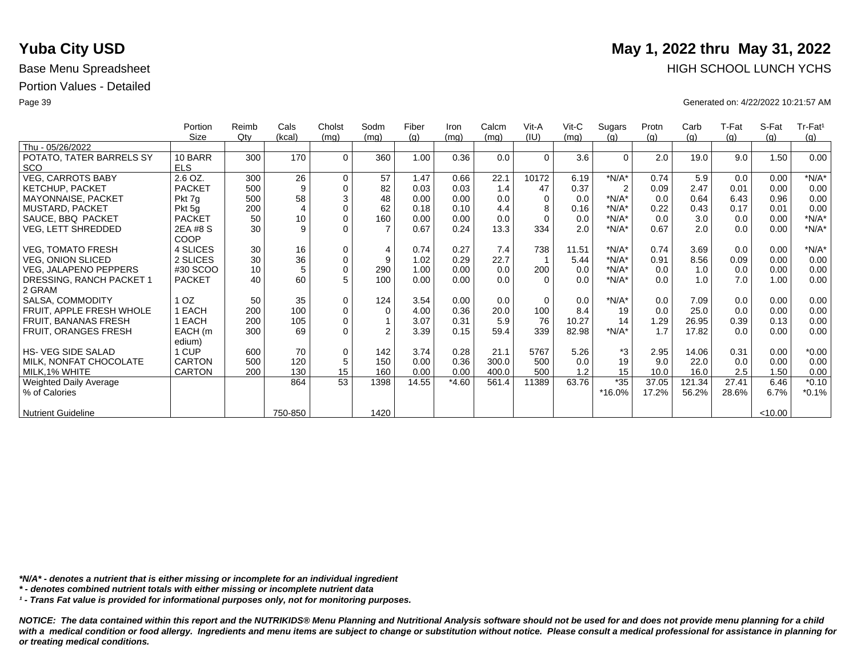|                           | Portion       | Reimb | Cals           | Cholst      | Sodm           | Fiber | Iron    | Calcm | Vit-A    | $V$ it-C | Sugars         | Protn | Carb   | T-Fat | S-Fat   | Tr-Fat <sup>1</sup> |
|---------------------------|---------------|-------|----------------|-------------|----------------|-------|---------|-------|----------|----------|----------------|-------|--------|-------|---------|---------------------|
|                           | Size          | Qty   | (kcal)         | (mq)        | (mq)           | (q)   | (mq)    | (mq)  | (IU)     | (mq)     | (q)            | (q)   | (g)    | (g)   | (q)     | (g)                 |
| Thu - 05/26/2022          |               |       |                |             |                |       |         |       |          |          |                |       |        |       |         |                     |
| POTATO, TATER BARRELS SY  | 10 BARR       | 300   | 170            | $\Omega$    | 360            | 1.00  | 0.36    | 0.0   | $\Omega$ | 3.6      | $\Omega$       | 2.0   | 19.0   | 9.0   | 1.50    | 0.00                |
| <b>SCO</b>                | <b>ELS</b>    |       |                |             |                |       |         |       |          |          |                |       |        |       |         |                     |
| <b>VEG, CARROTS BABY</b>  | 2.6 OZ.       | 300   | 26             | $\mathbf 0$ | 57             | 1.47  | 0.66    | 22.1  | 10172    | 6.19     | $*N/A*$        | 0.74  | 5.9    | 0.0   | 0.00    | $*N/A*$             |
| <b>KETCHUP, PACKET</b>    | <b>PACKET</b> | 500   | 9              | $\mathbf 0$ | 82             | 0.03  | 0.03    | 1.4   | 47       | 0.37     | $\overline{2}$ | 0.09  | 2.47   | 0.01  | 0.00    | 0.00                |
| MAYONNAISE, PACKET        | Pkt 7g        | 500   | 58             | $\sqrt{3}$  | 48             | 0.00  | 0.00    | 0.0   | $\Omega$ | 0.0      | $*N/A*$        | 0.0   | 0.64   | 6.43  | 0.96    | 0.00                |
| MUSTARD, PACKET           | Pkt 5g        | 200   | $\overline{4}$ | $\mathbf 0$ | 62             | 0.18  | 0.10    | 4.4   | 8        | 0.16     | $*N/A*$        | 0.22  | 0.43   | 0.17  | 0.01    | 0.00                |
| SAUCE, BBQ PACKET         | <b>PACKET</b> | 50    | 10             | $\mathbf 0$ | 160            | 0.00  | 0.00    | 0.0   | $\Omega$ | 0.0      | $*N/A*$        | 0.0   | 3.0    | 0.0   | 0.00    | $*N/A*$             |
| VEG, LETT SHREDDED        | 2EA #8 S      | 30    | 9              | $\Omega$    |                | 0.67  | 0.24    | 13.3  | 334      | 2.0      | $*N/A*$        | 0.67  | 2.0    | 0.0   | 0.00    | $*N/A*$             |
|                           | COOP          |       |                |             |                |       |         |       |          |          |                |       |        |       |         |                     |
| <b>VEG, TOMATO FRESH</b>  | 4 SLICES      | 30    | 16             | $\mathbf 0$ | $\overline{4}$ | 0.74  | 0.27    | 7.4   | 738      | 11.51    | $*N/A*$        | 0.74  | 3.69   | 0.0   | 0.00    | $*N/A*$             |
| <b>VEG, ONION SLICED</b>  | 2 SLICES      | 30    | 36             | $\pmb{0}$   | 9              | 1.02  | 0.29    | 22.7  |          | 5.44     | $*N/A*$        | 0.91  | 8.56   | 0.09  | 0.00    | 0.00                |
| VEG, JALAPENO PEPPERS     | #30 SCOO      | 10    | 5              | $\pmb{0}$   | 290            | 1.00  | 0.00    | 0.0   | 200      | 0.0      | $*N/A*$        | 0.0   | 1.0    | 0.0   | 0.00    | 0.00                |
| DRESSING, RANCH PACKET 1  | <b>PACKET</b> | 40    | 60             | 5           | 100            | 0.00  | 0.00    | 0.0   | $\Omega$ | 0.0      | $*N/A*$        | 0.0   | 1.0    | 7.0   | 1.00    | 0.00                |
| 2 GRAM                    |               |       |                |             |                |       |         |       |          |          |                |       |        |       |         |                     |
| SALSA, COMMODITY          | OZ.           | 50    | 35             | $\mathbf 0$ | 124            | 3.54  | 0.00    | 0.0   | $\Omega$ | 0.0      | $*N/A*$        | 0.0   | 7.09   | 0.0   | 0.00    | 0.00                |
| FRUIT, APPLE FRESH WHOLE  | EACH          | 200   | 100            | $\pmb{0}$   | $\Omega$       | 4.00  | 0.36    | 20.0  | 100      | 8.4      | 19             | 0.0   | 25.0   | 0.0   | 0.00    | 0.00                |
| FRUIT, BANANAS FRESH      | EACH          | 200   | 105            | $\mathbf 0$ |                | 3.07  | 0.31    | 5.9   | 76       | 10.27    | 14             | 1.29  | 26.95  | 0.39  | 0.13    | 0.00                |
| FRUIT, ORANGES FRESH      | EACH (m       | 300   | 69             | $\Omega$    | $\mathfrak{p}$ | 3.39  | 0.15    | 59.4  | 339      | 82.98    | $*N/A*$        | 1.7   | 17.82  | 0.0   | 0.00    | 0.00                |
|                           | edium)        |       |                |             |                |       |         |       |          |          |                |       |        |       |         |                     |
| <b>HS-VEG SIDE SALAD</b>  | 1 CUP         | 600   | 70             | $\mathbf 0$ | 142            | 3.74  | 0.28    | 21.1  | 5767     | 5.26     | *3             | 2.95  | 14.06  | 0.31  | 0.00    | $*0.00$             |
| MILK, NONFAT CHOCOLATE    | <b>CARTON</b> | 500   | 120            | $\sqrt{5}$  | 150            | 0.00  | 0.36    | 300.0 | 500      | 0.0      | 19             | 9.0   | 22.0   | 0.0   | 0.00    | 0.00                |
| MILK, 1% WHITE            | <b>CARTON</b> | 200   | 130            | 15          | 160            | 0.00  | 0.00    | 400.0 | 500      | 1.2      | 15             | 10.0  | 16.0   | 2.5   | 1.50    | 0.00                |
| Weighted Daily Average    |               |       | 864            | 53          | 1398           | 14.55 | $*4.60$ | 561.4 | 11389    | 63.76    | $*35$          | 37.05 | 121.34 | 27.41 | 6.46    | $*0.10$             |
| % of Calories             |               |       |                |             |                |       |         |       |          |          | *16.0%         | 17.2% | 56.2%  | 28.6% | 6.7%    | $*0.1%$             |
|                           |               |       |                |             |                |       |         |       |          |          |                |       |        |       |         |                     |
| <b>Nutrient Guideline</b> |               |       | 750-850        |             | 1420           |       |         |       |          |          |                |       |        |       | < 10.00 |                     |

*\*N/A\* - denotes a nutrient that is either missing or incomplete for an individual ingredient*

*\* - denotes combined nutrient totals with either missing or incomplete nutrient data*

*¹ - Trans Fat value is provided for informational purposes only, not for monitoring purposes.*

*NOTICE: The data contained within this report and the NUTRIKIDS® Menu Planning and Nutritional Analysis software should not be used for and does not provide menu planning for a child*  with a medical condition or food allergy. Ingredients and menu items are subject to change or substitution without notice. Please consult a medical professional for assistance in planning for *or treating medical conditions.*

# **Yuba City USD** May 1, 2022 thru May 31, 2022 Base Menu Spreadsheet **HIGH SCHOOL LUNCH YCHS**

Page 39 Generated on: 4/22/2022 10:21:57 AM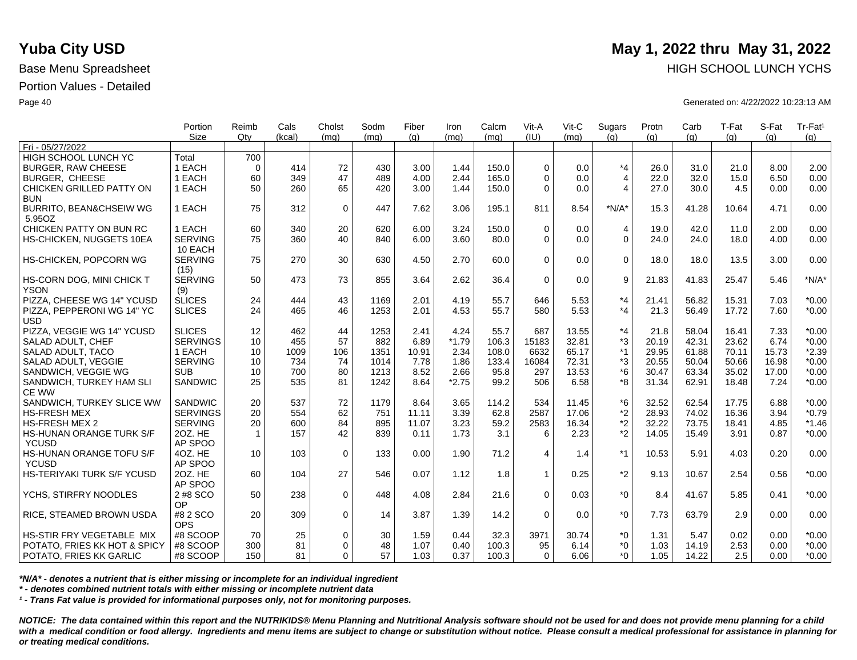|                                                         | Portion<br><b>Size</b> | Reimb<br>Qtv | Cals     | Cholst<br>(ma) | Sodm     | Fiber        | Iron         | Calcm<br>(mq) | Vit-A<br>(IU) | Vit-C<br>(mq) | Sugars<br>(q)  | Protn        | Carb          | T-Fat        | S-Fat        | Tr-Fat <sup>1</sup> |
|---------------------------------------------------------|------------------------|--------------|----------|----------------|----------|--------------|--------------|---------------|---------------|---------------|----------------|--------------|---------------|--------------|--------------|---------------------|
| Fri - 05/27/2022                                        |                        |              | (kcal)   |                | (mq)     | (q)          | (ma)         |               |               |               |                | (q)          | (q)           | (q)          | (q)          | (q)                 |
| <b>HIGH SCHOOL LUNCH YC</b>                             | Total                  | 700          |          |                |          |              |              |               |               |               |                |              |               |              |              |                     |
| <b>BURGER, RAW CHEESE</b>                               | 1 EACH                 | $\Omega$     | 414      | 72             | 430      | 3.00         | 1.44         | 150.0         | $\Omega$      | 0.0           | $*_{4}$        | 26.0         | 31.0          | 21.0         | 8.00         | 2.00                |
| <b>BURGER, CHEESE</b>                                   | 1 EACH                 | 60           | 349      | 47             | 489      | 4.00         | 2.44         | 165.0         | $\Omega$      | 0.0           | $\overline{4}$ | 22.0         | 32.0          | 15.0         | 6.50         | 0.00                |
| CHICKEN GRILLED PATTY ON                                | 1 EACH                 | 50           | 260      | 65             | 420      | 3.00         | 1.44         | 150.0         | $\Omega$      | 0.0           | $\overline{4}$ | 27.0         | 30.0          | 4.5          | 0.00         | 0.00                |
| <b>BUN</b>                                              |                        |              |          |                |          |              |              |               |               |               |                |              |               |              |              |                     |
| <b>BURRITO, BEAN&amp;CHSEIW WG</b>                      | 1 EACH                 | 75           | 312      | $\mathbf 0$    | 447      | 7.62         | 3.06         | 195.1         | 811           | 8.54          | $*N/A*$        | 15.3         | 41.28         | 10.64        | 4.71         | 0.00                |
| 5.95OZ                                                  |                        |              |          |                |          |              |              |               |               |               |                |              |               |              |              |                     |
| CHICKEN PATTY ON BUN RC                                 | 1 EACH                 | 60           | 340      | 20             | 620      | 6.00         | 3.24         | 150.0         | $\Omega$      | 0.0           | $\overline{4}$ | 19.0         | 42.0          | 11.0         | 2.00         | 0.00                |
| HS-CHICKEN, NUGGETS 10EA                                | <b>SERVING</b>         | 75           | 360      | 40             | 840      | 6.00         | 3.60         | 80.0          | $\Omega$      | 0.0           | $\overline{0}$ | 24.0         | 24.0          | 18.0         | 4.00         | 0.00                |
|                                                         | 10 EACH                |              |          |                |          |              |              |               |               |               |                |              |               |              |              |                     |
| HS-CHICKEN, POPCORN WG                                  | <b>SERVING</b>         | 75           | 270      | 30             | 630      | 4.50         | 2.70         | 60.0          | $\Omega$      | 0.0           | $\mathbf 0$    | 18.0         | 18.0          | 13.5         | 3.00         | 0.00                |
|                                                         | (15)                   |              |          |                |          |              |              |               |               |               |                |              |               |              |              |                     |
| HS-CORN DOG, MINI CHICK T                               | <b>SERVING</b>         | 50           | 473      | 73             | 855      | 3.64         | 2.62         | 36.4          | $\mathbf 0$   | 0.0           | 9              | 21.83        | 41.83         | 25.47        | 5.46         | $*N/A*$             |
| <b>YSON</b>                                             | (9)                    |              |          |                |          |              |              |               |               |               |                |              |               |              |              |                     |
| PIZZA, CHEESE WG 14" YCUSD                              | <b>SLICES</b>          | 24           | 444      | 43             | 1169     | 2.01         | 4.19         | 55.7          | 646           | 5.53          | $*_{4}$        | 21.41        | 56.82         | 15.31        | 7.03         | $*0.00$             |
| PIZZA, PEPPERONI WG 14" YC                              | <b>SLICES</b>          | 24           | 465      | 46             | 1253     | 2.01         | 4.53         | 55.7          | 580           | 5.53          | $*_{4}$        | 21.3         | 56.49         | 17.72        | 7.60         | $*0.00$             |
| <b>USD</b>                                              |                        |              |          |                |          |              |              |               |               |               |                |              |               |              |              |                     |
| PIZZA, VEGGIE WG 14" YCUSD                              | <b>SLICES</b>          | 12           | 462      | 44             | 1253     | 2.41         | 4.24         | 55.7          | 687           | 13.55         | $*_{4}$        | 21.8         | 58.04         | 16.41        | 7.33         | $*0.00$             |
| SALAD ADULT, CHEF                                       | <b>SERVINGS</b>        | 10           | 455      | 57             | 882      | 6.89         | $*1.79$      | 106.3         | 15183         | 32.81         | *3             | 20.19        | 42.31         | 23.62        | 6.74         | $*0.00$             |
| SALAD ADULT, TACO                                       | 1 EACH                 | 10           | 1009     | 106            | 1351     | 10.91        | 2.34         | 108.0         | 6632          | 65.17         | $*1$           | 29.95        | 61.88         | 70.11        | 15.73        | $*2.39$             |
| SALAD ADULT, VEGGIE                                     | <b>SERVING</b>         | 10           | 734      | 74             | 1014     | 7.78         | 1.86         | 133.4         | 16084         | 72.31         | *3             | 20.55        | 50.04         | 50.66        | 16.98        | $*0.00$             |
| SANDWICH, VEGGIE WG                                     | <b>SUB</b>             | 10           | 700      | 80             | 1213     | 8.52         | 2.66         | 95.8          | 297           | 13.53         | $*6$           | 30.47        | 63.34         | 35.02        | 17.00        | $*0.00$             |
| SANDWICH, TURKEY HAM SLI                                | <b>SANDWIC</b>         | 25           | 535      | 81             | 1242     | 8.64         | $*2.75$      | 99.2          | 506           | 6.58          | *8             | 31.34        | 62.91         | 18.48        | 7.24         | $*0.00$             |
| <b>CE WW</b>                                            |                        |              |          |                |          |              |              |               |               |               |                |              |               |              |              |                     |
| SANDWICH, TURKEY SLICE WW                               | SANDWIC                | 20           | 537      | 72             | 1179     | 8.64         | 3.65         | 114.2         | 534           | 11.45         | *6             | 32.52        | 62.54         | 17.75        | 6.88         | $*0.00$             |
| <b>HS-FRESH MEX</b>                                     | <b>SERVINGS</b>        | 20           | 554      | 62             | 751      | 11.11        | 3.39         | 62.8          | 2587          | 17.06         | $*2$           | 28.93        | 74.02         | 16.36        | 3.94         | $*0.79$             |
| <b>HS-FRESH MEX 2</b>                                   | <b>SERVING</b>         | 20           | 600      | 84             | 895      | 11.07        | 3.23         | 59.2          | 2583          | 16.34         | $*2$           | 32.22        | 73.75         | 18.41        | 4.85         | $*1.46$             |
| <b>HS-HUNAN ORANGE TURK S/F</b>                         | 20Z. HE                | $\mathbf{1}$ | 157      | 42             | 839      | 0.11         | 1.73         | 3.1           | 6             | 2.23          | $*2$           | 14.05        | 15.49         | 3.91         | 0.87         | $*0.00$             |
| <b>YCUSD</b>                                            | AP SPOO                |              |          |                |          |              |              |               |               |               |                |              |               |              |              |                     |
| HS-HUNAN ORANGE TOFU S/F                                | 4OZ. HE                | 10           | 103      | $\mathbf 0$    | 133      | 0.00         | 1.90         | 71.2          | 4             | 1.4           | $*1$           | 10.53        | 5.91          | 4.03         | 0.20         | 0.00                |
| <b>YCUSD</b>                                            | AP SPOO                |              |          |                |          |              |              |               |               |               |                |              |               |              |              |                     |
| HS-TERIYAKI TURK S/F YCUSD                              | 20Z. HE                | 60           | 104      | 27             | 546      | 0.07         | 1.12         | 1.8           | $\mathbf{1}$  | 0.25          | $*2$           | 9.13         | 10.67         | 2.54         | 0.56         | $*0.00$             |
|                                                         | AP SPOO                |              |          |                |          |              |              |               |               |               |                |              |               |              |              |                     |
| YCHS, STIRFRY NOODLES                                   | 2 #8 SCO               | 50           | 238      | $\mathbf 0$    | 448      | 4.08         | 2.84         | 21.6          | $\Omega$      | 0.03          | $*_{0}$        | 8.4          | 41.67         | 5.85         | 0.41         | $*0.00$             |
|                                                         | OP                     |              |          |                |          |              |              |               |               |               |                |              |               |              |              |                     |
| RICE, STEAMED BROWN USDA                                | #8 2 SCO<br><b>OPS</b> | 20           | 309      | $\mathbf 0$    | 14       | 3.87         | 1.39         | 14.2          | $\Omega$      | 0.0           | $*_{0}$        | 7.73         | 63.79         | 2.9          | 0.00         | 0.00                |
| HS-STIR FRY VEGETABLE MIX                               |                        |              |          |                |          |              |              |               |               |               |                |              |               |              |              |                     |
|                                                         | #8 SCOOP<br>#8 SCOOP   | 70<br>300    | 25<br>81 | 0<br>$\Omega$  | 30<br>48 | 1.59<br>1.07 | 0.44<br>0.40 | 32.3<br>100.3 | 3971<br>95    | 30.74<br>6.14 | $^*0$<br>$^*0$ | 1.31<br>1.03 | 5.47<br>14.19 | 0.02<br>2.53 | 0.00<br>0.00 | $*0.00$<br>$*0.00$  |
| POTATO, FRIES KK HOT & SPICY<br>POTATO, FRIES KK GARLIC | #8 SCOOP               | 150          | 81       | $\Omega$       | 57       | 1.03         | 0.37         | 100.3         | $\Omega$      | 6.06          | $^*0$          | 1.05         | 14.22         | 2.5          | 0.00         | $*0.00$             |
|                                                         |                        |              |          |                |          |              |              |               |               |               |                |              |               |              |              |                     |

*\*N/A\* - denotes a nutrient that is either missing or incomplete for an individual ingredient*

*\* - denotes combined nutrient totals with either missing or incomplete nutrient data*

*¹ - Trans Fat value is provided for informational purposes only, not for monitoring purposes.*

*NOTICE: The data contained within this report and the NUTRIKIDS® Menu Planning and Nutritional Analysis software should not be used for and does not provide menu planning for a child*  with a medical condition or food allergy. Ingredients and menu items are subject to change or substitution without notice. Please consult a medical professional for assistance in planning for *or treating medical conditions.*

## **Yuba City USD** May 1, 2022 thru May 31, 2022 Base Menu Spreadsheet **HIGH SCHOOL LUNCH YCHS HIGH SCHOOL LUNCH YCHS**

Page 40 Generated on: 4/22/2022 10:23:13 AM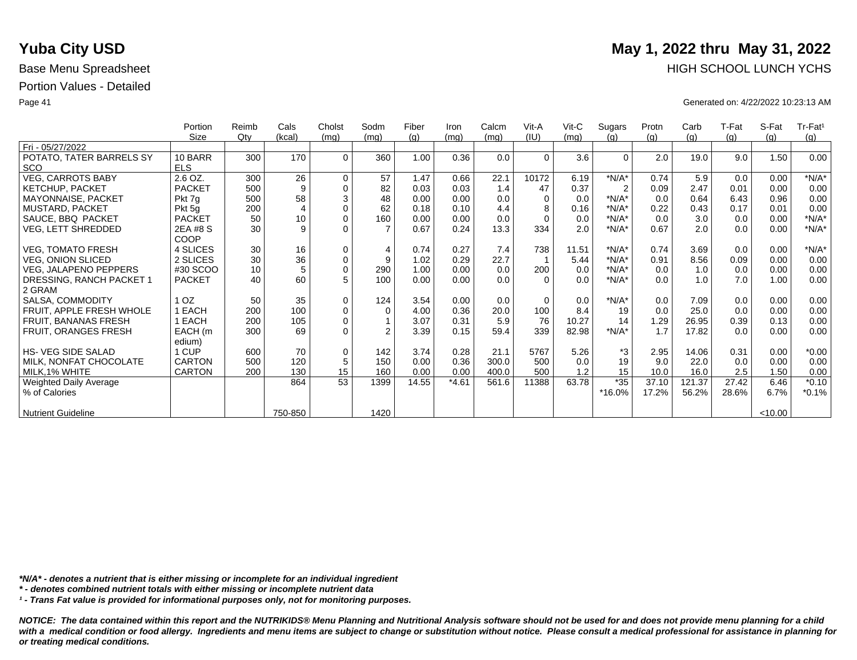|                                        | Portion       | Reimb  | Cals    | Cholst      | Sodm           | Fiber | Iron    | Calcm | Vit-A    | $V$ it-C | Sugars         | Protn | Carb   | T-Fat | S-Fat   | Tr-Fat <sup>1</sup> |
|----------------------------------------|---------------|--------|---------|-------------|----------------|-------|---------|-------|----------|----------|----------------|-------|--------|-------|---------|---------------------|
| Fri - 05/27/2022                       | Size          | $Q$ ty | (kcal)  | (mq)        | (mq)           | (g)   | (mq)    | (mg)  | (IU)     | (mq)     | (q)            | (q)   | (g)    | (g)   | (q)     | (g)                 |
|                                        | 10 BARR       | 300    | 170     | $\Omega$    | 360            | 1.00  | 0.36    | 0.0   | $\Omega$ | 3.6      | $\Omega$       | 2.0   | 19.0   | 9.0   | 1.50    | 0.00                |
| POTATO, TATER BARRELS SY<br><b>SCO</b> | <b>ELS</b>    |        |         |             |                |       |         |       |          |          |                |       |        |       |         |                     |
|                                        |               |        |         |             |                |       |         |       |          |          |                |       |        |       |         |                     |
| <b>VEG, CARROTS BABY</b>               | 2.6 OZ.       | 300    | 26      | $\Omega$    | 57             | 1.47  | 0.66    | 22.1  | 10172    | 6.19     | $*N/A*$        | 0.74  | 5.9    | 0.0   | 0.00    | $*N/A*$             |
| <b>KETCHUP, PACKET</b>                 | <b>PACKET</b> | 500    | 9       | $\Omega$    | 82             | 0.03  | 0.03    | 1.4   | 47       | 0.37     | $\overline{2}$ | 0.09  | 2.47   | 0.01  | 0.00    | 0.00                |
| <b>MAYONNAISE, PACKET</b>              | Pkt 7g        | 500    | 58      | 3           | 48             | 0.00  | 0.00    | 0.0   | 0        | 0.0      | $*N/A*$        | 0.0   | 0.64   | 6.43  | 0.96    | 0.00                |
| <b>MUSTARD, PACKET</b>                 | Pkt 5g        | 200    | 4       | $\Omega$    | 62             | 0.18  | 0.10    | 4.4   |          | 0.16     | $*N/A*$        | 0.22  | 0.43   | 0.17  | 0.01    | 0.00                |
| SAUCE, BBQ PACKET                      | <b>PACKET</b> | 50     | 10      | $\mathbf 0$ | 160            | 0.00  | 0.00    | 0.0   | $\Omega$ | 0.0      | $*N/A*$        | 0.0   | 3.0    | 0.0   | 0.00    | $*N/A*$             |
| VEG, LETT SHREDDED                     | 2EA #8 S      | 30     | 9       | $\Omega$    | $\overline{7}$ | 0.67  | 0.24    | 13.3  | 334      | 2.0      | $*N/A*$        | 0.67  | 2.0    | 0.0   | 0.00    | $*N/A*$             |
|                                        | COOP          |        |         |             |                |       |         |       |          |          |                |       |        |       |         |                     |
| <b>VEG, TOMATO FRESH</b>               | 4 SLICES      | 30     | 16      | $\mathbf 0$ | $\overline{4}$ | 0.74  | 0.27    | 7.4   | 738      | 11.51    | $*N/A*$        | 0.74  | 3.69   | 0.0   | 0.00    | $*N/A*$             |
| VEG, ONION SLICED                      | 2 SLICES      | 30     | 36      | $\mathbf 0$ | 9              | 1.02  | 0.29    | 22.7  |          | 5.44     | $*N/A*$        | 0.91  | 8.56   | 0.09  | 0.00    | 0.00                |
| <b>VEG, JALAPENO PEPPERS</b>           | #30 SCOO      | 10     | 5       | $\mathbf 0$ | 290            | 1.00  | 0.00    | 0.0   | 200      | 0.0      | $*N/A*$        | 0.0   | 1.0    | 0.0   | 0.00    | 0.00                |
| DRESSING, RANCH PACKET 1               | <b>PACKET</b> | 40     | 60      | 5           | 100            | 0.00  | 0.00    | 0.0   | $\Omega$ | 0.0      | $*N/A*$        | 0.0   | 1.0    | 7.0   | 1.00    | 0.00                |
| 2 GRAM                                 |               |        |         |             |                |       |         |       |          |          |                |       |        |       |         |                     |
|                                        | OZ.           | 50     |         | $\Omega$    |                |       |         |       | $\Omega$ |          | $*N/A*$        |       |        |       |         |                     |
| SALSA, COMMODITY                       |               |        | 35      |             | 124            | 3.54  | 0.00    | 0.0   |          | 0.0      |                | 0.0   | 7.09   | 0.0   | 0.00    | 0.00                |
| FRUIT, APPLE FRESH WHOLE               | EACH          | 200    | 100     | $\mathbf 0$ | $\mathbf 0$    | 4.00  | 0.36    | 20.0  | 100      | 8.4      | 19             | 0.0   | 25.0   | 0.0   | 0.00    | 0.00                |
| <b>FRUIT, BANANAS FRESH</b>            | EACH          | 200    | 105     | $\Omega$    |                | 3.07  | 0.31    | 5.9   | 76       | 10.27    | 14             | 1.29  | 26.95  | 0.39  | 0.13    | 0.00                |
| FRUIT, ORANGES FRESH                   | EACH (m       | 300    | 69      | $\Omega$    | $\overline{2}$ | 3.39  | 0.15    | 59.4  | 339      | 82.98    | $*N/A*$        | 1.7   | 17.82  | 0.0   | 0.00    | 0.00                |
|                                        | edium)        |        |         |             |                |       |         |       |          |          |                |       |        |       |         |                     |
| <b>HS-VEG SIDE SALAD</b>               | 1 CUP         | 600    | 70      | $\mathbf 0$ | 142            | 3.74  | 0.28    | 21.1  | 5767     | 5.26     | *3             | 2.95  | 14.06  | 0.31  | 0.00    | $*0.00$             |
| MILK, NONFAT CHOCOLATE                 | <b>CARTON</b> | 500    | 120     | 5           | 150            | 0.00  | 0.36    | 300.0 | 500      | 0.0      | 19             | 9.0   | 22.0   | 0.0   | 0.00    | 0.00                |
| MILK,1% WHITE                          | <b>CARTON</b> | 200    | 130     | 15          | 160            | 0.00  | 0.00    | 400.0 | 500      | 1.2      | 15             | 10.0  | 16.0   | 2.5   | 1.50    | 0.00                |
| Weighted Daily Average                 |               |        | 864     | 53          | 1399           | 14.55 | $*4.61$ | 561.6 | 11388    | 63.78    | $*35$          | 37.10 | 121.37 | 27.42 | 6.46    | $*0.10$             |
| % of Calories                          |               |        |         |             |                |       |         |       |          |          | *16.0%         | 17.2% | 56.2%  | 28.6% | 6.7%    | $*0.1%$             |
|                                        |               |        |         |             |                |       |         |       |          |          |                |       |        |       |         |                     |
| <b>Nutrient Guideline</b>              |               |        | 750-850 |             | 1420           |       |         |       |          |          |                |       |        |       | < 10.00 |                     |

*\*N/A\* - denotes a nutrient that is either missing or incomplete for an individual ingredient*

*\* - denotes combined nutrient totals with either missing or incomplete nutrient data*

*¹ - Trans Fat value is provided for informational purposes only, not for monitoring purposes.*

*NOTICE: The data contained within this report and the NUTRIKIDS® Menu Planning and Nutritional Analysis software should not be used for and does not provide menu planning for a child*  with a medical condition or food allergy. Ingredients and menu items are subject to change or substitution without notice. Please consult a medical professional for assistance in planning for *or treating medical conditions.*

# **Yuba City USD** May 1, 2022 thru May 31, 2022 Base Menu Spreadsheet **HIGH SCHOOL LUNCH YCHS**

Page 41 Generated on: 4/22/2022 10:23:13 AM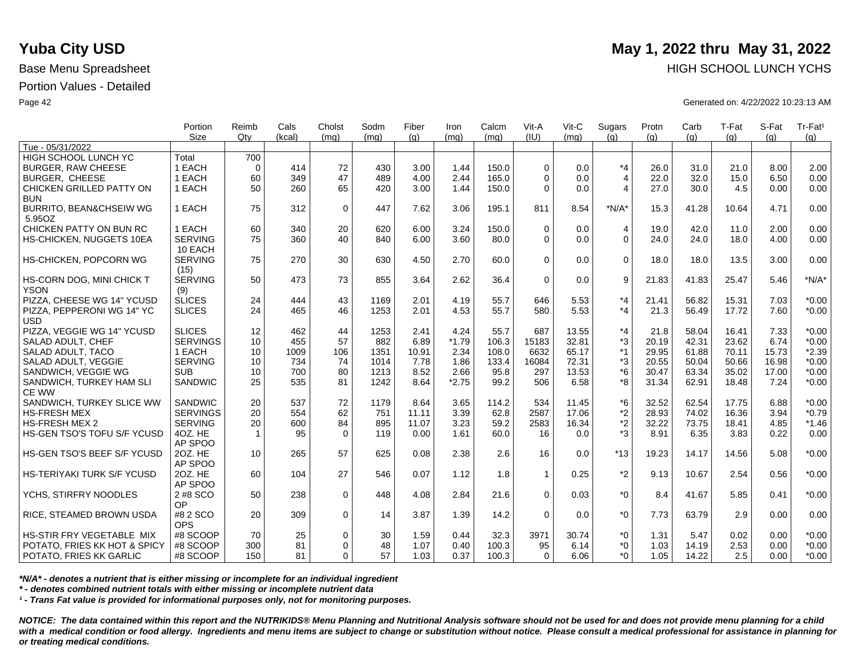|                                          | Portion         | Reimb          | Cals       | Cholst      | Sodm       | Fiber | Iron         | Calcm | Vit-A        | Vit-C        | Sugars             | Protn | Carb         | T-Fat | S-Fat | Tr-Fat <sup>1</sup> |
|------------------------------------------|-----------------|----------------|------------|-------------|------------|-------|--------------|-------|--------------|--------------|--------------------|-------|--------------|-------|-------|---------------------|
|                                          | <b>Size</b>     | Qtv            | (kcal)     | (mq)        | (ma)       | (q)   | (mq)         | (mq)  | (IU)         | (mq)         | (q)                | (q)   | (q)          | (q)   | (a)   | (g)                 |
| Tue - 05/31/2022                         |                 |                |            |             |            |       |              |       |              |              |                    |       |              |       |       |                     |
| HIGH SCHOOL LUNCH YC                     | Total<br>1 EACH | 700            | 414        |             |            |       |              | 150.0 | $\Omega$     |              | $*_{4}$            |       |              | 21.0  |       | 2.00                |
| <b>BURGER, RAW CHEESE</b>                | 1 EACH          | $\Omega$<br>60 | 349        | 72<br>47    | 430<br>489 | 3.00  | 1.44<br>2.44 |       | $\Omega$     | 0.0          |                    | 26.0  | 31.0<br>32.0 |       | 8.00  | 0.00                |
| <b>BURGER, CHEESE</b>                    |                 |                |            |             |            | 4.00  |              | 165.0 |              | 0.0          | $\overline{4}$     | 22.0  |              | 15.0  | 6.50  |                     |
| CHICKEN GRILLED PATTY ON                 | 1 EACH          | 50             | 260        | 65          | 420        | 3.00  | 1.44         | 150.0 | $\Omega$     | 0.0          | $\overline{4}$     | 27.0  | 30.0         | 4.5   | 0.00  | 0.00                |
| <b>BUN</b>                               | 1 EACH          | 75             | 312        |             | 447        |       |              |       | 811          | 8.54         | $*N/A*$            |       |              |       | 4.71  | 0.00                |
| BURRITO, BEAN&CHSEIW WG                  |                 |                |            | $\mathbf 0$ |            | 7.62  | 3.06         | 195.1 |              |              |                    | 15.3  | 41.28        | 10.64 |       |                     |
| 5.95OZ                                   |                 |                |            |             |            |       |              |       |              |              |                    |       |              |       |       |                     |
| CHICKEN PATTY ON BUN RC                  | 1 EACH          | 60             | 340        | 20          | 620        | 6.00  | 3.24         | 150.0 | $\Omega$     | 0.0          | 4                  | 19.0  | 42.0         | 11.0  | 2.00  | 0.00                |
| HS-CHICKEN, NUGGETS 10EA                 | <b>SERVING</b>  | 75             | 360        | 40          | 840        | 6.00  | 3.60         | 80.0  | $\Omega$     | 0.0          | $\Omega$           | 24.0  | 24.0         | 18.0  | 4.00  | 0.00                |
|                                          | 10 EACH         |                |            |             |            |       |              |       |              |              |                    |       |              |       |       |                     |
| HS-CHICKEN, POPCORN WG                   | <b>SERVING</b>  | 75             | 270        | 30          | 630        | 4.50  | 2.70         | 60.0  | $\Omega$     | 0.0          | $\mathbf 0$        | 18.0  | 18.0         | 13.5  | 3.00  | 0.00                |
|                                          | (15)            |                |            |             |            |       |              |       |              |              |                    |       |              |       |       |                     |
| HS-CORN DOG, MINI CHICK T                | <b>SERVING</b>  | 50             | 473        | 73          | 855        | 3.64  | 2.62         | 36.4  | $\Omega$     | 0.0          | 9                  | 21.83 | 41.83        | 25.47 | 5.46  | $*N/A*$             |
| <b>YSON</b>                              | (9)             |                |            |             |            |       |              |       |              |              |                    |       |              |       |       |                     |
| PIZZA, CHEESE WG 14" YCUSD               | <b>SLICES</b>   | 24             | 444<br>465 | 43          | 1169       | 2.01  | 4.19<br>4.53 | 55.7  | 646          | 5.53<br>5.53 | $*_{4}$<br>$*_{4}$ | 21.41 | 56.82        | 15.31 | 7.03  | $*0.00$             |
| PIZZA, PEPPERONI WG 14" YC<br><b>USD</b> | <b>SLICES</b>   | 24             |            | 46          | 1253       | 2.01  |              | 55.7  | 580          |              |                    | 21.3  | 56.49        | 17.72 | 7.60  | $*0.00$             |
| PIZZA, VEGGIE WG 14" YCUSD               | <b>SLICES</b>   | 12             | 462        | 44          | 1253       | 2.41  | 4.24         | 55.7  | 687          | 13.55        | $*_{4}$            | 21.8  | 58.04        | 16.41 | 7.33  | $*0.00$             |
| SALAD ADULT, CHEF                        | <b>SERVINGS</b> | 10             | 455        | 57          | 882        | 6.89  | $*1.79$      | 106.3 | 15183        | 32.81        | *3                 | 20.19 | 42.31        | 23.62 | 6.74  | $*0.00$             |
| SALAD ADULT, TACO                        | 1 EACH          | 10             | 1009       | 106         | 1351       | 10.91 | 2.34         | 108.0 | 6632         | 65.17        | $*1$               | 29.95 | 61.88        | 70.11 | 15.73 | $*2.39$             |
| SALAD ADULT, VEGGIE                      | <b>SERVING</b>  | 10             | 734        | 74          | 1014       | 7.78  | 1.86         | 133.4 | 16084        | 72.31        | *3                 | 20.55 | 50.04        | 50.66 | 16.98 | $*0.00$             |
| SANDWICH, VEGGIE WG                      | <b>SUB</b>      | 10             | 700        | 80          | 1213       | 8.52  | 2.66         | 95.8  | 297          | 13.53        | $*6$               | 30.47 | 63.34        | 35.02 | 17.00 | $*0.00$             |
| SANDWICH, TURKEY HAM SLI                 | <b>SANDWIC</b>  | 25             | 535        | 81          | 1242       | 8.64  | $*2.75$      | 99.2  | 506          | 6.58         | *8                 | 31.34 | 62.91        | 18.48 | 7.24  | $*0.00$             |
| <b>CE WW</b>                             |                 |                |            |             |            |       |              |       |              |              |                    |       |              |       |       |                     |
| SANDWICH, TURKEY SLICE WW                | SANDWIC         | 20             | 537        | 72          | 1179       | 8.64  | 3.65         | 114.2 | 534          | 11.45        | *6                 | 32.52 | 62.54        | 17.75 | 6.88  | $*0.00$             |
| <b>HS-FRESH MEX</b>                      | <b>SERVINGS</b> | 20             | 554        | 62          | 751        | 11.11 | 3.39         | 62.8  | 2587         | 17.06        | *2                 | 28.93 | 74.02        | 16.36 | 3.94  | $*0.79$             |
| <b>HS-FRESH MEX 2</b>                    | <b>SERVING</b>  | 20             | 600        | 84          | 895        | 11.07 | 3.23         | 59.2  | 2583         | 16.34        | $*2$               | 32.22 | 73.75        | 18.41 | 4.85  | $*1.46$             |
| HS-GEN TSO'S TOFU S/F YCUSD              | 4OZ. HE         | $\mathbf{1}$   | 95         | $\Omega$    | 119        | 0.00  | 1.61         | 60.0  | 16           | 0.0          | $*3$               | 8.91  | 6.35         | 3.83  | 0.22  | 0.00                |
|                                          | AP SPOO         |                |            |             |            |       |              |       |              |              |                    |       |              |       |       |                     |
| HS-GEN TSO'S BEEF S/F YCUSD              | 20Z. HE         | 10             | 265        | 57          | 625        | 0.08  | 2.38         | 2.6   | 16           | 0.0          | $*13$              | 19.23 | 14.17        | 14.56 | 5.08  | $*0.00$             |
|                                          | AP SPOO         |                |            |             |            |       |              |       |              |              |                    |       |              |       |       |                     |
| HS-TERIYAKI TURK S/F YCUSD               | 20Z. HE         | 60             | 104        | 27          | 546        | 0.07  | 1.12         | 1.8   | $\mathbf{1}$ | 0.25         | $*2$               | 9.13  | 10.67        | 2.54  | 0.56  | $*0.00$             |
|                                          | AP SPOO         |                |            |             |            |       |              |       |              |              |                    |       |              |       |       |                     |
| YCHS. STIRFRY NOODLES                    | 2 #8 SCO        | 50             | 238        | $\mathbf 0$ | 448        | 4.08  | 2.84         | 21.6  | $\Omega$     | 0.03         | $*_{0}$            | 8.4   | 41.67        | 5.85  | 0.41  | $*0.00$             |
|                                          | OP              |                |            |             |            |       |              |       |              |              |                    |       |              |       |       |                     |
| RICE, STEAMED BROWN USDA                 | #8 2 SCO        | 20             | 309        | $\mathbf 0$ | 14         | 3.87  | 1.39         | 14.2  | $\Omega$     | 0.0          | $*_{0}$            | 7.73  | 63.79        | 2.9   | 0.00  | 0.00                |
|                                          | <b>OPS</b>      |                |            |             |            |       |              |       |              |              |                    |       |              |       |       |                     |
| HS-STIR FRY VEGETABLE MIX                | #8 SCOOP        | 70             | 25         | $\mathbf 0$ | 30         | 1.59  | 0.44         | 32.3  | 3971         | 30.74        | $*0$               | 1.31  | 5.47         | 0.02  | 0.00  | $*0.00$             |
| POTATO, FRIES KK HOT & SPICY             | #8 SCOOP        | 300            | 81         | $\Omega$    | 48         | 1.07  | 0.40         | 100.3 | 95           | 6.14         | $*0$               | 1.03  | 14.19        | 2.53  | 0.00  | $*0.00$             |
| POTATO, FRIES KK GARLIC                  | #8 SCOOP        | 150            | 81         | $\Omega$    | 57         | 1.03  | 0.37         | 100.3 | $\Omega$     | 6.06         | $*_{0}$            | 1.05  | 14.22        | 2.5   | 0.00  | $*0.00$             |

*\*N/A\* - denotes a nutrient that is either missing or incomplete for an individual ingredient*

*\* - denotes combined nutrient totals with either missing or incomplete nutrient data*

*¹ - Trans Fat value is provided for informational purposes only, not for monitoring purposes.*

*NOTICE: The data contained within this report and the NUTRIKIDS® Menu Planning and Nutritional Analysis software should not be used for and does not provide menu planning for a child*  with a medical condition or food allergy. Ingredients and menu items are subject to change or substitution without notice. Please consult a medical professional for assistance in planning for *or treating medical conditions.*

## **Yuba City USD** May 1, 2022 thru May 31, 2022 Base Menu Spreadsheet **HIGH SCHOOL LUNCH YCHS HIGH SCHOOL LUNCH YCHS**

Page 42 Generated on: 4/22/2022 10:23:13 AM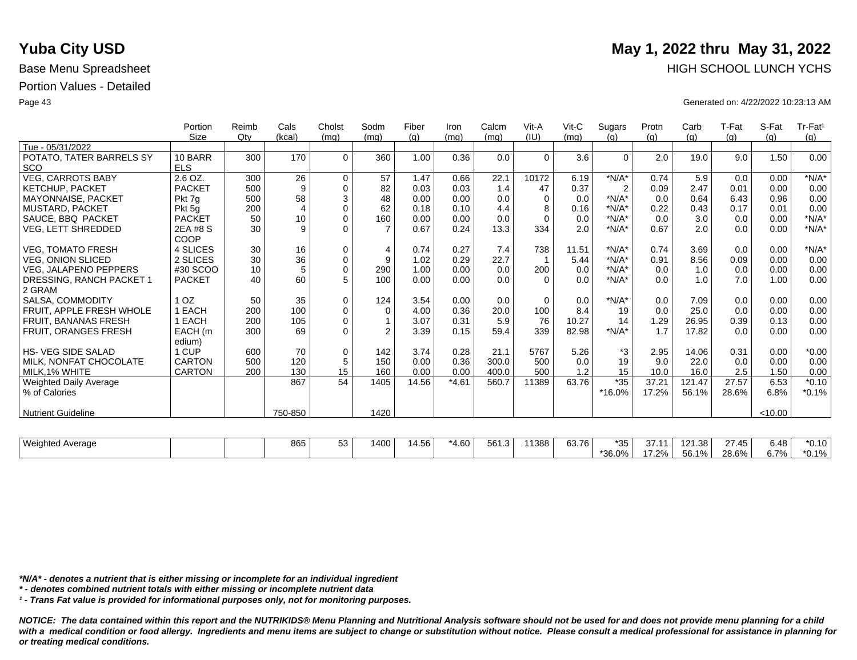|                             | Portion         | Reimb  | Cals           | Cholst      | Sodm           | Fiber | Iron    | Calcm | Vit-A    | $V$ it-C | Sugars         | Protn    | Carb   | T-Fat | S-Fat   | Tr-Fat <sup>1</sup> |
|-----------------------------|-----------------|--------|----------------|-------------|----------------|-------|---------|-------|----------|----------|----------------|----------|--------|-------|---------|---------------------|
| Tue - 05/31/2022            | Size            | $Q$ ty | (kcal)         | (mq)        | (mq)           | (q)   | (mq)    | (mg)  | (IU)     | (mq)     | (q)            | (q)      | (g)    | (g)   | (q)     | (g)                 |
| POTATO. TATER BARRELS SY    | 10 BARR         | 300    | 170            | $\mathbf 0$ | 360            | 1.00  | 0.36    | 0.0   | $\Omega$ | 3.6      | $\mathbf 0$    | 2.0      | 19.0   | 9.0   | 1.50    | 0.00                |
| <b>SCO</b>                  | <b>ELS</b>      |        |                |             |                |       |         |       |          |          |                |          |        |       |         |                     |
| <b>VEG, CARROTS BABY</b>    | 2.6 OZ.         | 300    | 26             | $\mathbf 0$ | 57             | 1.47  | 0.66    | 22.1  | 10172    | 6.19     | $*N/A*$        | 0.74     | 5.9    | 0.0   | 0.00    | $*N/A*$             |
| <b>KETCHUP, PACKET</b>      | <b>PACKET</b>   | 500    | 9              | $\mathbf 0$ | 82             | 0.03  | 0.03    | 1.4   | 47       | 0.37     | $\overline{2}$ | 0.09     | 2.47   | 0.01  | 0.00    | 0.00                |
| <b>MAYONNAISE, PACKET</b>   | Pkt 7g          | 500    | 58             | $\sqrt{3}$  | 48             | 0.00  | 0.00    | 0.0   | $\Omega$ | 0.0      | $*N/A*$        | 0.0      | 0.64   | 6.43  | 0.96    | 0.00                |
| <b>MUSTARD, PACKET</b>      | Pkt 5g          | 200    | $\overline{4}$ | $\pmb{0}$   | 62             | 0.18  | 0.10    | 4.4   | 8        | 0.16     | $*N/A*$        | 0.22     | 0.43   | 0.17  | 0.01    | 0.00                |
| SAUCE, BBQ PACKET           | <b>PACKET</b>   | 50     | 10             | $\mathbf 0$ | 160            | 0.00  | 0.00    | 0.0   | $\Omega$ | 0.0      | $*N/A*$        | 0.0      | 3.0    | 0.0   | 0.00    | $*N/A*$             |
| <b>VEG, LETT SHREDDED</b>   | 2EA #8 S        | 30     | 9              | $\Omega$    | $\overline{7}$ | 0.67  | 0.24    | 13.3  | 334      | 2.0      | $*N/A*$        | 0.67     | 2.0    | 0.0   | 0.00    | $*N/A*$             |
|                             | COOP            |        |                |             |                |       |         |       |          |          |                |          |        |       |         |                     |
| <b>VEG. TOMATO FRESH</b>    | 4 SLICES        | 30     | 16             | 0           | 4              | 0.74  | 0.27    | 7.4   | 738      | 11.51    | $*N/A*$        | 0.74     | 3.69   | 0.0   | 0.00    | $*N/A*$             |
| <b>VEG. ONION SLICED</b>    | 2 SLICES        | 30     | 36             | $\mathbf 0$ | 9              | 1.02  | 0.29    | 22.7  |          | 5.44     | $*N/A*$        | 0.91     | 8.56   | 0.09  | 0.00    | 0.00                |
| VEG, JALAPENO PEPPERS       | #30 SCOO        | 10     | 5              | $\mathbf 0$ | 290            | 1.00  | 0.00    | 0.0   | 200      | 0.0      | $*N/A*$        | 0.0      | 1.0    | 0.0   | 0.00    | 0.00                |
| DRESSING, RANCH PACKET 1    | <b>PACKET</b>   | 40     | 60             | 5           | 100            | 0.00  | 0.00    | 0.0   | $\Omega$ | 0.0      | $*N/A*$        | 0.0      | 1.0    | 7.0   | 1.00    | 0.00                |
| 2 GRAM                      |                 |        |                |             |                |       |         |       |          |          |                |          |        |       |         |                     |
| SALSA, COMMODITY            | 1 <sub>OZ</sub> | 50     | 35             | $\mathbf 0$ | 124            | 3.54  | 0.00    | 0.0   | 0        | 0.0      | $*N/A*$        | 0.0      | 7.09   | 0.0   | 0.00    | 0.00                |
| FRUIT, APPLE FRESH WHOLE    | 1 EACH          | 200    | 100            | $\mathbf 0$ | $\Omega$       | 4.00  | 0.36    | 20.0  | 100      | 8.4      | 19             | 0.0      | 25.0   | 0.0   | 0.00    | 0.00                |
| <b>FRUIT, BANANAS FRESH</b> | 1 EACH          | 200    | 105            | $\mathsf 0$ |                | 3.07  | 0.31    | 5.9   | 76       | 10.27    | 14             | 1.29     | 26.95  | 0.39  | 0.13    | 0.00                |
| <b>FRUIT, ORANGES FRESH</b> | EACH (m         | 300    | 69             | $\mathbf 0$ | $\overline{2}$ | 3.39  | 0.15    | 59.4  | 339      | 82.98    | $*N/A*$        | 1.7      | 17.82  | 0.0   | 0.00    | 0.00                |
|                             | edium)          |        |                |             |                |       |         |       |          |          |                |          |        |       |         |                     |
| <b>HS-VEG SIDE SALAD</b>    | 1 CUP           | 600    | 70             | $\mathbf 0$ | 142            | 3.74  | 0.28    | 21.1  | 5767     | 5.26     | *3             | 2.95     | 14.06  | 0.31  | 0.00    | $*0.00$             |
| MILK, NONFAT CHOCOLATE      | <b>CARTON</b>   | 500    | 120            | $\sqrt{5}$  | 150            | 0.00  | 0.36    | 300.0 | 500      | 0.0      | 19             | 9.0      | 22.0   | 0.0   | 0.00    | 0.00                |
| MILK.1% WHITE               | <b>CARTON</b>   | 200    | 130            | 15          | 160            | 0.00  | 0.00    | 400.0 | 500      | 1.2      | 15             | 10.0     | 16.0   | 2.5   | 1.50    | 0.00                |
| Weighted Daily Average      |                 |        | 867            | 54          | 1405           | 14.56 | $*4.61$ | 560.7 | 11389    | 63.76    | $*35$          | 37.21    | 121.47 | 27.57 | 6.53    | $*0.10$             |
| % of Calories               |                 |        |                |             |                |       |         |       |          |          | *16.0%         | 17.2%    | 56.1%  | 28.6% | 6.8%    | $*0.1%$             |
|                             |                 |        |                |             |                |       |         |       |          |          |                |          |        |       |         |                     |
| <b>Nutrient Guideline</b>   |                 |        | 750-850        |             | 1420           |       |         |       |          |          |                |          |        |       | < 10.00 |                     |
|                             |                 |        |                |             |                |       |         |       |          |          |                |          |        |       |         |                     |
| <b>Weighted Average</b>     |                 |        | 865            | 53          | 1400           | 14.56 | $*4.60$ | 561.3 | 11388    | 63.76    | $*35$          | 37.11    | 121.38 | 27.45 | 6.48    | $*0.10$             |
|                             |                 |        |                |             |                |       |         |       |          |          | $*36.0\%$      | $17.2\%$ | 56.1%  | 28.6% | 6.7%    | $*0.1%$             |

*\*N/A\* - denotes a nutrient that is either missing or incomplete for an individual ingredient*

*\* - denotes combined nutrient totals with either missing or incomplete nutrient data*

*¹ - Trans Fat value is provided for informational purposes only, not for monitoring purposes.*

*NOTICE: The data contained within this report and the NUTRIKIDS® Menu Planning and Nutritional Analysis software should not be used for and does not provide menu planning for a child*  with a medical condition or food allergy. Ingredients and menu items are subject to change or substitution without notice. Please consult a medical professional for assistance in planning for *or treating medical conditions.*

# **Yuba City USD** May 1, 2022 thru May 31, 2022 Base Menu Spreadsheet **HIGH SCHOOL LUNCH YCHS**

Page 43 Generated on: 4/22/2022 10:23:13 AM